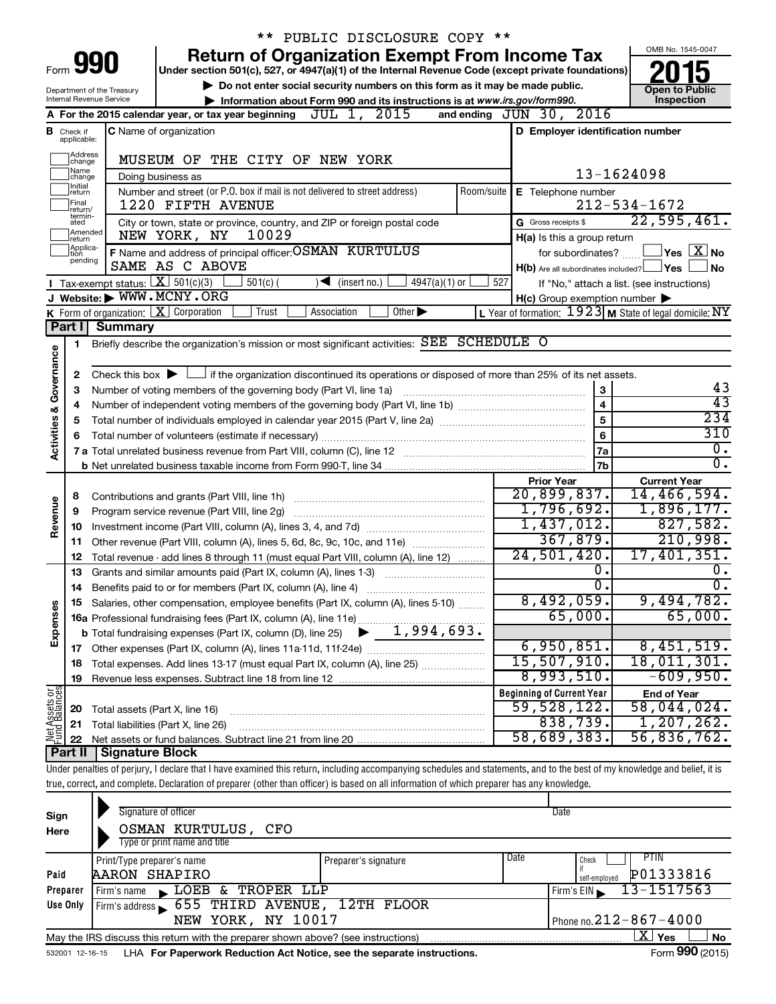|                         |                               |                                                    | ** PUBLIC DISCLOSURE COPY **                                                                                                                                                                                                                                                                                             |            |                                                     |                                                         |
|-------------------------|-------------------------------|----------------------------------------------------|--------------------------------------------------------------------------------------------------------------------------------------------------------------------------------------------------------------------------------------------------------------------------------------------------------------------------|------------|-----------------------------------------------------|---------------------------------------------------------|
|                         |                               |                                                    | <b>Return of Organization Exempt From Income Tax</b>                                                                                                                                                                                                                                                                     |            |                                                     | OMB No. 1545-0047                                       |
|                         |                               | Form <b>990</b>                                    | Under section 501(c), 527, or 4947(a)(1) of the Internal Revenue Code (except private foundations)                                                                                                                                                                                                                       |            |                                                     |                                                         |
|                         |                               | Department of the Treasury                         | Do not enter social security numbers on this form as it may be made public.                                                                                                                                                                                                                                              |            |                                                     | <b>Open to Public</b>                                   |
|                         |                               | Internal Revenue Service                           | Information about Form 990 and its instructions is at www.irs.gov/form990.                                                                                                                                                                                                                                               |            |                                                     | Inspection                                              |
|                         |                               |                                                    | JUL 1, 2015<br>A For the 2015 calendar year, or tax year beginning                                                                                                                                                                                                                                                       |            | and ending JUN 30, 2016                             |                                                         |
|                         | <b>B</b> Check if applicable: |                                                    | <b>C</b> Name of organization                                                                                                                                                                                                                                                                                            |            | D Employer identification number                    |                                                         |
|                         | Address<br> change            |                                                    | MUSEUM OF THE CITY OF NEW YORK                                                                                                                                                                                                                                                                                           |            |                                                     |                                                         |
|                         | ]Name<br>]change              |                                                    | Doing business as                                                                                                                                                                                                                                                                                                        |            |                                                     | 13-1624098                                              |
|                         | Initial<br>]return            |                                                    | Number and street (or P.O. box if mail is not delivered to street address)                                                                                                                                                                                                                                               | Room/suite | E Telephone number                                  |                                                         |
|                         | <b>Final</b><br>return/       |                                                    | 1220 FIFTH AVENUE                                                                                                                                                                                                                                                                                                        |            |                                                     | $212 - 534 - 1672$                                      |
|                         | termin-<br>ated               |                                                    | City or town, state or province, country, and ZIP or foreign postal code                                                                                                                                                                                                                                                 |            | G Gross receipts \$                                 | 22,595,461.                                             |
|                         | Amended<br>Ireturn            |                                                    | 10029<br>NEW YORK, NY                                                                                                                                                                                                                                                                                                    |            | H(a) Is this a group return                         |                                                         |
|                         | Applica-<br>tion<br>pending   |                                                    | F Name and address of principal officer: OSMAN KURTULUS                                                                                                                                                                                                                                                                  |            | for subordinates?                                   | $\Box$ Yes $\Box X$ No                                  |
|                         |                               |                                                    | SAME AS C ABOVE                                                                                                                                                                                                                                                                                                          |            | $H(b)$ Are all subordinates included? $\Box$ Yes    | ∣No                                                     |
|                         |                               |                                                    | Tax-exempt status: $X \overline{3}$ 501(c)(3)<br>$501(c)$ (<br>$4947(a)(1)$ or<br>$\sqrt{\bullet}$ (insert no.)                                                                                                                                                                                                          | 527        |                                                     | If "No," attach a list. (see instructions)              |
|                         |                               |                                                    | J Website: WWW.MCNY.ORG                                                                                                                                                                                                                                                                                                  |            | $H(c)$ Group exemption number $\blacktriangleright$ |                                                         |
|                         |                               | <b>Summary</b>                                     | <b>K</b> Form of organization: $\boxed{\mathbf{X}}$ Corporation<br>$\overline{Other}$<br>Trust<br>Association                                                                                                                                                                                                            |            |                                                     | L Year of formation: 1923 M State of legal domicile: NY |
|                         | Part I                        |                                                    |                                                                                                                                                                                                                                                                                                                          |            |                                                     |                                                         |
|                         | 1                             |                                                    | Briefly describe the organization's mission or most significant activities: SEE SCHEDULE O                                                                                                                                                                                                                               |            |                                                     |                                                         |
| Governance              | 2                             |                                                    | Check this box $\blacktriangleright$ $\Box$ if the organization discontinued its operations or disposed of more than 25% of its net assets.                                                                                                                                                                              |            |                                                     |                                                         |
|                         | з                             |                                                    | Number of voting members of the governing body (Part VI, line 1a)                                                                                                                                                                                                                                                        |            | 3                                                   | 43                                                      |
|                         | 4                             |                                                    |                                                                                                                                                                                                                                                                                                                          |            | $\overline{\mathbf{4}}$                             | $\overline{43}$                                         |
|                         | 5                             |                                                    |                                                                                                                                                                                                                                                                                                                          |            | 5                                                   | 234                                                     |
|                         | 6                             | Total number of volunteers (estimate if necessary) | 310                                                                                                                                                                                                                                                                                                                      |            |                                                     |                                                         |
| <b>Activities &amp;</b> |                               |                                                    |                                                                                                                                                                                                                                                                                                                          |            | 7a                                                  | $\overline{0}$ .                                        |
|                         |                               |                                                    |                                                                                                                                                                                                                                                                                                                          |            | 7b                                                  | $\overline{0}$ .                                        |
|                         |                               |                                                    |                                                                                                                                                                                                                                                                                                                          |            | <b>Prior Year</b>                                   | <b>Current Year</b>                                     |
|                         | 8                             |                                                    | Contributions and grants (Part VIII, line 1h)                                                                                                                                                                                                                                                                            |            | 20,899,837.                                         | 14,466,594.                                             |
| Revenue                 | 9                             |                                                    | Program service revenue (Part VIII, line 2g)                                                                                                                                                                                                                                                                             |            | 1,796,692.                                          | 1,896,177.                                              |
|                         | 10                            |                                                    |                                                                                                                                                                                                                                                                                                                          |            | 1,437,012.                                          | 827,582.                                                |
|                         | 11                            |                                                    | Other revenue (Part VIII, column (A), lines 5, 6d, 8c, 9c, 10c, and 11e)                                                                                                                                                                                                                                                 |            | 367,879.<br>24,501,420.                             | 210,998.<br>17,401,351.                                 |
|                         | 12                            |                                                    | Total revenue - add lines 8 through 11 (must equal Part VIII, column (A), line 12)                                                                                                                                                                                                                                       |            | 0.                                                  | $0$ .                                                   |
|                         | 13                            |                                                    | Grants and similar amounts paid (Part IX, column (A), lines 1-3)                                                                                                                                                                                                                                                         |            | σ.                                                  | $\overline{0}$ .                                        |
|                         | 14                            |                                                    | Salaries, other compensation, employee benefits (Part IX, column (A), lines 5-10)                                                                                                                                                                                                                                        |            | 8,492,059.                                          | 9,494,782.                                              |
|                         |                               |                                                    | 16a Professional fundraising fees (Part IX, column (A), line 11e)                                                                                                                                                                                                                                                        |            | 65,000.                                             | 65,000.                                                 |
| Expenses                |                               |                                                    | 1,994,693.<br><b>b</b> Total fundraising expenses (Part IX, column (D), line 25)                                                                                                                                                                                                                                         |            |                                                     |                                                         |
|                         |                               |                                                    |                                                                                                                                                                                                                                                                                                                          |            | 6,950,851.                                          | 8,451,519.                                              |
|                         | 18                            |                                                    | Total expenses. Add lines 13-17 (must equal Part IX, column (A), line 25)                                                                                                                                                                                                                                                |            | 15,507,910.                                         | 18,011,301.                                             |
|                         | 19                            |                                                    |                                                                                                                                                                                                                                                                                                                          |            | 8,993,510.                                          | $-609,950.$                                             |
| Net Assets or           |                               |                                                    |                                                                                                                                                                                                                                                                                                                          |            | <b>Beginning of Current Year</b>                    | <b>End of Year</b>                                      |
|                         | 20                            | Total assets (Part X, line 16)                     |                                                                                                                                                                                                                                                                                                                          |            | 59,528,122.                                         | 58,044,024.                                             |
|                         | 21                            |                                                    | Total liabilities (Part X, line 26)                                                                                                                                                                                                                                                                                      |            | 838,739.                                            | 1, 207, 262.                                            |
|                         | 22                            |                                                    |                                                                                                                                                                                                                                                                                                                          |            | 58,689,383.                                         | 56,836,762.                                             |
|                         | Part II                       | <b>Signature Block</b>                             |                                                                                                                                                                                                                                                                                                                          |            |                                                     |                                                         |
|                         |                               |                                                    | Under penalties of perjury, I declare that I have examined this return, including accompanying schedules and statements, and to the best of my knowledge and belief, it is<br>true, correct, and complete. Declaration of preparer (other than officer) is based on all information of which preparer has any knowledge. |            |                                                     |                                                         |
|                         |                               |                                                    |                                                                                                                                                                                                                                                                                                                          |            |                                                     |                                                         |
| Sign                    |                               |                                                    | Signature of officer                                                                                                                                                                                                                                                                                                     |            | Date                                                |                                                         |
| Here                    |                               |                                                    | OSMAN KURTULUS, CFO                                                                                                                                                                                                                                                                                                      |            |                                                     |                                                         |
|                         |                               |                                                    |                                                                                                                                                                                                                                                                                                                          |            |                                                     |                                                         |

| Here     | UDMAN NUKTULUD, UPU                                                                                        |                      |                              |                            |  |  |  |  |  |  |
|----------|------------------------------------------------------------------------------------------------------------|----------------------|------------------------------|----------------------------|--|--|--|--|--|--|
|          | Type or print name and title                                                                               |                      |                              |                            |  |  |  |  |  |  |
|          | Print/Type preparer's name                                                                                 | Preparer's signature | Date                         | <b>PTIN</b><br>Check       |  |  |  |  |  |  |
| Paid     | <b>AARON SHAPIRO</b>                                                                                       |                      |                              | P01333816<br>self-employed |  |  |  |  |  |  |
| Preparer | LOEB & TROPER LLP<br>Firm's name                                                                           |                      |                              | 13-1517563<br>Firm's EIN   |  |  |  |  |  |  |
| Use Only | Firm's address 655 THIRD AVENUE, 12TH FLOOR                                                                |                      |                              |                            |  |  |  |  |  |  |
|          | NEW YORK, NY 10017                                                                                         |                      | Phone no. $212 - 867 - 4000$ |                            |  |  |  |  |  |  |
|          | x<br><b>No</b><br>Yes<br>May the IRS discuss this return with the preparer shown above? (see instructions) |                      |                              |                            |  |  |  |  |  |  |
|          | $000 \times 10^{-1}$<br>$\overline{\phantom{0}}$                                                           |                      |                              |                            |  |  |  |  |  |  |

532001 12-16-15 **For Paperwork Reduction Act Notice, see the separate instructions.** LHA Form (2015)

Form **990** (2015)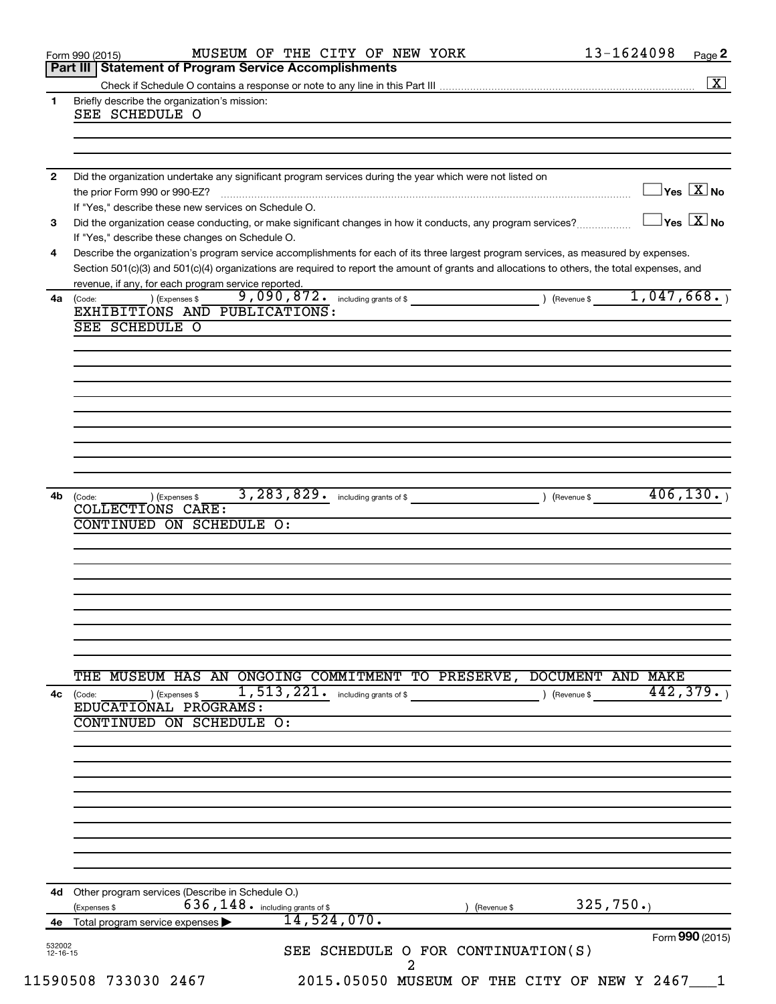|              | MUSEUM OF THE CITY OF NEW YORK<br>Form 990 (2015)                                                                                                                                                   | 13-1624098<br>Page 2             |
|--------------|-----------------------------------------------------------------------------------------------------------------------------------------------------------------------------------------------------|----------------------------------|
|              | Part III   Statement of Program Service Accomplishments                                                                                                                                             | $\boxed{\text{X}}$               |
| 1            | Briefly describe the organization's mission:                                                                                                                                                        |                                  |
|              | SEE SCHEDULE O                                                                                                                                                                                      |                                  |
|              |                                                                                                                                                                                                     |                                  |
|              |                                                                                                                                                                                                     |                                  |
| $\mathbf{2}$ | Did the organization undertake any significant program services during the year which were not listed on                                                                                            |                                  |
|              | the prior Form 990 or 990-EZ?                                                                                                                                                                       | $\Box$ Yes $\boxed{\text{X}}$ No |
|              | If "Yes," describe these new services on Schedule O.                                                                                                                                                |                                  |
| 3            | Did the organization cease conducting, or make significant changes in how it conducts, any program services?                                                                                        | $\exists$ Yes $\overline{X}$ No  |
|              | If "Yes," describe these changes on Schedule O.                                                                                                                                                     |                                  |
| 4            | Describe the organization's program service accomplishments for each of its three largest program services, as measured by expenses.                                                                |                                  |
|              | Section 501(c)(3) and 501(c)(4) organizations are required to report the amount of grants and allocations to others, the total expenses, and<br>revenue, if any, for each program service reported. |                                  |
| 4a           | 9,090,872. including grants of \$ (Revenue \$ 1,047,668.)<br>) (Expenses \$<br>(Code:                                                                                                               |                                  |
|              | EXHIBITIONS AND PUBLICATIONS:                                                                                                                                                                       |                                  |
|              | SEE SCHEDULE O                                                                                                                                                                                      |                                  |
|              |                                                                                                                                                                                                     |                                  |
|              |                                                                                                                                                                                                     |                                  |
|              |                                                                                                                                                                                                     |                                  |
|              |                                                                                                                                                                                                     |                                  |
|              |                                                                                                                                                                                                     |                                  |
|              |                                                                                                                                                                                                     |                                  |
|              |                                                                                                                                                                                                     |                                  |
|              |                                                                                                                                                                                                     |                                  |
|              | ) (Expenses \$                                                                                                                                                                                      | 406, 130.                        |
| 4b           | (Code:<br>COLLECTIONS CARE:                                                                                                                                                                         |                                  |
|              | CONTINUED ON SCHEDULE O:                                                                                                                                                                            |                                  |
|              |                                                                                                                                                                                                     |                                  |
|              |                                                                                                                                                                                                     |                                  |
|              |                                                                                                                                                                                                     |                                  |
|              |                                                                                                                                                                                                     |                                  |
|              |                                                                                                                                                                                                     |                                  |
|              |                                                                                                                                                                                                     |                                  |
|              |                                                                                                                                                                                                     |                                  |
|              |                                                                                                                                                                                                     |                                  |
|              | MUSEUM HAS AN ONGOING COMMITMENT TO PRESERVE, DOCUMENT AND MAKE<br>THE                                                                                                                              |                                  |
| 4c           | 1, 513, 221. including grants of \$<br>) (Expenses \$<br>) (Revenue \$<br>(Code:<br>EDUCATIONAL PROGRAMS:                                                                                           | 442,379.                         |
|              | CONTINUED ON SCHEDULE O:                                                                                                                                                                            |                                  |
|              |                                                                                                                                                                                                     |                                  |
|              |                                                                                                                                                                                                     |                                  |
|              |                                                                                                                                                                                                     |                                  |
|              |                                                                                                                                                                                                     |                                  |
|              |                                                                                                                                                                                                     |                                  |
|              |                                                                                                                                                                                                     |                                  |
|              |                                                                                                                                                                                                     |                                  |
|              |                                                                                                                                                                                                     |                                  |
|              |                                                                                                                                                                                                     |                                  |
|              | 4d Other program services (Describe in Schedule O.)                                                                                                                                                 |                                  |
|              |                                                                                                                                                                                                     |                                  |
|              | $636, 148$ $\cdot$ including grants of \$<br>(Expenses \$<br>(Revenue \$                                                                                                                            | 325,750.                         |
|              | 14,524,070.<br>4e Total program service expenses                                                                                                                                                    | Form 990 (2015)                  |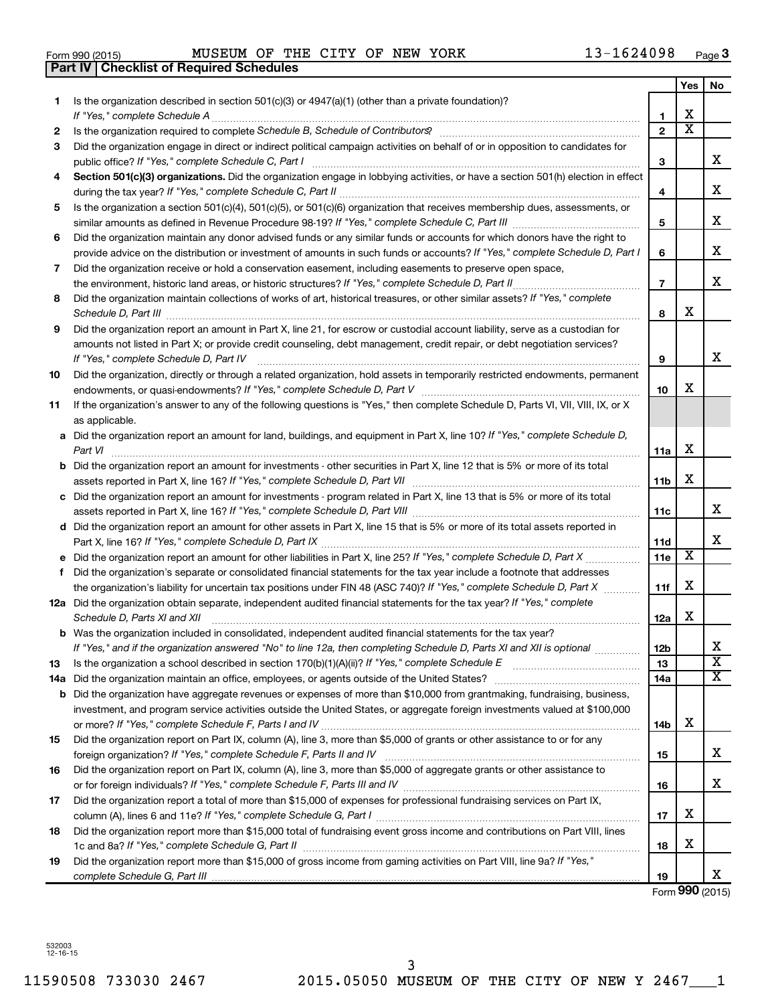| Form 990 (2015) |  |  |
|-----------------|--|--|

Form 990 (2015) MUSEUM OF THE CITY OF NEW YORK  $13-1624098$  Page

|     | <b>Part IV   Checklist of Required Schedules</b>                                                                                                                                                                                    |                 |                         |                         |
|-----|-------------------------------------------------------------------------------------------------------------------------------------------------------------------------------------------------------------------------------------|-----------------|-------------------------|-------------------------|
|     |                                                                                                                                                                                                                                     |                 | Yes                     | No                      |
| 1   | Is the organization described in section 501(c)(3) or 4947(a)(1) (other than a private foundation)?                                                                                                                                 |                 |                         |                         |
|     |                                                                                                                                                                                                                                     | 1               | х                       |                         |
| 2   | Is the organization required to complete Schedule B, Schedule of Contributors? [11] The organization required to complete Schedule B, Schedule of Contributors?                                                                     | $\mathbf{2}$    | $\overline{\textbf{x}}$ |                         |
| 3   | Did the organization engage in direct or indirect political campaign activities on behalf of or in opposition to candidates for                                                                                                     |                 |                         |                         |
|     |                                                                                                                                                                                                                                     | 3               |                         | x                       |
| 4   | Section 501(c)(3) organizations. Did the organization engage in lobbying activities, or have a section 501(h) election in effect                                                                                                    |                 |                         |                         |
|     |                                                                                                                                                                                                                                     | 4               |                         | x                       |
| 5   | Is the organization a section 501(c)(4), 501(c)(5), or 501(c)(6) organization that receives membership dues, assessments, or                                                                                                        |                 |                         |                         |
|     |                                                                                                                                                                                                                                     | 5               |                         | х                       |
| 6   | Did the organization maintain any donor advised funds or any similar funds or accounts for which donors have the right to                                                                                                           |                 |                         |                         |
|     | provide advice on the distribution or investment of amounts in such funds or accounts? If "Yes," complete Schedule D, Part I                                                                                                        | 6               |                         | X                       |
| 7   | Did the organization receive or hold a conservation easement, including easements to preserve open space,                                                                                                                           |                 |                         |                         |
|     |                                                                                                                                                                                                                                     | $\overline{7}$  |                         | х                       |
| 8   | Did the organization maintain collections of works of art, historical treasures, or other similar assets? If "Yes," complete                                                                                                        |                 |                         |                         |
|     | Schedule D, Part III <b>Marting Community</b> Construction of the Construction of the Construction of the Construction of the Construction of the Construction of the Construction of the Construction of the Construction of the C | 8               | X                       |                         |
| 9   | Did the organization report an amount in Part X, line 21, for escrow or custodial account liability, serve as a custodian for                                                                                                       |                 |                         |                         |
|     | amounts not listed in Part X; or provide credit counseling, debt management, credit repair, or debt negotiation services?                                                                                                           |                 |                         |                         |
|     | If "Yes," complete Schedule D, Part IV                                                                                                                                                                                              | 9               |                         | x                       |
| 10  | Did the organization, directly or through a related organization, hold assets in temporarily restricted endowments, permanent                                                                                                       |                 |                         |                         |
|     |                                                                                                                                                                                                                                     | 10              | x                       |                         |
| 11  | If the organization's answer to any of the following questions is "Yes," then complete Schedule D, Parts VI, VII, VIII, IX, or X                                                                                                    |                 |                         |                         |
|     | as applicable.                                                                                                                                                                                                                      |                 |                         |                         |
|     | a Did the organization report an amount for land, buildings, and equipment in Part X, line 10? If "Yes," complete Schedule D,                                                                                                       |                 |                         |                         |
|     |                                                                                                                                                                                                                                     | 11a             | х                       |                         |
|     | <b>b</b> Did the organization report an amount for investments - other securities in Part X, line 12 that is 5% or more of its total                                                                                                |                 |                         |                         |
|     |                                                                                                                                                                                                                                     | 11 <sub>b</sub> | X                       |                         |
|     | c Did the organization report an amount for investments - program related in Part X, line 13 that is 5% or more of its total                                                                                                        |                 |                         |                         |
|     |                                                                                                                                                                                                                                     | 11c             |                         | х                       |
|     | d Did the organization report an amount for other assets in Part X, line 15 that is 5% or more of its total assets reported in                                                                                                      |                 |                         |                         |
|     |                                                                                                                                                                                                                                     | 11d             |                         | х                       |
|     |                                                                                                                                                                                                                                     | 11e             | X                       |                         |
|     | f Did the organization's separate or consolidated financial statements for the tax year include a footnote that addresses                                                                                                           |                 |                         |                         |
|     | the organization's liability for uncertain tax positions under FIN 48 (ASC 740)? If "Yes," complete Schedule D, Part X                                                                                                              | 11f             | X                       |                         |
|     | 12a Did the organization obtain separate, independent audited financial statements for the tax year? If "Yes," complete                                                                                                             |                 |                         |                         |
|     | Schedule D, Parts XI and XII                                                                                                                                                                                                        | 12a             | х                       |                         |
|     | <b>b</b> Was the organization included in consolidated, independent audited financial statements for the tax year?                                                                                                                  |                 |                         |                         |
|     | If "Yes," and if the organization answered "No" to line 12a, then completing Schedule D, Parts XI and XII is optional                                                                                                               | 12b             |                         | х                       |
| 13  |                                                                                                                                                                                                                                     | 13              |                         | $\overline{\mathbf{X}}$ |
| 14a |                                                                                                                                                                                                                                     | 14a             |                         | X                       |
|     | <b>b</b> Did the organization have aggregate revenues or expenses of more than \$10,000 from grantmaking, fundraising, business,                                                                                                    |                 |                         |                         |
|     | investment, and program service activities outside the United States, or aggregate foreign investments valued at \$100,000                                                                                                          |                 |                         |                         |
|     |                                                                                                                                                                                                                                     | 14b             | х                       |                         |
| 15  | Did the organization report on Part IX, column (A), line 3, more than \$5,000 of grants or other assistance to or for any                                                                                                           |                 |                         |                         |
|     |                                                                                                                                                                                                                                     | 15              |                         | х                       |
| 16  | Did the organization report on Part IX, column (A), line 3, more than \$5,000 of aggregate grants or other assistance to                                                                                                            |                 |                         |                         |
|     |                                                                                                                                                                                                                                     | 16              |                         | х                       |
| 17  | Did the organization report a total of more than \$15,000 of expenses for professional fundraising services on Part IX,                                                                                                             |                 |                         |                         |
|     |                                                                                                                                                                                                                                     | 17              | х                       |                         |
| 18  | Did the organization report more than \$15,000 total of fundraising event gross income and contributions on Part VIII, lines                                                                                                        |                 |                         |                         |
|     |                                                                                                                                                                                                                                     | 18              | X                       |                         |
| 19  | Did the organization report more than \$15,000 of gross income from gaming activities on Part VIII, line 9a? If "Yes,"                                                                                                              |                 |                         |                         |
|     |                                                                                                                                                                                                                                     | 19              |                         | х                       |

Form **990** (2015)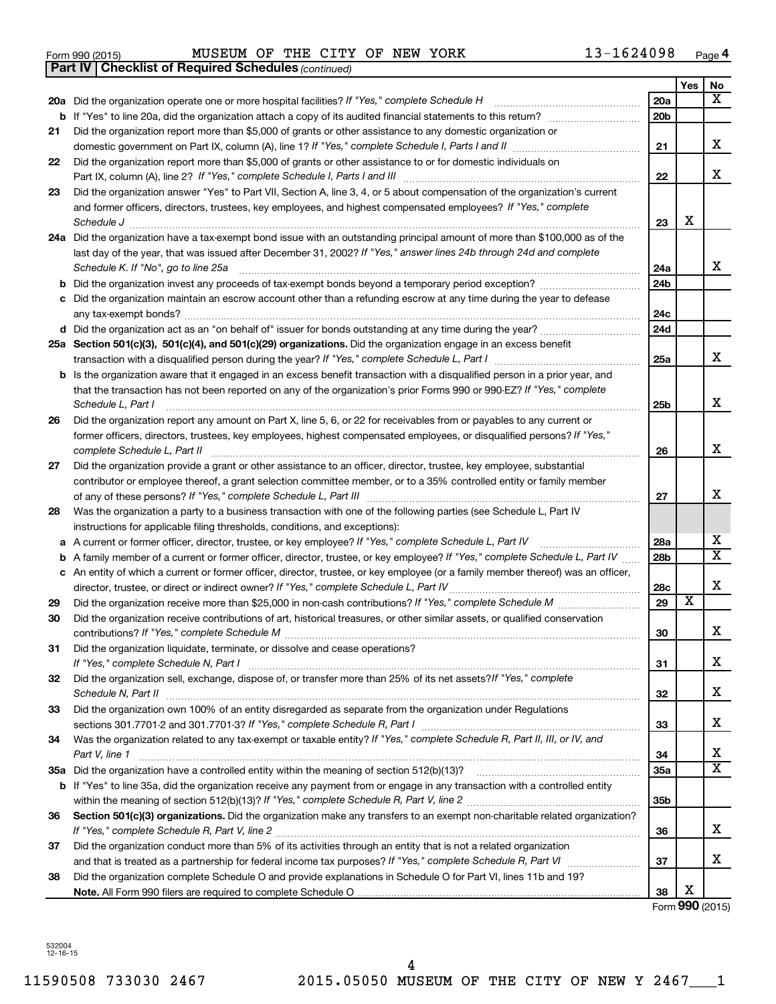| Form 990 (2015) |  | MUSEUM OF THE CITY OF NEW YORK |  |  |  |  |  | 13-1624098 | Page |  |
|-----------------|--|--------------------------------|--|--|--|--|--|------------|------|--|
|-----------------|--|--------------------------------|--|--|--|--|--|------------|------|--|

|    | <b>Part IV   Checklist of Required Schedules (continued)</b>                                                                      |                 |                         |                       |
|----|-----------------------------------------------------------------------------------------------------------------------------------|-----------------|-------------------------|-----------------------|
|    |                                                                                                                                   |                 | Yes                     | No                    |
|    | 20a Did the organization operate one or more hospital facilities? If "Yes," complete Schedule H                                   | 20a             |                         | x                     |
| b  |                                                                                                                                   | 20 <sub>b</sub> |                         |                       |
| 21 | Did the organization report more than \$5,000 of grants or other assistance to any domestic organization or                       |                 |                         |                       |
|    |                                                                                                                                   | 21              |                         | x                     |
| 22 | Did the organization report more than \$5,000 of grants or other assistance to or for domestic individuals on                     |                 |                         |                       |
|    |                                                                                                                                   | 22              |                         | х                     |
| 23 | Did the organization answer "Yes" to Part VII, Section A, line 3, 4, or 5 about compensation of the organization's current        |                 |                         |                       |
|    | and former officers, directors, trustees, key employees, and highest compensated employees? If "Yes," complete                    |                 |                         |                       |
|    | Schedule J                                                                                                                        | 23              | X                       |                       |
|    | 24a Did the organization have a tax-exempt bond issue with an outstanding principal amount of more than \$100,000 as of the       |                 |                         |                       |
|    | last day of the year, that was issued after December 31, 2002? If "Yes," answer lines 24b through 24d and complete                |                 |                         |                       |
|    | Schedule K. If "No", go to line 25a                                                                                               | 24a             |                         | x                     |
| b  |                                                                                                                                   | 24 <sub>b</sub> |                         |                       |
|    | Did the organization maintain an escrow account other than a refunding escrow at any time during the year to defease              |                 |                         |                       |
|    |                                                                                                                                   | 24c             |                         |                       |
|    |                                                                                                                                   | 24d             |                         |                       |
|    | 25a Section 501(c)(3), 501(c)(4), and 501(c)(29) organizations. Did the organization engage in an excess benefit                  |                 |                         |                       |
|    |                                                                                                                                   | 25a             |                         | x                     |
| b  | Is the organization aware that it engaged in an excess benefit transaction with a disqualified person in a prior year, and        |                 |                         |                       |
|    | that the transaction has not been reported on any of the organization's prior Forms 990 or 990-EZ? If "Yes," complete             |                 |                         |                       |
|    | Schedule L, Part I                                                                                                                | 25b             |                         | х                     |
| 26 | Did the organization report any amount on Part X, line 5, 6, or 22 for receivables from or payables to any current or             |                 |                         |                       |
|    | former officers, directors, trustees, key employees, highest compensated employees, or disqualified persons? If "Yes,"            |                 |                         |                       |
|    | complete Schedule L, Part II                                                                                                      | 26              |                         | х                     |
| 27 | Did the organization provide a grant or other assistance to an officer, director, trustee, key employee, substantial              |                 |                         |                       |
|    | contributor or employee thereof, a grant selection committee member, or to a 35% controlled entity or family member               |                 |                         |                       |
|    |                                                                                                                                   | 27              |                         | x                     |
| 28 | Was the organization a party to a business transaction with one of the following parties (see Schedule L, Part IV                 |                 |                         |                       |
|    | instructions for applicable filing thresholds, conditions, and exceptions):                                                       |                 |                         |                       |
| а  | A current or former officer, director, trustee, or key employee? If "Yes," complete Schedule L, Part IV                           | 28a             |                         | x                     |
| b  | A family member of a current or former officer, director, trustee, or key employee? If "Yes," complete Schedule L, Part IV        | 28 <sub>b</sub> |                         | $\overline{\text{X}}$ |
|    | c An entity of which a current or former officer, director, trustee, or key employee (or a family member thereof) was an officer, |                 |                         |                       |
|    | director, trustee, or direct or indirect owner? If "Yes," complete Schedule L, Part IV                                            | 28c             |                         | х                     |
| 29 |                                                                                                                                   | 29              | $\overline{\textbf{x}}$ |                       |
| 30 | Did the organization receive contributions of art, historical treasures, or other similar assets, or qualified conservation       |                 |                         |                       |
|    |                                                                                                                                   | 30              |                         | ▵                     |
| 31 | Did the organization liquidate, terminate, or dissolve and cease operations?                                                      |                 |                         | x                     |
|    | Did the organization sell, exchange, dispose of, or transfer more than 25% of its net assets?/f "Yes," complete                   | 31              |                         |                       |
| 32 |                                                                                                                                   | 32              |                         | x                     |
| 33 | Did the organization own 100% of an entity disregarded as separate from the organization under Regulations                        |                 |                         |                       |
|    |                                                                                                                                   | 33              |                         | x                     |
| 34 | Was the organization related to any tax-exempt or taxable entity? If "Yes," complete Schedule R, Part II, III, or IV, and         |                 |                         |                       |
|    | Part V, line 1                                                                                                                    | 34              |                         | х                     |
|    |                                                                                                                                   | 35a             |                         | X                     |
|    | b If "Yes" to line 35a, did the organization receive any payment from or engage in any transaction with a controlled entity       |                 |                         |                       |
|    |                                                                                                                                   | 35 <sub>b</sub> |                         |                       |
| 36 | Section 501(c)(3) organizations. Did the organization make any transfers to an exempt non-charitable related organization?        |                 |                         |                       |
|    |                                                                                                                                   | 36              |                         | x                     |
| 37 | Did the organization conduct more than 5% of its activities through an entity that is not a related organization                  |                 |                         |                       |
|    |                                                                                                                                   | 37              |                         | x                     |
| 38 | Did the organization complete Schedule O and provide explanations in Schedule O for Part VI, lines 11b and 19?                    |                 |                         |                       |
|    |                                                                                                                                   | 38              | х                       |                       |

Form **990** (2015)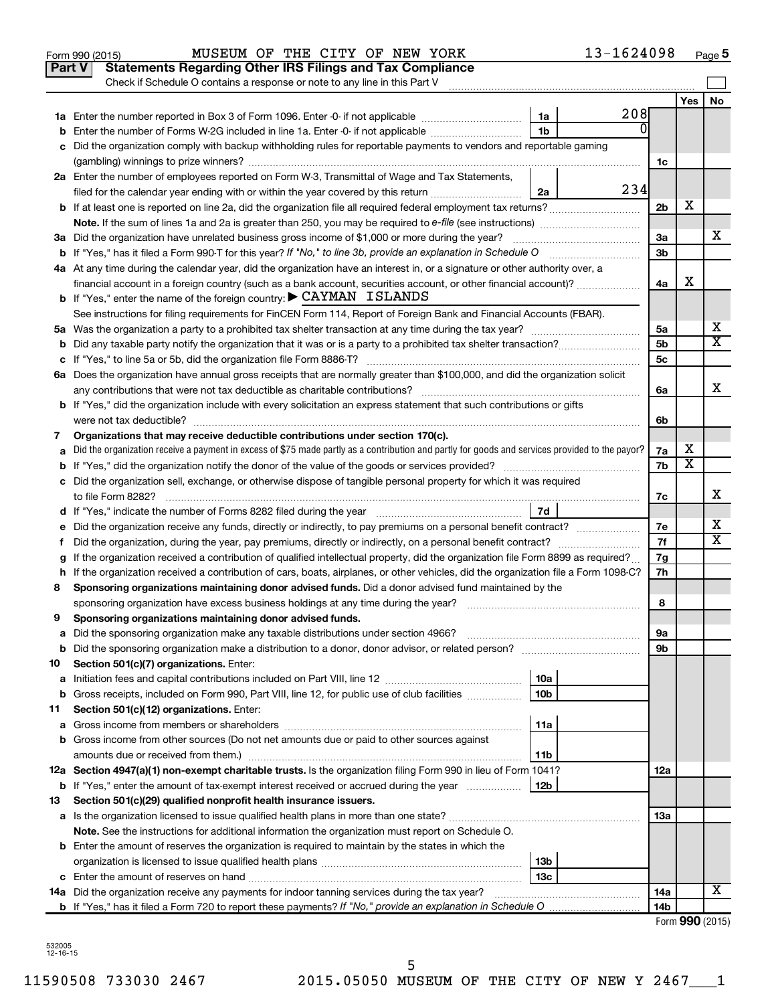|    | Part V<br><b>Statements Regarding Other IRS Filings and Tax Compliance</b><br>Check if Schedule O contains a response or note to any line in this Part V |                 |     |                |                         |                 |
|----|----------------------------------------------------------------------------------------------------------------------------------------------------------|-----------------|-----|----------------|-------------------------|-----------------|
|    |                                                                                                                                                          |                 |     |                | Yes                     | No              |
|    |                                                                                                                                                          | 1a              | 208 |                |                         |                 |
|    | Enter the number of Forms W-2G included in line 1a. Enter -0- if not applicable                                                                          | 1 <sub>b</sub>  | 0   |                |                         |                 |
|    | Did the organization comply with backup withholding rules for reportable payments to vendors and reportable gaming                                       |                 |     |                |                         |                 |
|    |                                                                                                                                                          |                 |     | 1c             |                         |                 |
|    | 2a Enter the number of employees reported on Form W-3, Transmittal of Wage and Tax Statements,                                                           |                 |     |                |                         |                 |
|    | filed for the calendar year ending with or within the year covered by this return <i>manumumumum</i>                                                     | 2a              | 234 |                |                         |                 |
|    | b If at least one is reported on line 2a, did the organization file all required federal employment tax returns?                                         |                 |     | 2 <sub>b</sub> | х                       |                 |
|    |                                                                                                                                                          |                 |     |                |                         |                 |
|    | 3a Did the organization have unrelated business gross income of \$1,000 or more during the year?                                                         |                 |     | За             |                         | х               |
|    |                                                                                                                                                          |                 |     | 3b             |                         |                 |
|    | 4a At any time during the calendar year, did the organization have an interest in, or a signature or other authority over, a                             |                 |     |                |                         |                 |
|    | financial account in a foreign country (such as a bank account, securities account, or other financial account)?                                         |                 |     | 4a             | х                       |                 |
|    | <b>b</b> If "Yes," enter the name of the foreign country: $\triangleright$ CAYMAN ISLANDS                                                                |                 |     |                |                         |                 |
|    | See instructions for filing requirements for FinCEN Form 114, Report of Foreign Bank and Financial Accounts (FBAR).                                      |                 |     |                |                         |                 |
|    |                                                                                                                                                          |                 |     | 5а             |                         | х               |
|    |                                                                                                                                                          |                 |     | 5 <sub>b</sub> |                         | X               |
|    |                                                                                                                                                          |                 |     | 5c             |                         |                 |
|    | 6a Does the organization have annual gross receipts that are normally greater than \$100,000, and did the organization solicit                           |                 |     |                |                         |                 |
|    |                                                                                                                                                          |                 |     | 6a             |                         | х               |
|    | <b>b</b> If "Yes," did the organization include with every solicitation an express statement that such contributions or gifts                            |                 |     |                |                         |                 |
|    |                                                                                                                                                          |                 |     | 6b             |                         |                 |
| 7  | Organizations that may receive deductible contributions under section 170(c).                                                                            |                 |     |                |                         |                 |
|    | Did the organization receive a payment in excess of \$75 made partly as a contribution and partly for goods and services provided to the payor?          |                 |     | 7a             | х                       |                 |
|    |                                                                                                                                                          |                 |     | 7b             | $\overline{\textbf{x}}$ |                 |
|    | c Did the organization sell, exchange, or otherwise dispose of tangible personal property for which it was required                                      |                 |     |                |                         |                 |
|    |                                                                                                                                                          |                 |     | 7c             |                         | х               |
|    |                                                                                                                                                          | 7d              |     |                |                         |                 |
| е  | Did the organization receive any funds, directly or indirectly, to pay premiums on a personal benefit contract?                                          |                 |     | 7е             |                         | x               |
| f. | Did the organization, during the year, pay premiums, directly or indirectly, on a personal benefit contract?                                             |                 |     | 7f             |                         | х               |
|    | If the organization received a contribution of qualified intellectual property, did the organization file Form 8899 as required?                         |                 |     | 7g             |                         |                 |
|    | h If the organization received a contribution of cars, boats, airplanes, or other vehicles, did the organization file a Form 1098-C?                     |                 |     | 7h             |                         |                 |
| 8  | Sponsoring organizations maintaining donor advised funds. Did a donor advised fund maintained by the                                                     |                 |     |                |                         |                 |
|    |                                                                                                                                                          |                 |     | 8              |                         |                 |
| 9  | Sponsoring organizations maintaining donor advised funds.                                                                                                |                 |     |                |                         |                 |
|    |                                                                                                                                                          |                 |     | эа             |                         |                 |
|    |                                                                                                                                                          |                 |     | 9b             |                         |                 |
| 10 | Section 501(c)(7) organizations. Enter:                                                                                                                  |                 |     |                |                         |                 |
| а  |                                                                                                                                                          | 10a             |     |                |                         |                 |
| b  | Gross receipts, included on Form 990, Part VIII, line 12, for public use of club facilities                                                              | 10b             |     |                |                         |                 |
| 11 | Section 501(c)(12) organizations. Enter:                                                                                                                 |                 |     |                |                         |                 |
| а  |                                                                                                                                                          | 11a             |     |                |                         |                 |
|    | <b>b</b> Gross income from other sources (Do not net amounts due or paid to other sources against                                                        |                 |     |                |                         |                 |
|    | amounts due or received from them.)                                                                                                                      | 11b             |     |                |                         |                 |
|    | 12a Section 4947(a)(1) non-exempt charitable trusts. Is the organization filing Form 990 in lieu of Form 1041?                                           |                 |     | 12a            |                         |                 |
|    | <b>b</b> If "Yes," enter the amount of tax-exempt interest received or accrued during the year                                                           | 12 <sub>b</sub> |     |                |                         |                 |
| 13 | Section 501(c)(29) qualified nonprofit health insurance issuers.                                                                                         |                 |     |                |                         |                 |
|    |                                                                                                                                                          |                 |     | 13a            |                         |                 |
|    | Note. See the instructions for additional information the organization must report on Schedule O.                                                        |                 |     |                |                         |                 |
|    | <b>b</b> Enter the amount of reserves the organization is required to maintain by the states in which the                                                |                 |     |                |                         |                 |
|    |                                                                                                                                                          | 13b             |     |                |                         |                 |
|    |                                                                                                                                                          | 13c             |     |                |                         | х               |
|    | 14a Did the organization receive any payments for indoor tanning services during the tax year?                                                           |                 |     | 14a            |                         |                 |
|    |                                                                                                                                                          |                 |     | 14b            |                         | $000 \text{ m}$ |

Form 990 (2015) MUSEUM OF THE CITY OF NEW YORK  $13-1624098$  Page

Form (2015) **990**

13-1624098 Page 5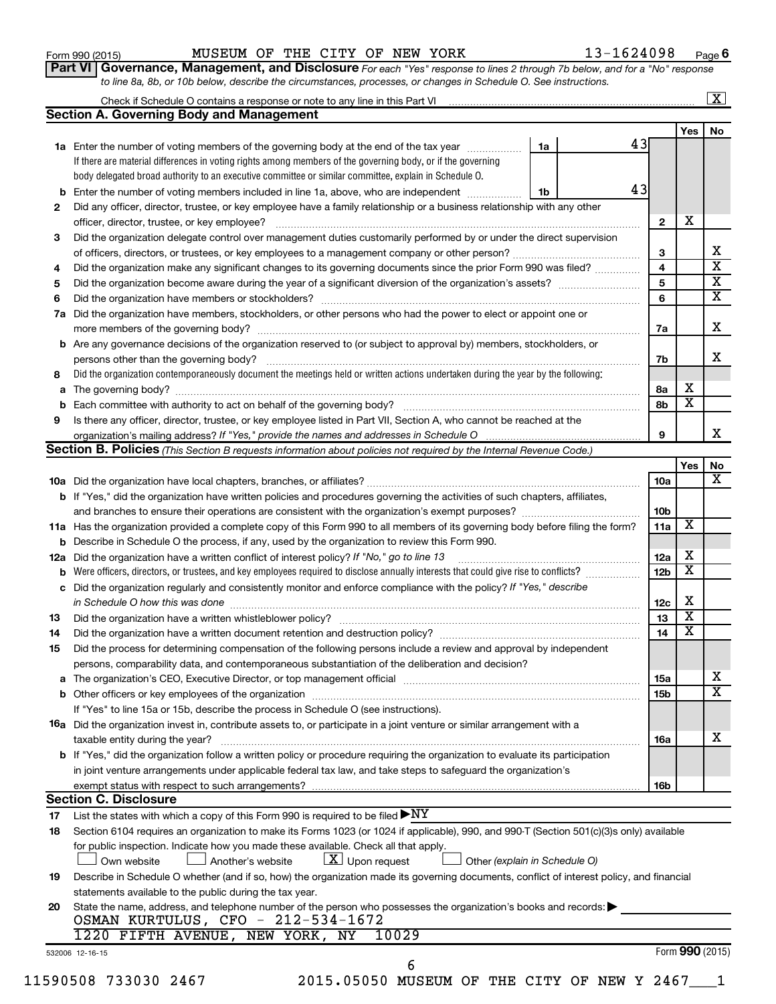| Form 990 (2015) |  |
|-----------------|--|
|-----------------|--|

# Form 990 (2015) MUSEUM OF THE CITY OF NEW YORK  $13-1624098$  Page

**6**

**Part VI** Governance, Management, and Disclosure For each "Yes" response to lines 2 through 7b below, and for a "No" response *to line 8a, 8b, or 10b below, describe the circumstances, processes, or changes in Schedule O. See instructions.*

| <b>Section A. Governing Body and Management</b>                                                             |                                                                                                                                                                                                                                                                                                                                                                                                                                                                 |                                                                                                                                                                                                                                                                                                                                                                                                                                                                                                                                                                                                                                                                                                                                                                                                                                                                                                                                                                                                                                                                                                                                                                                                                                                                                                                                                                                                                                                                                                                                                                                                                                                                                                                                                                                                                                                                                                                                                                                                                                                                                                                                                                                 | Yes                                                                                                                                                                                                                                                                                                                                                                                                                                                                                                                         |                                                                                                                                                                                                                                                                                                                  |
|-------------------------------------------------------------------------------------------------------------|-----------------------------------------------------------------------------------------------------------------------------------------------------------------------------------------------------------------------------------------------------------------------------------------------------------------------------------------------------------------------------------------------------------------------------------------------------------------|---------------------------------------------------------------------------------------------------------------------------------------------------------------------------------------------------------------------------------------------------------------------------------------------------------------------------------------------------------------------------------------------------------------------------------------------------------------------------------------------------------------------------------------------------------------------------------------------------------------------------------------------------------------------------------------------------------------------------------------------------------------------------------------------------------------------------------------------------------------------------------------------------------------------------------------------------------------------------------------------------------------------------------------------------------------------------------------------------------------------------------------------------------------------------------------------------------------------------------------------------------------------------------------------------------------------------------------------------------------------------------------------------------------------------------------------------------------------------------------------------------------------------------------------------------------------------------------------------------------------------------------------------------------------------------------------------------------------------------------------------------------------------------------------------------------------------------------------------------------------------------------------------------------------------------------------------------------------------------------------------------------------------------------------------------------------------------------------------------------------------------------------------------------------------------|-----------------------------------------------------------------------------------------------------------------------------------------------------------------------------------------------------------------------------------------------------------------------------------------------------------------------------------------------------------------------------------------------------------------------------------------------------------------------------------------------------------------------------|------------------------------------------------------------------------------------------------------------------------------------------------------------------------------------------------------------------------------------------------------------------------------------------------------------------|
|                                                                                                             |                                                                                                                                                                                                                                                                                                                                                                                                                                                                 |                                                                                                                                                                                                                                                                                                                                                                                                                                                                                                                                                                                                                                                                                                                                                                                                                                                                                                                                                                                                                                                                                                                                                                                                                                                                                                                                                                                                                                                                                                                                                                                                                                                                                                                                                                                                                                                                                                                                                                                                                                                                                                                                                                                 |                                                                                                                                                                                                                                                                                                                                                                                                                                                                                                                             |                                                                                                                                                                                                                                                                                                                  |
|                                                                                                             |                                                                                                                                                                                                                                                                                                                                                                                                                                                                 |                                                                                                                                                                                                                                                                                                                                                                                                                                                                                                                                                                                                                                                                                                                                                                                                                                                                                                                                                                                                                                                                                                                                                                                                                                                                                                                                                                                                                                                                                                                                                                                                                                                                                                                                                                                                                                                                                                                                                                                                                                                                                                                                                                                 |                                                                                                                                                                                                                                                                                                                                                                                                                                                                                                                             | No.                                                                                                                                                                                                                                                                                                              |
| 1a Enter the number of voting members of the governing body at the end of the tax year                      | 1a                                                                                                                                                                                                                                                                                                                                                                                                                                                              | 43                                                                                                                                                                                                                                                                                                                                                                                                                                                                                                                                                                                                                                                                                                                                                                                                                                                                                                                                                                                                                                                                                                                                                                                                                                                                                                                                                                                                                                                                                                                                                                                                                                                                                                                                                                                                                                                                                                                                                                                                                                                                                                                                                                              |                                                                                                                                                                                                                                                                                                                                                                                                                                                                                                                             |                                                                                                                                                                                                                                                                                                                  |
| If there are material differences in voting rights among members of the governing body, or if the governing |                                                                                                                                                                                                                                                                                                                                                                                                                                                                 |                                                                                                                                                                                                                                                                                                                                                                                                                                                                                                                                                                                                                                                                                                                                                                                                                                                                                                                                                                                                                                                                                                                                                                                                                                                                                                                                                                                                                                                                                                                                                                                                                                                                                                                                                                                                                                                                                                                                                                                                                                                                                                                                                                                 |                                                                                                                                                                                                                                                                                                                                                                                                                                                                                                                             |                                                                                                                                                                                                                                                                                                                  |
| body delegated broad authority to an executive committee or similar committee, explain in Schedule O.       |                                                                                                                                                                                                                                                                                                                                                                                                                                                                 |                                                                                                                                                                                                                                                                                                                                                                                                                                                                                                                                                                                                                                                                                                                                                                                                                                                                                                                                                                                                                                                                                                                                                                                                                                                                                                                                                                                                                                                                                                                                                                                                                                                                                                                                                                                                                                                                                                                                                                                                                                                                                                                                                                                 |                                                                                                                                                                                                                                                                                                                                                                                                                                                                                                                             |                                                                                                                                                                                                                                                                                                                  |
|                                                                                                             | 1b                                                                                                                                                                                                                                                                                                                                                                                                                                                              |                                                                                                                                                                                                                                                                                                                                                                                                                                                                                                                                                                                                                                                                                                                                                                                                                                                                                                                                                                                                                                                                                                                                                                                                                                                                                                                                                                                                                                                                                                                                                                                                                                                                                                                                                                                                                                                                                                                                                                                                                                                                                                                                                                                 |                                                                                                                                                                                                                                                                                                                                                                                                                                                                                                                             |                                                                                                                                                                                                                                                                                                                  |
|                                                                                                             |                                                                                                                                                                                                                                                                                                                                                                                                                                                                 |                                                                                                                                                                                                                                                                                                                                                                                                                                                                                                                                                                                                                                                                                                                                                                                                                                                                                                                                                                                                                                                                                                                                                                                                                                                                                                                                                                                                                                                                                                                                                                                                                                                                                                                                                                                                                                                                                                                                                                                                                                                                                                                                                                                 |                                                                                                                                                                                                                                                                                                                                                                                                                                                                                                                             |                                                                                                                                                                                                                                                                                                                  |
| officer, director, trustee, or key employee?                                                                |                                                                                                                                                                                                                                                                                                                                                                                                                                                                 | $\overline{2}$                                                                                                                                                                                                                                                                                                                                                                                                                                                                                                                                                                                                                                                                                                                                                                                                                                                                                                                                                                                                                                                                                                                                                                                                                                                                                                                                                                                                                                                                                                                                                                                                                                                                                                                                                                                                                                                                                                                                                                                                                                                                                                                                                                  | х                                                                                                                                                                                                                                                                                                                                                                                                                                                                                                                           |                                                                                                                                                                                                                                                                                                                  |
|                                                                                                             |                                                                                                                                                                                                                                                                                                                                                                                                                                                                 |                                                                                                                                                                                                                                                                                                                                                                                                                                                                                                                                                                                                                                                                                                                                                                                                                                                                                                                                                                                                                                                                                                                                                                                                                                                                                                                                                                                                                                                                                                                                                                                                                                                                                                                                                                                                                                                                                                                                                                                                                                                                                                                                                                                 |                                                                                                                                                                                                                                                                                                                                                                                                                                                                                                                             |                                                                                                                                                                                                                                                                                                                  |
|                                                                                                             |                                                                                                                                                                                                                                                                                                                                                                                                                                                                 | 3                                                                                                                                                                                                                                                                                                                                                                                                                                                                                                                                                                                                                                                                                                                                                                                                                                                                                                                                                                                                                                                                                                                                                                                                                                                                                                                                                                                                                                                                                                                                                                                                                                                                                                                                                                                                                                                                                                                                                                                                                                                                                                                                                                               |                                                                                                                                                                                                                                                                                                                                                                                                                                                                                                                             |                                                                                                                                                                                                                                                                                                                  |
|                                                                                                             |                                                                                                                                                                                                                                                                                                                                                                                                                                                                 | 4                                                                                                                                                                                                                                                                                                                                                                                                                                                                                                                                                                                                                                                                                                                                                                                                                                                                                                                                                                                                                                                                                                                                                                                                                                                                                                                                                                                                                                                                                                                                                                                                                                                                                                                                                                                                                                                                                                                                                                                                                                                                                                                                                                               |                                                                                                                                                                                                                                                                                                                                                                                                                                                                                                                             |                                                                                                                                                                                                                                                                                                                  |
|                                                                                                             |                                                                                                                                                                                                                                                                                                                                                                                                                                                                 | $\overline{\mathbf{5}}$                                                                                                                                                                                                                                                                                                                                                                                                                                                                                                                                                                                                                                                                                                                                                                                                                                                                                                                                                                                                                                                                                                                                                                                                                                                                                                                                                                                                                                                                                                                                                                                                                                                                                                                                                                                                                                                                                                                                                                                                                                                                                                                                                         |                                                                                                                                                                                                                                                                                                                                                                                                                                                                                                                             |                                                                                                                                                                                                                                                                                                                  |
|                                                                                                             |                                                                                                                                                                                                                                                                                                                                                                                                                                                                 | 6                                                                                                                                                                                                                                                                                                                                                                                                                                                                                                                                                                                                                                                                                                                                                                                                                                                                                                                                                                                                                                                                                                                                                                                                                                                                                                                                                                                                                                                                                                                                                                                                                                                                                                                                                                                                                                                                                                                                                                                                                                                                                                                                                                               |                                                                                                                                                                                                                                                                                                                                                                                                                                                                                                                             |                                                                                                                                                                                                                                                                                                                  |
|                                                                                                             |                                                                                                                                                                                                                                                                                                                                                                                                                                                                 |                                                                                                                                                                                                                                                                                                                                                                                                                                                                                                                                                                                                                                                                                                                                                                                                                                                                                                                                                                                                                                                                                                                                                                                                                                                                                                                                                                                                                                                                                                                                                                                                                                                                                                                                                                                                                                                                                                                                                                                                                                                                                                                                                                                 |                                                                                                                                                                                                                                                                                                                                                                                                                                                                                                                             |                                                                                                                                                                                                                                                                                                                  |
|                                                                                                             |                                                                                                                                                                                                                                                                                                                                                                                                                                                                 | 7a                                                                                                                                                                                                                                                                                                                                                                                                                                                                                                                                                                                                                                                                                                                                                                                                                                                                                                                                                                                                                                                                                                                                                                                                                                                                                                                                                                                                                                                                                                                                                                                                                                                                                                                                                                                                                                                                                                                                                                                                                                                                                                                                                                              |                                                                                                                                                                                                                                                                                                                                                                                                                                                                                                                             |                                                                                                                                                                                                                                                                                                                  |
|                                                                                                             |                                                                                                                                                                                                                                                                                                                                                                                                                                                                 |                                                                                                                                                                                                                                                                                                                                                                                                                                                                                                                                                                                                                                                                                                                                                                                                                                                                                                                                                                                                                                                                                                                                                                                                                                                                                                                                                                                                                                                                                                                                                                                                                                                                                                                                                                                                                                                                                                                                                                                                                                                                                                                                                                                 |                                                                                                                                                                                                                                                                                                                                                                                                                                                                                                                             |                                                                                                                                                                                                                                                                                                                  |
| persons other than the governing body?                                                                      |                                                                                                                                                                                                                                                                                                                                                                                                                                                                 | 7b                                                                                                                                                                                                                                                                                                                                                                                                                                                                                                                                                                                                                                                                                                                                                                                                                                                                                                                                                                                                                                                                                                                                                                                                                                                                                                                                                                                                                                                                                                                                                                                                                                                                                                                                                                                                                                                                                                                                                                                                                                                                                                                                                                              |                                                                                                                                                                                                                                                                                                                                                                                                                                                                                                                             |                                                                                                                                                                                                                                                                                                                  |
|                                                                                                             |                                                                                                                                                                                                                                                                                                                                                                                                                                                                 |                                                                                                                                                                                                                                                                                                                                                                                                                                                                                                                                                                                                                                                                                                                                                                                                                                                                                                                                                                                                                                                                                                                                                                                                                                                                                                                                                                                                                                                                                                                                                                                                                                                                                                                                                                                                                                                                                                                                                                                                                                                                                                                                                                                 |                                                                                                                                                                                                                                                                                                                                                                                                                                                                                                                             |                                                                                                                                                                                                                                                                                                                  |
|                                                                                                             |                                                                                                                                                                                                                                                                                                                                                                                                                                                                 | 8а                                                                                                                                                                                                                                                                                                                                                                                                                                                                                                                                                                                                                                                                                                                                                                                                                                                                                                                                                                                                                                                                                                                                                                                                                                                                                                                                                                                                                                                                                                                                                                                                                                                                                                                                                                                                                                                                                                                                                                                                                                                                                                                                                                              | x                                                                                                                                                                                                                                                                                                                                                                                                                                                                                                                           |                                                                                                                                                                                                                                                                                                                  |
|                                                                                                             |                                                                                                                                                                                                                                                                                                                                                                                                                                                                 | 8b                                                                                                                                                                                                                                                                                                                                                                                                                                                                                                                                                                                                                                                                                                                                                                                                                                                                                                                                                                                                                                                                                                                                                                                                                                                                                                                                                                                                                                                                                                                                                                                                                                                                                                                                                                                                                                                                                                                                                                                                                                                                                                                                                                              | $\overline{\mathbf{x}}$                                                                                                                                                                                                                                                                                                                                                                                                                                                                                                     |                                                                                                                                                                                                                                                                                                                  |
|                                                                                                             |                                                                                                                                                                                                                                                                                                                                                                                                                                                                 |                                                                                                                                                                                                                                                                                                                                                                                                                                                                                                                                                                                                                                                                                                                                                                                                                                                                                                                                                                                                                                                                                                                                                                                                                                                                                                                                                                                                                                                                                                                                                                                                                                                                                                                                                                                                                                                                                                                                                                                                                                                                                                                                                                                 |                                                                                                                                                                                                                                                                                                                                                                                                                                                                                                                             |                                                                                                                                                                                                                                                                                                                  |
|                                                                                                             |                                                                                                                                                                                                                                                                                                                                                                                                                                                                 | 9                                                                                                                                                                                                                                                                                                                                                                                                                                                                                                                                                                                                                                                                                                                                                                                                                                                                                                                                                                                                                                                                                                                                                                                                                                                                                                                                                                                                                                                                                                                                                                                                                                                                                                                                                                                                                                                                                                                                                                                                                                                                                                                                                                               |                                                                                                                                                                                                                                                                                                                                                                                                                                                                                                                             |                                                                                                                                                                                                                                                                                                                  |
|                                                                                                             |                                                                                                                                                                                                                                                                                                                                                                                                                                                                 |                                                                                                                                                                                                                                                                                                                                                                                                                                                                                                                                                                                                                                                                                                                                                                                                                                                                                                                                                                                                                                                                                                                                                                                                                                                                                                                                                                                                                                                                                                                                                                                                                                                                                                                                                                                                                                                                                                                                                                                                                                                                                                                                                                                 |                                                                                                                                                                                                                                                                                                                                                                                                                                                                                                                             |                                                                                                                                                                                                                                                                                                                  |
|                                                                                                             |                                                                                                                                                                                                                                                                                                                                                                                                                                                                 |                                                                                                                                                                                                                                                                                                                                                                                                                                                                                                                                                                                                                                                                                                                                                                                                                                                                                                                                                                                                                                                                                                                                                                                                                                                                                                                                                                                                                                                                                                                                                                                                                                                                                                                                                                                                                                                                                                                                                                                                                                                                                                                                                                                 | Yes                                                                                                                                                                                                                                                                                                                                                                                                                                                                                                                         |                                                                                                                                                                                                                                                                                                                  |
|                                                                                                             |                                                                                                                                                                                                                                                                                                                                                                                                                                                                 | 10a                                                                                                                                                                                                                                                                                                                                                                                                                                                                                                                                                                                                                                                                                                                                                                                                                                                                                                                                                                                                                                                                                                                                                                                                                                                                                                                                                                                                                                                                                                                                                                                                                                                                                                                                                                                                                                                                                                                                                                                                                                                                                                                                                                             |                                                                                                                                                                                                                                                                                                                                                                                                                                                                                                                             |                                                                                                                                                                                                                                                                                                                  |
|                                                                                                             |                                                                                                                                                                                                                                                                                                                                                                                                                                                                 |                                                                                                                                                                                                                                                                                                                                                                                                                                                                                                                                                                                                                                                                                                                                                                                                                                                                                                                                                                                                                                                                                                                                                                                                                                                                                                                                                                                                                                                                                                                                                                                                                                                                                                                                                                                                                                                                                                                                                                                                                                                                                                                                                                                 |                                                                                                                                                                                                                                                                                                                                                                                                                                                                                                                             |                                                                                                                                                                                                                                                                                                                  |
|                                                                                                             |                                                                                                                                                                                                                                                                                                                                                                                                                                                                 | 10 <sub>b</sub>                                                                                                                                                                                                                                                                                                                                                                                                                                                                                                                                                                                                                                                                                                                                                                                                                                                                                                                                                                                                                                                                                                                                                                                                                                                                                                                                                                                                                                                                                                                                                                                                                                                                                                                                                                                                                                                                                                                                                                                                                                                                                                                                                                 |                                                                                                                                                                                                                                                                                                                                                                                                                                                                                                                             |                                                                                                                                                                                                                                                                                                                  |
|                                                                                                             |                                                                                                                                                                                                                                                                                                                                                                                                                                                                 | 11a                                                                                                                                                                                                                                                                                                                                                                                                                                                                                                                                                                                                                                                                                                                                                                                                                                                                                                                                                                                                                                                                                                                                                                                                                                                                                                                                                                                                                                                                                                                                                                                                                                                                                                                                                                                                                                                                                                                                                                                                                                                                                                                                                                             | X                                                                                                                                                                                                                                                                                                                                                                                                                                                                                                                           |                                                                                                                                                                                                                                                                                                                  |
| <b>b</b> Describe in Schedule O the process, if any, used by the organization to review this Form 990.      |                                                                                                                                                                                                                                                                                                                                                                                                                                                                 |                                                                                                                                                                                                                                                                                                                                                                                                                                                                                                                                                                                                                                                                                                                                                                                                                                                                                                                                                                                                                                                                                                                                                                                                                                                                                                                                                                                                                                                                                                                                                                                                                                                                                                                                                                                                                                                                                                                                                                                                                                                                                                                                                                                 |                                                                                                                                                                                                                                                                                                                                                                                                                                                                                                                             |                                                                                                                                                                                                                                                                                                                  |
| Did the organization have a written conflict of interest policy? If "No," go to line 13                     |                                                                                                                                                                                                                                                                                                                                                                                                                                                                 | 12a                                                                                                                                                                                                                                                                                                                                                                                                                                                                                                                                                                                                                                                                                                                                                                                                                                                                                                                                                                                                                                                                                                                                                                                                                                                                                                                                                                                                                                                                                                                                                                                                                                                                                                                                                                                                                                                                                                                                                                                                                                                                                                                                                                             | x                                                                                                                                                                                                                                                                                                                                                                                                                                                                                                                           |                                                                                                                                                                                                                                                                                                                  |
|                                                                                                             |                                                                                                                                                                                                                                                                                                                                                                                                                                                                 | 12 <sub>b</sub>                                                                                                                                                                                                                                                                                                                                                                                                                                                                                                                                                                                                                                                                                                                                                                                                                                                                                                                                                                                                                                                                                                                                                                                                                                                                                                                                                                                                                                                                                                                                                                                                                                                                                                                                                                                                                                                                                                                                                                                                                                                                                                                                                                 |                                                                                                                                                                                                                                                                                                                                                                                                                                                                                                                             |                                                                                                                                                                                                                                                                                                                  |
|                                                                                                             |                                                                                                                                                                                                                                                                                                                                                                                                                                                                 |                                                                                                                                                                                                                                                                                                                                                                                                                                                                                                                                                                                                                                                                                                                                                                                                                                                                                                                                                                                                                                                                                                                                                                                                                                                                                                                                                                                                                                                                                                                                                                                                                                                                                                                                                                                                                                                                                                                                                                                                                                                                                                                                                                                 |                                                                                                                                                                                                                                                                                                                                                                                                                                                                                                                             |                                                                                                                                                                                                                                                                                                                  |
|                                                                                                             |                                                                                                                                                                                                                                                                                                                                                                                                                                                                 | 12c                                                                                                                                                                                                                                                                                                                                                                                                                                                                                                                                                                                                                                                                                                                                                                                                                                                                                                                                                                                                                                                                                                                                                                                                                                                                                                                                                                                                                                                                                                                                                                                                                                                                                                                                                                                                                                                                                                                                                                                                                                                                                                                                                                             | х                                                                                                                                                                                                                                                                                                                                                                                                                                                                                                                           |                                                                                                                                                                                                                                                                                                                  |
|                                                                                                             |                                                                                                                                                                                                                                                                                                                                                                                                                                                                 | 13                                                                                                                                                                                                                                                                                                                                                                                                                                                                                                                                                                                                                                                                                                                                                                                                                                                                                                                                                                                                                                                                                                                                                                                                                                                                                                                                                                                                                                                                                                                                                                                                                                                                                                                                                                                                                                                                                                                                                                                                                                                                                                                                                                              | $\overline{\textbf{x}}$                                                                                                                                                                                                                                                                                                                                                                                                                                                                                                     |                                                                                                                                                                                                                                                                                                                  |
|                                                                                                             |                                                                                                                                                                                                                                                                                                                                                                                                                                                                 | 14                                                                                                                                                                                                                                                                                                                                                                                                                                                                                                                                                                                                                                                                                                                                                                                                                                                                                                                                                                                                                                                                                                                                                                                                                                                                                                                                                                                                                                                                                                                                                                                                                                                                                                                                                                                                                                                                                                                                                                                                                                                                                                                                                                              | $\overline{\textbf{x}}$                                                                                                                                                                                                                                                                                                                                                                                                                                                                                                     |                                                                                                                                                                                                                                                                                                                  |
|                                                                                                             |                                                                                                                                                                                                                                                                                                                                                                                                                                                                 |                                                                                                                                                                                                                                                                                                                                                                                                                                                                                                                                                                                                                                                                                                                                                                                                                                                                                                                                                                                                                                                                                                                                                                                                                                                                                                                                                                                                                                                                                                                                                                                                                                                                                                                                                                                                                                                                                                                                                                                                                                                                                                                                                                                 |                                                                                                                                                                                                                                                                                                                                                                                                                                                                                                                             |                                                                                                                                                                                                                                                                                                                  |
|                                                                                                             |                                                                                                                                                                                                                                                                                                                                                                                                                                                                 |                                                                                                                                                                                                                                                                                                                                                                                                                                                                                                                                                                                                                                                                                                                                                                                                                                                                                                                                                                                                                                                                                                                                                                                                                                                                                                                                                                                                                                                                                                                                                                                                                                                                                                                                                                                                                                                                                                                                                                                                                                                                                                                                                                                 |                                                                                                                                                                                                                                                                                                                                                                                                                                                                                                                             |                                                                                                                                                                                                                                                                                                                  |
|                                                                                                             |                                                                                                                                                                                                                                                                                                                                                                                                                                                                 | 15a                                                                                                                                                                                                                                                                                                                                                                                                                                                                                                                                                                                                                                                                                                                                                                                                                                                                                                                                                                                                                                                                                                                                                                                                                                                                                                                                                                                                                                                                                                                                                                                                                                                                                                                                                                                                                                                                                                                                                                                                                                                                                                                                                                             |                                                                                                                                                                                                                                                                                                                                                                                                                                                                                                                             |                                                                                                                                                                                                                                                                                                                  |
|                                                                                                             |                                                                                                                                                                                                                                                                                                                                                                                                                                                                 | 15b                                                                                                                                                                                                                                                                                                                                                                                                                                                                                                                                                                                                                                                                                                                                                                                                                                                                                                                                                                                                                                                                                                                                                                                                                                                                                                                                                                                                                                                                                                                                                                                                                                                                                                                                                                                                                                                                                                                                                                                                                                                                                                                                                                             |                                                                                                                                                                                                                                                                                                                                                                                                                                                                                                                             |                                                                                                                                                                                                                                                                                                                  |
|                                                                                                             |                                                                                                                                                                                                                                                                                                                                                                                                                                                                 |                                                                                                                                                                                                                                                                                                                                                                                                                                                                                                                                                                                                                                                                                                                                                                                                                                                                                                                                                                                                                                                                                                                                                                                                                                                                                                                                                                                                                                                                                                                                                                                                                                                                                                                                                                                                                                                                                                                                                                                                                                                                                                                                                                                 |                                                                                                                                                                                                                                                                                                                                                                                                                                                                                                                             |                                                                                                                                                                                                                                                                                                                  |
|                                                                                                             |                                                                                                                                                                                                                                                                                                                                                                                                                                                                 |                                                                                                                                                                                                                                                                                                                                                                                                                                                                                                                                                                                                                                                                                                                                                                                                                                                                                                                                                                                                                                                                                                                                                                                                                                                                                                                                                                                                                                                                                                                                                                                                                                                                                                                                                                                                                                                                                                                                                                                                                                                                                                                                                                                 |                                                                                                                                                                                                                                                                                                                                                                                                                                                                                                                             |                                                                                                                                                                                                                                                                                                                  |
|                                                                                                             |                                                                                                                                                                                                                                                                                                                                                                                                                                                                 | 16a                                                                                                                                                                                                                                                                                                                                                                                                                                                                                                                                                                                                                                                                                                                                                                                                                                                                                                                                                                                                                                                                                                                                                                                                                                                                                                                                                                                                                                                                                                                                                                                                                                                                                                                                                                                                                                                                                                                                                                                                                                                                                                                                                                             |                                                                                                                                                                                                                                                                                                                                                                                                                                                                                                                             |                                                                                                                                                                                                                                                                                                                  |
|                                                                                                             |                                                                                                                                                                                                                                                                                                                                                                                                                                                                 |                                                                                                                                                                                                                                                                                                                                                                                                                                                                                                                                                                                                                                                                                                                                                                                                                                                                                                                                                                                                                                                                                                                                                                                                                                                                                                                                                                                                                                                                                                                                                                                                                                                                                                                                                                                                                                                                                                                                                                                                                                                                                                                                                                                 |                                                                                                                                                                                                                                                                                                                                                                                                                                                                                                                             |                                                                                                                                                                                                                                                                                                                  |
|                                                                                                             |                                                                                                                                                                                                                                                                                                                                                                                                                                                                 |                                                                                                                                                                                                                                                                                                                                                                                                                                                                                                                                                                                                                                                                                                                                                                                                                                                                                                                                                                                                                                                                                                                                                                                                                                                                                                                                                                                                                                                                                                                                                                                                                                                                                                                                                                                                                                                                                                                                                                                                                                                                                                                                                                                 |                                                                                                                                                                                                                                                                                                                                                                                                                                                                                                                             |                                                                                                                                                                                                                                                                                                                  |
| exempt status with respect to such arrangements?                                                            |                                                                                                                                                                                                                                                                                                                                                                                                                                                                 | 16b                                                                                                                                                                                                                                                                                                                                                                                                                                                                                                                                                                                                                                                                                                                                                                                                                                                                                                                                                                                                                                                                                                                                                                                                                                                                                                                                                                                                                                                                                                                                                                                                                                                                                                                                                                                                                                                                                                                                                                                                                                                                                                                                                                             |                                                                                                                                                                                                                                                                                                                                                                                                                                                                                                                             |                                                                                                                                                                                                                                                                                                                  |
| <b>Section C. Disclosure</b>                                                                                |                                                                                                                                                                                                                                                                                                                                                                                                                                                                 |                                                                                                                                                                                                                                                                                                                                                                                                                                                                                                                                                                                                                                                                                                                                                                                                                                                                                                                                                                                                                                                                                                                                                                                                                                                                                                                                                                                                                                                                                                                                                                                                                                                                                                                                                                                                                                                                                                                                                                                                                                                                                                                                                                                 |                                                                                                                                                                                                                                                                                                                                                                                                                                                                                                                             |                                                                                                                                                                                                                                                                                                                  |
|                                                                                                             |                                                                                                                                                                                                                                                                                                                                                                                                                                                                 |                                                                                                                                                                                                                                                                                                                                                                                                                                                                                                                                                                                                                                                                                                                                                                                                                                                                                                                                                                                                                                                                                                                                                                                                                                                                                                                                                                                                                                                                                                                                                                                                                                                                                                                                                                                                                                                                                                                                                                                                                                                                                                                                                                                 |                                                                                                                                                                                                                                                                                                                                                                                                                                                                                                                             |                                                                                                                                                                                                                                                                                                                  |
|                                                                                                             |                                                                                                                                                                                                                                                                                                                                                                                                                                                                 |                                                                                                                                                                                                                                                                                                                                                                                                                                                                                                                                                                                                                                                                                                                                                                                                                                                                                                                                                                                                                                                                                                                                                                                                                                                                                                                                                                                                                                                                                                                                                                                                                                                                                                                                                                                                                                                                                                                                                                                                                                                                                                                                                                                 |                                                                                                                                                                                                                                                                                                                                                                                                                                                                                                                             |                                                                                                                                                                                                                                                                                                                  |
|                                                                                                             |                                                                                                                                                                                                                                                                                                                                                                                                                                                                 |                                                                                                                                                                                                                                                                                                                                                                                                                                                                                                                                                                                                                                                                                                                                                                                                                                                                                                                                                                                                                                                                                                                                                                                                                                                                                                                                                                                                                                                                                                                                                                                                                                                                                                                                                                                                                                                                                                                                                                                                                                                                                                                                                                                 |                                                                                                                                                                                                                                                                                                                                                                                                                                                                                                                             |                                                                                                                                                                                                                                                                                                                  |
| Own website<br>Another's website                                                                            |                                                                                                                                                                                                                                                                                                                                                                                                                                                                 |                                                                                                                                                                                                                                                                                                                                                                                                                                                                                                                                                                                                                                                                                                                                                                                                                                                                                                                                                                                                                                                                                                                                                                                                                                                                                                                                                                                                                                                                                                                                                                                                                                                                                                                                                                                                                                                                                                                                                                                                                                                                                                                                                                                 |                                                                                                                                                                                                                                                                                                                                                                                                                                                                                                                             |                                                                                                                                                                                                                                                                                                                  |
|                                                                                                             |                                                                                                                                                                                                                                                                                                                                                                                                                                                                 |                                                                                                                                                                                                                                                                                                                                                                                                                                                                                                                                                                                                                                                                                                                                                                                                                                                                                                                                                                                                                                                                                                                                                                                                                                                                                                                                                                                                                                                                                                                                                                                                                                                                                                                                                                                                                                                                                                                                                                                                                                                                                                                                                                                 |                                                                                                                                                                                                                                                                                                                                                                                                                                                                                                                             |                                                                                                                                                                                                                                                                                                                  |
|                                                                                                             |                                                                                                                                                                                                                                                                                                                                                                                                                                                                 |                                                                                                                                                                                                                                                                                                                                                                                                                                                                                                                                                                                                                                                                                                                                                                                                                                                                                                                                                                                                                                                                                                                                                                                                                                                                                                                                                                                                                                                                                                                                                                                                                                                                                                                                                                                                                                                                                                                                                                                                                                                                                                                                                                                 |                                                                                                                                                                                                                                                                                                                                                                                                                                                                                                                             |                                                                                                                                                                                                                                                                                                                  |
|                                                                                                             |                                                                                                                                                                                                                                                                                                                                                                                                                                                                 |                                                                                                                                                                                                                                                                                                                                                                                                                                                                                                                                                                                                                                                                                                                                                                                                                                                                                                                                                                                                                                                                                                                                                                                                                                                                                                                                                                                                                                                                                                                                                                                                                                                                                                                                                                                                                                                                                                                                                                                                                                                                                                                                                                                 |                                                                                                                                                                                                                                                                                                                                                                                                                                                                                                                             |                                                                                                                                                                                                                                                                                                                  |
|                                                                                                             |                                                                                                                                                                                                                                                                                                                                                                                                                                                                 |                                                                                                                                                                                                                                                                                                                                                                                                                                                                                                                                                                                                                                                                                                                                                                                                                                                                                                                                                                                                                                                                                                                                                                                                                                                                                                                                                                                                                                                                                                                                                                                                                                                                                                                                                                                                                                                                                                                                                                                                                                                                                                                                                                                 |                                                                                                                                                                                                                                                                                                                                                                                                                                                                                                                             |                                                                                                                                                                                                                                                                                                                  |
| 1220 FIFTH AVENUE, NEW YORK, NY<br>10029                                                                    |                                                                                                                                                                                                                                                                                                                                                                                                                                                                 |                                                                                                                                                                                                                                                                                                                                                                                                                                                                                                                                                                                                                                                                                                                                                                                                                                                                                                                                                                                                                                                                                                                                                                                                                                                                                                                                                                                                                                                                                                                                                                                                                                                                                                                                                                                                                                                                                                                                                                                                                                                                                                                                                                                 |                                                                                                                                                                                                                                                                                                                                                                                                                                                                                                                             |                                                                                                                                                                                                                                                                                                                  |
|                                                                                                             |                                                                                                                                                                                                                                                                                                                                                                                                                                                                 |                                                                                                                                                                                                                                                                                                                                                                                                                                                                                                                                                                                                                                                                                                                                                                                                                                                                                                                                                                                                                                                                                                                                                                                                                                                                                                                                                                                                                                                                                                                                                                                                                                                                                                                                                                                                                                                                                                                                                                                                                                                                                                                                                                                 |                                                                                                                                                                                                                                                                                                                                                                                                                                                                                                                             | Form 990 (2015)                                                                                                                                                                                                                                                                                                  |
|                                                                                                             | If "Yes" to line 15a or 15b, describe the process in Schedule O (see instructions).<br>taxable entity during the year?<br>List the states with which a copy of this Form 990 is required to be filed $\blacktriangleright\text{NY}$<br>for public inspection. Indicate how you made these available. Check all that apply.<br>$\lfloor x \rfloor$ Upon request<br>statements available to the public during the tax year.<br>OSMAN KURTULUS, CFO - 212-534-1672 | <b>b</b> Enter the number of voting members included in line 1a, above, who are independent <i>manameron</i><br>Did any officer, director, trustee, or key employee have a family relationship or a business relationship with any other<br>Did the organization delegate control over management duties customarily performed by or under the direct supervision<br>Did the organization have members, stockholders, or other persons who had the power to elect or appoint one or<br><b>b</b> Are any governance decisions of the organization reserved to (or subject to approval by) members, stockholders, or<br>Did the organization contemporaneously document the meetings held or written actions undertaken during the year by the following:<br>Is there any officer, director, trustee, or key employee listed in Part VII, Section A, who cannot be reached at the<br>Section B. Policies (This Section B requests information about policies not required by the Internal Revenue Code.)<br><b>b</b> If "Yes," did the organization have written policies and procedures governing the activities of such chapters, affiliates,<br>11a Has the organization provided a complete copy of this Form 990 to all members of its governing body before filing the form?<br>c Did the organization regularly and consistently monitor and enforce compliance with the policy? If "Yes," describe<br>Did the process for determining compensation of the following persons include a review and approval by independent<br>persons, comparability data, and contemporaneous substantiation of the deliberation and decision?<br>16a Did the organization invest in, contribute assets to, or participate in a joint venture or similar arrangement with a<br><b>b</b> If "Yes," did the organization follow a written policy or procedure requiring the organization to evaluate its participation<br>in joint venture arrangements under applicable federal tax law, and take steps to safeguard the organization's<br>Other (explain in Schedule O)<br>State the name, address, and telephone number of the person who possesses the organization's books and records: | 43<br>Did the organization make any significant changes to its governing documents since the prior Form 990 was filed?<br>Were officers, directors, or trustees, and key employees required to disclose annually interests that could give rise to conflicts?<br>in Schedule O how this was done manufactured and continuum and contact the way to the set of the set of the schedule O how this was done<br>Did the organization have a written document retention and destruction policy? [11] manufaction manufaction in | $\overline{\textbf{x}}$<br>Section 6104 requires an organization to make its Forms 1023 (or 1024 if applicable), 990, and 990-T (Section 501(c)(3)s only) available<br>Describe in Schedule O whether (and if so, how) the organization made its governing documents, conflict of interest policy, and financial |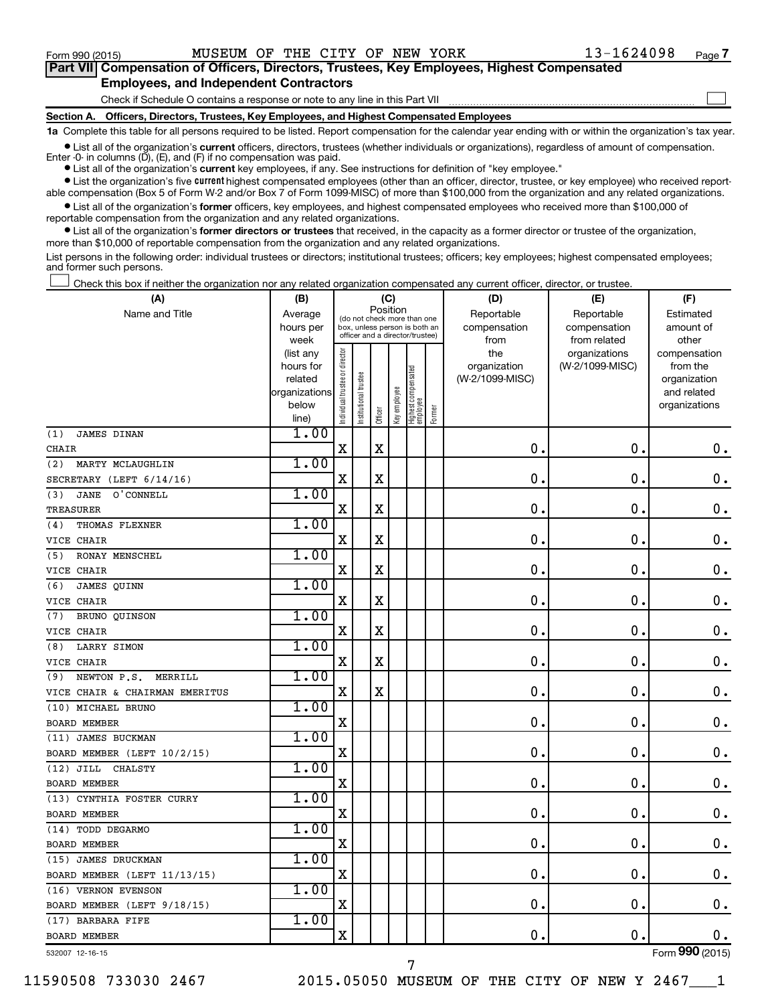$\Box$ 

| Part VII Compensation of Officers, Directors, Trustees, Key Employees, Highest Compensated |
|--------------------------------------------------------------------------------------------|
| <b>Employees, and Independent Contractors</b>                                              |

Check if Schedule O contains a response or note to any line in this Part VII

**Section A. Officers, Directors, Trustees, Key Employees, and Highest Compensated Employees**

**1a**  Complete this table for all persons required to be listed. Report compensation for the calendar year ending with or within the organization's tax year.

**•** List all of the organization's current officers, directors, trustees (whether individuals or organizations), regardless of amount of compensation. Enter -0- in columns  $(D)$ ,  $(E)$ , and  $(F)$  if no compensation was paid.

**•** List all of the organization's **current** key employees, if any. See instructions for definition of "key employee."

**•** List the organization's five current highest compensated employees (other than an officer, director, trustee, or key employee) who received reportable compensation (Box 5 of Form W-2 and/or Box 7 of Form 1099-MISC) of more than \$100,000 from the organization and any related organizations.

**•** List all of the organization's former officers, key employees, and highest compensated employees who received more than \$100,000 of reportable compensation from the organization and any related organizations.

**•** List all of the organization's former directors or trustees that received, in the capacity as a former director or trustee of the organization, more than \$10,000 of reportable compensation from the organization and any related organizations.

List persons in the following order: individual trustees or directors; institutional trustees; officers; key employees; highest compensated employees; and former such persons.

Check this box if neither the organization nor any related organization compensated any current officer, director, or trustee.  $\Box$ 

| (A)                             | (B)                    |                                |                                                                  | (C)                     |                                         |                                   |        | (D)                 | (E)                              | (F)                      |
|---------------------------------|------------------------|--------------------------------|------------------------------------------------------------------|-------------------------|-----------------------------------------|-----------------------------------|--------|---------------------|----------------------------------|--------------------------|
| Name and Title                  | Average                |                                |                                                                  |                         | Position<br>(do not check more than one |                                   |        | Reportable          | Reportable                       | Estimated                |
|                                 | hours per              |                                | box, unless person is both an<br>officer and a director/trustee) |                         |                                         |                                   |        | compensation        | compensation                     | amount of                |
|                                 | week                   |                                |                                                                  |                         |                                         |                                   |        | from                | from related                     | other                    |
|                                 | (list any<br>hours for | Individual trustee or director |                                                                  |                         |                                         |                                   |        | the<br>organization | organizations<br>(W-2/1099-MISC) | compensation<br>from the |
|                                 | related                |                                |                                                                  |                         |                                         |                                   |        | (W-2/1099-MISC)     |                                  | organization             |
|                                 | organizations          |                                | nstitutional trustee                                             |                         |                                         |                                   |        |                     |                                  | and related              |
|                                 | below                  |                                |                                                                  |                         | Key employee                            |                                   |        |                     |                                  | organizations            |
|                                 | line)                  |                                |                                                                  | Officer                 |                                         | Highest compensated<br>  employee | Former |                     |                                  |                          |
| <b>JAMES DINAN</b><br>(1)       | 1.00                   |                                |                                                                  |                         |                                         |                                   |        |                     |                                  |                          |
| <b>CHAIR</b>                    |                        | $\mathbf X$                    |                                                                  | $\mathbf X$             |                                         |                                   |        | 0.                  | $\mathbf 0$ .                    | 0.                       |
| MARTY MCLAUGHLIN<br>(2)         | 1.00                   |                                |                                                                  |                         |                                         |                                   |        |                     |                                  |                          |
| SECRETARY (LEFT 6/14/16)        |                        | $\mathbf X$                    |                                                                  | $\mathbf X$             |                                         |                                   |        | $\mathbf 0$ .       | $\mathbf 0$ .                    | $\mathbf 0$ .            |
| <b>JANE</b><br>O'CONNELL<br>(3) | 1.00                   |                                |                                                                  |                         |                                         |                                   |        |                     |                                  |                          |
| <b>TREASURER</b>                |                        | X                              |                                                                  | X                       |                                         |                                   |        | $\mathbf 0$ .       | 0.                               | 0.                       |
| THOMAS FLEXNER<br>(4)           | 1.00                   |                                |                                                                  |                         |                                         |                                   |        |                     |                                  |                          |
| VICE CHAIR                      |                        | $\mathbf X$                    |                                                                  | X                       |                                         |                                   |        | $\mathbf 0$ .       | $\mathbf 0$ .                    | $\mathbf 0$ .            |
| (5)<br><b>RONAY MENSCHEL</b>    | 1.00                   |                                |                                                                  |                         |                                         |                                   |        |                     |                                  |                          |
| VICE CHAIR                      |                        | $\mathbf X$                    |                                                                  | X                       |                                         |                                   |        | $\mathbf 0$ .       | $\mathbf 0$ .                    | $\mathbf 0$ .            |
| (6)<br>JAMES OUINN              | 1.00                   |                                |                                                                  |                         |                                         |                                   |        |                     |                                  |                          |
| VICE CHAIR                      |                        | $\mathbf X$                    |                                                                  | $\overline{\mathbf{X}}$ |                                         |                                   |        | $\mathbf 0$ .       | $\mathbf 0$ .                    | $\mathbf 0$ .            |
| (7)<br>BRUNO QUINSON            | 1.00                   |                                |                                                                  |                         |                                         |                                   |        |                     |                                  |                          |
| VICE CHAIR                      |                        | $\mathbf X$                    |                                                                  | X                       |                                         |                                   |        | $\mathbf 0$ .       | $\mathbf 0$                      | $\mathbf 0$ .            |
| LARRY SIMON<br>(8)              | 1.00                   |                                |                                                                  |                         |                                         |                                   |        |                     |                                  |                          |
| VICE CHAIR                      |                        | X                              |                                                                  | X                       |                                         |                                   |        | $\mathbf 0$ .       | $\mathbf 0$ .                    | $\mathbf 0$ .            |
| NEWTON P.S.<br>MERRILL<br>(9)   | 1.00                   |                                |                                                                  |                         |                                         |                                   |        |                     |                                  |                          |
| VICE CHAIR & CHAIRMAN EMERITUS  |                        | $\mathbf X$                    |                                                                  | $\mathbf X$             |                                         |                                   |        | $\mathbf 0$ .       | $\mathbf 0$ .                    | $\mathbf 0$ .            |
| (10) MICHAEL BRUNO              | 1.00                   |                                |                                                                  |                         |                                         |                                   |        |                     |                                  |                          |
| <b>BOARD MEMBER</b>             |                        | X                              |                                                                  |                         |                                         |                                   |        | $\mathbf 0$ .       | О.                               | 0.                       |
| (11) JAMES BUCKMAN              | 1.00                   |                                |                                                                  |                         |                                         |                                   |        |                     |                                  |                          |
| BOARD MEMBER (LEFT 10/2/15)     |                        | X                              |                                                                  |                         |                                         |                                   |        | 0.                  | $\mathbf 0$                      | $\mathbf 0$ .            |
| $(12)$ JILL<br>CHALSTY          | 1.00                   |                                |                                                                  |                         |                                         |                                   |        |                     |                                  |                          |
| <b>BOARD MEMBER</b>             |                        | X                              |                                                                  |                         |                                         |                                   |        | $\mathbf 0$ .       | $\mathbf 0$ .                    | $\mathbf 0$ .            |
| (13) CYNTHIA FOSTER CURRY       | 1.00                   |                                |                                                                  |                         |                                         |                                   |        |                     |                                  |                          |
| <b>BOARD MEMBER</b>             |                        | $\mathbf X$                    |                                                                  |                         |                                         |                                   |        | $\mathbf 0$ .       | 0.                               | $\mathbf 0$ .            |
| (14) TODD DEGARMO               | 1.00                   |                                |                                                                  |                         |                                         |                                   |        |                     |                                  |                          |
| <b>BOARD MEMBER</b>             |                        | $\overline{\mathbf{X}}$        |                                                                  |                         |                                         |                                   |        | 0.                  | О.                               | $\mathbf 0$ .            |
| (15) JAMES DRUCKMAN             | 1.00                   |                                |                                                                  |                         |                                         |                                   |        |                     |                                  |                          |
| BOARD MEMBER (LEFT 11/13/15)    |                        | X                              |                                                                  |                         |                                         |                                   |        | $\mathbf 0$         | $\mathbf 0$                      | $\mathbf 0$ .            |
| (16) VERNON EVENSON             | 1.00                   |                                |                                                                  |                         |                                         |                                   |        |                     |                                  |                          |
| BOARD MEMBER (LEFT 9/18/15)     |                        | $\mathbf X$                    |                                                                  |                         |                                         |                                   |        | $\mathbf{0}$ .      | $\mathbf 0$ .                    | $0$ .                    |
| (17) BARBARA FIFE               | 1.00                   |                                |                                                                  |                         |                                         |                                   |        |                     |                                  |                          |
| <b>BOARD MEMBER</b>             |                        | $\mathbf X$                    |                                                                  |                         |                                         |                                   |        | 0.                  | $\mathbf 0$ .                    | $0$ .                    |
| 532007 12-16-15                 |                        |                                |                                                                  |                         |                                         |                                   |        |                     |                                  | Form 990 (2015)          |

7

11590508 733030 2467 2015.05050 MUSEUM OF THE CITY OF NEW Y 2467\_\_\_1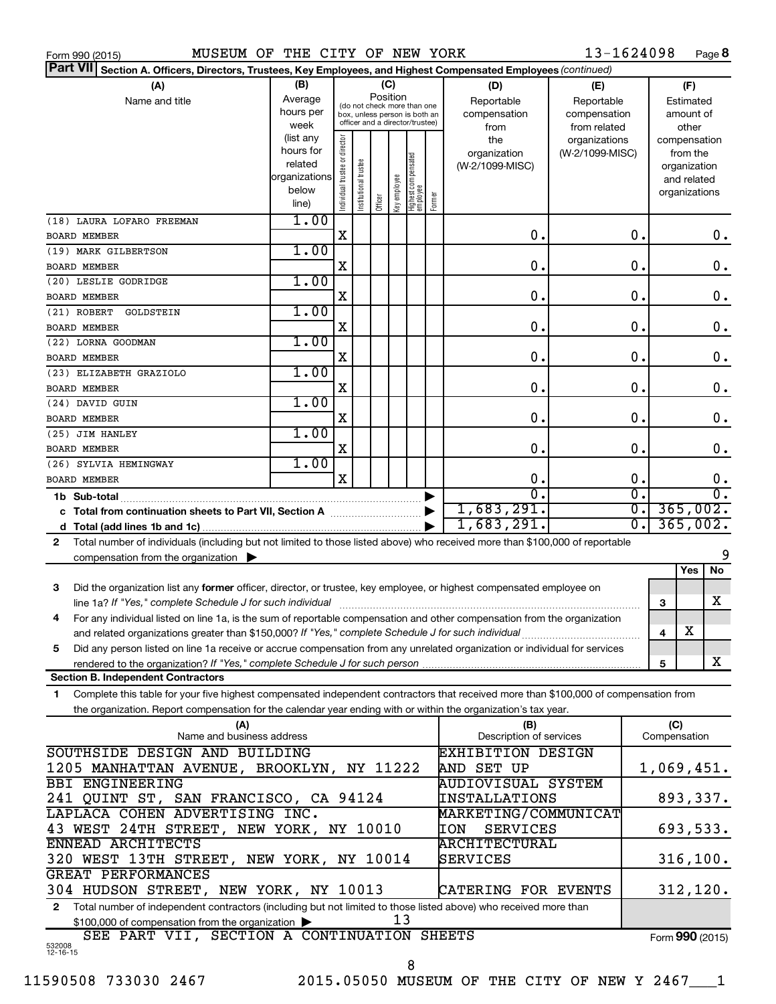| Form 990 (2015) |  |  |
|-----------------|--|--|
|                 |  |  |

Form 990 (2015) MUSEUM OF THE CITY OF NEW YORK  $13-1624098$  Page

13-1624098 Page 8

| Part VII Section A. Officers, Directors, Trustees, Key Employees, and Highest Compensated Employees (continued)                            |                          |                                |                      |         |              |                                                              |        |                           |                 |                        |                 |                       |           |
|--------------------------------------------------------------------------------------------------------------------------------------------|--------------------------|--------------------------------|----------------------|---------|--------------|--------------------------------------------------------------|--------|---------------------------|-----------------|------------------------|-----------------|-----------------------|-----------|
| (A)                                                                                                                                        | (B)                      |                                |                      |         | (C)          |                                                              |        | (D)                       | (E)             |                        |                 | (F)                   |           |
| Name and title                                                                                                                             | Average                  |                                |                      |         | Position     |                                                              |        | Reportable                | Reportable      |                        | Estimated       |                       |           |
|                                                                                                                                            | hours per                |                                |                      |         |              | (do not check more than one<br>box, unless person is both an |        | compensation              | compensation    |                        |                 | amount of             |           |
|                                                                                                                                            | week                     |                                |                      |         |              | officer and a director/trustee)                              |        | from                      | from related    |                        |                 | other                 |           |
|                                                                                                                                            | (list any                |                                |                      |         |              |                                                              |        | the                       | organizations   |                        | compensation    |                       |           |
|                                                                                                                                            | hours for                |                                |                      |         |              |                                                              |        | organization              | (W-2/1099-MISC) |                        |                 | from the              |           |
|                                                                                                                                            | related<br>organizations |                                |                      |         |              |                                                              |        | (W-2/1099-MISC)           |                 |                        | organization    |                       |           |
|                                                                                                                                            | below                    |                                |                      |         |              |                                                              |        |                           |                 |                        |                 | and related           |           |
|                                                                                                                                            | line)                    | Individual trustee or director | nstitutional trustee | Officer | Key employee | Highest compensated<br>  employee                            | Former |                           |                 |                        | organizations   |                       |           |
|                                                                                                                                            | 1.00                     |                                |                      |         |              |                                                              |        |                           |                 |                        |                 |                       |           |
| (18) LAURA LOFARO FREEMAN                                                                                                                  |                          |                                |                      |         |              |                                                              |        |                           |                 | 0.                     |                 |                       |           |
| <b>BOARD MEMBER</b>                                                                                                                        |                          | X                              |                      |         |              |                                                              |        | 0.                        |                 |                        |                 |                       | 0.        |
| (19) MARK GILBERTSON                                                                                                                       | 1.00                     |                                |                      |         |              |                                                              |        |                           |                 |                        |                 |                       |           |
| <b>BOARD MEMBER</b>                                                                                                                        |                          | X                              |                      |         |              |                                                              |        | $\mathbf 0$ .             |                 | 0.                     |                 |                       | 0.        |
| (20) LESLIE GODRIDGE                                                                                                                       | 1.00                     |                                |                      |         |              |                                                              |        |                           |                 |                        |                 |                       |           |
| <b>BOARD MEMBER</b>                                                                                                                        |                          | X                              |                      |         |              |                                                              |        | $\mathbf 0$ .             |                 | $\mathbf 0$ .          |                 |                       | 0.        |
| (21) ROBERT<br>GOLDSTEIN                                                                                                                   | 1.00                     |                                |                      |         |              |                                                              |        |                           |                 |                        |                 |                       |           |
| <b>BOARD MEMBER</b>                                                                                                                        |                          | X                              |                      |         |              |                                                              |        | $\mathbf 0$ .             |                 | $\mathbf 0$ .          |                 |                       | 0.        |
| (22) LORNA GOODMAN                                                                                                                         | 1.00                     |                                |                      |         |              |                                                              |        |                           |                 |                        |                 |                       |           |
| <b>BOARD MEMBER</b>                                                                                                                        |                          | X                              |                      |         |              |                                                              |        | $\mathbf 0$ .             |                 | 0.                     |                 |                       | 0.        |
| (23) ELIZABETH GRAZIOLO                                                                                                                    | 1.00                     |                                |                      |         |              |                                                              |        |                           |                 |                        |                 |                       |           |
| <b>BOARD MEMBER</b>                                                                                                                        |                          | X                              |                      |         |              |                                                              |        | $\mathbf 0$ .             |                 | $\mathbf 0$ .          |                 |                       | 0.        |
| (24) DAVID GUIN                                                                                                                            | 1.00                     |                                |                      |         |              |                                                              |        |                           |                 |                        |                 |                       |           |
| <b>BOARD MEMBER</b>                                                                                                                        |                          | X                              |                      |         |              |                                                              |        | $\mathbf 0$ .             |                 | $\mathbf 0$ .          |                 |                       | 0.        |
| (25) JIM HANLEY                                                                                                                            | 1.00                     |                                |                      |         |              |                                                              |        |                           |                 |                        |                 |                       |           |
| <b>BOARD MEMBER</b>                                                                                                                        |                          | X                              |                      |         |              |                                                              |        | $\mathbf 0$ .             |                 | $\mathbf 0$ .          |                 |                       | 0.        |
| (26) SYLVIA HEMINGWAY                                                                                                                      | 1.00                     |                                |                      |         |              |                                                              |        |                           |                 |                        |                 |                       |           |
| <b>BOARD MEMBER</b>                                                                                                                        |                          | $\mathbf x$                    |                      |         |              |                                                              |        | $\mathbf 0$ .             |                 | $\mathbf 0$ .          |                 |                       | 0.        |
|                                                                                                                                            |                          |                                |                      |         |              |                                                              |        | $\overline{0}$ .          |                 | σ.<br>$\overline{0}$ . |                 |                       |           |
| 1,683,291.                                                                                                                                 |                          |                                |                      |         |              |                                                              |        | $\overline{0}$ .          |                 |                        | 365,002.        |                       |           |
| 1,683,291.                                                                                                                                 |                          |                                |                      |         |              |                                                              | σ.     |                           |                 | 365,002.               |                 |                       |           |
| Total number of individuals (including but not limited to those listed above) who received more than \$100,000 of reportable<br>2          |                          |                                |                      |         |              |                                                              |        |                           |                 |                        |                 |                       |           |
|                                                                                                                                            |                          |                                |                      |         |              |                                                              |        |                           |                 |                        |                 |                       | 9         |
| compensation from the organization $\blacktriangleright$                                                                                   |                          |                                |                      |         |              |                                                              |        |                           |                 |                        |                 | Yes                   | No        |
|                                                                                                                                            |                          |                                |                      |         |              |                                                              |        |                           |                 |                        |                 |                       |           |
| Did the organization list any former officer, director, or trustee, key employee, or highest compensated employee on<br>3                  |                          |                                |                      |         |              |                                                              |        |                           |                 |                        |                 |                       | x         |
|                                                                                                                                            |                          |                                |                      |         |              |                                                              |        |                           |                 |                        | 3               |                       |           |
| For any individual listed on line 1a, is the sum of reportable compensation and other compensation from the organization<br>4              |                          |                                |                      |         |              |                                                              |        |                           |                 |                        |                 | $\overline{\text{X}}$ |           |
| and related organizations greater than \$150,000? If "Yes," complete Schedule J for such individual                                        |                          |                                |                      |         |              |                                                              |        |                           |                 |                        | 4               |                       |           |
| Did any person listed on line 1a receive or accrue compensation from any unrelated organization or individual for services<br>5            |                          |                                |                      |         |              |                                                              |        |                           |                 |                        |                 |                       |           |
|                                                                                                                                            |                          |                                |                      |         |              |                                                              |        |                           |                 |                        | 5               |                       | x         |
| <b>Section B. Independent Contractors</b>                                                                                                  |                          |                                |                      |         |              |                                                              |        |                           |                 |                        |                 |                       |           |
| Complete this table for your five highest compensated independent contractors that received more than \$100,000 of compensation from<br>1. |                          |                                |                      |         |              |                                                              |        |                           |                 |                        |                 |                       |           |
| the organization. Report compensation for the calendar year ending with or within the organization's tax year.                             |                          |                                |                      |         |              |                                                              |        |                           |                 |                        |                 |                       |           |
| (A)                                                                                                                                        |                          |                                |                      |         |              |                                                              |        | (B)                       |                 |                        | (C)             |                       |           |
| Name and business address                                                                                                                  |                          |                                |                      |         |              |                                                              |        | Description of services   |                 |                        | Compensation    |                       |           |
| SOUTHSIDE DESIGN AND BUILDING                                                                                                              |                          |                                |                      |         |              |                                                              |        | <b>EXHIBITION DESIGN</b>  |                 |                        |                 |                       |           |
| 1205 MANHATTAN AVENUE, BROOKLYN, NY 11222                                                                                                  |                          |                                |                      |         |              |                                                              |        | <b>AND SET UP</b>         |                 |                        | 1,069,451.      |                       |           |
| <b>BBI ENGINEERING</b>                                                                                                                     |                          |                                |                      |         |              |                                                              |        | <b>AUDIOVISUAL SYSTEM</b> |                 |                        |                 |                       |           |
| 241 QUINT ST, SAN FRANCISCO, CA 94124                                                                                                      |                          |                                |                      |         |              |                                                              |        | <b>INSTALLATIONS</b>      |                 |                        |                 |                       | 893,337.  |
| LAPLACA COHEN ADVERTISING INC.                                                                                                             |                          |                                |                      |         |              |                                                              |        | MARKETING/COMMUNICAT      |                 |                        |                 |                       |           |
| 43 WEST 24TH STREET, NEW YORK, NY 10010<br>693,533.<br><b>SERVICES</b><br><b>IION</b>                                                      |                          |                                |                      |         |              |                                                              |        |                           |                 |                        |                 |                       |           |
| ENNEAD ARCHITECTS<br><b>ARCHITECTURAL</b>                                                                                                  |                          |                                |                      |         |              |                                                              |        |                           |                 |                        |                 |                       |           |
| 320 WEST 13TH STREET, NEW YORK, NY 10014                                                                                                   |                          |                                |                      |         |              |                                                              |        | SERVICES                  |                 |                        |                 |                       | 316, 100. |
| GREAT PERFORMANCES                                                                                                                         |                          |                                |                      |         |              |                                                              |        |                           |                 |                        |                 |                       |           |
| 304 HUDSON STREET, NEW YORK, NY 10013                                                                                                      |                          |                                |                      |         |              |                                                              |        | CATERING FOR EVENTS       |                 |                        |                 |                       | 312, 120. |
| Total number of independent contractors (including but not limited to those listed above) who received more than<br>2                      |                          |                                |                      |         |              |                                                              |        |                           |                 |                        |                 |                       |           |
| \$100,000 of compensation from the organization                                                                                            |                          |                                |                      |         | 13           |                                                              |        |                           |                 |                        |                 |                       |           |
| SEE PART VII, SECTION A CONTINUATION SHEETS                                                                                                |                          |                                |                      |         |              |                                                              |        |                           |                 |                        | Form 990 (2015) |                       |           |
| 532008<br>12-16-15                                                                                                                         |                          |                                |                      |         |              |                                                              |        |                           |                 |                        |                 |                       |           |

8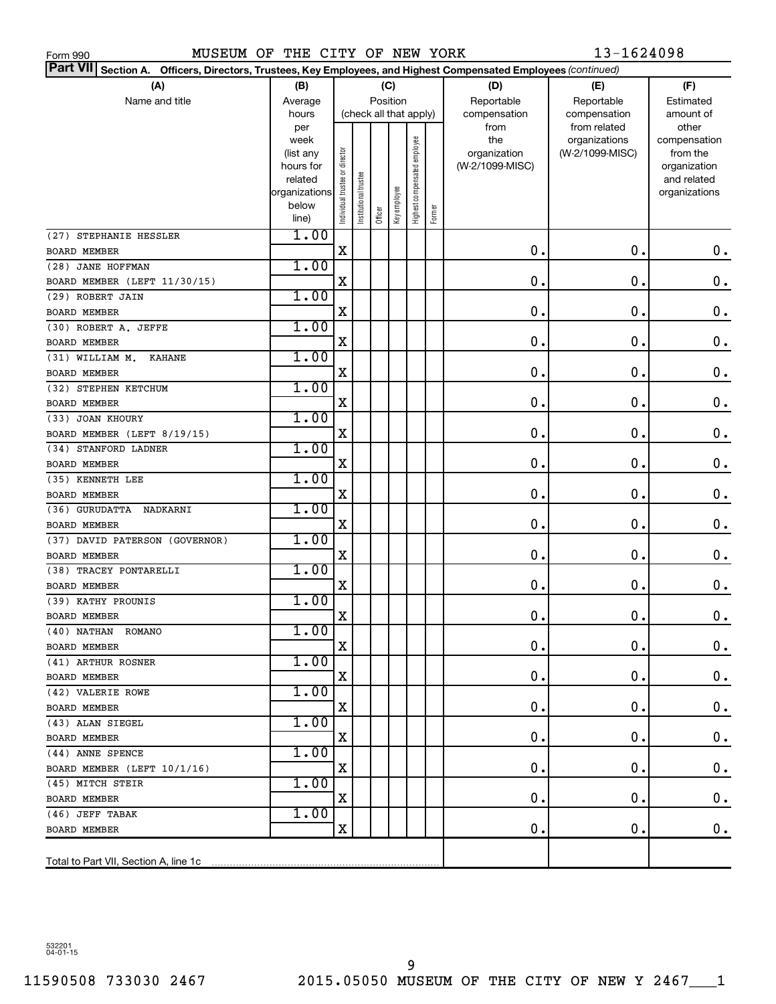MUSEUM OF THE CITY OF NEW YORK 13-1624098

| Part VII Section A. Officers, Directors, Trustees, Key Employees, and Highest Compensated Employees (continued) |                   |                               |                        |          |              |                              |        |                     |                                  |                          |
|-----------------------------------------------------------------------------------------------------------------|-------------------|-------------------------------|------------------------|----------|--------------|------------------------------|--------|---------------------|----------------------------------|--------------------------|
| (A)                                                                                                             | (B)               |                               |                        | (C)      |              |                              |        | (D)                 | (E)                              | (F)                      |
| Name and title                                                                                                  | Average           |                               |                        | Position |              |                              |        | Reportable          | Reportable                       | Estimated                |
|                                                                                                                 | hours             |                               | (check all that apply) |          |              |                              |        | compensation        | compensation                     | amount of                |
|                                                                                                                 | per               |                               |                        |          |              |                              |        | from                | from related                     | other                    |
|                                                                                                                 | week<br>(list any |                               |                        |          |              |                              |        | the<br>organization | organizations<br>(W-2/1099-MISC) | compensation<br>from the |
|                                                                                                                 | hours for         |                               |                        |          |              |                              |        | (W-2/1099-MISC)     |                                  | organization             |
|                                                                                                                 | related           |                               |                        |          |              |                              |        |                     |                                  | and related              |
|                                                                                                                 | organizations     |                               |                        |          |              |                              |        |                     |                                  | organizations            |
|                                                                                                                 | below             | ndividual trustee or director | nstitutional trustee   | Officer  | Key employee | Highest compensated employee | Former |                     |                                  |                          |
|                                                                                                                 | line)             |                               |                        |          |              |                              |        |                     |                                  |                          |
| (27) STEPHANIE HESSLER                                                                                          | 1.00              | X                             |                        |          |              |                              |        | 0.                  | 0.                               | $\mathbf 0$ .            |
| <b>BOARD MEMBER</b>                                                                                             | 1.00              |                               |                        |          |              |                              |        |                     |                                  |                          |
| (28) JANE HOFFMAN                                                                                               |                   | X                             |                        |          |              |                              |        | $\mathbf 0$ .       | $\mathbf 0$ .                    |                          |
| BOARD MEMBER (LEFT 11/30/15)                                                                                    | 1.00              |                               |                        |          |              |                              |        |                     |                                  | $\boldsymbol{0}$ .       |
| (29) ROBERT JAIN                                                                                                |                   | X                             |                        |          |              |                              |        | 0.                  | $\mathbf 0$ .                    | $\boldsymbol{0}$ .       |
| <b>BOARD MEMBER</b>                                                                                             | 1.00              |                               |                        |          |              |                              |        |                     |                                  |                          |
| (30) ROBERT A. JEFFE                                                                                            |                   | X                             |                        |          |              |                              |        | 0.                  | $\mathbf 0$ .                    | $\boldsymbol{0}$ .       |
| <b>BOARD MEMBER</b><br>(31) WILLIAM M.<br><b>KAHANE</b>                                                         | 1.00              |                               |                        |          |              |                              |        |                     |                                  |                          |
| <b>BOARD MEMBER</b>                                                                                             |                   | X                             |                        |          |              |                              |        | 0.                  | $\mathbf 0$ .                    | $\boldsymbol{0}$ .       |
| (32) STEPHEN KETCHUM                                                                                            | 1.00              |                               |                        |          |              |                              |        |                     |                                  |                          |
| <b>BOARD MEMBER</b>                                                                                             |                   | X                             |                        |          |              |                              |        | 0.                  | $\mathbf 0$ .                    | $\boldsymbol{0}$ .       |
| (33) JOAN KHOURY                                                                                                | 1.00              |                               |                        |          |              |                              |        |                     |                                  |                          |
| BOARD MEMBER (LEFT 8/19/15)                                                                                     |                   | X                             |                        |          |              |                              |        | 0.                  | $\mathbf 0$ .                    | $\boldsymbol{0}$ .       |
| (34) STANFORD LADNER                                                                                            | 1.00              |                               |                        |          |              |                              |        |                     |                                  |                          |
| <b>BOARD MEMBER</b>                                                                                             |                   | X                             |                        |          |              |                              |        | $\mathbf 0$ .       | $\mathbf 0$ .                    | $\boldsymbol{0}$ .       |
| (35) KENNETH LEE                                                                                                | 1.00              |                               |                        |          |              |                              |        |                     |                                  |                          |
| <b>BOARD MEMBER</b>                                                                                             |                   | X                             |                        |          |              |                              |        | 0.                  | $\mathbf 0$ .                    | $\boldsymbol{0}$ .       |
| (36) GURUDATTA<br>NADKARNI                                                                                      | 1.00              |                               |                        |          |              |                              |        |                     |                                  |                          |
| <b>BOARD MEMBER</b>                                                                                             |                   | X                             |                        |          |              |                              |        | 0.                  | $\mathbf 0$ .                    | $\boldsymbol{0}$ .       |
| (37) DAVID PATERSON (GOVERNOR)                                                                                  | 1.00              |                               |                        |          |              |                              |        |                     |                                  |                          |
| <b>BOARD MEMBER</b>                                                                                             |                   | X                             |                        |          |              |                              |        | 0.                  | $\mathbf 0$ .                    | $\boldsymbol{0}$ .       |
| (38) TRACEY PONTARELLI                                                                                          | 1.00              |                               |                        |          |              |                              |        |                     |                                  |                          |
| <b>BOARD MEMBER</b>                                                                                             |                   | X                             |                        |          |              |                              |        | 0.                  | $\mathbf 0$ .                    | $\mathbf 0$ .            |
| (39) KATHY PROUNIS                                                                                              | 1.00              |                               |                        |          |              |                              |        |                     |                                  |                          |
| <b>BOARD MEMBER</b>                                                                                             |                   | X                             |                        |          |              |                              |        | 0.                  | $\mathbf 0$ .                    | 0.                       |
| (40) NATHAN ROMANO                                                                                              | 1.00              |                               |                        |          |              |                              |        |                     |                                  |                          |
| BOARD MEMBER                                                                                                    |                   | х                             |                        |          |              |                              |        | 0.                  | 0.                               | 0.                       |
| (41) ARTHUR ROSNER                                                                                              | 1.00              |                               |                        |          |              |                              |        |                     |                                  |                          |
| BOARD MEMBER                                                                                                    |                   | X                             |                        |          |              |                              |        | 0.                  | 0.                               | $\mathbf 0$ .            |
| (42) VALERIE ROWE                                                                                               | 1.00              |                               |                        |          |              |                              |        |                     |                                  |                          |
| BOARD MEMBER                                                                                                    |                   | X                             |                        |          |              |                              |        | 0.                  | 0.                               | $\mathbf 0$ .            |
| (43) ALAN SIEGEL                                                                                                | 1.00              |                               |                        |          |              |                              |        |                     |                                  |                          |
| BOARD MEMBER                                                                                                    |                   | X                             |                        |          |              |                              |        | 0.                  | 0.                               | $\mathbf 0$ .            |
| (44) ANNE SPENCE                                                                                                | 1.00              |                               |                        |          |              |                              |        |                     |                                  |                          |
| BOARD MEMBER (LEFT 10/1/16)                                                                                     |                   | Χ                             |                        |          |              |                              |        | 0.                  | 0.                               | $\mathbf 0$ .            |
| (45) MITCH STEIR                                                                                                | 1.00              |                               |                        |          |              |                              |        |                     |                                  |                          |
| BOARD MEMBER                                                                                                    |                   | X                             |                        |          |              |                              |        | 0.                  | 0.                               | $\mathbf 0$ .            |
| (46) JEFF TABAK                                                                                                 | 1.00              |                               |                        |          |              |                              |        |                     |                                  |                          |
| BOARD MEMBER                                                                                                    |                   | х                             |                        |          |              |                              |        | 0.                  | 0.                               | 0.                       |
|                                                                                                                 |                   |                               |                        |          |              |                              |        |                     |                                  |                          |
| Total to Part VII, Section A, line 1c                                                                           |                   |                               |                        |          |              |                              |        |                     |                                  |                          |

532201 04-01-15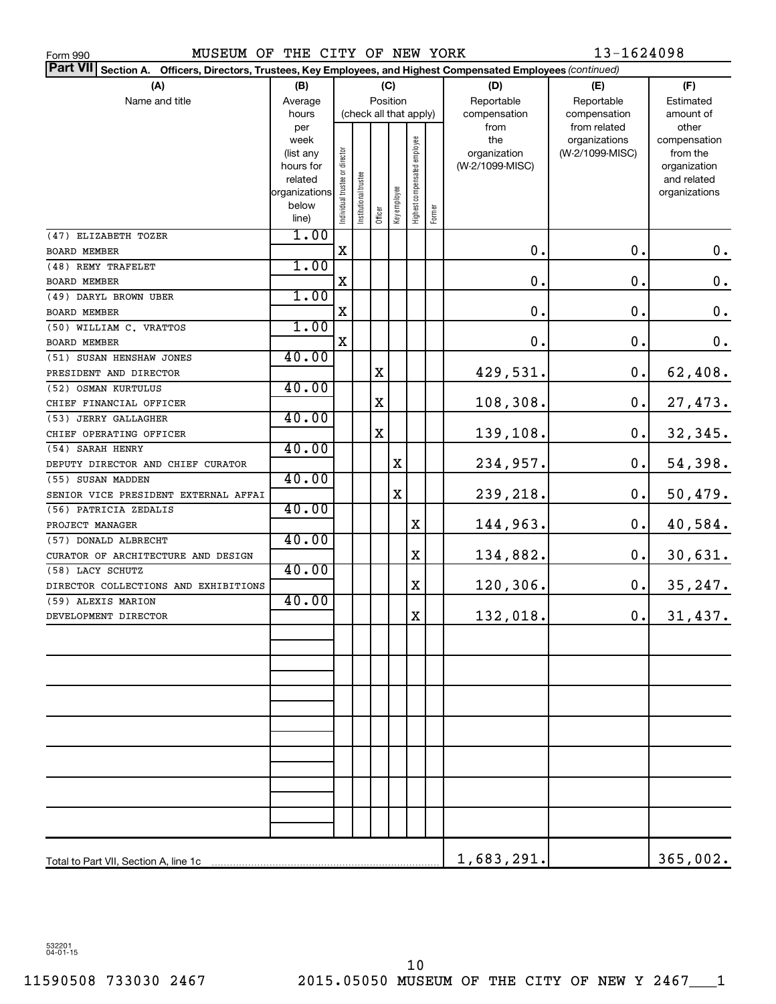| ⊢orm 990 |  |
|----------|--|
|          |  |

MUSEUM OF THE CITY OF NEW YORK 13-1624098

| Part VII Section A. Officers, Directors, Trustees, Key Employees, and Highest Compensated Employees (continued) |                   |                                |                        |             |              |                              |        |                     |                                  |                          |
|-----------------------------------------------------------------------------------------------------------------|-------------------|--------------------------------|------------------------|-------------|--------------|------------------------------|--------|---------------------|----------------------------------|--------------------------|
| (A)                                                                                                             | (B)               |                                |                        |             | (C)          |                              |        | (D)                 | (E)                              | (F)                      |
| Name and title                                                                                                  | Average           |                                |                        | Position    |              |                              |        | Reportable          | Reportable                       | Estimated                |
|                                                                                                                 | hours             |                                | (check all that apply) |             |              |                              |        | compensation        | compensation                     | amount of                |
|                                                                                                                 | per               |                                |                        |             |              |                              |        | from                | from related                     | other                    |
|                                                                                                                 | week<br>(list any |                                |                        |             |              |                              |        | the<br>organization | organizations<br>(W-2/1099-MISC) | compensation<br>from the |
|                                                                                                                 | hours for         |                                |                        |             |              |                              |        | (W-2/1099-MISC)     |                                  | organization             |
|                                                                                                                 | related           |                                |                        |             |              |                              |        |                     |                                  | and related              |
|                                                                                                                 | organizations     |                                |                        |             |              |                              |        |                     |                                  | organizations            |
|                                                                                                                 | below             | Individual trustee or director | nstitutional trustee   | Officer     | Key employee | Highest compensated employee | Former |                     |                                  |                          |
|                                                                                                                 | line)             |                                |                        |             |              |                              |        |                     |                                  |                          |
| (47) ELIZABETH TOZER                                                                                            | 1.00              |                                |                        |             |              |                              |        |                     |                                  |                          |
| <b>BOARD MEMBER</b>                                                                                             |                   | X                              |                        |             |              |                              |        | $\mathbf 0$ .       | 0.                               | $0$ .                    |
| (48) REMY TRAFELET                                                                                              | 1.00              |                                |                        |             |              |                              |        |                     |                                  |                          |
| <b>BOARD MEMBER</b>                                                                                             |                   | X                              |                        |             |              |                              |        | 0.                  | $\mathbf 0$ .                    | $\mathbf 0$ .            |
| (49) DARYL BROWN UBER                                                                                           | 1.00              |                                |                        |             |              |                              |        |                     | 0.                               |                          |
| <b>BOARD MEMBER</b>                                                                                             |                   | X                              |                        |             |              |                              |        | 0.                  |                                  | $\mathbf 0$ .            |
| (50) WILLIAM C. VRATTOS                                                                                         | 1.00              |                                |                        |             |              |                              |        |                     | 0.                               |                          |
| <b>BOARD MEMBER</b>                                                                                             |                   | X                              |                        |             |              |                              |        | 0.                  |                                  | $\mathbf 0$ .            |
| (51) SUSAN HENSHAW JONES                                                                                        | 40.00             |                                |                        |             |              |                              |        |                     |                                  |                          |
| PRESIDENT AND DIRECTOR                                                                                          | 40.00             |                                |                        | х           |              |                              |        | 429,531.            | 0.                               | 62,408.                  |
| (52) OSMAN KURTULUS                                                                                             |                   |                                |                        |             |              |                              |        |                     | 0.                               |                          |
| CHIEF FINANCIAL OFFICER                                                                                         | 40.00             |                                |                        | х           |              |                              |        | 108,308.            |                                  | 27,473.                  |
| (53) JERRY GALLAGHER                                                                                            |                   |                                |                        | $\mathbf X$ |              |                              |        | 139,108.            | 0.                               |                          |
| CHIEF OPERATING OFFICER                                                                                         | 40.00             |                                |                        |             |              |                              |        |                     |                                  | 32,345.                  |
| (54) SARAH HENRY                                                                                                |                   |                                |                        |             | X            |                              |        | 234,957.            | 0.                               | 54,398.                  |
| DEPUTY DIRECTOR AND CHIEF CURATOR<br>(55) SUSAN MADDEN                                                          | 40.00             |                                |                        |             |              |                              |        |                     |                                  |                          |
| SENIOR VICE PRESIDENT EXTERNAL AFFAI                                                                            |                   |                                |                        |             | X            |                              |        | 239,218.            | 0.                               | 50,479.                  |
| (56) PATRICIA ZEDALIS                                                                                           | 40.00             |                                |                        |             |              |                              |        |                     |                                  |                          |
| PROJECT MANAGER                                                                                                 |                   |                                |                        |             |              | Χ                            |        | 144,963.            | 0.                               | 40,584.                  |
| (57) DONALD ALBRECHT                                                                                            | 40.00             |                                |                        |             |              |                              |        |                     |                                  |                          |
| CURATOR OF ARCHITECTURE AND DESIGN                                                                              |                   |                                |                        |             |              | X                            |        | 134,882.            | 0.                               | 30,631.                  |
| (58) LACY SCHUTZ                                                                                                | 40.00             |                                |                        |             |              |                              |        |                     |                                  |                          |
| DIRECTOR COLLECTIONS AND EXHIBITIONS                                                                            |                   |                                |                        |             |              | X                            |        | 120,306.            | 0.                               | 35, 247.                 |
| (59) ALEXIS MARION                                                                                              | 40.00             |                                |                        |             |              |                              |        |                     |                                  |                          |
| DEVELOPMENT DIRECTOR                                                                                            |                   |                                |                        |             |              | Χ                            |        | 132,018.            | 0.                               | 31,437.                  |
|                                                                                                                 |                   |                                |                        |             |              |                              |        |                     |                                  |                          |
|                                                                                                                 |                   |                                |                        |             |              |                              |        |                     |                                  |                          |
|                                                                                                                 |                   |                                |                        |             |              |                              |        |                     |                                  |                          |
|                                                                                                                 |                   |                                |                        |             |              |                              |        |                     |                                  |                          |
|                                                                                                                 |                   |                                |                        |             |              |                              |        |                     |                                  |                          |
|                                                                                                                 |                   |                                |                        |             |              |                              |        |                     |                                  |                          |
|                                                                                                                 |                   |                                |                        |             |              |                              |        |                     |                                  |                          |
|                                                                                                                 |                   |                                |                        |             |              |                              |        |                     |                                  |                          |
|                                                                                                                 |                   |                                |                        |             |              |                              |        |                     |                                  |                          |
|                                                                                                                 |                   |                                |                        |             |              |                              |        |                     |                                  |                          |
|                                                                                                                 |                   |                                |                        |             |              |                              |        |                     |                                  |                          |
|                                                                                                                 |                   |                                |                        |             |              |                              |        |                     |                                  |                          |
|                                                                                                                 |                   |                                |                        |             |              |                              |        |                     |                                  |                          |
|                                                                                                                 |                   |                                |                        |             |              |                              |        |                     |                                  |                          |
|                                                                                                                 |                   |                                |                        |             |              |                              |        |                     |                                  |                          |
|                                                                                                                 |                   |                                |                        |             |              |                              |        | 1,683,291.          |                                  | 365,002.                 |

532201 04-01-15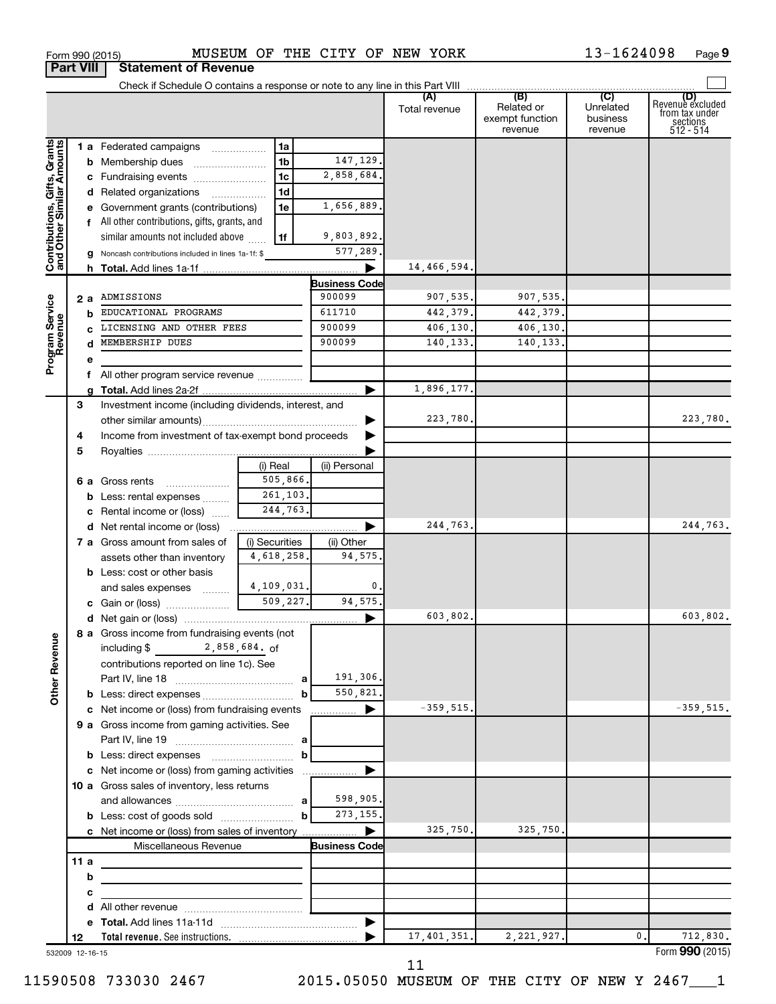|                                                           |                 |                                                         |                      |                      | (A)<br>Total revenue | (B)<br>Related or<br>exempt function<br>revenue | (C)<br>Unrelated<br>business<br>revenue | (D)<br>Revenue excluded<br>from tax under<br>sections<br>512 - 514 |
|-----------------------------------------------------------|-----------------|---------------------------------------------------------|----------------------|----------------------|----------------------|-------------------------------------------------|-----------------------------------------|--------------------------------------------------------------------|
|                                                           |                 | 1 a Federated campaigns                                 | 1a                   |                      |                      |                                                 |                                         |                                                                    |
| Contributions, Gifts, Grants<br>and Other Similar Amounts |                 | <b>b</b> Membership dues                                | 1 <sub>b</sub>       | 147,129.             |                      |                                                 |                                         |                                                                    |
|                                                           |                 |                                                         |                      | 2,858,684.           |                      |                                                 |                                         |                                                                    |
|                                                           |                 | c Fundraising events                                    | 1 <sub>c</sub>       |                      |                      |                                                 |                                         |                                                                    |
|                                                           |                 | d Related organizations                                 | 1 <sub>d</sub>       |                      |                      |                                                 |                                         |                                                                    |
|                                                           |                 | e Government grants (contributions)                     | 1e                   | 1,656,889.           |                      |                                                 |                                         |                                                                    |
|                                                           |                 | f All other contributions, gifts, grants, and           |                      |                      |                      |                                                 |                                         |                                                                    |
|                                                           |                 | similar amounts not included above                      | 1f                   | 9,803,892.           |                      |                                                 |                                         |                                                                    |
|                                                           |                 | g Noncash contributions included in lines 1a-1f: \$     |                      | 577,289.             |                      |                                                 |                                         |                                                                    |
|                                                           |                 |                                                         |                      | ▶                    | 14,466,594.          |                                                 |                                         |                                                                    |
|                                                           |                 |                                                         |                      | <b>Business Code</b> |                      |                                                 |                                         |                                                                    |
|                                                           | 2 a             | ADMISSIONS                                              |                      | 900099               | 907,535.             | 907,535.                                        |                                         |                                                                    |
| Program Service<br>Revenue                                |                 | EDUCATIONAL PROGRAMS                                    |                      | 611710               | 442,379.             | 442,379.                                        |                                         |                                                                    |
|                                                           | b               |                                                         |                      |                      |                      |                                                 |                                         |                                                                    |
|                                                           | C               | LICENSING AND OTHER FEES                                |                      | 900099               | 406,130.             | 406,130.                                        |                                         |                                                                    |
|                                                           |                 | MEMBERSHIP DUES                                         |                      | 900099               | 140,133.             | 140,133.                                        |                                         |                                                                    |
|                                                           | е               |                                                         |                      |                      |                      |                                                 |                                         |                                                                    |
|                                                           |                 | f All other program service revenue                     |                      |                      |                      |                                                 |                                         |                                                                    |
|                                                           |                 |                                                         |                      |                      | 1,896,177.           |                                                 |                                         |                                                                    |
|                                                           | 3               | Investment income (including dividends, interest, and   |                      |                      |                      |                                                 |                                         |                                                                    |
|                                                           |                 |                                                         |                      | ▶                    | 223,780.             |                                                 |                                         | 223,780.                                                           |
|                                                           | 4               | Income from investment of tax-exempt bond proceeds      |                      | ▶                    |                      |                                                 |                                         |                                                                    |
|                                                           | 5               |                                                         |                      |                      |                      |                                                 |                                         |                                                                    |
|                                                           |                 |                                                         |                      |                      |                      |                                                 |                                         |                                                                    |
|                                                           |                 |                                                         | (i) Real<br>505,866. | (ii) Personal        |                      |                                                 |                                         |                                                                    |
|                                                           |                 | 6 a Gross rents<br>$\ldots \ldots \ldots \ldots \ldots$ |                      |                      |                      |                                                 |                                         |                                                                    |
|                                                           |                 | <b>b</b> Less: rental expenses                          | 261,103.             |                      |                      |                                                 |                                         |                                                                    |
|                                                           |                 | c Rental income or (loss)                               | 244,763.             |                      |                      |                                                 |                                         |                                                                    |
|                                                           |                 | <b>d</b> Net rental income or (loss)                    |                      | ▶                    | 244,763.             |                                                 |                                         | 244,763.                                                           |
|                                                           |                 | 7 a Gross amount from sales of                          | (i) Securities       | (ii) Other           |                      |                                                 |                                         |                                                                    |
|                                                           |                 | assets other than inventory                             | 4,618,258.           | 94,575.              |                      |                                                 |                                         |                                                                    |
|                                                           |                 | <b>b</b> Less: cost or other basis                      |                      |                      |                      |                                                 |                                         |                                                                    |
|                                                           |                 | and sales expenses                                      | 4,109,031.           | 0.                   |                      |                                                 |                                         |                                                                    |
|                                                           |                 |                                                         | 509,227.             | 94,575.              |                      |                                                 |                                         |                                                                    |
|                                                           |                 |                                                         |                      | ▶                    | 603,802.             |                                                 |                                         | 603,802.                                                           |
|                                                           |                 | 8 a Gross income from fundraising events (not           |                      |                      |                      |                                                 |                                         |                                                                    |
| nue                                                       |                 |                                                         |                      |                      |                      |                                                 |                                         |                                                                    |
|                                                           |                 | including \$2,858,684. of                               |                      |                      |                      |                                                 |                                         |                                                                    |
| <b>Other Reve</b>                                         |                 | contributions reported on line 1c). See                 |                      |                      |                      |                                                 |                                         |                                                                    |
|                                                           |                 |                                                         | a                    | 191,306.             |                      |                                                 |                                         |                                                                    |
|                                                           |                 |                                                         | b                    | 550,821.             |                      |                                                 |                                         |                                                                    |
|                                                           |                 | c Net income or (loss) from fundraising events          |                      | ▶<br>.               | $-359,515.$          |                                                 |                                         | $-359,515.$                                                        |
|                                                           |                 | 9 a Gross income from gaming activities. See            |                      |                      |                      |                                                 |                                         |                                                                    |
|                                                           |                 |                                                         | a                    |                      |                      |                                                 |                                         |                                                                    |
|                                                           |                 |                                                         | b                    |                      |                      |                                                 |                                         |                                                                    |
|                                                           |                 | c Net income or (loss) from gaming activities           |                      |                      |                      |                                                 |                                         |                                                                    |
|                                                           |                 | 10 a Gross sales of inventory, less returns             |                      |                      |                      |                                                 |                                         |                                                                    |
|                                                           |                 |                                                         | a                    | 598,905.             |                      |                                                 |                                         |                                                                    |
|                                                           |                 |                                                         |                      | 273, 155.            |                      |                                                 |                                         |                                                                    |
|                                                           |                 |                                                         | b                    |                      |                      |                                                 |                                         |                                                                    |
|                                                           |                 | c Net income or (loss) from sales of inventory          |                      | ▶                    | 325,750.             | 325,750.                                        |                                         |                                                                    |
|                                                           |                 | Miscellaneous Revenue                                   |                      | <b>Business Code</b> |                      |                                                 |                                         |                                                                    |
|                                                           | 11 a            |                                                         |                      |                      |                      |                                                 |                                         |                                                                    |
|                                                           | b               |                                                         |                      |                      |                      |                                                 |                                         |                                                                    |
|                                                           | с               |                                                         |                      |                      |                      |                                                 |                                         |                                                                    |
|                                                           |                 |                                                         |                      |                      |                      |                                                 |                                         |                                                                    |
|                                                           |                 |                                                         |                      |                      |                      |                                                 |                                         |                                                                    |
|                                                           | 12              |                                                         |                      |                      | 17, 401, 351.        | 2, 221, 927.                                    | 0.                                      | 712,830.                                                           |
|                                                           | 532009 12-16-15 |                                                         |                      |                      |                      |                                                 |                                         | Form 990 (2015)                                                    |

Form 990 (2015) MUSEUM OF THE CITY OF NEW YORK  $13-1624098$  Page

**9**

 $\Box$ 

532009 12-16-15

**Part VIII Statement of Revenue**

11

11590508 733030 2467 2015.05050 MUSEUM OF THE CITY OF NEW Y 2467\_\_\_1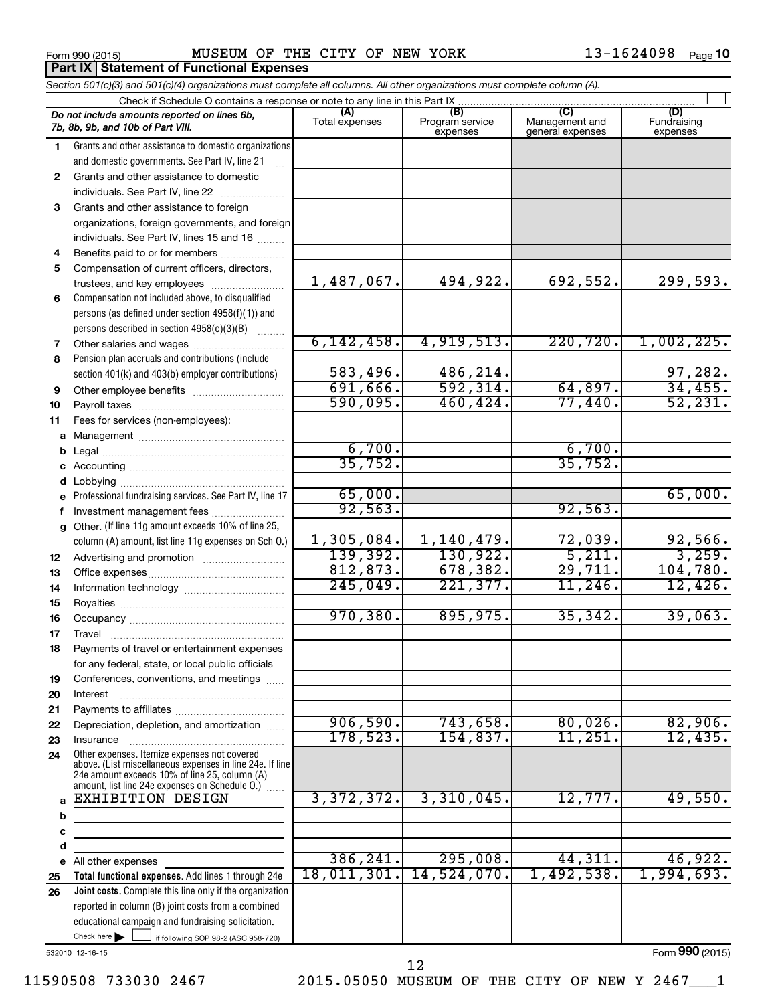Form 990 (2015) MUSEUM OF THE CITY OF NEW YORK  $13-1624098$  Page **Part IX Statement of Functional Expenses** 

|              | Section 501(c)(3) and 501(c)(4) organizations must complete all columns. All other organizations must complete column (A). |                       |                                    |                                           |                         |
|--------------|----------------------------------------------------------------------------------------------------------------------------|-----------------------|------------------------------------|-------------------------------------------|-------------------------|
|              | Check if Schedule O contains a response or note to any line in this Part IX                                                |                       |                                    |                                           | (D)                     |
|              | Do not include amounts reported on lines 6b,<br>7b, 8b, 9b, and 10b of Part VIII.                                          | (A)<br>Total expenses | (B)<br>Program service<br>expenses | (C)<br>Management and<br>general expenses | Fundraising<br>expenses |
| 1.           | Grants and other assistance to domestic organizations                                                                      |                       |                                    |                                           |                         |
|              | and domestic governments. See Part IV, line 21                                                                             |                       |                                    |                                           |                         |
| $\mathbf{2}$ | Grants and other assistance to domestic                                                                                    |                       |                                    |                                           |                         |
|              | individuals. See Part IV, line 22                                                                                          |                       |                                    |                                           |                         |
| 3            | Grants and other assistance to foreign                                                                                     |                       |                                    |                                           |                         |
|              | organizations, foreign governments, and foreign                                                                            |                       |                                    |                                           |                         |
|              | individuals. See Part IV, lines 15 and 16                                                                                  |                       |                                    |                                           |                         |
| 4            | Benefits paid to or for members                                                                                            |                       |                                    |                                           |                         |
| 5            | Compensation of current officers, directors,                                                                               | 1,487,067.            | 494,922.                           | 692,552.                                  | 299,593.                |
|              | trustees, and key employees                                                                                                |                       |                                    |                                           |                         |
| 6            | Compensation not included above, to disqualified<br>persons (as defined under section 4958(f)(1)) and                      |                       |                                    |                                           |                         |
|              | persons described in section 4958(c)(3)(B)                                                                                 |                       |                                    |                                           |                         |
|              | <b>Barbara</b>                                                                                                             | 6, 142, 458.          | 4,919,513.                         | 220, 720.                                 | 1,002,225.              |
| 7<br>8       | Pension plan accruals and contributions (include                                                                           |                       |                                    |                                           |                         |
|              | section 401(k) and 403(b) employer contributions)                                                                          | 583,496.              | 486,214.                           |                                           | 97,282.                 |
| 9            |                                                                                                                            | 691,666.              | 592, 314.                          | 64,897.                                   | 34,455.                 |
| 10           |                                                                                                                            | 590,095.              | 460, 424.                          | 77,440.                                   | 52, 231.                |
| 11           | Fees for services (non-employees):                                                                                         |                       |                                    |                                           |                         |
|              |                                                                                                                            |                       |                                    |                                           |                         |
| b            |                                                                                                                            | 6,700.                |                                    | 6,700.                                    |                         |
|              |                                                                                                                            | 35,752.               |                                    | 35,752.                                   |                         |
| d            |                                                                                                                            |                       |                                    |                                           |                         |
|              | e Professional fundraising services. See Part IV, line 17                                                                  | 65,000.               |                                    |                                           | 65,000.                 |
| f            | Investment management fees                                                                                                 | 92,563.               |                                    | 92,563.                                   |                         |
| $\mathbf{q}$ | Other. (If line 11g amount exceeds 10% of line 25,                                                                         |                       |                                    |                                           |                         |
|              | column (A) amount, list line 11g expenses on Sch 0.)                                                                       | 1,305,084.            | 1,140,479.                         | 72,039.                                   | 92,566.                 |
| 12           |                                                                                                                            | 139,392.              | 130,922.                           | 5,211.                                    | 3,259.                  |
| 13           |                                                                                                                            | 812, 873.             | 678, 382.                          | 29,711.                                   | 104,780.                |
| 14           |                                                                                                                            | 245,049.              | 221,377.                           | 11,246.                                   | 12,426.                 |
| 15           |                                                                                                                            |                       |                                    |                                           |                         |
| 16           |                                                                                                                            | 970, 380.             | 895,975.                           | 35, 342.                                  | 39,063.                 |
| 17           |                                                                                                                            |                       |                                    |                                           |                         |
| 18           | Payments of travel or entertainment expenses                                                                               |                       |                                    |                                           |                         |
|              | for any federal, state, or local public officials                                                                          |                       |                                    |                                           |                         |
| 19<br>20     | Conferences, conventions, and meetings<br>Interest                                                                         |                       |                                    |                                           |                         |
| 21           |                                                                                                                            |                       |                                    |                                           |                         |
| 22           | Depreciation, depletion, and amortization                                                                                  | 906,590.              | 743,658.                           | 80,026.                                   | 82,906.                 |
| 23           | Insurance                                                                                                                  | 178,523.              | 154,837.                           | 11,251.                                   | 12,435.                 |
| 24           | Other expenses. Itemize expenses not covered                                                                               |                       |                                    |                                           |                         |
|              | above. (List miscellaneous expenses in line 24e. If line                                                                   |                       |                                    |                                           |                         |
|              | 24e amount exceeds 10% of line 25, column (A)<br>amount, list line 24e expenses on Schedule O.)                            |                       |                                    |                                           |                         |
| a            | <b>EXHIBITION DESIGN</b>                                                                                                   | 3,372,372.            | 3,310,045.                         | 12,777.                                   | 49,550.                 |
| b            |                                                                                                                            |                       |                                    |                                           |                         |
| c            |                                                                                                                            |                       |                                    |                                           |                         |
| d            |                                                                                                                            |                       |                                    |                                           |                         |
|              | e All other expenses                                                                                                       | 386, 241.             | 295,008.                           | 44,311.                                   | 46,922.                 |
| 25           | Total functional expenses. Add lines 1 through 24e                                                                         | 18,011,301.           | 14,524,070.                        | 1,492,538.                                | 1,994,693.              |
| 26           | Joint costs. Complete this line only if the organization                                                                   |                       |                                    |                                           |                         |
|              | reported in column (B) joint costs from a combined                                                                         |                       |                                    |                                           |                         |
|              | educational campaign and fundraising solicitation.                                                                         |                       |                                    |                                           |                         |
|              | Check here $\blacktriangleright$<br>if following SOP 98-2 (ASC 958-720)                                                    |                       |                                    |                                           |                         |

532010 12-16-15

Form (2015) **990**

12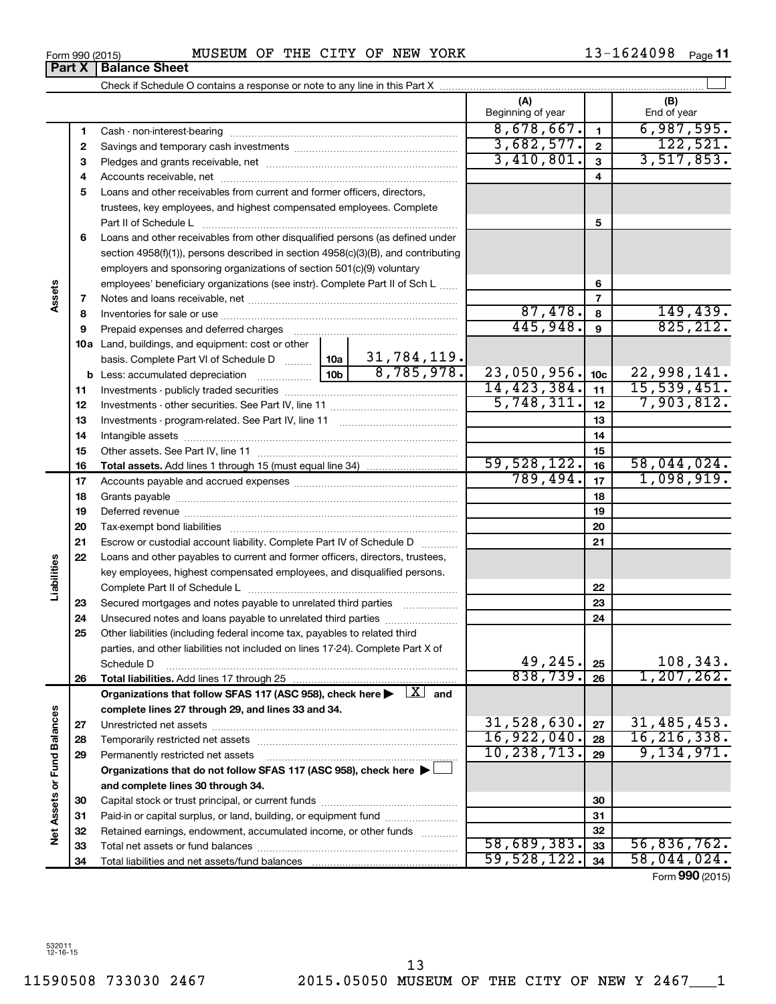**1**

**Part X** | Balance Sheet

|                             | 2  |                                                                                                                              |               |                                  | 3,682,577.    | $\overline{\mathbf{2}}$ | 122,521.                  |
|-----------------------------|----|------------------------------------------------------------------------------------------------------------------------------|---------------|----------------------------------|---------------|-------------------------|---------------------------|
|                             | з  |                                                                                                                              |               | 3,410,801.                       | $\mathbf{3}$  | 3,517,853.              |                           |
|                             | 4  |                                                                                                                              |               |                                  |               | 4                       |                           |
|                             | 5  | Loans and other receivables from current and former officers, directors,                                                     |               |                                  |               |                         |                           |
|                             |    | trustees, key employees, and highest compensated employees. Complete                                                         |               |                                  |               |                         |                           |
|                             |    | Part II of Schedule L                                                                                                        |               |                                  |               | 5                       |                           |
|                             | 6  | Loans and other receivables from other disqualified persons (as defined under                                                |               |                                  |               |                         |                           |
|                             |    | section 4958(f)(1)), persons described in section 4958(c)(3)(B), and contributing                                            |               |                                  |               |                         |                           |
|                             |    | employers and sponsoring organizations of section 501(c)(9) voluntary                                                        |               |                                  |               |                         |                           |
|                             |    | employees' beneficiary organizations (see instr). Complete Part II of Sch L                                                  |               |                                  |               | 6                       |                           |
| Assets                      | 7  |                                                                                                                              |               |                                  |               | $\overline{7}$          |                           |
|                             | 8  |                                                                                                                              |               |                                  | 87,478.       | 8                       |                           |
|                             | 9  | Prepaid expenses and deferred charges                                                                                        |               |                                  | 445,948.      | 9                       | $\frac{149,439}{825,212}$ |
|                             |    | <b>10a</b> Land, buildings, and equipment: cost or other                                                                     |               |                                  |               |                         |                           |
|                             |    | basis. Complete Part VI of Schedule D  10a                                                                                   |               |                                  |               |                         |                           |
|                             |    |                                                                                                                              |               | $\frac{31,784,119.}{8,785,978.}$ | 23,050,956.   | 10 <sub>c</sub>         | 22,998,141.               |
|                             | 11 |                                                                                                                              |               |                                  | 14, 423, 384. | 11                      | 15,539,451.               |
|                             | 12 |                                                                                                                              | 5,748,311.    | 12                               | 7,903,812.    |                         |                           |
|                             | 13 |                                                                                                                              |               |                                  |               | 13                      |                           |
|                             | 14 |                                                                                                                              |               |                                  | 14            |                         |                           |
|                             | 15 |                                                                                                                              |               | 15                               |               |                         |                           |
|                             | 16 |                                                                                                                              |               |                                  | 59,528,122.   | 16                      | 58,044,024.               |
|                             | 17 |                                                                                                                              |               |                                  | 789,494.      | 17                      | 1,098,919.                |
|                             | 18 |                                                                                                                              |               |                                  |               | 18                      |                           |
|                             | 19 |                                                                                                                              |               |                                  |               | 19                      |                           |
|                             | 20 |                                                                                                                              |               |                                  |               | 20                      |                           |
|                             | 21 | Escrow or custodial account liability. Complete Part IV of Schedule D                                                        |               |                                  |               | 21                      |                           |
|                             | 22 | Loans and other payables to current and former officers, directors, trustees,                                                |               |                                  |               |                         |                           |
| Liabilities                 |    | key employees, highest compensated employees, and disqualified persons.                                                      |               |                                  |               |                         |                           |
|                             |    |                                                                                                                              |               |                                  |               | 22                      |                           |
|                             | 23 | Secured mortgages and notes payable to unrelated third parties                                                               |               |                                  |               | 23                      |                           |
|                             | 24 | Unsecured notes and loans payable to unrelated third parties                                                                 |               |                                  |               | 24                      |                           |
|                             | 25 | Other liabilities (including federal income tax, payables to related third                                                   |               |                                  |               |                         |                           |
|                             |    | parties, and other liabilities not included on lines 17-24). Complete Part X of                                              |               |                                  |               |                         |                           |
|                             |    | Schedule D                                                                                                                   |               |                                  | 49,245.       | 25                      | 108,343.                  |
|                             | 26 | Total liabilities. Add lines 17 through 25                                                                                   |               |                                  | 838,739.      | 26                      | 1, 207, 262.              |
|                             |    | Organizations that follow SFAS 117 (ASC 958), check here $\blacktriangleright \begin{array}{c} \boxed{X} \\ \end{array}$ and |               |                                  |               |                         |                           |
|                             |    | complete lines 27 through 29, and lines 33 and 34.                                                                           |               |                                  |               |                         |                           |
|                             | 27 |                                                                                                                              |               |                                  | 31,528,630.   | 27                      | 31,485,453.               |
|                             | 28 |                                                                                                                              | 16,922,040.   | 28                               | 16, 216, 338. |                         |                           |
|                             | 29 | Permanently restricted net assets                                                                                            | 10, 238, 713. | 29                               | 9,134,971.    |                         |                           |
|                             |    | Organizations that do not follow SFAS 117 (ASC 958), check here $\blacktriangleright$                                        |               |                                  |               |                         |                           |
|                             |    | and complete lines 30 through 34.                                                                                            |               |                                  |               |                         |                           |
|                             | 30 |                                                                                                                              |               |                                  |               | 30                      |                           |
| Net Assets or Fund Balances | 31 | Paid-in or capital surplus, or land, building, or equipment fund                                                             |               |                                  |               | 31                      |                           |
|                             | 32 | Retained earnings, endowment, accumulated income, or other funds                                                             |               |                                  |               | 32                      |                           |
|                             | 33 |                                                                                                                              |               |                                  | 58,689,383.   | 33                      | 56,836,762.               |
|                             | 34 |                                                                                                                              |               |                                  | 59,528,122.   | 34                      | 58,044,024.               |
|                             |    |                                                                                                                              |               |                                  |               |                         | Form 990 (2015)           |

Form 990 (2015) MUSEUM OF THE CITY OF NEW YORK  $13-1624098$  Page

Check if Schedule O contains a response or note to any line in this Part X

Cash - non-interest-bearing ~~~~~~~~~~~~~~~~~~~~~~~~~

13-1624098 Page 11

**(A) (B)**

Beginning of year  $\vert$  | End of year

**1**

 $8,678,667$ .  $1$  6,987,595.

 $\perp$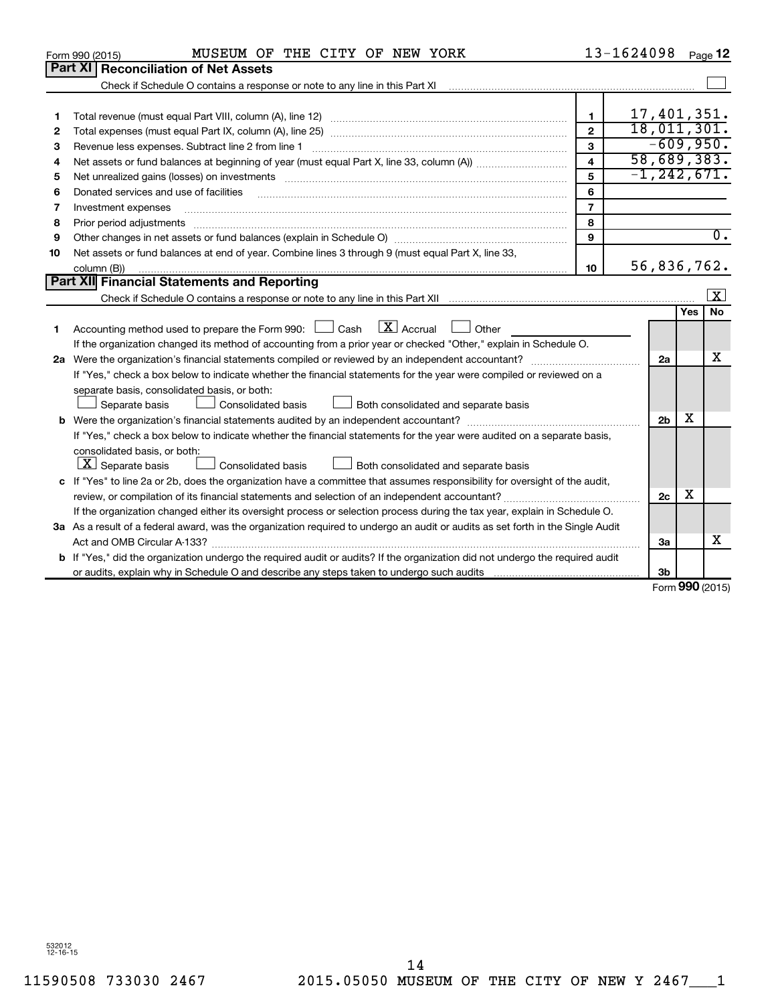|    | MUSEUM OF THE CITY OF NEW YORK<br>Form 990 (2015)                                                                               |                         | 13-1624098                                    |     | Page 12          |
|----|---------------------------------------------------------------------------------------------------------------------------------|-------------------------|-----------------------------------------------|-----|------------------|
|    | Part XI   Reconciliation of Net Assets                                                                                          |                         |                                               |     |                  |
|    |                                                                                                                                 |                         |                                               |     |                  |
|    |                                                                                                                                 |                         |                                               |     |                  |
| 1  |                                                                                                                                 | $\mathbf{1}$            | 17,401,351.                                   |     |                  |
| 2  |                                                                                                                                 | $\overline{2}$          | 18,011,301.                                   |     |                  |
| з  | Revenue less expenses. Subtract line 2 from line 1                                                                              | 3                       | $-609,950.$                                   |     |                  |
| 4  |                                                                                                                                 | $\overline{\mathbf{A}}$ | 58,689,383.                                   |     |                  |
| 5  |                                                                                                                                 | 5                       | $-1, 242, 671.$                               |     |                  |
| 6  | Donated services and use of facilities                                                                                          | 6                       |                                               |     |                  |
| 7  | Investment expenses                                                                                                             | $\overline{7}$          |                                               |     |                  |
| 8  | Prior period adjustments                                                                                                        | 8                       |                                               |     |                  |
| 9  |                                                                                                                                 | 9                       |                                               |     | $\overline{0}$ . |
| 10 | Net assets or fund balances at end of year. Combine lines 3 through 9 (must equal Part X, line 33,                              |                         |                                               |     |                  |
|    | column (B))                                                                                                                     | 10                      | 56,836,762.                                   |     |                  |
|    | <b>Part XII Financial Statements and Reporting</b>                                                                              |                         |                                               |     |                  |
|    |                                                                                                                                 |                         |                                               |     | $\mathbf{X}$     |
|    |                                                                                                                                 |                         |                                               | Yes | <b>No</b>        |
| 1  | Accounting method used to prepare the Form 990: $\Box$ Cash $\Box X$ Accrual<br>Other                                           |                         |                                               |     |                  |
|    | If the organization changed its method of accounting from a prior year or checked "Other," explain in Schedule O.               |                         |                                               |     |                  |
|    |                                                                                                                                 |                         | 2a                                            |     | x                |
|    | If "Yes," check a box below to indicate whether the financial statements for the year were compiled or reviewed on a            |                         |                                               |     |                  |
|    | separate basis, consolidated basis, or both:                                                                                    |                         |                                               |     |                  |
|    | Both consolidated and separate basis<br>Separate basis<br>Consolidated basis                                                    |                         |                                               |     |                  |
|    |                                                                                                                                 |                         | 2 <sub>b</sub>                                | х   |                  |
|    | If "Yes," check a box below to indicate whether the financial statements for the year were audited on a separate basis,         |                         |                                               |     |                  |
|    | consolidated basis, or both:                                                                                                    |                         |                                               |     |                  |
|    | $X$ Separate basis<br>Consolidated basis<br>Both consolidated and separate basis                                                |                         |                                               |     |                  |
|    | c If "Yes" to line 2a or 2b, does the organization have a committee that assumes responsibility for oversight of the audit,     |                         |                                               |     |                  |
|    |                                                                                                                                 |                         | 2 <sub>c</sub>                                | х   |                  |
|    | If the organization changed either its oversight process or selection process during the tax year, explain in Schedule O.       |                         |                                               |     |                  |
|    | 3a As a result of a federal award, was the organization required to undergo an audit or audits as set forth in the Single Audit |                         |                                               |     |                  |
|    |                                                                                                                                 |                         | 3a                                            |     | x                |
|    | b If "Yes," did the organization undergo the required audit or audits? If the organization did not undergo the required audit   |                         |                                               |     |                  |
|    |                                                                                                                                 |                         | 3 <sub>b</sub><br>$F_{\text{orm}}$ 990 (2015) |     |                  |
|    |                                                                                                                                 |                         |                                               |     |                  |

Form (2015) **990**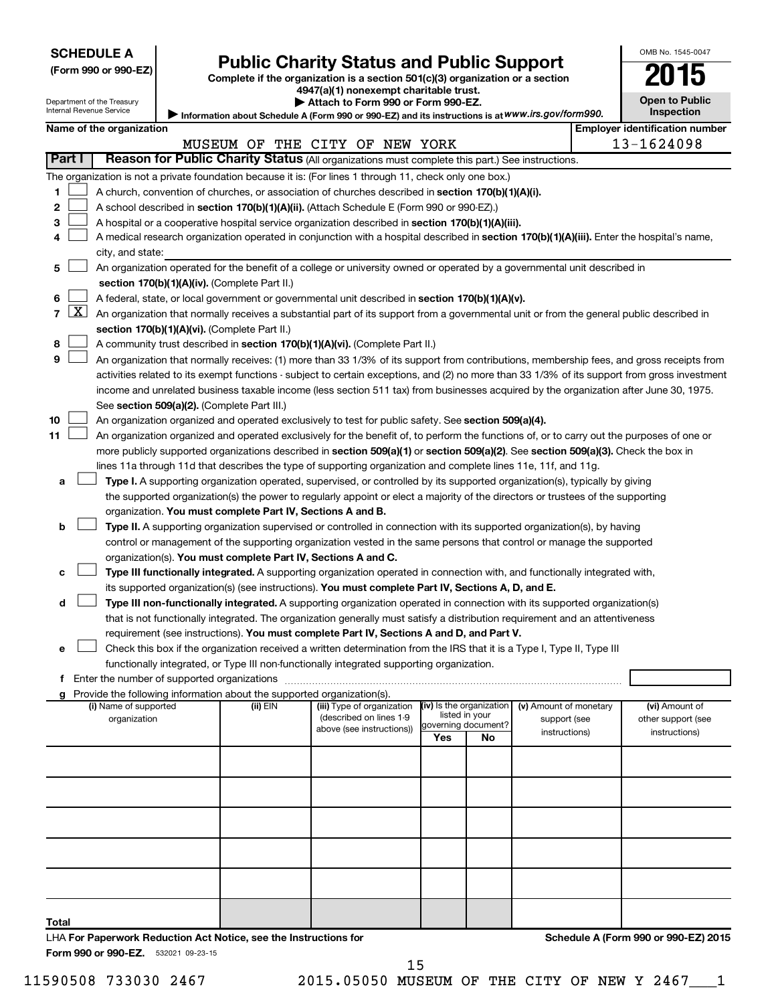| <b>SCHEDULE A</b> |  |
|-------------------|--|
|-------------------|--|

| (Form 990 or 990-EZ |  |  |  |  |
|---------------------|--|--|--|--|
|---------------------|--|--|--|--|

# **Public Charity Status and Public Support**<br> **2015**

**(Form 990 or 990-EZ) Complete if the organization is a section 501(c)(3) organization or a section**

**4947(a)(1) nonexempt charitable trust.**

| Attach to Form 990 or Form 990-EZ. |  |
|------------------------------------|--|
|                                    |  |

**Open to Public Inspection**

OMB No. 1545-0047

|  | Department of the Treasury<br>Internal Revenue Service |  |
|--|--------------------------------------------------------|--|
|  |                                                        |  |

|                |              | Internal Revenue Service                                                                                                                   |  |                                                                          | Information about Schedule A (Form 990 or 990-EZ) and its instructions is at WWW.irs.gov/form990.                                             |                          |                                       |                        |  | <b>Inspection</b>                     |
|----------------|--------------|--------------------------------------------------------------------------------------------------------------------------------------------|--|--------------------------------------------------------------------------|-----------------------------------------------------------------------------------------------------------------------------------------------|--------------------------|---------------------------------------|------------------------|--|---------------------------------------|
|                |              | Name of the organization                                                                                                                   |  |                                                                          |                                                                                                                                               |                          |                                       |                        |  | <b>Employer identification number</b> |
|                |              |                                                                                                                                            |  |                                                                          | MUSEUM OF THE CITY OF NEW YORK                                                                                                                |                          |                                       |                        |  | 13-1624098                            |
|                | Part I       |                                                                                                                                            |  |                                                                          | Reason for Public Charity Status (All organizations must complete this part.) See instructions.                                               |                          |                                       |                        |  |                                       |
|                |              |                                                                                                                                            |  |                                                                          | The organization is not a private foundation because it is: (For lines 1 through 11, check only one box.)                                     |                          |                                       |                        |  |                                       |
| 1.             |              |                                                                                                                                            |  |                                                                          | A church, convention of churches, or association of churches described in section 170(b)(1)(A)(i).                                            |                          |                                       |                        |  |                                       |
| 2              |              |                                                                                                                                            |  |                                                                          | A school described in section 170(b)(1)(A)(ii). (Attach Schedule E (Form 990 or 990-EZ).)                                                     |                          |                                       |                        |  |                                       |
| з              |              |                                                                                                                                            |  |                                                                          | A hospital or a cooperative hospital service organization described in section 170(b)(1)(A)(iii).                                             |                          |                                       |                        |  |                                       |
| 4              |              |                                                                                                                                            |  |                                                                          | A medical research organization operated in conjunction with a hospital described in section 170(b)(1)(A)(iii). Enter the hospital's name,    |                          |                                       |                        |  |                                       |
|                |              | city, and state:                                                                                                                           |  |                                                                          |                                                                                                                                               |                          |                                       |                        |  |                                       |
| 5              |              |                                                                                                                                            |  |                                                                          | An organization operated for the benefit of a college or university owned or operated by a governmental unit described in                     |                          |                                       |                        |  |                                       |
|                |              |                                                                                                                                            |  | section 170(b)(1)(A)(iv). (Complete Part II.)                            |                                                                                                                                               |                          |                                       |                        |  |                                       |
| 6              |              |                                                                                                                                            |  |                                                                          | A federal, state, or local government or governmental unit described in section 170(b)(1)(A)(v).                                              |                          |                                       |                        |  |                                       |
| $\overline{7}$ | $\mathbf{X}$ |                                                                                                                                            |  |                                                                          | An organization that normally receives a substantial part of its support from a governmental unit or from the general public described in     |                          |                                       |                        |  |                                       |
|                |              |                                                                                                                                            |  | section 170(b)(1)(A)(vi). (Complete Part II.)                            |                                                                                                                                               |                          |                                       |                        |  |                                       |
| 8              |              |                                                                                                                                            |  |                                                                          | A community trust described in section 170(b)(1)(A)(vi). (Complete Part II.)                                                                  |                          |                                       |                        |  |                                       |
| 9              |              |                                                                                                                                            |  |                                                                          | An organization that normally receives: (1) more than 33 1/3% of its support from contributions, membership fees, and gross receipts from     |                          |                                       |                        |  |                                       |
|                |              |                                                                                                                                            |  |                                                                          | activities related to its exempt functions - subject to certain exceptions, and (2) no more than 33 1/3% of its support from gross investment |                          |                                       |                        |  |                                       |
|                |              |                                                                                                                                            |  |                                                                          | income and unrelated business taxable income (less section 511 tax) from businesses acquired by the organization after June 30, 1975.         |                          |                                       |                        |  |                                       |
|                |              |                                                                                                                                            |  | See section 509(a)(2). (Complete Part III.)                              |                                                                                                                                               |                          |                                       |                        |  |                                       |
| 10             |              |                                                                                                                                            |  |                                                                          | An organization organized and operated exclusively to test for public safety. See section 509(a)(4).                                          |                          |                                       |                        |  |                                       |
| 11             |              | An organization organized and operated exclusively for the benefit of, to perform the functions of, or to carry out the purposes of one or |  |                                                                          |                                                                                                                                               |                          |                                       |                        |  |                                       |
|                |              | more publicly supported organizations described in section 509(a)(1) or section 509(a)(2). See section 509(a)(3). Check the box in         |  |                                                                          |                                                                                                                                               |                          |                                       |                        |  |                                       |
|                |              | lines 11a through 11d that describes the type of supporting organization and complete lines 11e, 11f, and 11g.                             |  |                                                                          |                                                                                                                                               |                          |                                       |                        |  |                                       |
| a              |              |                                                                                                                                            |  |                                                                          | Type I. A supporting organization operated, supervised, or controlled by its supported organization(s), typically by giving                   |                          |                                       |                        |  |                                       |
|                |              |                                                                                                                                            |  |                                                                          | the supported organization(s) the power to regularly appoint or elect a majority of the directors or trustees of the supporting               |                          |                                       |                        |  |                                       |
|                |              |                                                                                                                                            |  | organization. You must complete Part IV, Sections A and B.               |                                                                                                                                               |                          |                                       |                        |  |                                       |
| b              |              |                                                                                                                                            |  |                                                                          | Type II. A supporting organization supervised or controlled in connection with its supported organization(s), by having                       |                          |                                       |                        |  |                                       |
|                |              |                                                                                                                                            |  |                                                                          | control or management of the supporting organization vested in the same persons that control or manage the supported                          |                          |                                       |                        |  |                                       |
|                |              |                                                                                                                                            |  | organization(s). You must complete Part IV, Sections A and C.            |                                                                                                                                               |                          |                                       |                        |  |                                       |
| с              |              |                                                                                                                                            |  |                                                                          | Type III functionally integrated. A supporting organization operated in connection with, and functionally integrated with,                    |                          |                                       |                        |  |                                       |
|                |              |                                                                                                                                            |  |                                                                          | its supported organization(s) (see instructions). You must complete Part IV, Sections A, D, and E.                                            |                          |                                       |                        |  |                                       |
| d              |              |                                                                                                                                            |  |                                                                          | Type III non-functionally integrated. A supporting organization operated in connection with its supported organization(s)                     |                          |                                       |                        |  |                                       |
|                |              |                                                                                                                                            |  |                                                                          | that is not functionally integrated. The organization generally must satisfy a distribution requirement and an attentiveness                  |                          |                                       |                        |  |                                       |
|                |              |                                                                                                                                            |  |                                                                          | requirement (see instructions). You must complete Part IV, Sections A and D, and Part V.                                                      |                          |                                       |                        |  |                                       |
| е              |              |                                                                                                                                            |  |                                                                          | Check this box if the organization received a written determination from the IRS that it is a Type I, Type II, Type III                       |                          |                                       |                        |  |                                       |
|                |              |                                                                                                                                            |  |                                                                          | functionally integrated, or Type III non-functionally integrated supporting organization.                                                     |                          |                                       |                        |  |                                       |
|                |              |                                                                                                                                            |  |                                                                          |                                                                                                                                               |                          |                                       |                        |  |                                       |
|                |              |                                                                                                                                            |  | g Provide the following information about the supported organization(s). |                                                                                                                                               |                          |                                       |                        |  |                                       |
|                |              | (i) Name of supported                                                                                                                      |  | (ii) EIN                                                                 | (iii) Type of organization                                                                                                                    | (iv) Is the organization |                                       | (v) Amount of monetary |  | (vi) Amount of                        |
|                |              | organization                                                                                                                               |  |                                                                          | (described on lines 1-9<br>above (see instructions))                                                                                          |                          | listed in your<br>governing document? | support (see           |  | other support (see                    |
|                |              |                                                                                                                                            |  |                                                                          |                                                                                                                                               | Yes                      | No                                    | instructions)          |  | instructions)                         |
|                |              |                                                                                                                                            |  |                                                                          |                                                                                                                                               |                          |                                       |                        |  |                                       |
|                |              |                                                                                                                                            |  |                                                                          |                                                                                                                                               |                          |                                       |                        |  |                                       |
|                |              |                                                                                                                                            |  |                                                                          |                                                                                                                                               |                          |                                       |                        |  |                                       |
|                |              |                                                                                                                                            |  |                                                                          |                                                                                                                                               |                          |                                       |                        |  |                                       |
|                |              |                                                                                                                                            |  |                                                                          |                                                                                                                                               |                          |                                       |                        |  |                                       |
|                |              |                                                                                                                                            |  |                                                                          |                                                                                                                                               |                          |                                       |                        |  |                                       |
|                |              |                                                                                                                                            |  |                                                                          |                                                                                                                                               |                          |                                       |                        |  |                                       |
|                |              |                                                                                                                                            |  |                                                                          |                                                                                                                                               |                          |                                       |                        |  |                                       |

**Total** LHA **For Paperwork Reduction Act Notice, see the Instructions for** 

**Schedule A (Form 990 or 990-EZ) 2015**

Form 990 or 990-EZ. 532021 09-23-15

11590508 733030 2467 2015.05050 MUSEUM OF THE CITY OF NEW Y 2467\_\_\_1 15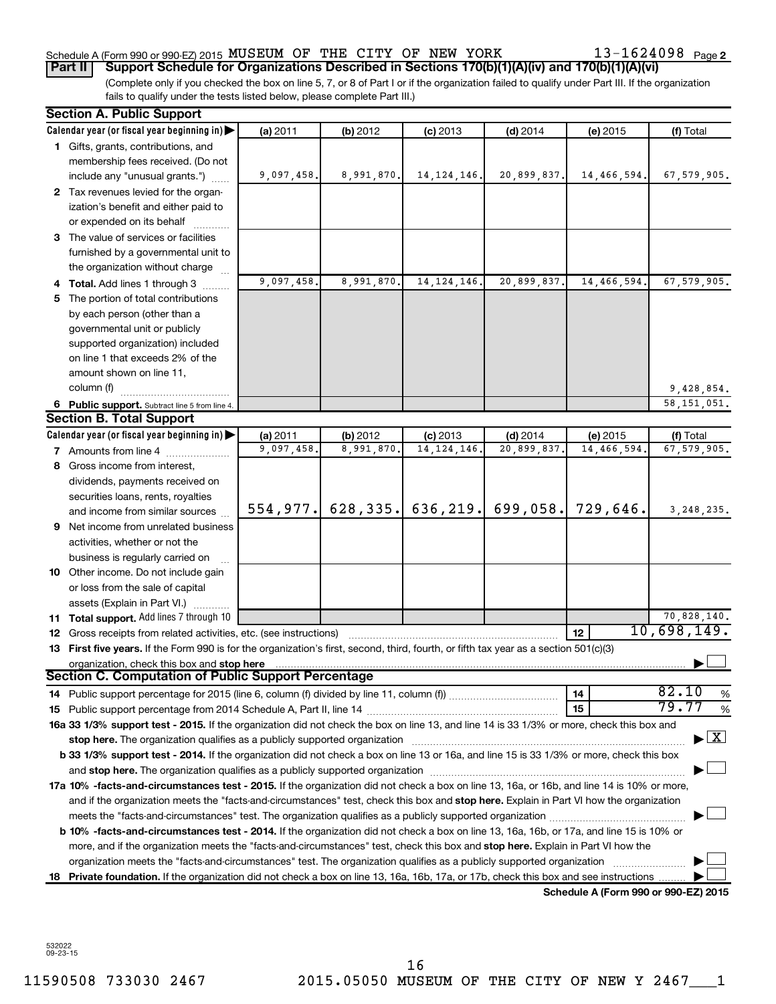# Schedule A (Form 990 or 990-EZ) 2015 Page MUSEUM OF THE CITY OF NEW YORK 13-1624098

13-1624098 Page 2

(Complete only if you checked the box on line 5, 7, or 8 of Part I or if the organization failed to qualify under Part III. If the organization fails to qualify under the tests listed below, please complete Part III.) **Part II Support Schedule for Organizations Described in Sections 170(b)(1)(A)(iv) and 170(b)(1)(A)(vi)**

|   | <b>Section A. Public Support</b>                                                                                                                                                                                              |            |            |               |                                     |                                      |                                    |
|---|-------------------------------------------------------------------------------------------------------------------------------------------------------------------------------------------------------------------------------|------------|------------|---------------|-------------------------------------|--------------------------------------|------------------------------------|
|   | Calendar year (or fiscal year beginning in)                                                                                                                                                                                   | (a) 2011   | (b) 2012   | $(c)$ 2013    | $(d)$ 2014                          | (e) 2015                             | (f) Total                          |
|   | 1 Gifts, grants, contributions, and                                                                                                                                                                                           |            |            |               |                                     |                                      |                                    |
|   | membership fees received. (Do not                                                                                                                                                                                             |            |            |               |                                     |                                      |                                    |
|   | include any "unusual grants.")                                                                                                                                                                                                | 9,097,458. | 8,991,870. | 14, 124, 146. | 20,899,837.                         | 14,466,594.                          | 67,579,905.                        |
|   | 2 Tax revenues levied for the organ-                                                                                                                                                                                          |            |            |               |                                     |                                      |                                    |
|   | ization's benefit and either paid to                                                                                                                                                                                          |            |            |               |                                     |                                      |                                    |
|   | or expended on its behalf                                                                                                                                                                                                     |            |            |               |                                     |                                      |                                    |
|   | 3 The value of services or facilities                                                                                                                                                                                         |            |            |               |                                     |                                      |                                    |
|   | furnished by a governmental unit to                                                                                                                                                                                           |            |            |               |                                     |                                      |                                    |
|   | the organization without charge                                                                                                                                                                                               |            |            |               |                                     |                                      |                                    |
|   | 4 Total. Add lines 1 through 3                                                                                                                                                                                                | 9,097,458. | 8,991,870. | 14, 124, 146. | 20,899,837.                         | 14,466,594.                          | 67,579,905.                        |
|   | 5 The portion of total contributions                                                                                                                                                                                          |            |            |               |                                     |                                      |                                    |
|   | by each person (other than a                                                                                                                                                                                                  |            |            |               |                                     |                                      |                                    |
|   | governmental unit or publicly                                                                                                                                                                                                 |            |            |               |                                     |                                      |                                    |
|   | supported organization) included                                                                                                                                                                                              |            |            |               |                                     |                                      |                                    |
|   | on line 1 that exceeds 2% of the                                                                                                                                                                                              |            |            |               |                                     |                                      |                                    |
|   | amount shown on line 11,                                                                                                                                                                                                      |            |            |               |                                     |                                      |                                    |
|   | column (f)                                                                                                                                                                                                                    |            |            |               |                                     |                                      | 9,428,854.                         |
|   | 6 Public support. Subtract line 5 from line 4.                                                                                                                                                                                |            |            |               |                                     |                                      | 58, 151, 051.                      |
|   | <b>Section B. Total Support</b>                                                                                                                                                                                               |            |            |               |                                     |                                      |                                    |
|   | Calendar year (or fiscal year beginning in)                                                                                                                                                                                   | (a) 2011   | (b) 2012   | $(c)$ 2013    | $(d)$ 2014                          | (e) 2015                             | (f) Total                          |
|   | 7 Amounts from line 4                                                                                                                                                                                                         | 9,097,458. | 8,991,870. | 14, 124, 146. | 20,899,837.                         | 14,466,594.                          | 67,579,905.                        |
|   | 8 Gross income from interest,                                                                                                                                                                                                 |            |            |               |                                     |                                      |                                    |
|   | dividends, payments received on                                                                                                                                                                                               |            |            |               |                                     |                                      |                                    |
|   | securities loans, rents, royalties                                                                                                                                                                                            |            |            |               |                                     |                                      |                                    |
|   | and income from similar sources                                                                                                                                                                                               |            |            |               | 554,977. 628,335. 636,219. 699,058. | 729,646.                             | 3, 248, 235.                       |
| 9 | Net income from unrelated business                                                                                                                                                                                            |            |            |               |                                     |                                      |                                    |
|   | activities, whether or not the                                                                                                                                                                                                |            |            |               |                                     |                                      |                                    |
|   | business is regularly carried on                                                                                                                                                                                              |            |            |               |                                     |                                      |                                    |
|   | 10 Other income. Do not include gain                                                                                                                                                                                          |            |            |               |                                     |                                      |                                    |
|   | or loss from the sale of capital                                                                                                                                                                                              |            |            |               |                                     |                                      |                                    |
|   | assets (Explain in Part VI.)                                                                                                                                                                                                  |            |            |               |                                     |                                      |                                    |
|   | 11 Total support. Add lines 7 through 10                                                                                                                                                                                      |            |            |               |                                     |                                      | 70,828,140.                        |
|   | 12 Gross receipts from related activities, etc. (see instructions)                                                                                                                                                            |            |            |               |                                     | 12                                   | 10,698,149.                        |
|   | 13 First five years. If the Form 990 is for the organization's first, second, third, fourth, or fifth tax year as a section 501(c)(3)                                                                                         |            |            |               |                                     |                                      |                                    |
|   | organization, check this box and stop here match and the content of the content of the content of the content of the content of the content of the content of the content of the content of the content of the content of the |            |            |               |                                     |                                      |                                    |
|   | <b>Section C. Computation of Public Support Percentage</b>                                                                                                                                                                    |            |            |               |                                     |                                      |                                    |
|   |                                                                                                                                                                                                                               |            |            |               |                                     | 14                                   | 82.10<br>%                         |
|   |                                                                                                                                                                                                                               |            |            |               |                                     | 15                                   | 79.77<br>%                         |
|   | 16a 33 1/3% support test - 2015. If the organization did not check the box on line 13, and line 14 is 33 1/3% or more, check this box and                                                                                     |            |            |               |                                     |                                      |                                    |
|   |                                                                                                                                                                                                                               |            |            |               |                                     |                                      | $\blacktriangleright$ $\mathbf{X}$ |
|   | <b>b 33 1/3% support test - 2014.</b> If the organization did not check a box on line 13 or 16a, and line 15 is 33 1/3% or more, check this box                                                                               |            |            |               |                                     |                                      |                                    |
|   |                                                                                                                                                                                                                               |            |            |               |                                     |                                      |                                    |
|   | 17a 10% -facts-and-circumstances test - 2015. If the organization did not check a box on line 13, 16a, or 16b, and line 14 is 10% or more,                                                                                    |            |            |               |                                     |                                      |                                    |
|   | and if the organization meets the "facts-and-circumstances" test, check this box and stop here. Explain in Part VI how the organization                                                                                       |            |            |               |                                     |                                      |                                    |
|   |                                                                                                                                                                                                                               |            |            |               |                                     |                                      |                                    |
|   | <b>b 10%</b> -facts-and-circumstances test - 2014. If the organization did not check a box on line 13, 16a, 16b, or 17a, and line 15 is 10% or                                                                                |            |            |               |                                     |                                      |                                    |
|   | more, and if the organization meets the "facts-and-circumstances" test, check this box and stop here. Explain in Part VI how the                                                                                              |            |            |               |                                     |                                      |                                    |
|   | organization meets the "facts-and-circumstances" test. The organization qualifies as a publicly supported organization                                                                                                        |            |            |               |                                     |                                      |                                    |
|   | 18 Private foundation. If the organization did not check a box on line 13, 16a, 16b, 17a, or 17b, check this box and see instructions                                                                                         |            |            |               |                                     |                                      |                                    |
|   |                                                                                                                                                                                                                               |            |            |               |                                     | Schedule A (Form 990 or 990-EZ) 2015 |                                    |

532022 09-23-15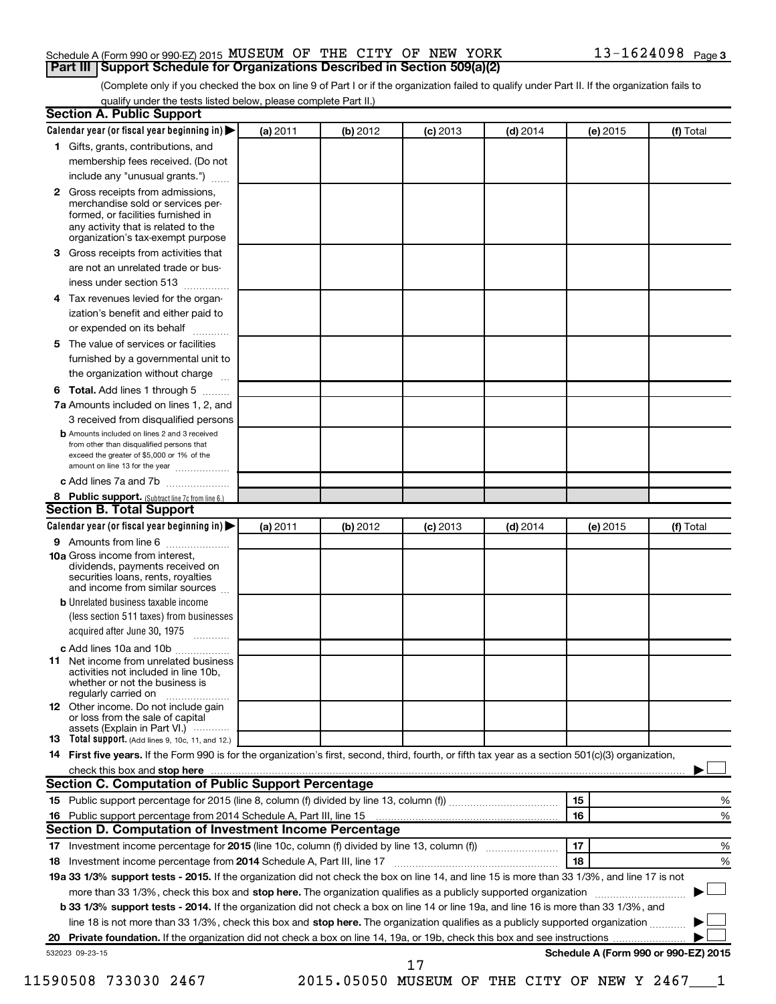# Schedule A (Form 990 or 990-EZ) 2015 Page MUSEUM OF THE CITY OF NEW YORK 13-1624098 **Part III Support Schedule for Organizations Described in Section 509(a)(2)**

(Complete only if you checked the box on line 9 of Part I or if the organization failed to qualify under Part II. If the organization fails to qualify under the tests listed below, please complete Part II.)

|              | Calendar year (or fiscal year beginning in)                                                                                                         | (a) 2011 | (b) 2012 | $(c)$ 2013 | $(d)$ 2014 | (e) 2015 | (f) Total                            |
|--------------|-----------------------------------------------------------------------------------------------------------------------------------------------------|----------|----------|------------|------------|----------|--------------------------------------|
|              | 1 Gifts, grants, contributions, and                                                                                                                 |          |          |            |            |          |                                      |
|              | membership fees received. (Do not                                                                                                                   |          |          |            |            |          |                                      |
|              | include any "unusual grants.")                                                                                                                      |          |          |            |            |          |                                      |
| $\mathbf{2}$ | Gross receipts from admissions,<br>merchandise sold or services per-                                                                                |          |          |            |            |          |                                      |
|              | formed, or facilities furnished in<br>any activity that is related to the<br>organization's tax-exempt purpose                                      |          |          |            |            |          |                                      |
| 3.           | Gross receipts from activities that                                                                                                                 |          |          |            |            |          |                                      |
|              | are not an unrelated trade or bus-                                                                                                                  |          |          |            |            |          |                                      |
|              | iness under section 513                                                                                                                             |          |          |            |            |          |                                      |
| 4            | Tax revenues levied for the organ-                                                                                                                  |          |          |            |            |          |                                      |
|              | ization's benefit and either paid to                                                                                                                |          |          |            |            |          |                                      |
|              | or expended on its behalf<br>.                                                                                                                      |          |          |            |            |          |                                      |
| 5            | The value of services or facilities                                                                                                                 |          |          |            |            |          |                                      |
|              | furnished by a governmental unit to                                                                                                                 |          |          |            |            |          |                                      |
|              | the organization without charge                                                                                                                     |          |          |            |            |          |                                      |
| 6            | Total. Add lines 1 through 5                                                                                                                        |          |          |            |            |          |                                      |
|              | 7a Amounts included on lines 1, 2, and                                                                                                              |          |          |            |            |          |                                      |
|              | 3 received from disqualified persons                                                                                                                |          |          |            |            |          |                                      |
|              | <b>b</b> Amounts included on lines 2 and 3 received                                                                                                 |          |          |            |            |          |                                      |
|              | from other than disqualified persons that<br>exceed the greater of \$5,000 or 1% of the<br>amount on line 13 for the year                           |          |          |            |            |          |                                      |
|              | c Add lines 7a and 7b                                                                                                                               |          |          |            |            |          |                                      |
|              | 8 Public support. (Subtract line 7c from line 6.)                                                                                                   |          |          |            |            |          |                                      |
|              | <b>Section B. Total Support</b>                                                                                                                     |          |          |            |            |          |                                      |
|              | Calendar year (or fiscal year beginning in)                                                                                                         | (a) 2011 | (b) 2012 | $(c)$ 2013 | $(d)$ 2014 | (e) 2015 | (f) Total                            |
|              | 9 Amounts from line 6                                                                                                                               |          |          |            |            |          |                                      |
|              | <b>10a</b> Gross income from interest,<br>dividends, payments received on<br>securities loans, rents, royalties<br>and income from similar sources  |          |          |            |            |          |                                      |
|              | <b>b</b> Unrelated business taxable income                                                                                                          |          |          |            |            |          |                                      |
|              | (less section 511 taxes) from businesses<br>acquired after June 30, 1975                                                                            |          |          |            |            |          |                                      |
|              | c Add lines 10a and 10b                                                                                                                             |          |          |            |            |          |                                      |
| 11           | Net income from unrelated business<br>activities not included in line 10b.<br>whether or not the business is                                        |          |          |            |            |          |                                      |
|              | regularly carried on<br><b>12</b> Other income. Do not include gain<br>or loss from the sale of capital                                             |          |          |            |            |          |                                      |
|              | assets (Explain in Part VI.)<br><b>13</b> Total support. (Add lines 9, 10c, 11, and 12.)                                                            |          |          |            |            |          |                                      |
|              | 14 First five years. If the Form 990 is for the organization's first, second, third, fourth, or fifth tax year as a section 501(c)(3) organization, |          |          |            |            |          |                                      |
|              | check this box and stop here www.communication.communication.com/                                                                                   |          |          |            |            |          |                                      |
|              | Section C. Computation of Public Support Percentage                                                                                                 |          |          |            |            |          |                                      |
|              |                                                                                                                                                     |          |          |            |            | 15       | %                                    |
|              |                                                                                                                                                     |          |          |            |            | 16       | %                                    |
|              | Section D. Computation of Investment Income Percentage                                                                                              |          |          |            |            |          |                                      |
|              |                                                                                                                                                     |          |          |            |            | 17       | %                                    |
|              |                                                                                                                                                     |          |          |            |            | 18       | %                                    |
|              | 19a 33 1/3% support tests - 2015. If the organization did not check the box on line 14, and line 15 is more than 33 1/3%, and line 17 is not        |          |          |            |            |          |                                      |
|              | more than 33 1/3%, check this box and stop here. The organization qualifies as a publicly supported organization                                    |          |          |            |            |          |                                      |
|              | b 33 1/3% support tests - 2014. If the organization did not check a box on line 14 or line 19a, and line 16 is more than 33 1/3%, and               |          |          |            |            |          |                                      |
|              | line 18 is not more than 33 1/3%, check this box and stop here. The organization qualifies as a publicly supported organization                     |          |          |            |            |          |                                      |
|              |                                                                                                                                                     |          |          |            |            |          |                                      |
|              | 532023 09-23-15                                                                                                                                     |          |          |            |            |          | Schedule A (Form 990 or 990-EZ) 2015 |
|              |                                                                                                                                                     |          |          |            |            |          |                                      |
|              |                                                                                                                                                     |          |          | 17         |            |          |                                      |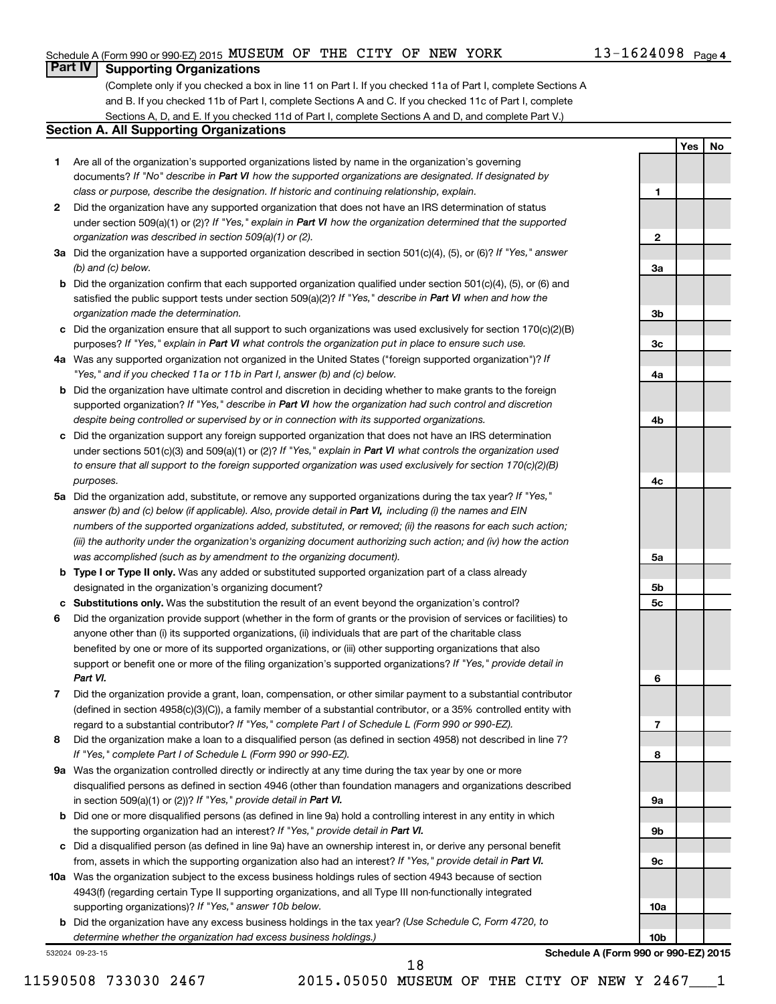# Schedule A (Form 990 or 990-EZ) 2015 Page MUSEUM OF THE CITY OF NEW YORK 13-1624098

# **Part IV Supporting Organizations**

(Complete only if you checked a box in line 11 on Part I. If you checked 11a of Part I, complete Sections A and B. If you checked 11b of Part I, complete Sections A and C. If you checked 11c of Part I, complete Sections A, D, and E. If you checked 11d of Part I, complete Sections A and D, and complete Part V.)

## **Section A. All Supporting Organizations**

- **1** Are all of the organization's supported organizations listed by name in the organization's governing documents? If "No" describe in Part VI how the supported organizations are designated. If designated by *class or purpose, describe the designation. If historic and continuing relationship, explain.*
- **2** Did the organization have any supported organization that does not have an IRS determination of status under section 509(a)(1) or (2)? If "Yes," explain in Part VI how the organization determined that the supported *organization was described in section 509(a)(1) or (2).*
- **3a** Did the organization have a supported organization described in section 501(c)(4), (5), or (6)? If "Yes," answer *(b) and (c) below.*
- **b** Did the organization confirm that each supported organization qualified under section 501(c)(4), (5), or (6) and satisfied the public support tests under section 509(a)(2)? If "Yes," describe in Part VI when and how the *organization made the determination.*
- **c** Did the organization ensure that all support to such organizations was used exclusively for section 170(c)(2)(B) purposes? If "Yes," explain in Part VI what controls the organization put in place to ensure such use.
- **4 a** *If* Was any supported organization not organized in the United States ("foreign supported organization")? *"Yes," and if you checked 11a or 11b in Part I, answer (b) and (c) below.*
- **b** Did the organization have ultimate control and discretion in deciding whether to make grants to the foreign supported organization? If "Yes," describe in Part VI how the organization had such control and discretion *despite being controlled or supervised by or in connection with its supported organizations.*
- **c** Did the organization support any foreign supported organization that does not have an IRS determination under sections 501(c)(3) and 509(a)(1) or (2)? If "Yes," explain in Part VI what controls the organization used *to ensure that all support to the foreign supported organization was used exclusively for section 170(c)(2)(B) purposes.*
- **5a** Did the organization add, substitute, or remove any supported organizations during the tax year? If "Yes," answer (b) and (c) below (if applicable). Also, provide detail in Part VI, including (i) the names and EIN *numbers of the supported organizations added, substituted, or removed; (ii) the reasons for each such action; (iii) the authority under the organization's organizing document authorizing such action; and (iv) how the action was accomplished (such as by amendment to the organizing document).*
- **b Type I or Type II only.** Was any added or substituted supported organization part of a class already designated in the organization's organizing document?
- **c Substitutions only.**  Was the substitution the result of an event beyond the organization's control?
- **6** Did the organization provide support (whether in the form of grants or the provision of services or facilities) to support or benefit one or more of the filing organization's supported organizations? If "Yes," provide detail in anyone other than (i) its supported organizations, (ii) individuals that are part of the charitable class benefited by one or more of its supported organizations, or (iii) other supporting organizations that also *Part VI.*
- **7** Did the organization provide a grant, loan, compensation, or other similar payment to a substantial contributor regard to a substantial contributor? If "Yes," complete Part I of Schedule L (Form 990 or 990-EZ). (defined in section 4958(c)(3)(C)), a family member of a substantial contributor, or a 35% controlled entity with
- **8** Did the organization make a loan to a disqualified person (as defined in section 4958) not described in line 7? *If "Yes," complete Part I of Schedule L (Form 990 or 990-EZ).*
- **9 a** Was the organization controlled directly or indirectly at any time during the tax year by one or more in section 509(a)(1) or (2))? If "Yes," provide detail in Part VI. disqualified persons as defined in section 4946 (other than foundation managers and organizations described
- **b** Did one or more disqualified persons (as defined in line 9a) hold a controlling interest in any entity in which the supporting organization had an interest? If "Yes," provide detail in Part VI.
- **c** Did a disqualified person (as defined in line 9a) have an ownership interest in, or derive any personal benefit from, assets in which the supporting organization also had an interest? If "Yes," provide detail in Part VI.
- **10 a** Was the organization subject to the excess business holdings rules of section 4943 because of section supporting organizations)? If "Yes," answer 10b below. 4943(f) (regarding certain Type II supporting organizations, and all Type III non-functionally integrated
	- **b** Did the organization have any excess business holdings in the tax year? (Use Schedule C, Form 4720, to *determine whether the organization had excess business holdings.)*

532024 09-23-15



**Schedule A (Form 990 or 990-EZ) 2015**

**1**

**2**

**Yes No**

11590508 733030 2467 2015.05050 MUSEUM OF THE CITY OF NEW Y 2467\_\_\_1

18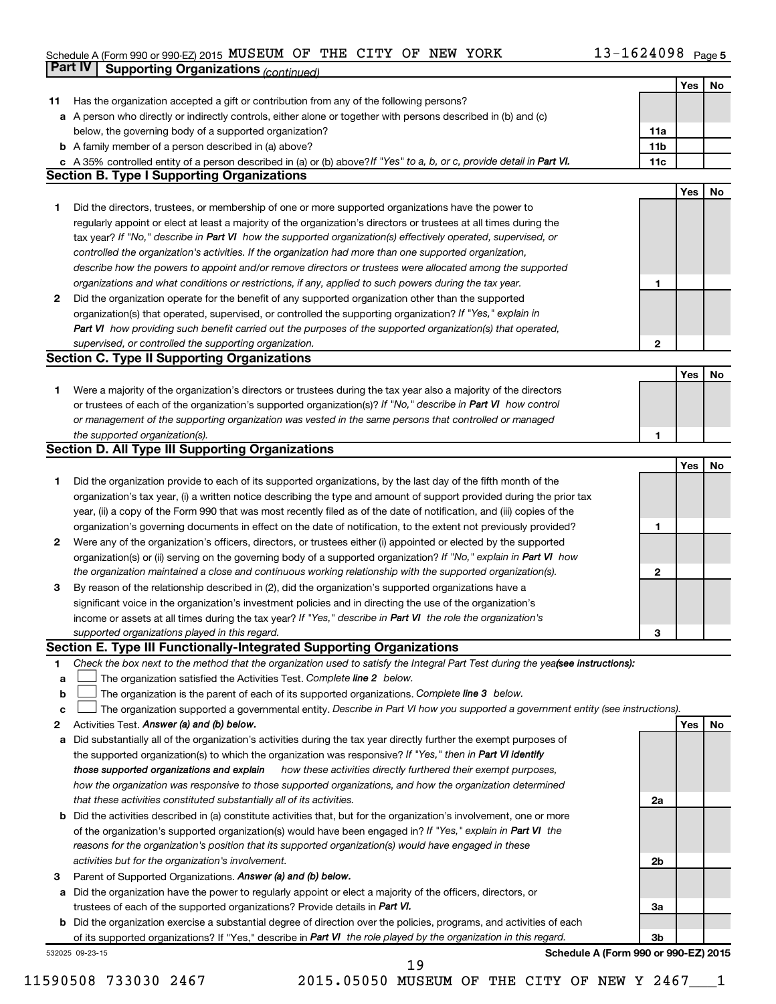### Schedule A (Form 990 or 990-EZ) 2015 MUSEUM OF THE CITY OF NEW YORK  $13-1624098$  Page MUSEUM OF THE CITY OF NEW YORK 13-1624098

|              | Part IV<br><b>Supporting Organizations (continued)</b>                                                                          |                 |     |    |
|--------------|---------------------------------------------------------------------------------------------------------------------------------|-----------------|-----|----|
|              |                                                                                                                                 |                 | Yes | No |
| 11           | Has the organization accepted a gift or contribution from any of the following persons?                                         |                 |     |    |
|              | a A person who directly or indirectly controls, either alone or together with persons described in (b) and (c)                  |                 |     |    |
|              | below, the governing body of a supported organization?                                                                          | 11a             |     |    |
|              | <b>b</b> A family member of a person described in (a) above?                                                                    | 11 <sub>b</sub> |     |    |
|              | c A 35% controlled entity of a person described in (a) or (b) above? If "Yes" to a, b, or c, provide detail in Part VI.         | 11c             |     |    |
|              | <b>Section B. Type I Supporting Organizations</b>                                                                               |                 |     |    |
|              |                                                                                                                                 |                 | Yes | No |
| 1            | Did the directors, trustees, or membership of one or more supported organizations have the power to                             |                 |     |    |
|              | regularly appoint or elect at least a majority of the organization's directors or trustees at all times during the              |                 |     |    |
|              | tax year? If "No," describe in Part VI how the supported organization(s) effectively operated, supervised, or                   |                 |     |    |
|              | controlled the organization's activities. If the organization had more than one supported organization,                         |                 |     |    |
|              | describe how the powers to appoint and/or remove directors or trustees were allocated among the supported                       |                 |     |    |
|              |                                                                                                                                 | 1               |     |    |
|              | organizations and what conditions or restrictions, if any, applied to such powers during the tax year.                          |                 |     |    |
| 2            | Did the organization operate for the benefit of any supported organization other than the supported                             |                 |     |    |
|              | organization(s) that operated, supervised, or controlled the supporting organization? If "Yes," explain in                      |                 |     |    |
|              | Part VI how providing such benefit carried out the purposes of the supported organization(s) that operated,                     |                 |     |    |
|              | supervised, or controlled the supporting organization.                                                                          | 2               |     |    |
|              | <b>Section C. Type II Supporting Organizations</b>                                                                              |                 |     |    |
|              |                                                                                                                                 |                 | Yes | No |
| 1.           | Were a majority of the organization's directors or trustees during the tax year also a majority of the directors                |                 |     |    |
|              | or trustees of each of the organization's supported organization(s)? If "No," describe in Part VI how control                   |                 |     |    |
|              | or management of the supporting organization was vested in the same persons that controlled or managed                          |                 |     |    |
|              | the supported organization(s).                                                                                                  | 1               |     |    |
|              | <b>Section D. All Type III Supporting Organizations</b>                                                                         |                 |     |    |
|              |                                                                                                                                 |                 | Yes | No |
| 1            | Did the organization provide to each of its supported organizations, by the last day of the fifth month of the                  |                 |     |    |
|              | organization's tax year, (i) a written notice describing the type and amount of support provided during the prior tax           |                 |     |    |
|              | year, (ii) a copy of the Form 990 that was most recently filed as of the date of notification, and (iii) copies of the          |                 |     |    |
|              | organization's governing documents in effect on the date of notification, to the extent not previously provided?                | 1               |     |    |
| $\mathbf{2}$ | Were any of the organization's officers, directors, or trustees either (i) appointed or elected by the supported                |                 |     |    |
|              | organization(s) or (ii) serving on the governing body of a supported organization? If "No," explain in Part VI how              |                 |     |    |
|              | the organization maintained a close and continuous working relationship with the supported organization(s).                     | $\mathbf{2}$    |     |    |
| 3            | By reason of the relationship described in (2), did the organization's supported organizations have a                           |                 |     |    |
|              | significant voice in the organization's investment policies and in directing the use of the organization's                      |                 |     |    |
|              | income or assets at all times during the tax year? If "Yes," describe in Part VI the role the organization's                    |                 |     |    |
|              | supported organizations played in this regard.                                                                                  | з               |     |    |
|              | Section E. Type III Functionally-Integrated Supporting Organizations                                                            |                 |     |    |
| 1            | Check the box next to the method that the organization used to satisfy the Integral Part Test during the yealsee instructions): |                 |     |    |
| a            | The organization satisfied the Activities Test. Complete line 2 below.                                                          |                 |     |    |
| b            | The organization is the parent of each of its supported organizations. Complete line 3 below.                                   |                 |     |    |
| c            | The organization supported a governmental entity. Describe in Part VI how you supported a government entity (see instructions). |                 |     |    |
| 2            | Activities Test. Answer (a) and (b) below.                                                                                      |                 | Yes | No |
| а            | Did substantially all of the organization's activities during the tax year directly further the exempt purposes of              |                 |     |    |
|              | the supported organization(s) to which the organization was responsive? If "Yes," then in Part VI identify                      |                 |     |    |
|              | how these activities directly furthered their exempt purposes,<br>those supported organizations and explain                     |                 |     |    |
|              | how the organization was responsive to those supported organizations, and how the organization determined                       |                 |     |    |
|              | that these activities constituted substantially all of its activities.                                                          | 2a              |     |    |
| b            | Did the activities described in (a) constitute activities that, but for the organization's involvement, one or more             |                 |     |    |
|              | of the organization's supported organization(s) would have been engaged in? If "Yes," explain in Part VI the                    |                 |     |    |
|              | reasons for the organization's position that its supported organization(s) would have engaged in these                          |                 |     |    |
|              | activities but for the organization's involvement.                                                                              | 2b              |     |    |
| 3            | Parent of Supported Organizations. Answer (a) and (b) below.                                                                    |                 |     |    |
| а            | Did the organization have the power to regularly appoint or elect a majority of the officers, directors, or                     |                 |     |    |
|              | trustees of each of the supported organizations? Provide details in Part VI.                                                    | За              |     |    |
|              | <b>b</b> Did the organization exercise a substantial degree of direction over the policies, programs, and activities of each    |                 |     |    |
|              | of its supported organizations? If "Yes," describe in Part VI the role played by the organization in this regard.               | 3b              |     |    |
|              | Schedule A (Form 990 or 990-EZ) 2015<br>532025 09-23-15                                                                         |                 |     |    |
|              | 19                                                                                                                              |                 |     |    |

11590508 733030 2467 2015.05050 MUSEUM OF THE CITY OF NEW Y 2467\_\_\_1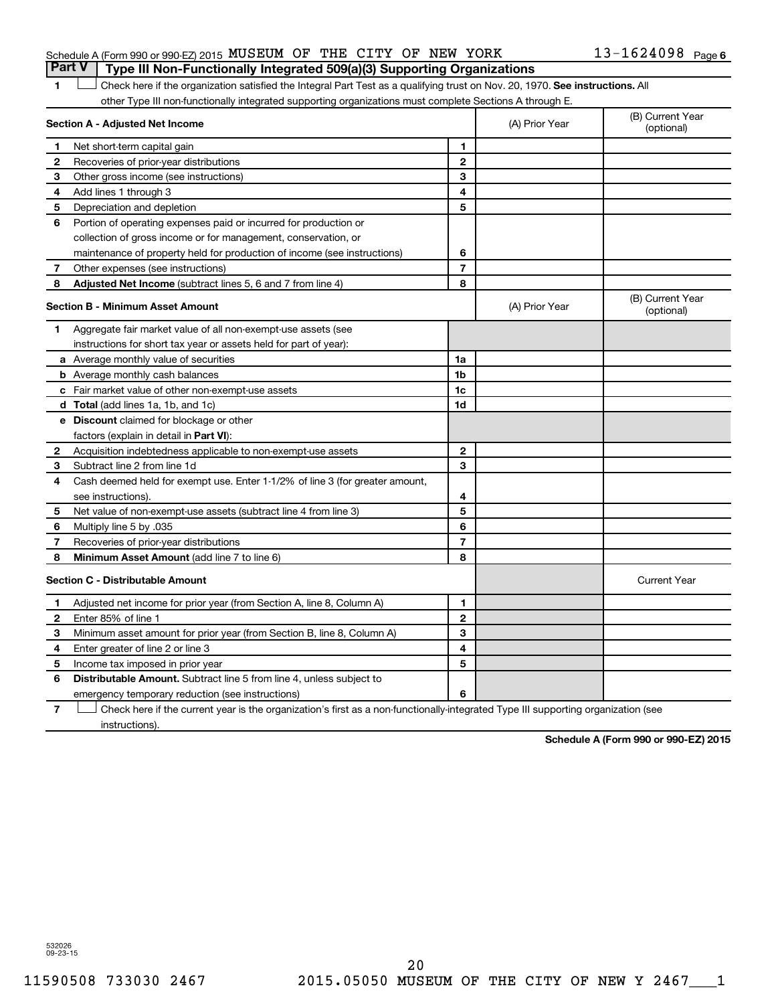# Schedule A (Form 990 or 990-EZ) 2015 Page MUSEUM OF THE CITY OF NEW YORK 13-1624098 **Part V Type III Non-Functionally Integrated 509(a)(3) Supporting Organizations**

1 **Letter on Reck here if the organization satisfied the Integral Part Test as a qualifying trust on Nov. 20, 1970. See instructions. All** other Type III non-functionally integrated supporting organizations must complete Sections A through E.

|                | Section A - Adjusted Net Income                                              |                | (A) Prior Year | (B) Current Year<br>(optional) |
|----------------|------------------------------------------------------------------------------|----------------|----------------|--------------------------------|
| 1              | Net short-term capital gain                                                  | 1              |                |                                |
| $\mathbf{2}$   | Recoveries of prior-year distributions                                       | $\overline{2}$ |                |                                |
| З              | Other gross income (see instructions)                                        | 3              |                |                                |
| 4              | Add lines 1 through 3                                                        | 4              |                |                                |
| 5              | Depreciation and depletion                                                   | 5              |                |                                |
| 6              | Portion of operating expenses paid or incurred for production or             |                |                |                                |
|                | collection of gross income or for management, conservation, or               |                |                |                                |
|                | maintenance of property held for production of income (see instructions)     | 6              |                |                                |
| 7              | Other expenses (see instructions)                                            | $\overline{7}$ |                |                                |
| 8              | <b>Adjusted Net Income</b> (subtract lines 5, 6 and 7 from line 4)           | 8              |                |                                |
|                | <b>Section B - Minimum Asset Amount</b>                                      |                | (A) Prior Year | (B) Current Year<br>(optional) |
| 1              | Aggregate fair market value of all non-exempt-use assets (see                |                |                |                                |
|                | instructions for short tax year or assets held for part of year):            |                |                |                                |
|                | a Average monthly value of securities                                        | 1a             |                |                                |
|                | <b>b</b> Average monthly cash balances                                       | 1 <sub>b</sub> |                |                                |
|                | c Fair market value of other non-exempt-use assets                           | 1c             |                |                                |
|                | <b>d</b> Total (add lines 1a, 1b, and 1c)                                    | 1 <sub>d</sub> |                |                                |
|                | e Discount claimed for blockage or other                                     |                |                |                                |
|                | factors (explain in detail in <b>Part VI</b> ):                              |                |                |                                |
| 2              | Acquisition indebtedness applicable to non-exempt-use assets                 | $\mathbf{2}$   |                |                                |
| 3              | Subtract line 2 from line 1d                                                 | 3              |                |                                |
| 4              | Cash deemed held for exempt use. Enter 1-1/2% of line 3 (for greater amount, |                |                |                                |
|                | see instructions).                                                           | 4              |                |                                |
| 5              | Net value of non-exempt-use assets (subtract line 4 from line 3)             | 5              |                |                                |
| 6              | Multiply line 5 by .035                                                      | 6              |                |                                |
| 7              | Recoveries of prior-year distributions                                       | $\overline{7}$ |                |                                |
| 8              | <b>Minimum Asset Amount</b> (add line 7 to line 6)                           | 8              |                |                                |
|                | <b>Section C - Distributable Amount</b>                                      |                |                | <b>Current Year</b>            |
| 1              | Adjusted net income for prior year (from Section A, line 8, Column A)        | 1              |                |                                |
| $\overline{2}$ | Enter 85% of line 1                                                          | $\overline{2}$ |                |                                |
| З              | Minimum asset amount for prior year (from Section B, line 8, Column A)       | 3              |                |                                |
| 4              | Enter greater of line 2 or line 3                                            | 4              |                |                                |
| 5              | Income tax imposed in prior year                                             | 5              |                |                                |
| 6              | Distributable Amount. Subtract line 5 from line 4, unless subject to         |                |                |                                |
|                | emergency temporary reduction (see instructions)                             | 6              |                |                                |
|                |                                                                              |                |                |                                |

**7** Check here if the current year is the organization's first as a non-functionally-integrated Type III supporting organization (see † instructions).

**Schedule A (Form 990 or 990-EZ) 2015**

532026 09-23-15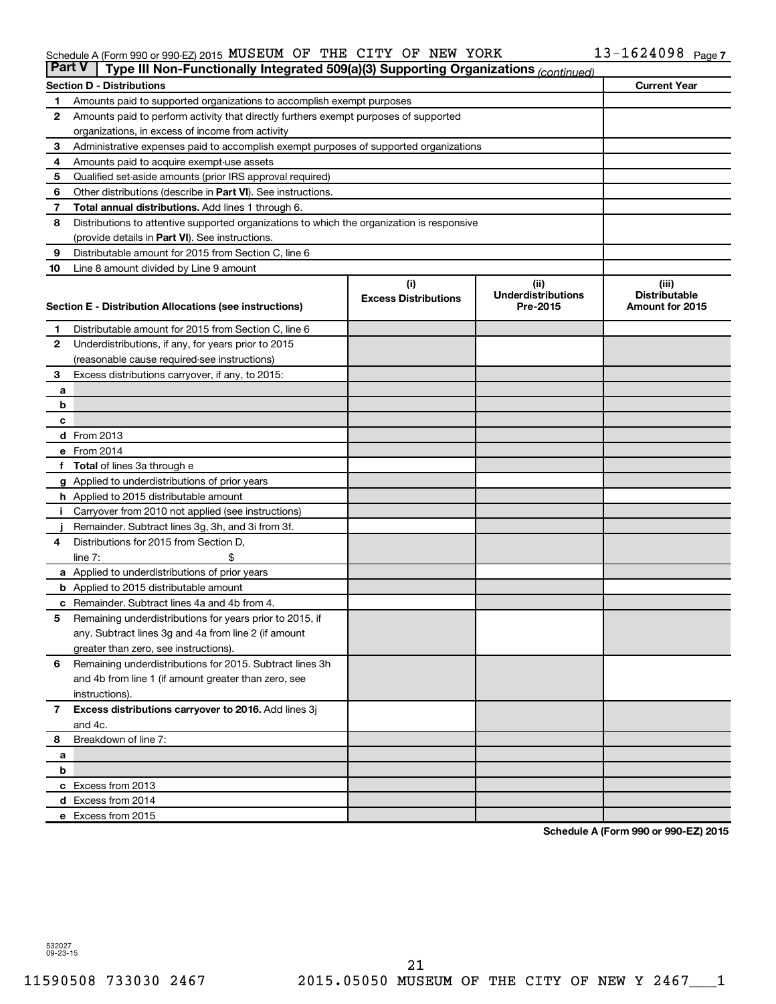### Schedule A (Form 990 or 990-EZ) 2015 MUSEUM OF THE CITY OF NEW YORK  $13-1624098$  Page MUSEUM OF THE CITY OF NEW YORK 13-1624098

| <b>Part V</b> | Type III Non-Functionally Integrated 509(a)(3) Supporting Organizations (continued)                    |                             |                                       |                                         |
|---------------|--------------------------------------------------------------------------------------------------------|-----------------------------|---------------------------------------|-----------------------------------------|
|               | <b>Section D - Distributions</b>                                                                       |                             |                                       | <b>Current Year</b>                     |
| 1             | Amounts paid to supported organizations to accomplish exempt purposes                                  |                             |                                       |                                         |
| 2             | Amounts paid to perform activity that directly furthers exempt purposes of supported                   |                             |                                       |                                         |
|               | organizations, in excess of income from activity                                                       |                             |                                       |                                         |
| 3             | Administrative expenses paid to accomplish exempt purposes of supported organizations                  |                             |                                       |                                         |
| 4             | Amounts paid to acquire exempt-use assets                                                              |                             |                                       |                                         |
| 5             | Qualified set-aside amounts (prior IRS approval required)                                              |                             |                                       |                                         |
| 6             | Other distributions (describe in Part VI). See instructions.                                           |                             |                                       |                                         |
| 7             | <b>Total annual distributions.</b> Add lines 1 through 6.                                              |                             |                                       |                                         |
| 8             | Distributions to attentive supported organizations to which the organization is responsive             |                             |                                       |                                         |
|               | (provide details in Part VI). See instructions.                                                        |                             |                                       |                                         |
| 9             | Distributable amount for 2015 from Section C, line 6                                                   |                             |                                       |                                         |
| 10            | Line 8 amount divided by Line 9 amount                                                                 |                             |                                       |                                         |
|               |                                                                                                        | (i)                         | (ii)                                  | (iii)                                   |
|               | Section E - Distribution Allocations (see instructions)                                                | <b>Excess Distributions</b> | <b>Underdistributions</b><br>Pre-2015 | <b>Distributable</b><br>Amount for 2015 |
|               |                                                                                                        |                             |                                       |                                         |
| 1             | Distributable amount for 2015 from Section C, line 6                                                   |                             |                                       |                                         |
| $\mathbf{2}$  | Underdistributions, if any, for years prior to 2015                                                    |                             |                                       |                                         |
|               | (reasonable cause required-see instructions)                                                           |                             |                                       |                                         |
| 3             | Excess distributions carryover, if any, to 2015:                                                       |                             |                                       |                                         |
| a             |                                                                                                        |                             |                                       |                                         |
| b             |                                                                                                        |                             |                                       |                                         |
| с             |                                                                                                        |                             |                                       |                                         |
|               | d From 2013<br>e From 2014                                                                             |                             |                                       |                                         |
|               |                                                                                                        |                             |                                       |                                         |
|               | <b>Total</b> of lines 3a through e                                                                     |                             |                                       |                                         |
|               | <b>g</b> Applied to underdistributions of prior years<br><b>h</b> Applied to 2015 distributable amount |                             |                                       |                                         |
|               | Carryover from 2010 not applied (see instructions)                                                     |                             |                                       |                                         |
|               | Remainder. Subtract lines 3g, 3h, and 3i from 3f.                                                      |                             |                                       |                                         |
| 4             | Distributions for 2015 from Section D,                                                                 |                             |                                       |                                         |
|               | $line 7$ :                                                                                             |                             |                                       |                                         |
|               | a Applied to underdistributions of prior years                                                         |                             |                                       |                                         |
|               | <b>b</b> Applied to 2015 distributable amount                                                          |                             |                                       |                                         |
| с             | Remainder. Subtract lines 4a and 4b from 4.                                                            |                             |                                       |                                         |
| 5             | Remaining underdistributions for years prior to 2015, if                                               |                             |                                       |                                         |
|               | any. Subtract lines 3g and 4a from line 2 (if amount                                                   |                             |                                       |                                         |
|               | greater than zero, see instructions).                                                                  |                             |                                       |                                         |
| 6             | Remaining underdistributions for 2015. Subtract lines 3h                                               |                             |                                       |                                         |
|               | and 4b from line 1 (if amount greater than zero, see                                                   |                             |                                       |                                         |
|               | instructions).                                                                                         |                             |                                       |                                         |
| $\mathbf{7}$  | Excess distributions carryover to 2016. Add lines 3j                                                   |                             |                                       |                                         |
|               | and 4c.                                                                                                |                             |                                       |                                         |
| 8             | Breakdown of line 7:                                                                                   |                             |                                       |                                         |
| a             |                                                                                                        |                             |                                       |                                         |
| b             |                                                                                                        |                             |                                       |                                         |
|               | c Excess from 2013                                                                                     |                             |                                       |                                         |
|               | d Excess from 2014                                                                                     |                             |                                       |                                         |
|               | e Excess from 2015                                                                                     |                             |                                       |                                         |

**Schedule A (Form 990 or 990-EZ) 2015**

532027 09-23-15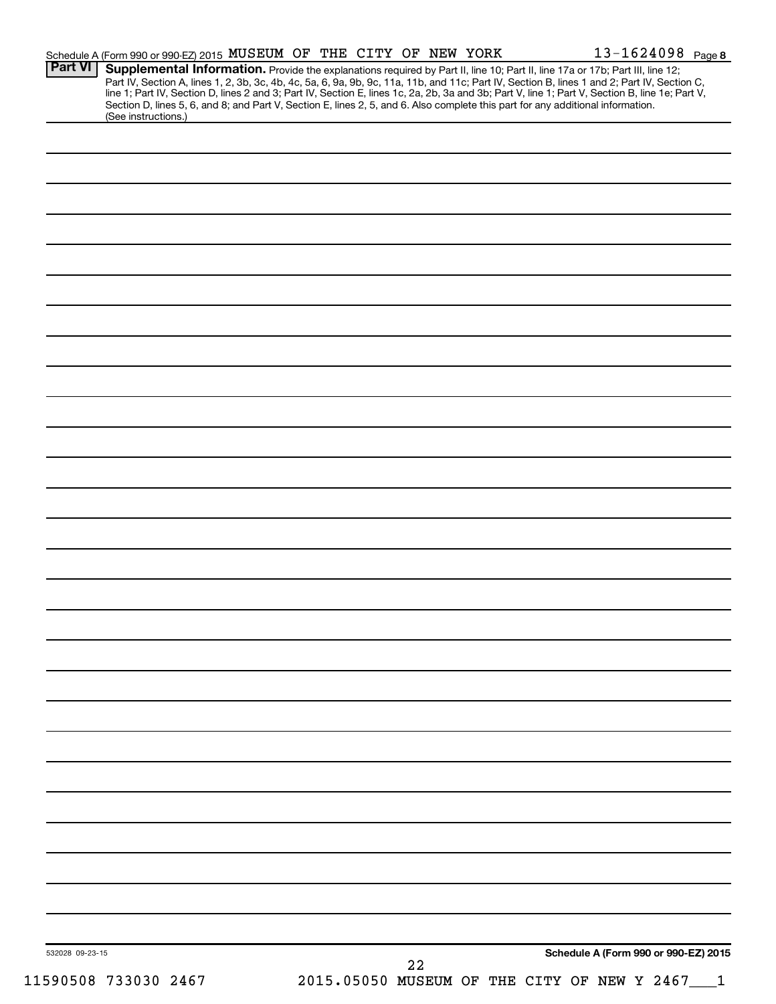| <b>Part VI</b>  |                      | Schedule A (Form 990 or 990-EZ) 2015 MUSEUM OF THE CITY OF NEW YORK<br>Supplemental Information. Provide the explanations required by Part II, line 10; Part II, line 17a or 17b; Part III, line 12;                                                                                                                                                                                                                               |  |    |  |  | 13-1624098 Page 8                           |  |
|-----------------|----------------------|------------------------------------------------------------------------------------------------------------------------------------------------------------------------------------------------------------------------------------------------------------------------------------------------------------------------------------------------------------------------------------------------------------------------------------|--|----|--|--|---------------------------------------------|--|
|                 |                      | Part IV, Section A, lines 1, 2, 3b, 3c, 4b, 4c, 5a, 6, 9a, 9b, 9c, 11a, 11b, and 11c; Part IV, Section B, lines 1 and 2; Part IV, Section C,<br>line 1; Part IV, Section D, lines 2 and 3; Part IV, Section E, lines 1c, 2a, 2b, 3a and 3b; Part V, line 1; Part V, Section B, line 1e; Part V,<br>Section D, lines 5, 6, and 8; and Part V, Section E, lines 2, 5, and 6. Also complete this part for any additional information. |  |    |  |  |                                             |  |
|                 | (See instructions.)  |                                                                                                                                                                                                                                                                                                                                                                                                                                    |  |    |  |  |                                             |  |
|                 |                      |                                                                                                                                                                                                                                                                                                                                                                                                                                    |  |    |  |  |                                             |  |
|                 |                      |                                                                                                                                                                                                                                                                                                                                                                                                                                    |  |    |  |  |                                             |  |
|                 |                      |                                                                                                                                                                                                                                                                                                                                                                                                                                    |  |    |  |  |                                             |  |
|                 |                      |                                                                                                                                                                                                                                                                                                                                                                                                                                    |  |    |  |  |                                             |  |
|                 |                      |                                                                                                                                                                                                                                                                                                                                                                                                                                    |  |    |  |  |                                             |  |
|                 |                      |                                                                                                                                                                                                                                                                                                                                                                                                                                    |  |    |  |  |                                             |  |
|                 |                      |                                                                                                                                                                                                                                                                                                                                                                                                                                    |  |    |  |  |                                             |  |
|                 |                      |                                                                                                                                                                                                                                                                                                                                                                                                                                    |  |    |  |  |                                             |  |
|                 |                      |                                                                                                                                                                                                                                                                                                                                                                                                                                    |  |    |  |  |                                             |  |
|                 |                      |                                                                                                                                                                                                                                                                                                                                                                                                                                    |  |    |  |  |                                             |  |
|                 |                      |                                                                                                                                                                                                                                                                                                                                                                                                                                    |  |    |  |  |                                             |  |
|                 |                      |                                                                                                                                                                                                                                                                                                                                                                                                                                    |  |    |  |  |                                             |  |
|                 |                      |                                                                                                                                                                                                                                                                                                                                                                                                                                    |  |    |  |  |                                             |  |
|                 |                      |                                                                                                                                                                                                                                                                                                                                                                                                                                    |  |    |  |  |                                             |  |
|                 |                      |                                                                                                                                                                                                                                                                                                                                                                                                                                    |  |    |  |  |                                             |  |
|                 |                      |                                                                                                                                                                                                                                                                                                                                                                                                                                    |  |    |  |  |                                             |  |
|                 |                      |                                                                                                                                                                                                                                                                                                                                                                                                                                    |  |    |  |  |                                             |  |
|                 |                      |                                                                                                                                                                                                                                                                                                                                                                                                                                    |  |    |  |  |                                             |  |
|                 |                      |                                                                                                                                                                                                                                                                                                                                                                                                                                    |  |    |  |  |                                             |  |
|                 |                      |                                                                                                                                                                                                                                                                                                                                                                                                                                    |  |    |  |  |                                             |  |
|                 |                      |                                                                                                                                                                                                                                                                                                                                                                                                                                    |  |    |  |  |                                             |  |
|                 |                      |                                                                                                                                                                                                                                                                                                                                                                                                                                    |  |    |  |  |                                             |  |
|                 |                      |                                                                                                                                                                                                                                                                                                                                                                                                                                    |  |    |  |  |                                             |  |
|                 |                      |                                                                                                                                                                                                                                                                                                                                                                                                                                    |  |    |  |  |                                             |  |
|                 |                      |                                                                                                                                                                                                                                                                                                                                                                                                                                    |  |    |  |  |                                             |  |
|                 |                      |                                                                                                                                                                                                                                                                                                                                                                                                                                    |  |    |  |  |                                             |  |
|                 |                      |                                                                                                                                                                                                                                                                                                                                                                                                                                    |  |    |  |  |                                             |  |
|                 |                      |                                                                                                                                                                                                                                                                                                                                                                                                                                    |  |    |  |  |                                             |  |
|                 |                      |                                                                                                                                                                                                                                                                                                                                                                                                                                    |  |    |  |  |                                             |  |
|                 |                      |                                                                                                                                                                                                                                                                                                                                                                                                                                    |  |    |  |  |                                             |  |
|                 |                      |                                                                                                                                                                                                                                                                                                                                                                                                                                    |  |    |  |  |                                             |  |
|                 |                      |                                                                                                                                                                                                                                                                                                                                                                                                                                    |  |    |  |  |                                             |  |
|                 |                      |                                                                                                                                                                                                                                                                                                                                                                                                                                    |  |    |  |  |                                             |  |
|                 |                      |                                                                                                                                                                                                                                                                                                                                                                                                                                    |  |    |  |  |                                             |  |
|                 |                      |                                                                                                                                                                                                                                                                                                                                                                                                                                    |  |    |  |  |                                             |  |
|                 |                      |                                                                                                                                                                                                                                                                                                                                                                                                                                    |  |    |  |  |                                             |  |
|                 |                      |                                                                                                                                                                                                                                                                                                                                                                                                                                    |  |    |  |  |                                             |  |
|                 |                      |                                                                                                                                                                                                                                                                                                                                                                                                                                    |  |    |  |  |                                             |  |
|                 |                      |                                                                                                                                                                                                                                                                                                                                                                                                                                    |  |    |  |  |                                             |  |
|                 |                      |                                                                                                                                                                                                                                                                                                                                                                                                                                    |  |    |  |  |                                             |  |
|                 |                      |                                                                                                                                                                                                                                                                                                                                                                                                                                    |  |    |  |  |                                             |  |
| 532028 09-23-15 |                      |                                                                                                                                                                                                                                                                                                                                                                                                                                    |  | 22 |  |  | Schedule A (Form 990 or 990-EZ) 2015        |  |
|                 | 11590508 733030 2467 |                                                                                                                                                                                                                                                                                                                                                                                                                                    |  |    |  |  | 2015.05050 MUSEUM OF THE CITY OF NEW Y 2467 |  |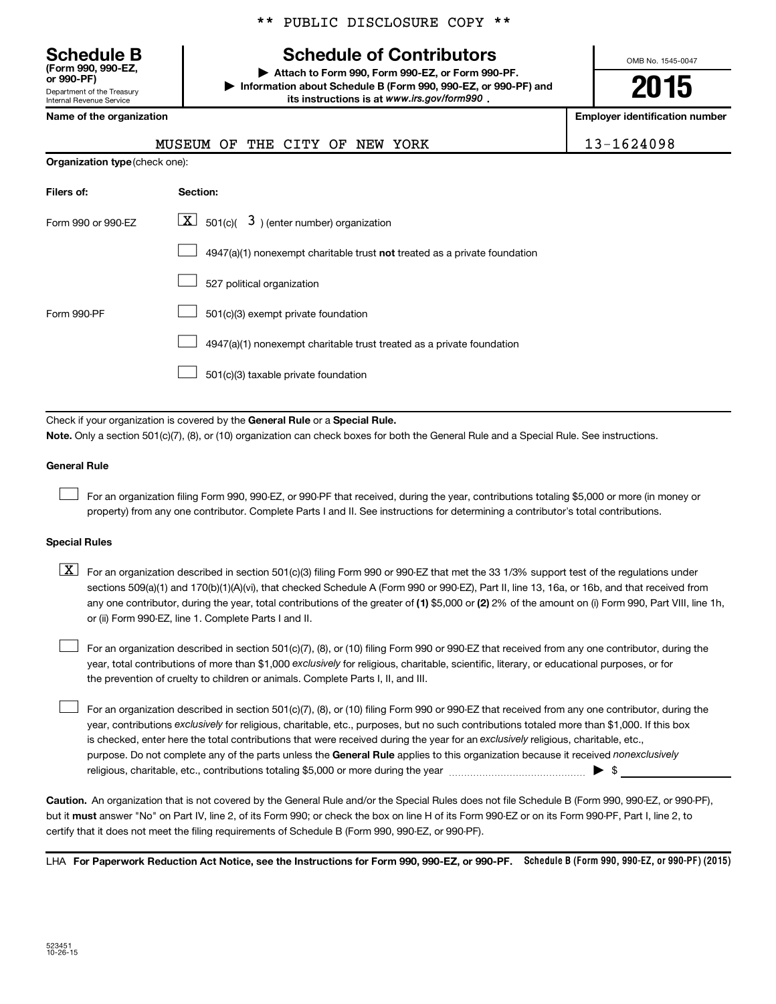# **Schedule B Schedule of Contributors**

\*\* PUBLIC DISCLOSURE COPY \*\*

**or 990-PF) | Attach to Form 990, Form 990-EZ, or Form 990-PF. | Information about Schedule B (Form 990, 990-EZ, or 990-PF) and** its instructions is at www.irs.gov/form990.

OMB No. 1545-0047

**2015**

**Name of the organization Employer identification number**

| (Form 990, 990-EZ,<br>or 990-PF)                       |
|--------------------------------------------------------|
| Department of the Treasury<br>Internal Revenue Service |
|                                                        |

**Organization type** (check one):

MUSEUM OF THE CITY OF NEW YORK 13-1624098

| Filers of:         | <b>Section:</b>                                                           |
|--------------------|---------------------------------------------------------------------------|
| Form 990 or 990-EZ | $\lfloor \mathbf{X} \rfloor$ 501(c)( 3) (enter number) organization       |
|                    | 4947(a)(1) nonexempt charitable trust not treated as a private foundation |
|                    | 527 political organization                                                |
| Form 990-PF        | 501(c)(3) exempt private foundation                                       |
|                    | 4947(a)(1) nonexempt charitable trust treated as a private foundation     |
|                    | 501(c)(3) taxable private foundation                                      |

Check if your organization is covered by the General Rule or a Special Rule.

**Note.**  Only a section 501(c)(7), (8), or (10) organization can check boxes for both the General Rule and a Special Rule. See instructions.

### **General Rule**

 $\Box$ 

For an organization filing Form 990, 990-EZ, or 990-PF that received, during the year, contributions totaling \$5,000 or more (in money or property) from any one contributor. Complete Parts I and II. See instructions for determining a contributor's total contributions.

### **Special Rules**

any one contributor, during the year, total contributions of the greater of **(1)** \$5,000 or **(2)** 2% of the amount on (i) Form 990, Part VIII, line 1h,  $\boxed{\text{X}}$  For an organization described in section 501(c)(3) filing Form 990 or 990-EZ that met the 33 1/3% support test of the regulations under sections 509(a)(1) and 170(b)(1)(A)(vi), that checked Schedule A (Form 990 or 990-EZ), Part II, line 13, 16a, or 16b, and that received from or (ii) Form 990-EZ, line 1. Complete Parts I and II.

year, total contributions of more than \$1,000 *exclusively* for religious, charitable, scientific, literary, or educational purposes, or for For an organization described in section 501(c)(7), (8), or (10) filing Form 990 or 990-EZ that received from any one contributor, during the the prevention of cruelty to children or animals. Complete Parts I, II, and III.  $\Box$ 

purpose. Do not complete any of the parts unless the General Rule applies to this organization because it received nonexclusively year, contributions exclusively for religious, charitable, etc., purposes, but no such contributions totaled more than \$1,000. If this box is checked, enter here the total contributions that were received during the year for an exclusively religious, charitable, etc., For an organization described in section 501(c)(7), (8), or (10) filing Form 990 or 990-EZ that received from any one contributor, during the religious, charitable, etc., contributions totaling \$5,000 or more during the year  $\ldots$  $\ldots$  $\ldots$  $\ldots$  $\ldots$  $\ldots$  $\Box$ 

**Caution.** An organization that is not covered by the General Rule and/or the Special Rules does not file Schedule B (Form 990, 990-EZ, or 990-PF),  **must** but it answer "No" on Part IV, line 2, of its Form 990; or check the box on line H of its Form 990-EZ or on its Form 990-PF, Part I, line 2, to certify that it does not meet the filing requirements of Schedule B (Form 990, 990-EZ, or 990-PF).

LHA For Paperwork Reduction Act Notice, see the Instructions for Form 990, 990-EZ, or 990-PF. Schedule B (Form 990, 990-EZ, or 990-PF) (2015)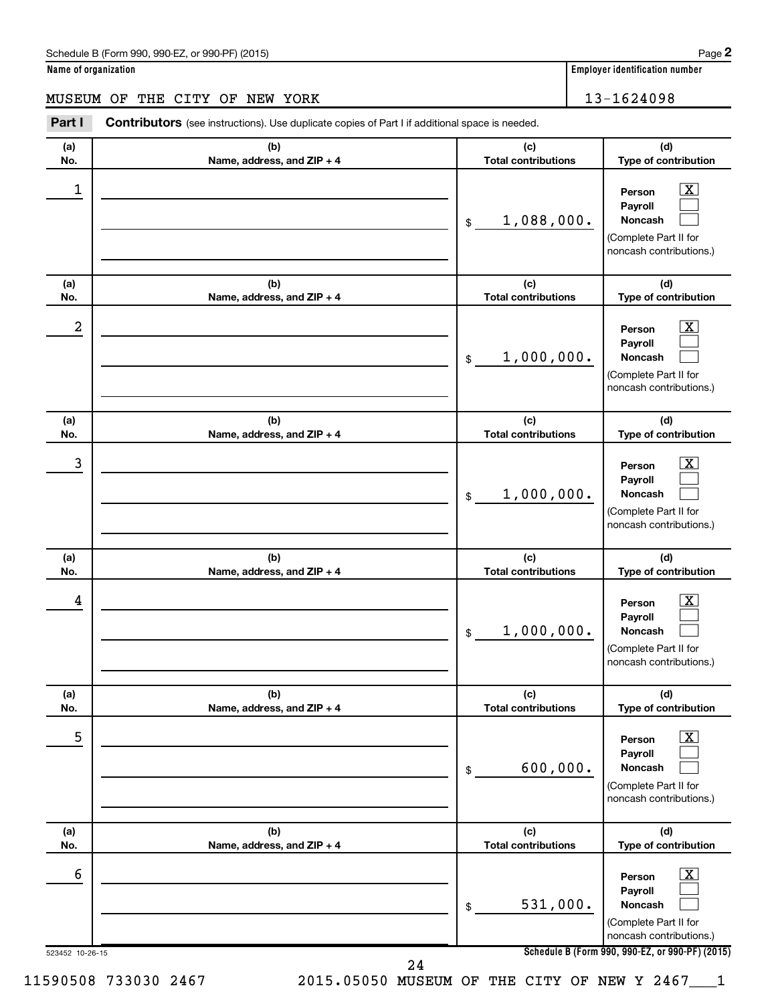# Schedule B (Form 990, 990-EZ, or 990-PF) (2015)

| Name of organization |  |
|----------------------|--|
|----------------------|--|

# MUSEUM OF THE CITY OF NEW YORK 13-1624098

| (a) | (b)                        | (c)                        | (d)                                                                                                             |
|-----|----------------------------|----------------------------|-----------------------------------------------------------------------------------------------------------------|
| No. | Name, address, and ZIP + 4 | <b>Total contributions</b> | Type of contribution                                                                                            |
| 1   |                            | 1,088,000.<br>\$           | $\overline{\mathbf{X}}$<br>Person<br>Payroll<br>Noncash<br>(Complete Part II for<br>noncash contributions.)     |
| (a) | (b)                        | (c)                        | (d)                                                                                                             |
| No. | Name, address, and ZIP + 4 | <b>Total contributions</b> | Type of contribution                                                                                            |
| 2   |                            | 1,000,000.<br>\$           | $\overline{\text{X}}$<br>Person<br>Payroll<br>Noncash<br>(Complete Part II for<br>noncash contributions.)       |
| (a) | (b)                        | (c)                        | (d)                                                                                                             |
| No. | Name, address, and ZIP + 4 | <b>Total contributions</b> | Type of contribution                                                                                            |
| 3   |                            | 1,000,000.<br>\$           | $\overline{\text{X}}$<br>Person<br>Payroll<br>Noncash<br>(Complete Part II for<br>noncash contributions.)       |
| (a) | (b)                        | (c)                        | (d)                                                                                                             |
| No. | Name, address, and ZIP + 4 | <b>Total contributions</b> | Type of contribution                                                                                            |
| 4   |                            | 1,000,000.<br>\$           | $\mathbf{X}$<br>Person<br>Payroll<br>Noncash<br>(Complete Part II for<br>noncash contributions.)                |
| (a) | (b)                        | (c)                        | (d)                                                                                                             |
| No. | Name, address, and ZIP + 4 | <b>Total contributions</b> | Type of contribution                                                                                            |
| 5   |                            | 600,000.<br>\$             | $\boxed{\textbf{X}}$<br>Person<br>Payroll<br><b>Noncash</b><br>(Complete Part II for<br>noncash contributions.) |
| (a) | (b)                        | (c)                        | (d)                                                                                                             |
| No. | Name, address, and ZIP + 4 | <b>Total contributions</b> | Type of contribution                                                                                            |
| 6   |                            | 531,000.<br>\$             | $\boxed{\text{X}}$<br>Person<br>Payroll<br>Noncash<br>(Complete Part II for<br>noncash contributions.)          |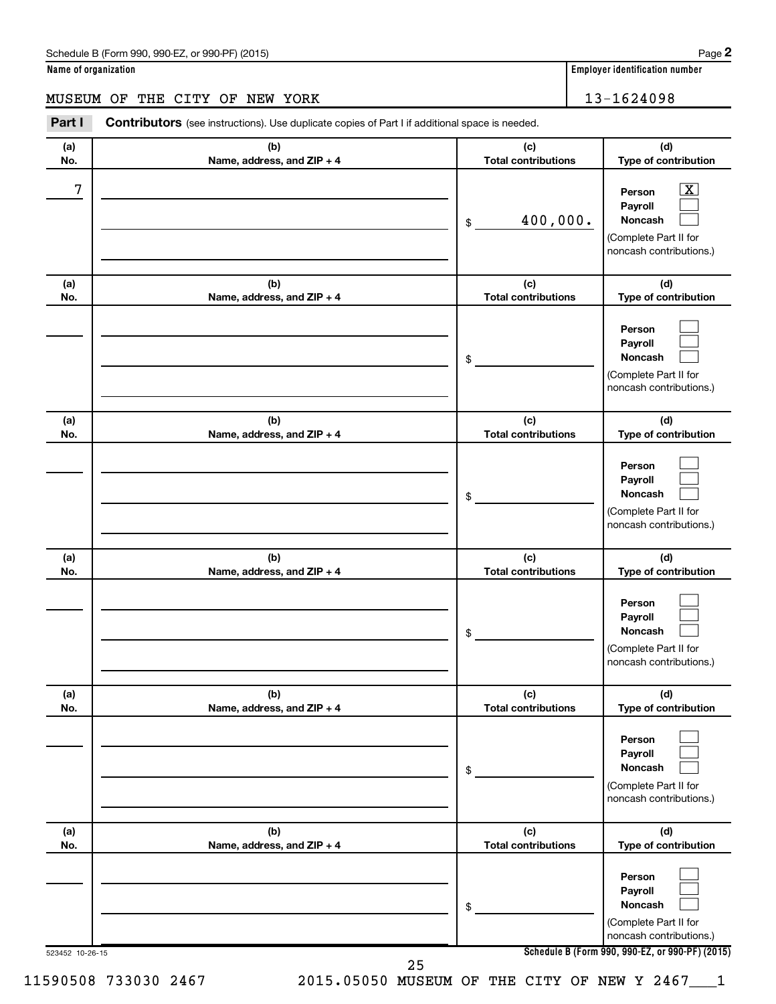# Schedule B (Form 990, 990-EZ, or 990-PF) (2015)

# MUSEUM OF THE CITY OF NEW YORK 13-1624098

| (a)<br>No. | (b)<br>Name, address, and ZIP + 4 | (c)<br><b>Total contributions</b> | (d)<br>Type of contribution                                                      |
|------------|-----------------------------------|-----------------------------------|----------------------------------------------------------------------------------|
| 7          |                                   |                                   | x<br>Person<br>Payroll                                                           |
|            |                                   | 400,000.<br>\$                    | Noncash<br>(Complete Part II for<br>noncash contributions.)                      |
| (a)<br>No. | (b)<br>Name, address, and ZIP + 4 | (c)<br><b>Total contributions</b> | (d)<br>Type of contribution                                                      |
|            |                                   | \$                                | Person<br>Payroll<br>Noncash<br>(Complete Part II for<br>noncash contributions.) |
| (a)<br>No. | (b)<br>Name, address, and ZIP + 4 | (c)<br><b>Total contributions</b> | (d)<br>Type of contribution                                                      |
|            |                                   | \$                                | Person<br>Payroll<br>Noncash<br>(Complete Part II for<br>noncash contributions.) |
| (a)<br>No. | (b)<br>Name, address, and ZIP + 4 | (c)<br><b>Total contributions</b> | (d)<br>Type of contribution                                                      |
|            |                                   | \$                                | Person<br>Payroll<br>Noncash<br>(Complete Part II for<br>noncash contributions.) |
| (a)<br>No. | (b)<br>Name, address, and ZIP + 4 | (c)<br><b>Total contributions</b> | (d)<br>Type of contribution                                                      |
|            |                                   | \$                                | Person<br>Payroll<br>Noncash<br>(Complete Part II for<br>noncash contributions.) |
| (a)<br>No. | (b)<br>Name, address, and ZIP + 4 | (c)<br><b>Total contributions</b> | (d)<br>Type of contribution                                                      |
|            |                                   | \$                                | Person<br>Payroll<br>Noncash<br>(Complete Part II for                            |
|            |                                   |                                   | noncash contributions.)                                                          |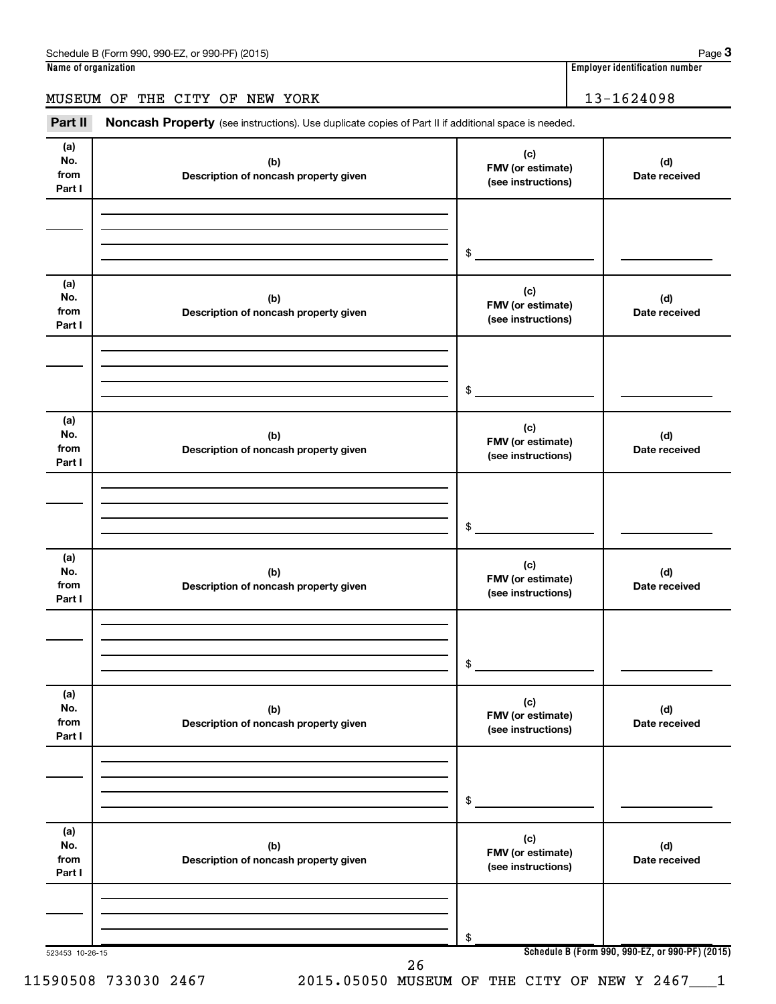# MUSEUM OF THE CITY OF NEW YORK 13-1624098

Part II Noncash Property (see instructions). Use duplicate copies of Part II if additional space is needed.

| (a)<br>No.<br>from<br>Part I | (b)<br>Description of noncash property given | (c)<br>FMV (or estimate)<br>(see instructions) | (d)<br>Date received                            |
|------------------------------|----------------------------------------------|------------------------------------------------|-------------------------------------------------|
|                              |                                              |                                                |                                                 |
|                              |                                              | \$                                             |                                                 |
| (a)<br>No.<br>from<br>Part I | (b)<br>Description of noncash property given | (c)<br>FMV (or estimate)<br>(see instructions) | (d)<br>Date received                            |
|                              |                                              | \$                                             |                                                 |
| (a)<br>No.<br>from<br>Part I | (b)<br>Description of noncash property given | (c)<br>FMV (or estimate)<br>(see instructions) | (d)<br>Date received                            |
|                              |                                              | \$                                             |                                                 |
| (a)<br>No.<br>from<br>Part I | (b)<br>Description of noncash property given | (c)<br>FMV (or estimate)<br>(see instructions) | (d)<br>Date received                            |
|                              |                                              | \$                                             |                                                 |
| (a)<br>No.<br>from<br>Part I | (b)<br>Description of noncash property given | (c)<br>FMV (or estimate)<br>(see instructions) | (d)<br>Date received                            |
|                              |                                              | \$                                             |                                                 |
| (a)<br>No.<br>from<br>Part I | (b)<br>Description of noncash property given | (c)<br>FMV (or estimate)<br>(see instructions) | (d)<br>Date received                            |
|                              |                                              | \$                                             |                                                 |
| 523453 10-26-15              | 26                                           |                                                | Schedule B (Form 990, 990-EZ, or 990-PF) (2015) |

**3**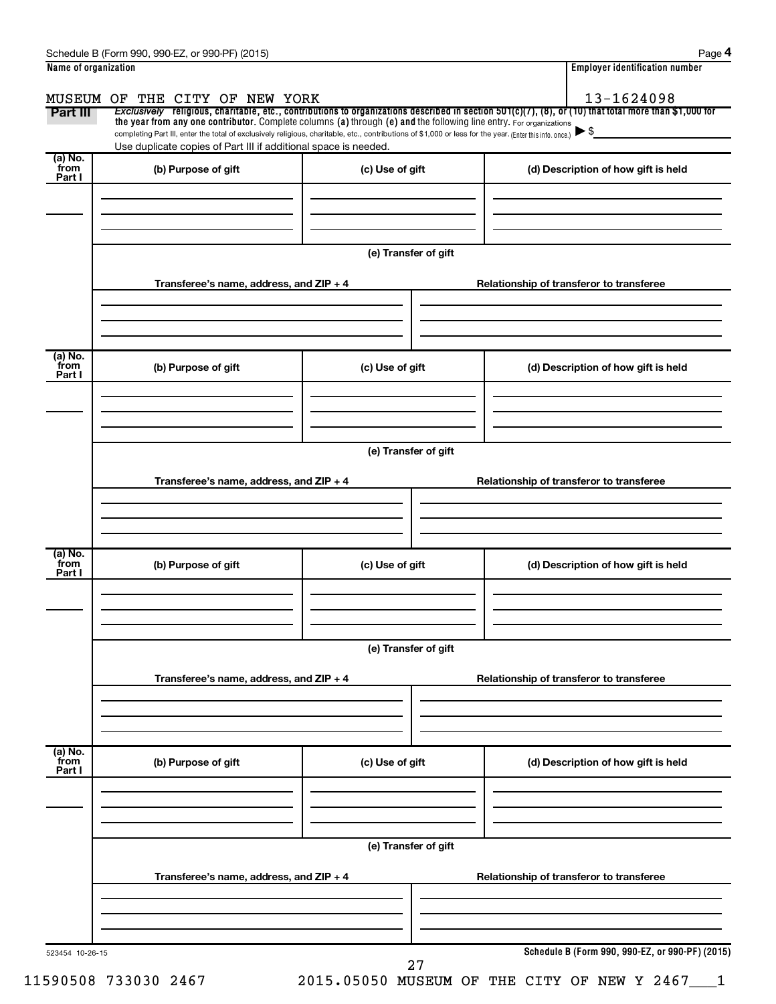| Name of organization      |                                                                 |                                                                                                                                                                                                                                                                                 | <b>Employer identification number</b>                                                                                                                                                    |
|---------------------------|-----------------------------------------------------------------|---------------------------------------------------------------------------------------------------------------------------------------------------------------------------------------------------------------------------------------------------------------------------------|------------------------------------------------------------------------------------------------------------------------------------------------------------------------------------------|
|                           | MUSEUM OF THE CITY OF NEW YORK                                  |                                                                                                                                                                                                                                                                                 | 13-1624098                                                                                                                                                                               |
| Part III                  |                                                                 | the year from any one contributor. Complete columns (a) through (e) and the following line entry. For organizations<br>completing Part III, enter the total of exclusively religious, charitable, etc., contributions of \$1,000 or less for the year. (Enter this info. once.) | <i>Exclusively</i> religious, charitable, etc., contributions to organizations described in section 501(c)(7), (8), or (10) that total more than \$1,000 for<br>$\blacktriangleright$ \$ |
|                           | Use duplicate copies of Part III if additional space is needed. |                                                                                                                                                                                                                                                                                 |                                                                                                                                                                                          |
| (a) No.<br>from<br>Part I | (b) Purpose of gift                                             | (c) Use of gift                                                                                                                                                                                                                                                                 | (d) Description of how gift is held                                                                                                                                                      |
|                           |                                                                 |                                                                                                                                                                                                                                                                                 |                                                                                                                                                                                          |
|                           |                                                                 |                                                                                                                                                                                                                                                                                 |                                                                                                                                                                                          |
|                           |                                                                 | (e) Transfer of gift                                                                                                                                                                                                                                                            |                                                                                                                                                                                          |
|                           |                                                                 |                                                                                                                                                                                                                                                                                 |                                                                                                                                                                                          |
|                           | Transferee's name, address, and ZIP + 4                         |                                                                                                                                                                                                                                                                                 | Relationship of transferor to transferee                                                                                                                                                 |
|                           |                                                                 |                                                                                                                                                                                                                                                                                 |                                                                                                                                                                                          |
|                           |                                                                 |                                                                                                                                                                                                                                                                                 |                                                                                                                                                                                          |
| (a) No.<br>from<br>Part I | (b) Purpose of gift                                             | (c) Use of gift                                                                                                                                                                                                                                                                 | (d) Description of how gift is held                                                                                                                                                      |
|                           |                                                                 |                                                                                                                                                                                                                                                                                 |                                                                                                                                                                                          |
|                           |                                                                 |                                                                                                                                                                                                                                                                                 |                                                                                                                                                                                          |

**(e) Transfer of gift**

|                           | Transferee's name, address, and ZIP + 4 |                      | Relationship of transferor to transferee       |
|---------------------------|-----------------------------------------|----------------------|------------------------------------------------|
| (a) No.<br>from<br>Part I | (b) Purpose of gift                     | (c) Use of gift      | (d) Description of how gift is held            |
|                           |                                         | (e) Transfer of gift |                                                |
|                           | Transferee's name, address, and ZIP + 4 |                      | Relationship of transferor to transferee       |
| (a) No.<br>from<br>Part I | (b) Purpose of gift                     | (c) Use of gift      | (d) Description of how gift is held            |
|                           |                                         |                      |                                                |
|                           | Transferee's name, address, and ZIP + 4 | (e) Transfer of gift | Relationship of transferor to transferee       |
|                           |                                         |                      |                                                |
| 523454 10-26-15           |                                         |                      | Schedule B (Form 990, 990-EZ, or 990-PF) (2015 |

11590508 733030 2467 2015.05050 MUSEUM OF THE CITY OF NEW Y 2467\_\_\_1

27

**Schedule B (Form 990, 990-EZ, or 990-PF) (2015)**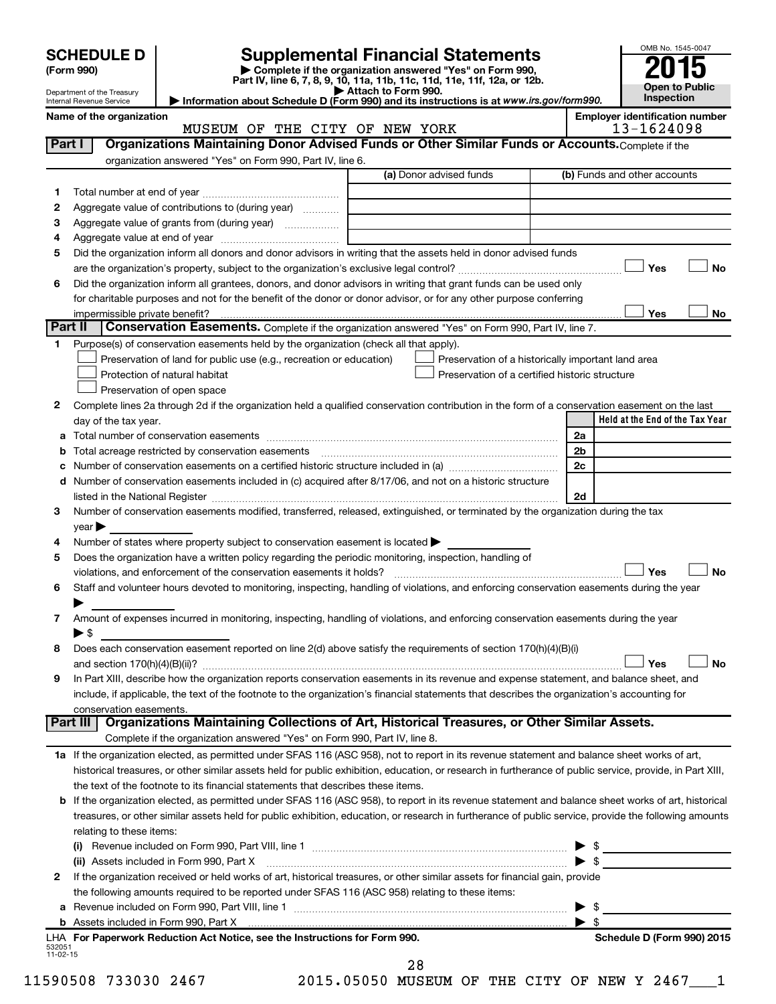|                   |                                                                        | OMB No. 1545-004 |
|-------------------|------------------------------------------------------------------------|------------------|
| <b>SCHEDULE D</b> | <b>Supplemental Financial Statements</b>                               | 2015             |
| (Form 990)        | Complete if the organization answered "Yes" on Form 990,               |                  |
|                   | Part IV line 6, 7, 8, 9, 10, 11a, 11b, 11c, 11d, 11e, 11f, 12a, or 12h |                  |

**(Form 990) | Complete if the organization answered "Yes" on Form 990, Part IV, line 6, 7, 8, 9, 10, 11a, 11b, 11c, 11d, 11e, 11f, 12a, or 12b.**

**| Attach to Form 990. | Information about Schedule D (Form 990) and its instructions is at**  *www.irs.gov/form990.*



| <b>Employer identification number</b><br>Name of the organization<br>13-1624098<br>MUSEUM OF THE CITY OF NEW YORK<br>Organizations Maintaining Donor Advised Funds or Other Similar Funds or Accounts. Complete if the<br>Part I<br>organization answered "Yes" on Form 990, Part IV, line 6.<br>(a) Donor advised funds<br>(b) Funds and other accounts<br>1<br>Aggregate value of contributions to (during year)<br>2<br>Aggregate value of grants from (during year)<br>з<br>4<br>Did the organization inform all donors and donor advisors in writing that the assets held in donor advised funds<br>5<br>Yes<br>No<br>Did the organization inform all grantees, donors, and donor advisors in writing that grant funds can be used only<br>6<br>for charitable purposes and not for the benefit of the donor or donor advisor, or for any other purpose conferring<br>Yes<br>No<br>impermissible private benefit?<br>Part II<br>Conservation Easements. Complete if the organization answered "Yes" on Form 990, Part IV, line 7.<br>Purpose(s) of conservation easements held by the organization (check all that apply).<br>1.<br>Preservation of land for public use (e.g., recreation or education)<br>Preservation of a historically important land area<br>Preservation of a certified historic structure<br>Protection of natural habitat<br>Preservation of open space<br>Complete lines 2a through 2d if the organization held a qualified conservation contribution in the form of a conservation easement on the last<br>2<br>Held at the End of the Tax Year<br>day of the tax year.<br>2a<br>а<br>Total acreage restricted by conservation easements<br>2b<br>b<br>2c<br>с<br>Number of conservation easements included in (c) acquired after 8/17/06, and not on a historic structure<br>d<br>listed in the National Register [111] Marshall Register [11] Marshall Register [11] Marshall Register [11] Marshall Register [11] Marshall Register [11] Marshall Register [11] Marshall Register [11] Marshall Register [11]<br>2d<br>Number of conservation easements modified, transferred, released, extinguished, or terminated by the organization during the tax<br>3.<br>year<br>Number of states where property subject to conservation easement is located ><br>4<br>Does the organization have a written policy regarding the periodic monitoring, inspection, handling of<br>5<br>Yes<br><b>No</b><br>violations, and enforcement of the conservation easements it holds?<br>Staff and volunteer hours devoted to monitoring, inspecting, handling of violations, and enforcing conservation easements during the year<br>6<br>Amount of expenses incurred in monitoring, inspecting, handling of violations, and enforcing conservation easements during the year<br>7<br>$\blacktriangleright$ \$<br>Does each conservation easement reported on line 2(d) above satisfy the requirements of section 170(h)(4)(B)(i)<br>8<br>No<br>Yes<br>In Part XIII, describe how the organization reports conservation easements in its revenue and expense statement, and balance sheet, and<br>9<br>include, if applicable, the text of the footnote to the organization's financial statements that describes the organization's accounting for<br>conservation easements.<br>Organizations Maintaining Collections of Art, Historical Treasures, or Other Similar Assets.<br><b>Part III</b><br>Complete if the organization answered "Yes" on Form 990, Part IV, line 8.<br>1a If the organization elected, as permitted under SFAS 116 (ASC 958), not to report in its revenue statement and balance sheet works of art,<br>historical treasures, or other similar assets held for public exhibition, education, or research in furtherance of public service, provide, in Part XIII,<br>the text of the footnote to its financial statements that describes these items.<br>If the organization elected, as permitted under SFAS 116 (ASC 958), to report in its revenue statement and balance sheet works of art, historical<br>b<br>treasures, or other similar assets held for public exhibition, education, or research in furtherance of public service, provide the following amounts<br>relating to these items:<br>$\left( 1\right)$<br>$\blacktriangleright$ s<br>(ii) Assets included in Form 990, Part X [11] [2000] [2010] Assets included in Form 990, Part X [11] [11] [11]<br>If the organization received or held works of art, historical treasures, or other similar assets for financial gain, provide<br>2<br>the following amounts required to be reported under SFAS 116 (ASC 958) relating to these items:<br>- \$<br>а<br>$\blacktriangleright$ s | ▶ Attach to Form 990.<br>Department of the Treasury<br>Information about Schedule D (Form 990) and its instructions is at www.irs.gov/form990.<br>Internal Revenue Service | Open to Fublic<br>Inspection |
|-----------------------------------------------------------------------------------------------------------------------------------------------------------------------------------------------------------------------------------------------------------------------------------------------------------------------------------------------------------------------------------------------------------------------------------------------------------------------------------------------------------------------------------------------------------------------------------------------------------------------------------------------------------------------------------------------------------------------------------------------------------------------------------------------------------------------------------------------------------------------------------------------------------------------------------------------------------------------------------------------------------------------------------------------------------------------------------------------------------------------------------------------------------------------------------------------------------------------------------------------------------------------------------------------------------------------------------------------------------------------------------------------------------------------------------------------------------------------------------------------------------------------------------------------------------------------------------------------------------------------------------------------------------------------------------------------------------------------------------------------------------------------------------------------------------------------------------------------------------------------------------------------------------------------------------------------------------------------------------------------------------------------------------------------------------------------------------------------------------------------------------------------------------------------------------------------------------------------------------------------------------------------------------------------------------------------------------------------------------------------------------------------------------------------------------------------------------------------------------------------------------------------------------------------------------------------------------------------------------------------------------------------------------------------------------------------------------------------------------------------------------------------------------------------------------------------------------------------------------------------------------------------------------------------------------------------------------------------------------------------------------------------------------------------------------------------------------------------------------------------------------------------------------------------------------------------------------------------------------------------------------------------------------------------------------------------------------------------------------------------------------------------------------------------------------------------------------------------------------------------------------------------------------------------------------------------------------------------------------------------------------------------------------------------------------------------------------------------------------------------------------------------------------------------------------------------------------------------------------------------------------------------------------------------------------------------------------------------------------------------------------------------------------------------------------------------------------------------------------------------------------------------------------------------------------------------------------------------------------------------------------------------------------------------------------------------------------------------------------------------------------------------------------------------------------------------------------------------------------------------------------------------------------------------------------------------------------------------------------------------------------------------------------------------------------------------------|----------------------------------------------------------------------------------------------------------------------------------------------------------------------------|------------------------------|
|                                                                                                                                                                                                                                                                                                                                                                                                                                                                                                                                                                                                                                                                                                                                                                                                                                                                                                                                                                                                                                                                                                                                                                                                                                                                                                                                                                                                                                                                                                                                                                                                                                                                                                                                                                                                                                                                                                                                                                                                                                                                                                                                                                                                                                                                                                                                                                                                                                                                                                                                                                                                                                                                                                                                                                                                                                                                                                                                                                                                                                                                                                                                                                                                                                                                                                                                                                                                                                                                                                                                                                                                                                                                                                                                                                                                                                                                                                                                                                                                                                                                                                                                                                                                                                                                                                                                                                                                                                                                                                                                                                                                                                                                                                     |                                                                                                                                                                            |                              |
|                                                                                                                                                                                                                                                                                                                                                                                                                                                                                                                                                                                                                                                                                                                                                                                                                                                                                                                                                                                                                                                                                                                                                                                                                                                                                                                                                                                                                                                                                                                                                                                                                                                                                                                                                                                                                                                                                                                                                                                                                                                                                                                                                                                                                                                                                                                                                                                                                                                                                                                                                                                                                                                                                                                                                                                                                                                                                                                                                                                                                                                                                                                                                                                                                                                                                                                                                                                                                                                                                                                                                                                                                                                                                                                                                                                                                                                                                                                                                                                                                                                                                                                                                                                                                                                                                                                                                                                                                                                                                                                                                                                                                                                                                                     |                                                                                                                                                                            |                              |
|                                                                                                                                                                                                                                                                                                                                                                                                                                                                                                                                                                                                                                                                                                                                                                                                                                                                                                                                                                                                                                                                                                                                                                                                                                                                                                                                                                                                                                                                                                                                                                                                                                                                                                                                                                                                                                                                                                                                                                                                                                                                                                                                                                                                                                                                                                                                                                                                                                                                                                                                                                                                                                                                                                                                                                                                                                                                                                                                                                                                                                                                                                                                                                                                                                                                                                                                                                                                                                                                                                                                                                                                                                                                                                                                                                                                                                                                                                                                                                                                                                                                                                                                                                                                                                                                                                                                                                                                                                                                                                                                                                                                                                                                                                     |                                                                                                                                                                            |                              |
|                                                                                                                                                                                                                                                                                                                                                                                                                                                                                                                                                                                                                                                                                                                                                                                                                                                                                                                                                                                                                                                                                                                                                                                                                                                                                                                                                                                                                                                                                                                                                                                                                                                                                                                                                                                                                                                                                                                                                                                                                                                                                                                                                                                                                                                                                                                                                                                                                                                                                                                                                                                                                                                                                                                                                                                                                                                                                                                                                                                                                                                                                                                                                                                                                                                                                                                                                                                                                                                                                                                                                                                                                                                                                                                                                                                                                                                                                                                                                                                                                                                                                                                                                                                                                                                                                                                                                                                                                                                                                                                                                                                                                                                                                                     |                                                                                                                                                                            |                              |
|                                                                                                                                                                                                                                                                                                                                                                                                                                                                                                                                                                                                                                                                                                                                                                                                                                                                                                                                                                                                                                                                                                                                                                                                                                                                                                                                                                                                                                                                                                                                                                                                                                                                                                                                                                                                                                                                                                                                                                                                                                                                                                                                                                                                                                                                                                                                                                                                                                                                                                                                                                                                                                                                                                                                                                                                                                                                                                                                                                                                                                                                                                                                                                                                                                                                                                                                                                                                                                                                                                                                                                                                                                                                                                                                                                                                                                                                                                                                                                                                                                                                                                                                                                                                                                                                                                                                                                                                                                                                                                                                                                                                                                                                                                     |                                                                                                                                                                            |                              |
|                                                                                                                                                                                                                                                                                                                                                                                                                                                                                                                                                                                                                                                                                                                                                                                                                                                                                                                                                                                                                                                                                                                                                                                                                                                                                                                                                                                                                                                                                                                                                                                                                                                                                                                                                                                                                                                                                                                                                                                                                                                                                                                                                                                                                                                                                                                                                                                                                                                                                                                                                                                                                                                                                                                                                                                                                                                                                                                                                                                                                                                                                                                                                                                                                                                                                                                                                                                                                                                                                                                                                                                                                                                                                                                                                                                                                                                                                                                                                                                                                                                                                                                                                                                                                                                                                                                                                                                                                                                                                                                                                                                                                                                                                                     |                                                                                                                                                                            |                              |
|                                                                                                                                                                                                                                                                                                                                                                                                                                                                                                                                                                                                                                                                                                                                                                                                                                                                                                                                                                                                                                                                                                                                                                                                                                                                                                                                                                                                                                                                                                                                                                                                                                                                                                                                                                                                                                                                                                                                                                                                                                                                                                                                                                                                                                                                                                                                                                                                                                                                                                                                                                                                                                                                                                                                                                                                                                                                                                                                                                                                                                                                                                                                                                                                                                                                                                                                                                                                                                                                                                                                                                                                                                                                                                                                                                                                                                                                                                                                                                                                                                                                                                                                                                                                                                                                                                                                                                                                                                                                                                                                                                                                                                                                                                     |                                                                                                                                                                            |                              |
|                                                                                                                                                                                                                                                                                                                                                                                                                                                                                                                                                                                                                                                                                                                                                                                                                                                                                                                                                                                                                                                                                                                                                                                                                                                                                                                                                                                                                                                                                                                                                                                                                                                                                                                                                                                                                                                                                                                                                                                                                                                                                                                                                                                                                                                                                                                                                                                                                                                                                                                                                                                                                                                                                                                                                                                                                                                                                                                                                                                                                                                                                                                                                                                                                                                                                                                                                                                                                                                                                                                                                                                                                                                                                                                                                                                                                                                                                                                                                                                                                                                                                                                                                                                                                                                                                                                                                                                                                                                                                                                                                                                                                                                                                                     |                                                                                                                                                                            |                              |
|                                                                                                                                                                                                                                                                                                                                                                                                                                                                                                                                                                                                                                                                                                                                                                                                                                                                                                                                                                                                                                                                                                                                                                                                                                                                                                                                                                                                                                                                                                                                                                                                                                                                                                                                                                                                                                                                                                                                                                                                                                                                                                                                                                                                                                                                                                                                                                                                                                                                                                                                                                                                                                                                                                                                                                                                                                                                                                                                                                                                                                                                                                                                                                                                                                                                                                                                                                                                                                                                                                                                                                                                                                                                                                                                                                                                                                                                                                                                                                                                                                                                                                                                                                                                                                                                                                                                                                                                                                                                                                                                                                                                                                                                                                     |                                                                                                                                                                            |                              |
|                                                                                                                                                                                                                                                                                                                                                                                                                                                                                                                                                                                                                                                                                                                                                                                                                                                                                                                                                                                                                                                                                                                                                                                                                                                                                                                                                                                                                                                                                                                                                                                                                                                                                                                                                                                                                                                                                                                                                                                                                                                                                                                                                                                                                                                                                                                                                                                                                                                                                                                                                                                                                                                                                                                                                                                                                                                                                                                                                                                                                                                                                                                                                                                                                                                                                                                                                                                                                                                                                                                                                                                                                                                                                                                                                                                                                                                                                                                                                                                                                                                                                                                                                                                                                                                                                                                                                                                                                                                                                                                                                                                                                                                                                                     |                                                                                                                                                                            |                              |
|                                                                                                                                                                                                                                                                                                                                                                                                                                                                                                                                                                                                                                                                                                                                                                                                                                                                                                                                                                                                                                                                                                                                                                                                                                                                                                                                                                                                                                                                                                                                                                                                                                                                                                                                                                                                                                                                                                                                                                                                                                                                                                                                                                                                                                                                                                                                                                                                                                                                                                                                                                                                                                                                                                                                                                                                                                                                                                                                                                                                                                                                                                                                                                                                                                                                                                                                                                                                                                                                                                                                                                                                                                                                                                                                                                                                                                                                                                                                                                                                                                                                                                                                                                                                                                                                                                                                                                                                                                                                                                                                                                                                                                                                                                     |                                                                                                                                                                            |                              |
|                                                                                                                                                                                                                                                                                                                                                                                                                                                                                                                                                                                                                                                                                                                                                                                                                                                                                                                                                                                                                                                                                                                                                                                                                                                                                                                                                                                                                                                                                                                                                                                                                                                                                                                                                                                                                                                                                                                                                                                                                                                                                                                                                                                                                                                                                                                                                                                                                                                                                                                                                                                                                                                                                                                                                                                                                                                                                                                                                                                                                                                                                                                                                                                                                                                                                                                                                                                                                                                                                                                                                                                                                                                                                                                                                                                                                                                                                                                                                                                                                                                                                                                                                                                                                                                                                                                                                                                                                                                                                                                                                                                                                                                                                                     |                                                                                                                                                                            |                              |
|                                                                                                                                                                                                                                                                                                                                                                                                                                                                                                                                                                                                                                                                                                                                                                                                                                                                                                                                                                                                                                                                                                                                                                                                                                                                                                                                                                                                                                                                                                                                                                                                                                                                                                                                                                                                                                                                                                                                                                                                                                                                                                                                                                                                                                                                                                                                                                                                                                                                                                                                                                                                                                                                                                                                                                                                                                                                                                                                                                                                                                                                                                                                                                                                                                                                                                                                                                                                                                                                                                                                                                                                                                                                                                                                                                                                                                                                                                                                                                                                                                                                                                                                                                                                                                                                                                                                                                                                                                                                                                                                                                                                                                                                                                     |                                                                                                                                                                            |                              |
|                                                                                                                                                                                                                                                                                                                                                                                                                                                                                                                                                                                                                                                                                                                                                                                                                                                                                                                                                                                                                                                                                                                                                                                                                                                                                                                                                                                                                                                                                                                                                                                                                                                                                                                                                                                                                                                                                                                                                                                                                                                                                                                                                                                                                                                                                                                                                                                                                                                                                                                                                                                                                                                                                                                                                                                                                                                                                                                                                                                                                                                                                                                                                                                                                                                                                                                                                                                                                                                                                                                                                                                                                                                                                                                                                                                                                                                                                                                                                                                                                                                                                                                                                                                                                                                                                                                                                                                                                                                                                                                                                                                                                                                                                                     |                                                                                                                                                                            |                              |
|                                                                                                                                                                                                                                                                                                                                                                                                                                                                                                                                                                                                                                                                                                                                                                                                                                                                                                                                                                                                                                                                                                                                                                                                                                                                                                                                                                                                                                                                                                                                                                                                                                                                                                                                                                                                                                                                                                                                                                                                                                                                                                                                                                                                                                                                                                                                                                                                                                                                                                                                                                                                                                                                                                                                                                                                                                                                                                                                                                                                                                                                                                                                                                                                                                                                                                                                                                                                                                                                                                                                                                                                                                                                                                                                                                                                                                                                                                                                                                                                                                                                                                                                                                                                                                                                                                                                                                                                                                                                                                                                                                                                                                                                                                     |                                                                                                                                                                            |                              |
|                                                                                                                                                                                                                                                                                                                                                                                                                                                                                                                                                                                                                                                                                                                                                                                                                                                                                                                                                                                                                                                                                                                                                                                                                                                                                                                                                                                                                                                                                                                                                                                                                                                                                                                                                                                                                                                                                                                                                                                                                                                                                                                                                                                                                                                                                                                                                                                                                                                                                                                                                                                                                                                                                                                                                                                                                                                                                                                                                                                                                                                                                                                                                                                                                                                                                                                                                                                                                                                                                                                                                                                                                                                                                                                                                                                                                                                                                                                                                                                                                                                                                                                                                                                                                                                                                                                                                                                                                                                                                                                                                                                                                                                                                                     |                                                                                                                                                                            |                              |
|                                                                                                                                                                                                                                                                                                                                                                                                                                                                                                                                                                                                                                                                                                                                                                                                                                                                                                                                                                                                                                                                                                                                                                                                                                                                                                                                                                                                                                                                                                                                                                                                                                                                                                                                                                                                                                                                                                                                                                                                                                                                                                                                                                                                                                                                                                                                                                                                                                                                                                                                                                                                                                                                                                                                                                                                                                                                                                                                                                                                                                                                                                                                                                                                                                                                                                                                                                                                                                                                                                                                                                                                                                                                                                                                                                                                                                                                                                                                                                                                                                                                                                                                                                                                                                                                                                                                                                                                                                                                                                                                                                                                                                                                                                     |                                                                                                                                                                            |                              |
|                                                                                                                                                                                                                                                                                                                                                                                                                                                                                                                                                                                                                                                                                                                                                                                                                                                                                                                                                                                                                                                                                                                                                                                                                                                                                                                                                                                                                                                                                                                                                                                                                                                                                                                                                                                                                                                                                                                                                                                                                                                                                                                                                                                                                                                                                                                                                                                                                                                                                                                                                                                                                                                                                                                                                                                                                                                                                                                                                                                                                                                                                                                                                                                                                                                                                                                                                                                                                                                                                                                                                                                                                                                                                                                                                                                                                                                                                                                                                                                                                                                                                                                                                                                                                                                                                                                                                                                                                                                                                                                                                                                                                                                                                                     |                                                                                                                                                                            |                              |
|                                                                                                                                                                                                                                                                                                                                                                                                                                                                                                                                                                                                                                                                                                                                                                                                                                                                                                                                                                                                                                                                                                                                                                                                                                                                                                                                                                                                                                                                                                                                                                                                                                                                                                                                                                                                                                                                                                                                                                                                                                                                                                                                                                                                                                                                                                                                                                                                                                                                                                                                                                                                                                                                                                                                                                                                                                                                                                                                                                                                                                                                                                                                                                                                                                                                                                                                                                                                                                                                                                                                                                                                                                                                                                                                                                                                                                                                                                                                                                                                                                                                                                                                                                                                                                                                                                                                                                                                                                                                                                                                                                                                                                                                                                     |                                                                                                                                                                            |                              |
|                                                                                                                                                                                                                                                                                                                                                                                                                                                                                                                                                                                                                                                                                                                                                                                                                                                                                                                                                                                                                                                                                                                                                                                                                                                                                                                                                                                                                                                                                                                                                                                                                                                                                                                                                                                                                                                                                                                                                                                                                                                                                                                                                                                                                                                                                                                                                                                                                                                                                                                                                                                                                                                                                                                                                                                                                                                                                                                                                                                                                                                                                                                                                                                                                                                                                                                                                                                                                                                                                                                                                                                                                                                                                                                                                                                                                                                                                                                                                                                                                                                                                                                                                                                                                                                                                                                                                                                                                                                                                                                                                                                                                                                                                                     |                                                                                                                                                                            |                              |
|                                                                                                                                                                                                                                                                                                                                                                                                                                                                                                                                                                                                                                                                                                                                                                                                                                                                                                                                                                                                                                                                                                                                                                                                                                                                                                                                                                                                                                                                                                                                                                                                                                                                                                                                                                                                                                                                                                                                                                                                                                                                                                                                                                                                                                                                                                                                                                                                                                                                                                                                                                                                                                                                                                                                                                                                                                                                                                                                                                                                                                                                                                                                                                                                                                                                                                                                                                                                                                                                                                                                                                                                                                                                                                                                                                                                                                                                                                                                                                                                                                                                                                                                                                                                                                                                                                                                                                                                                                                                                                                                                                                                                                                                                                     |                                                                                                                                                                            |                              |
|                                                                                                                                                                                                                                                                                                                                                                                                                                                                                                                                                                                                                                                                                                                                                                                                                                                                                                                                                                                                                                                                                                                                                                                                                                                                                                                                                                                                                                                                                                                                                                                                                                                                                                                                                                                                                                                                                                                                                                                                                                                                                                                                                                                                                                                                                                                                                                                                                                                                                                                                                                                                                                                                                                                                                                                                                                                                                                                                                                                                                                                                                                                                                                                                                                                                                                                                                                                                                                                                                                                                                                                                                                                                                                                                                                                                                                                                                                                                                                                                                                                                                                                                                                                                                                                                                                                                                                                                                                                                                                                                                                                                                                                                                                     |                                                                                                                                                                            |                              |
|                                                                                                                                                                                                                                                                                                                                                                                                                                                                                                                                                                                                                                                                                                                                                                                                                                                                                                                                                                                                                                                                                                                                                                                                                                                                                                                                                                                                                                                                                                                                                                                                                                                                                                                                                                                                                                                                                                                                                                                                                                                                                                                                                                                                                                                                                                                                                                                                                                                                                                                                                                                                                                                                                                                                                                                                                                                                                                                                                                                                                                                                                                                                                                                                                                                                                                                                                                                                                                                                                                                                                                                                                                                                                                                                                                                                                                                                                                                                                                                                                                                                                                                                                                                                                                                                                                                                                                                                                                                                                                                                                                                                                                                                                                     |                                                                                                                                                                            |                              |
|                                                                                                                                                                                                                                                                                                                                                                                                                                                                                                                                                                                                                                                                                                                                                                                                                                                                                                                                                                                                                                                                                                                                                                                                                                                                                                                                                                                                                                                                                                                                                                                                                                                                                                                                                                                                                                                                                                                                                                                                                                                                                                                                                                                                                                                                                                                                                                                                                                                                                                                                                                                                                                                                                                                                                                                                                                                                                                                                                                                                                                                                                                                                                                                                                                                                                                                                                                                                                                                                                                                                                                                                                                                                                                                                                                                                                                                                                                                                                                                                                                                                                                                                                                                                                                                                                                                                                                                                                                                                                                                                                                                                                                                                                                     |                                                                                                                                                                            |                              |
|                                                                                                                                                                                                                                                                                                                                                                                                                                                                                                                                                                                                                                                                                                                                                                                                                                                                                                                                                                                                                                                                                                                                                                                                                                                                                                                                                                                                                                                                                                                                                                                                                                                                                                                                                                                                                                                                                                                                                                                                                                                                                                                                                                                                                                                                                                                                                                                                                                                                                                                                                                                                                                                                                                                                                                                                                                                                                                                                                                                                                                                                                                                                                                                                                                                                                                                                                                                                                                                                                                                                                                                                                                                                                                                                                                                                                                                                                                                                                                                                                                                                                                                                                                                                                                                                                                                                                                                                                                                                                                                                                                                                                                                                                                     |                                                                                                                                                                            |                              |
|                                                                                                                                                                                                                                                                                                                                                                                                                                                                                                                                                                                                                                                                                                                                                                                                                                                                                                                                                                                                                                                                                                                                                                                                                                                                                                                                                                                                                                                                                                                                                                                                                                                                                                                                                                                                                                                                                                                                                                                                                                                                                                                                                                                                                                                                                                                                                                                                                                                                                                                                                                                                                                                                                                                                                                                                                                                                                                                                                                                                                                                                                                                                                                                                                                                                                                                                                                                                                                                                                                                                                                                                                                                                                                                                                                                                                                                                                                                                                                                                                                                                                                                                                                                                                                                                                                                                                                                                                                                                                                                                                                                                                                                                                                     |                                                                                                                                                                            |                              |
|                                                                                                                                                                                                                                                                                                                                                                                                                                                                                                                                                                                                                                                                                                                                                                                                                                                                                                                                                                                                                                                                                                                                                                                                                                                                                                                                                                                                                                                                                                                                                                                                                                                                                                                                                                                                                                                                                                                                                                                                                                                                                                                                                                                                                                                                                                                                                                                                                                                                                                                                                                                                                                                                                                                                                                                                                                                                                                                                                                                                                                                                                                                                                                                                                                                                                                                                                                                                                                                                                                                                                                                                                                                                                                                                                                                                                                                                                                                                                                                                                                                                                                                                                                                                                                                                                                                                                                                                                                                                                                                                                                                                                                                                                                     |                                                                                                                                                                            |                              |
|                                                                                                                                                                                                                                                                                                                                                                                                                                                                                                                                                                                                                                                                                                                                                                                                                                                                                                                                                                                                                                                                                                                                                                                                                                                                                                                                                                                                                                                                                                                                                                                                                                                                                                                                                                                                                                                                                                                                                                                                                                                                                                                                                                                                                                                                                                                                                                                                                                                                                                                                                                                                                                                                                                                                                                                                                                                                                                                                                                                                                                                                                                                                                                                                                                                                                                                                                                                                                                                                                                                                                                                                                                                                                                                                                                                                                                                                                                                                                                                                                                                                                                                                                                                                                                                                                                                                                                                                                                                                                                                                                                                                                                                                                                     |                                                                                                                                                                            |                              |
|                                                                                                                                                                                                                                                                                                                                                                                                                                                                                                                                                                                                                                                                                                                                                                                                                                                                                                                                                                                                                                                                                                                                                                                                                                                                                                                                                                                                                                                                                                                                                                                                                                                                                                                                                                                                                                                                                                                                                                                                                                                                                                                                                                                                                                                                                                                                                                                                                                                                                                                                                                                                                                                                                                                                                                                                                                                                                                                                                                                                                                                                                                                                                                                                                                                                                                                                                                                                                                                                                                                                                                                                                                                                                                                                                                                                                                                                                                                                                                                                                                                                                                                                                                                                                                                                                                                                                                                                                                                                                                                                                                                                                                                                                                     |                                                                                                                                                                            |                              |
|                                                                                                                                                                                                                                                                                                                                                                                                                                                                                                                                                                                                                                                                                                                                                                                                                                                                                                                                                                                                                                                                                                                                                                                                                                                                                                                                                                                                                                                                                                                                                                                                                                                                                                                                                                                                                                                                                                                                                                                                                                                                                                                                                                                                                                                                                                                                                                                                                                                                                                                                                                                                                                                                                                                                                                                                                                                                                                                                                                                                                                                                                                                                                                                                                                                                                                                                                                                                                                                                                                                                                                                                                                                                                                                                                                                                                                                                                                                                                                                                                                                                                                                                                                                                                                                                                                                                                                                                                                                                                                                                                                                                                                                                                                     |                                                                                                                                                                            |                              |
|                                                                                                                                                                                                                                                                                                                                                                                                                                                                                                                                                                                                                                                                                                                                                                                                                                                                                                                                                                                                                                                                                                                                                                                                                                                                                                                                                                                                                                                                                                                                                                                                                                                                                                                                                                                                                                                                                                                                                                                                                                                                                                                                                                                                                                                                                                                                                                                                                                                                                                                                                                                                                                                                                                                                                                                                                                                                                                                                                                                                                                                                                                                                                                                                                                                                                                                                                                                                                                                                                                                                                                                                                                                                                                                                                                                                                                                                                                                                                                                                                                                                                                                                                                                                                                                                                                                                                                                                                                                                                                                                                                                                                                                                                                     |                                                                                                                                                                            |                              |
|                                                                                                                                                                                                                                                                                                                                                                                                                                                                                                                                                                                                                                                                                                                                                                                                                                                                                                                                                                                                                                                                                                                                                                                                                                                                                                                                                                                                                                                                                                                                                                                                                                                                                                                                                                                                                                                                                                                                                                                                                                                                                                                                                                                                                                                                                                                                                                                                                                                                                                                                                                                                                                                                                                                                                                                                                                                                                                                                                                                                                                                                                                                                                                                                                                                                                                                                                                                                                                                                                                                                                                                                                                                                                                                                                                                                                                                                                                                                                                                                                                                                                                                                                                                                                                                                                                                                                                                                                                                                                                                                                                                                                                                                                                     |                                                                                                                                                                            |                              |
|                                                                                                                                                                                                                                                                                                                                                                                                                                                                                                                                                                                                                                                                                                                                                                                                                                                                                                                                                                                                                                                                                                                                                                                                                                                                                                                                                                                                                                                                                                                                                                                                                                                                                                                                                                                                                                                                                                                                                                                                                                                                                                                                                                                                                                                                                                                                                                                                                                                                                                                                                                                                                                                                                                                                                                                                                                                                                                                                                                                                                                                                                                                                                                                                                                                                                                                                                                                                                                                                                                                                                                                                                                                                                                                                                                                                                                                                                                                                                                                                                                                                                                                                                                                                                                                                                                                                                                                                                                                                                                                                                                                                                                                                                                     |                                                                                                                                                                            |                              |
|                                                                                                                                                                                                                                                                                                                                                                                                                                                                                                                                                                                                                                                                                                                                                                                                                                                                                                                                                                                                                                                                                                                                                                                                                                                                                                                                                                                                                                                                                                                                                                                                                                                                                                                                                                                                                                                                                                                                                                                                                                                                                                                                                                                                                                                                                                                                                                                                                                                                                                                                                                                                                                                                                                                                                                                                                                                                                                                                                                                                                                                                                                                                                                                                                                                                                                                                                                                                                                                                                                                                                                                                                                                                                                                                                                                                                                                                                                                                                                                                                                                                                                                                                                                                                                                                                                                                                                                                                                                                                                                                                                                                                                                                                                     |                                                                                                                                                                            |                              |
|                                                                                                                                                                                                                                                                                                                                                                                                                                                                                                                                                                                                                                                                                                                                                                                                                                                                                                                                                                                                                                                                                                                                                                                                                                                                                                                                                                                                                                                                                                                                                                                                                                                                                                                                                                                                                                                                                                                                                                                                                                                                                                                                                                                                                                                                                                                                                                                                                                                                                                                                                                                                                                                                                                                                                                                                                                                                                                                                                                                                                                                                                                                                                                                                                                                                                                                                                                                                                                                                                                                                                                                                                                                                                                                                                                                                                                                                                                                                                                                                                                                                                                                                                                                                                                                                                                                                                                                                                                                                                                                                                                                                                                                                                                     |                                                                                                                                                                            |                              |
|                                                                                                                                                                                                                                                                                                                                                                                                                                                                                                                                                                                                                                                                                                                                                                                                                                                                                                                                                                                                                                                                                                                                                                                                                                                                                                                                                                                                                                                                                                                                                                                                                                                                                                                                                                                                                                                                                                                                                                                                                                                                                                                                                                                                                                                                                                                                                                                                                                                                                                                                                                                                                                                                                                                                                                                                                                                                                                                                                                                                                                                                                                                                                                                                                                                                                                                                                                                                                                                                                                                                                                                                                                                                                                                                                                                                                                                                                                                                                                                                                                                                                                                                                                                                                                                                                                                                                                                                                                                                                                                                                                                                                                                                                                     |                                                                                                                                                                            |                              |
|                                                                                                                                                                                                                                                                                                                                                                                                                                                                                                                                                                                                                                                                                                                                                                                                                                                                                                                                                                                                                                                                                                                                                                                                                                                                                                                                                                                                                                                                                                                                                                                                                                                                                                                                                                                                                                                                                                                                                                                                                                                                                                                                                                                                                                                                                                                                                                                                                                                                                                                                                                                                                                                                                                                                                                                                                                                                                                                                                                                                                                                                                                                                                                                                                                                                                                                                                                                                                                                                                                                                                                                                                                                                                                                                                                                                                                                                                                                                                                                                                                                                                                                                                                                                                                                                                                                                                                                                                                                                                                                                                                                                                                                                                                     |                                                                                                                                                                            |                              |
|                                                                                                                                                                                                                                                                                                                                                                                                                                                                                                                                                                                                                                                                                                                                                                                                                                                                                                                                                                                                                                                                                                                                                                                                                                                                                                                                                                                                                                                                                                                                                                                                                                                                                                                                                                                                                                                                                                                                                                                                                                                                                                                                                                                                                                                                                                                                                                                                                                                                                                                                                                                                                                                                                                                                                                                                                                                                                                                                                                                                                                                                                                                                                                                                                                                                                                                                                                                                                                                                                                                                                                                                                                                                                                                                                                                                                                                                                                                                                                                                                                                                                                                                                                                                                                                                                                                                                                                                                                                                                                                                                                                                                                                                                                     |                                                                                                                                                                            |                              |
|                                                                                                                                                                                                                                                                                                                                                                                                                                                                                                                                                                                                                                                                                                                                                                                                                                                                                                                                                                                                                                                                                                                                                                                                                                                                                                                                                                                                                                                                                                                                                                                                                                                                                                                                                                                                                                                                                                                                                                                                                                                                                                                                                                                                                                                                                                                                                                                                                                                                                                                                                                                                                                                                                                                                                                                                                                                                                                                                                                                                                                                                                                                                                                                                                                                                                                                                                                                                                                                                                                                                                                                                                                                                                                                                                                                                                                                                                                                                                                                                                                                                                                                                                                                                                                                                                                                                                                                                                                                                                                                                                                                                                                                                                                     |                                                                                                                                                                            |                              |
|                                                                                                                                                                                                                                                                                                                                                                                                                                                                                                                                                                                                                                                                                                                                                                                                                                                                                                                                                                                                                                                                                                                                                                                                                                                                                                                                                                                                                                                                                                                                                                                                                                                                                                                                                                                                                                                                                                                                                                                                                                                                                                                                                                                                                                                                                                                                                                                                                                                                                                                                                                                                                                                                                                                                                                                                                                                                                                                                                                                                                                                                                                                                                                                                                                                                                                                                                                                                                                                                                                                                                                                                                                                                                                                                                                                                                                                                                                                                                                                                                                                                                                                                                                                                                                                                                                                                                                                                                                                                                                                                                                                                                                                                                                     |                                                                                                                                                                            |                              |
|                                                                                                                                                                                                                                                                                                                                                                                                                                                                                                                                                                                                                                                                                                                                                                                                                                                                                                                                                                                                                                                                                                                                                                                                                                                                                                                                                                                                                                                                                                                                                                                                                                                                                                                                                                                                                                                                                                                                                                                                                                                                                                                                                                                                                                                                                                                                                                                                                                                                                                                                                                                                                                                                                                                                                                                                                                                                                                                                                                                                                                                                                                                                                                                                                                                                                                                                                                                                                                                                                                                                                                                                                                                                                                                                                                                                                                                                                                                                                                                                                                                                                                                                                                                                                                                                                                                                                                                                                                                                                                                                                                                                                                                                                                     |                                                                                                                                                                            |                              |
|                                                                                                                                                                                                                                                                                                                                                                                                                                                                                                                                                                                                                                                                                                                                                                                                                                                                                                                                                                                                                                                                                                                                                                                                                                                                                                                                                                                                                                                                                                                                                                                                                                                                                                                                                                                                                                                                                                                                                                                                                                                                                                                                                                                                                                                                                                                                                                                                                                                                                                                                                                                                                                                                                                                                                                                                                                                                                                                                                                                                                                                                                                                                                                                                                                                                                                                                                                                                                                                                                                                                                                                                                                                                                                                                                                                                                                                                                                                                                                                                                                                                                                                                                                                                                                                                                                                                                                                                                                                                                                                                                                                                                                                                                                     |                                                                                                                                                                            |                              |
|                                                                                                                                                                                                                                                                                                                                                                                                                                                                                                                                                                                                                                                                                                                                                                                                                                                                                                                                                                                                                                                                                                                                                                                                                                                                                                                                                                                                                                                                                                                                                                                                                                                                                                                                                                                                                                                                                                                                                                                                                                                                                                                                                                                                                                                                                                                                                                                                                                                                                                                                                                                                                                                                                                                                                                                                                                                                                                                                                                                                                                                                                                                                                                                                                                                                                                                                                                                                                                                                                                                                                                                                                                                                                                                                                                                                                                                                                                                                                                                                                                                                                                                                                                                                                                                                                                                                                                                                                                                                                                                                                                                                                                                                                                     |                                                                                                                                                                            |                              |
|                                                                                                                                                                                                                                                                                                                                                                                                                                                                                                                                                                                                                                                                                                                                                                                                                                                                                                                                                                                                                                                                                                                                                                                                                                                                                                                                                                                                                                                                                                                                                                                                                                                                                                                                                                                                                                                                                                                                                                                                                                                                                                                                                                                                                                                                                                                                                                                                                                                                                                                                                                                                                                                                                                                                                                                                                                                                                                                                                                                                                                                                                                                                                                                                                                                                                                                                                                                                                                                                                                                                                                                                                                                                                                                                                                                                                                                                                                                                                                                                                                                                                                                                                                                                                                                                                                                                                                                                                                                                                                                                                                                                                                                                                                     |                                                                                                                                                                            |                              |
|                                                                                                                                                                                                                                                                                                                                                                                                                                                                                                                                                                                                                                                                                                                                                                                                                                                                                                                                                                                                                                                                                                                                                                                                                                                                                                                                                                                                                                                                                                                                                                                                                                                                                                                                                                                                                                                                                                                                                                                                                                                                                                                                                                                                                                                                                                                                                                                                                                                                                                                                                                                                                                                                                                                                                                                                                                                                                                                                                                                                                                                                                                                                                                                                                                                                                                                                                                                                                                                                                                                                                                                                                                                                                                                                                                                                                                                                                                                                                                                                                                                                                                                                                                                                                                                                                                                                                                                                                                                                                                                                                                                                                                                                                                     |                                                                                                                                                                            |                              |
|                                                                                                                                                                                                                                                                                                                                                                                                                                                                                                                                                                                                                                                                                                                                                                                                                                                                                                                                                                                                                                                                                                                                                                                                                                                                                                                                                                                                                                                                                                                                                                                                                                                                                                                                                                                                                                                                                                                                                                                                                                                                                                                                                                                                                                                                                                                                                                                                                                                                                                                                                                                                                                                                                                                                                                                                                                                                                                                                                                                                                                                                                                                                                                                                                                                                                                                                                                                                                                                                                                                                                                                                                                                                                                                                                                                                                                                                                                                                                                                                                                                                                                                                                                                                                                                                                                                                                                                                                                                                                                                                                                                                                                                                                                     |                                                                                                                                                                            |                              |
|                                                                                                                                                                                                                                                                                                                                                                                                                                                                                                                                                                                                                                                                                                                                                                                                                                                                                                                                                                                                                                                                                                                                                                                                                                                                                                                                                                                                                                                                                                                                                                                                                                                                                                                                                                                                                                                                                                                                                                                                                                                                                                                                                                                                                                                                                                                                                                                                                                                                                                                                                                                                                                                                                                                                                                                                                                                                                                                                                                                                                                                                                                                                                                                                                                                                                                                                                                                                                                                                                                                                                                                                                                                                                                                                                                                                                                                                                                                                                                                                                                                                                                                                                                                                                                                                                                                                                                                                                                                                                                                                                                                                                                                                                                     |                                                                                                                                                                            |                              |
|                                                                                                                                                                                                                                                                                                                                                                                                                                                                                                                                                                                                                                                                                                                                                                                                                                                                                                                                                                                                                                                                                                                                                                                                                                                                                                                                                                                                                                                                                                                                                                                                                                                                                                                                                                                                                                                                                                                                                                                                                                                                                                                                                                                                                                                                                                                                                                                                                                                                                                                                                                                                                                                                                                                                                                                                                                                                                                                                                                                                                                                                                                                                                                                                                                                                                                                                                                                                                                                                                                                                                                                                                                                                                                                                                                                                                                                                                                                                                                                                                                                                                                                                                                                                                                                                                                                                                                                                                                                                                                                                                                                                                                                                                                     |                                                                                                                                                                            |                              |
|                                                                                                                                                                                                                                                                                                                                                                                                                                                                                                                                                                                                                                                                                                                                                                                                                                                                                                                                                                                                                                                                                                                                                                                                                                                                                                                                                                                                                                                                                                                                                                                                                                                                                                                                                                                                                                                                                                                                                                                                                                                                                                                                                                                                                                                                                                                                                                                                                                                                                                                                                                                                                                                                                                                                                                                                                                                                                                                                                                                                                                                                                                                                                                                                                                                                                                                                                                                                                                                                                                                                                                                                                                                                                                                                                                                                                                                                                                                                                                                                                                                                                                                                                                                                                                                                                                                                                                                                                                                                                                                                                                                                                                                                                                     |                                                                                                                                                                            |                              |
|                                                                                                                                                                                                                                                                                                                                                                                                                                                                                                                                                                                                                                                                                                                                                                                                                                                                                                                                                                                                                                                                                                                                                                                                                                                                                                                                                                                                                                                                                                                                                                                                                                                                                                                                                                                                                                                                                                                                                                                                                                                                                                                                                                                                                                                                                                                                                                                                                                                                                                                                                                                                                                                                                                                                                                                                                                                                                                                                                                                                                                                                                                                                                                                                                                                                                                                                                                                                                                                                                                                                                                                                                                                                                                                                                                                                                                                                                                                                                                                                                                                                                                                                                                                                                                                                                                                                                                                                                                                                                                                                                                                                                                                                                                     |                                                                                                                                                                            |                              |
|                                                                                                                                                                                                                                                                                                                                                                                                                                                                                                                                                                                                                                                                                                                                                                                                                                                                                                                                                                                                                                                                                                                                                                                                                                                                                                                                                                                                                                                                                                                                                                                                                                                                                                                                                                                                                                                                                                                                                                                                                                                                                                                                                                                                                                                                                                                                                                                                                                                                                                                                                                                                                                                                                                                                                                                                                                                                                                                                                                                                                                                                                                                                                                                                                                                                                                                                                                                                                                                                                                                                                                                                                                                                                                                                                                                                                                                                                                                                                                                                                                                                                                                                                                                                                                                                                                                                                                                                                                                                                                                                                                                                                                                                                                     |                                                                                                                                                                            |                              |
|                                                                                                                                                                                                                                                                                                                                                                                                                                                                                                                                                                                                                                                                                                                                                                                                                                                                                                                                                                                                                                                                                                                                                                                                                                                                                                                                                                                                                                                                                                                                                                                                                                                                                                                                                                                                                                                                                                                                                                                                                                                                                                                                                                                                                                                                                                                                                                                                                                                                                                                                                                                                                                                                                                                                                                                                                                                                                                                                                                                                                                                                                                                                                                                                                                                                                                                                                                                                                                                                                                                                                                                                                                                                                                                                                                                                                                                                                                                                                                                                                                                                                                                                                                                                                                                                                                                                                                                                                                                                                                                                                                                                                                                                                                     |                                                                                                                                                                            |                              |
|                                                                                                                                                                                                                                                                                                                                                                                                                                                                                                                                                                                                                                                                                                                                                                                                                                                                                                                                                                                                                                                                                                                                                                                                                                                                                                                                                                                                                                                                                                                                                                                                                                                                                                                                                                                                                                                                                                                                                                                                                                                                                                                                                                                                                                                                                                                                                                                                                                                                                                                                                                                                                                                                                                                                                                                                                                                                                                                                                                                                                                                                                                                                                                                                                                                                                                                                                                                                                                                                                                                                                                                                                                                                                                                                                                                                                                                                                                                                                                                                                                                                                                                                                                                                                                                                                                                                                                                                                                                                                                                                                                                                                                                                                                     |                                                                                                                                                                            |                              |

|                             | LHA For Paperwork Reduction Act Notice, see the Instructions for Form 990. | Schedule D (Form 990) 2015 |
|-----------------------------|----------------------------------------------------------------------------|----------------------------|
| $\sim$ $\sim$ $\sim$ $\sim$ |                                                                            |                            |

11590508 733030 2467 2015.05050 MUSEUM OF THE CITY OF NEW Y 2467\_\_\_1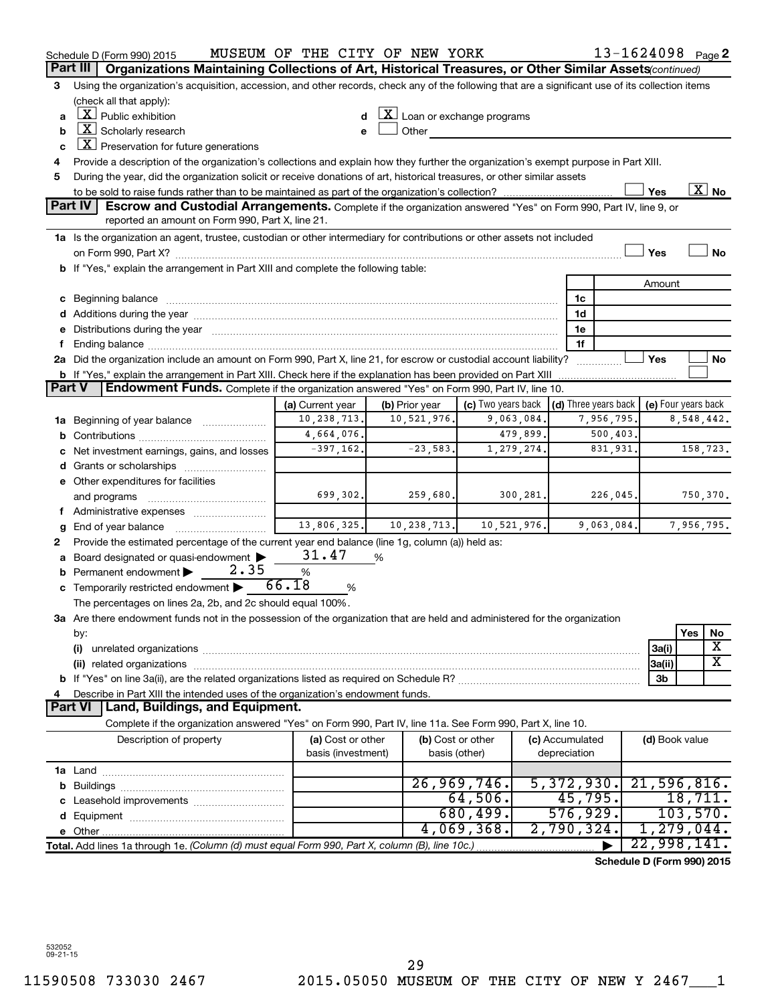|               | Schedule D (Form 990) 2015                                                                                                                                                                                                     | MUSEUM OF THE CITY OF NEW YORK |   |                |                                                    |             |                                            |            | 13-1624098 Page 2          |            |                          |
|---------------|--------------------------------------------------------------------------------------------------------------------------------------------------------------------------------------------------------------------------------|--------------------------------|---|----------------|----------------------------------------------------|-------------|--------------------------------------------|------------|----------------------------|------------|--------------------------|
|               | Organizations Maintaining Collections of Art, Historical Treasures, or Other Similar Assets(continued)<br>Part III                                                                                                             |                                |   |                |                                                    |             |                                            |            |                            |            |                          |
| 3             | Using the organization's acquisition, accession, and other records, check any of the following that are a significant use of its collection items                                                                              |                                |   |                |                                                    |             |                                            |            |                            |            |                          |
|               | (check all that apply):                                                                                                                                                                                                        |                                |   |                |                                                    |             |                                            |            |                            |            |                          |
| a             | $\lfloor x \rfloor$ Public exhibition                                                                                                                                                                                          |                                |   |                | $\underline{\mathbf{X}}$ Loan or exchange programs |             |                                            |            |                            |            |                          |
| b             | $X$ Scholarly research                                                                                                                                                                                                         |                                |   | Other          |                                                    |             |                                            |            |                            |            |                          |
| c             | $X$ Preservation for future generations                                                                                                                                                                                        |                                |   |                |                                                    |             |                                            |            |                            |            |                          |
| 4             | Provide a description of the organization's collections and explain how they further the organization's exempt purpose in Part XIII.                                                                                           |                                |   |                |                                                    |             |                                            |            |                            |            |                          |
| 5             | During the year, did the organization solicit or receive donations of art, historical treasures, or other similar assets                                                                                                       |                                |   |                |                                                    |             |                                            |            |                            |            |                          |
|               |                                                                                                                                                                                                                                |                                |   |                |                                                    |             |                                            |            | Yes                        |            | $\overline{\text{X}}$ No |
|               | Part IV<br><b>Escrow and Custodial Arrangements.</b> Complete if the organization answered "Yes" on Form 990, Part IV, line 9, or                                                                                              |                                |   |                |                                                    |             |                                            |            |                            |            |                          |
|               | reported an amount on Form 990, Part X, line 21.                                                                                                                                                                               |                                |   |                |                                                    |             |                                            |            |                            |            |                          |
|               | 1a Is the organization an agent, trustee, custodian or other intermediary for contributions or other assets not included                                                                                                       |                                |   |                |                                                    |             |                                            |            |                            |            |                          |
|               |                                                                                                                                                                                                                                |                                |   |                |                                                    |             |                                            |            | Yes                        |            | No                       |
|               | b If "Yes," explain the arrangement in Part XIII and complete the following table:                                                                                                                                             |                                |   |                |                                                    |             |                                            |            |                            |            |                          |
|               |                                                                                                                                                                                                                                |                                |   |                |                                                    |             |                                            |            | Amount                     |            |                          |
|               | c Beginning balance measurements and the contract of the contract of the contract of the contract of the contract of the contract of the contract of the contract of the contract of the contract of the contract of the contr |                                |   |                |                                                    |             | 1c                                         |            |                            |            |                          |
|               |                                                                                                                                                                                                                                |                                |   |                |                                                    |             | 1d                                         |            |                            |            |                          |
|               | e Distributions during the year manufactured and continuum and control of the control of the control of the control of the control of the control of the control of the control of the control of the control of the control o |                                |   |                |                                                    |             | 1e                                         |            |                            |            |                          |
| f             |                                                                                                                                                                                                                                |                                |   |                |                                                    |             | 1f                                         |            |                            |            |                          |
|               | 2a Did the organization include an amount on Form 990, Part X, line 21, for escrow or custodial account liability?                                                                                                             |                                |   |                |                                                    |             |                                            |            | Yes                        |            | No                       |
|               | <b>b</b> If "Yes," explain the arrangement in Part XIII. Check here if the explanation has been provided on Part XIII                                                                                                          |                                |   |                |                                                    |             |                                            |            |                            |            |                          |
| <b>Part V</b> | Endowment Funds. Complete if the organization answered "Yes" on Form 990, Part IV, line 10.                                                                                                                                    |                                |   |                |                                                    |             |                                            |            |                            |            |                          |
|               |                                                                                                                                                                                                                                | (a) Current year               |   | (b) Prior year | (c) Two years back                                 |             | (d) Three years back   (e) Four years back |            |                            |            |                          |
|               | 1a Beginning of year balance                                                                                                                                                                                                   | 10,238,713.                    |   | 10,521,976.    |                                                    | 9,063,084.  |                                            | 7,956,795. |                            | 8,548,442. |                          |
| b             |                                                                                                                                                                                                                                | 4,664,076.                     |   |                |                                                    | 479,899.    |                                            | 500,403.   |                            |            |                          |
|               | c Net investment earnings, gains, and losses                                                                                                                                                                                   | $-397,162.$                    |   | $-23,583.$     |                                                    | 1,279,274.  |                                            | 831,931.   |                            | 158,723.   |                          |
|               |                                                                                                                                                                                                                                |                                |   |                |                                                    |             |                                            |            |                            |            |                          |
|               | e Other expenditures for facilities                                                                                                                                                                                            |                                |   |                |                                                    |             |                                            |            |                            |            |                          |
|               | and programs                                                                                                                                                                                                                   | 699,302.                       |   | 259,680.       |                                                    | 300, 281.   |                                            | 226,045.   |                            | 750,370.   |                          |
|               | f Administrative expenses                                                                                                                                                                                                      |                                |   |                |                                                    |             |                                            |            |                            |            |                          |
| g             | End of year balance <i></i>                                                                                                                                                                                                    | 13,806,325.                    |   | 10,238,713.    |                                                    | 10,521,976. |                                            | 9,063,084. |                            | 7,956,795. |                          |
| 2             | Provide the estimated percentage of the current year end balance (line 1g, column (a)) held as:                                                                                                                                |                                |   |                |                                                    |             |                                            |            |                            |            |                          |
|               | a Board designated or quasi-endowment >                                                                                                                                                                                        | 31.47                          | % |                |                                                    |             |                                            |            |                            |            |                          |
|               | 2.35<br><b>b</b> Permanent endowment $\blacktriangleright$                                                                                                                                                                     | $\%$                           |   |                |                                                    |             |                                            |            |                            |            |                          |
|               | c Temporarily restricted endowment                                                                                                                                                                                             | 66.18<br>%                     |   |                |                                                    |             |                                            |            |                            |            |                          |
|               | The percentages on lines 2a, 2b, and 2c should equal 100%.                                                                                                                                                                     |                                |   |                |                                                    |             |                                            |            |                            |            |                          |
|               | 3a Are there endowment funds not in the possession of the organization that are held and administered for the organization                                                                                                     |                                |   |                |                                                    |             |                                            |            |                            |            |                          |
|               | by:                                                                                                                                                                                                                            |                                |   |                |                                                    |             |                                            |            |                            | Yes        | No                       |
|               | (i)                                                                                                                                                                                                                            |                                |   |                |                                                    |             |                                            |            | 3a(i)                      |            | х                        |
|               |                                                                                                                                                                                                                                |                                |   |                |                                                    |             |                                            |            | 3a(ii)                     |            | x                        |
|               |                                                                                                                                                                                                                                |                                |   |                |                                                    |             |                                            |            | 3b                         |            |                          |
| 4             | Describe in Part XIII the intended uses of the organization's endowment funds.                                                                                                                                                 |                                |   |                |                                                    |             |                                            |            |                            |            |                          |
|               | Land, Buildings, and Equipment.<br><b>Part VI</b>                                                                                                                                                                              |                                |   |                |                                                    |             |                                            |            |                            |            |                          |
|               | Complete if the organization answered "Yes" on Form 990, Part IV, line 11a. See Form 990, Part X, line 10.                                                                                                                     |                                |   |                |                                                    |             |                                            |            |                            |            |                          |
|               | Description of property                                                                                                                                                                                                        | (a) Cost or other              |   |                | (b) Cost or other                                  |             | (c) Accumulated                            |            | (d) Book value             |            |                          |
|               |                                                                                                                                                                                                                                | basis (investment)             |   |                | basis (other)                                      |             | depreciation                               |            |                            |            |                          |
|               |                                                                                                                                                                                                                                |                                |   |                |                                                    |             |                                            |            |                            |            |                          |
|               |                                                                                                                                                                                                                                |                                |   |                | 26,969,746.                                        |             | 5,372,930.                                 |            | 21,596,816.                |            |                          |
|               |                                                                                                                                                                                                                                |                                |   |                | 64,506.                                            |             | 45,795.                                    |            |                            | 18,711.    |                          |
|               |                                                                                                                                                                                                                                |                                |   |                | 680,499.                                           |             | 576,929.                                   |            |                            | 103,570.   |                          |
|               |                                                                                                                                                                                                                                |                                |   |                | 4,069,368.                                         |             | 2,790,324.                                 |            | 1,279,044.                 |            |                          |
|               | Total. Add lines 1a through 1e. (Column (d) must equal Form 990, Part X, column (B), line 10c.)                                                                                                                                |                                |   |                |                                                    |             |                                            |            | 22,998,141.                |            |                          |
|               |                                                                                                                                                                                                                                |                                |   |                |                                                    |             |                                            |            | Schedule D (Form 990) 2015 |            |                          |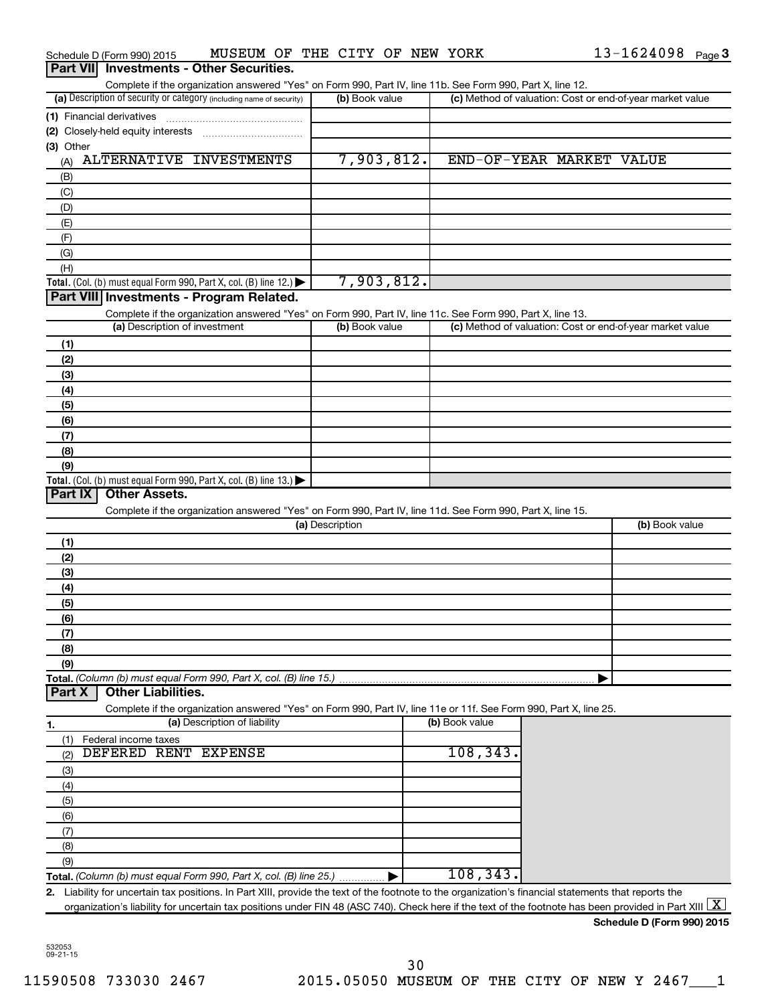|            | Schedule D (Form 990) 2015                                                                                                                                                                                                                                                                                    | MUSEUM OF THE CITY OF NEW YORK |  |                 |  |                |                          | $13 - 1624098$ Page 3                                     |  |
|------------|---------------------------------------------------------------------------------------------------------------------------------------------------------------------------------------------------------------------------------------------------------------------------------------------------------------|--------------------------------|--|-----------------|--|----------------|--------------------------|-----------------------------------------------------------|--|
|            | Part VII Investments - Other Securities.                                                                                                                                                                                                                                                                      |                                |  |                 |  |                |                          |                                                           |  |
|            | Complete if the organization answered "Yes" on Form 990, Part IV, line 11b. See Form 990, Part X, line 12.                                                                                                                                                                                                    |                                |  |                 |  |                |                          |                                                           |  |
|            | (a) Description of security or category (including name of security)                                                                                                                                                                                                                                          |                                |  | (b) Book value  |  |                |                          | (c) Method of valuation: Cost or end-of-year market value |  |
|            | (1) Financial derivatives                                                                                                                                                                                                                                                                                     |                                |  |                 |  |                |                          |                                                           |  |
| (3) Other  |                                                                                                                                                                                                                                                                                                               |                                |  |                 |  |                |                          |                                                           |  |
| (A)        | ALTERNATIVE INVESTMENTS                                                                                                                                                                                                                                                                                       |                                |  | 7,903,812.      |  |                | END-OF-YEAR MARKET VALUE |                                                           |  |
| (B)        |                                                                                                                                                                                                                                                                                                               |                                |  |                 |  |                |                          |                                                           |  |
| (C)        |                                                                                                                                                                                                                                                                                                               |                                |  |                 |  |                |                          |                                                           |  |
| (D)        |                                                                                                                                                                                                                                                                                                               |                                |  |                 |  |                |                          |                                                           |  |
| (E)        |                                                                                                                                                                                                                                                                                                               |                                |  |                 |  |                |                          |                                                           |  |
| (F)        |                                                                                                                                                                                                                                                                                                               |                                |  |                 |  |                |                          |                                                           |  |
| (G)        |                                                                                                                                                                                                                                                                                                               |                                |  |                 |  |                |                          |                                                           |  |
| (H)        |                                                                                                                                                                                                                                                                                                               |                                |  |                 |  |                |                          |                                                           |  |
|            | Total. (Col. (b) must equal Form 990, Part X, col. (B) line 12.) $\blacktriangleright$                                                                                                                                                                                                                        |                                |  | 7,903,812.      |  |                |                          |                                                           |  |
|            | Part VIII Investments - Program Related.                                                                                                                                                                                                                                                                      |                                |  |                 |  |                |                          |                                                           |  |
|            | Complete if the organization answered "Yes" on Form 990, Part IV, line 11c. See Form 990, Part X, line 13.<br>(a) Description of investment                                                                                                                                                                   |                                |  | (b) Book value  |  |                |                          | (c) Method of valuation: Cost or end-of-year market value |  |
|            |                                                                                                                                                                                                                                                                                                               |                                |  |                 |  |                |                          |                                                           |  |
| (1)<br>(2) |                                                                                                                                                                                                                                                                                                               |                                |  |                 |  |                |                          |                                                           |  |
| (3)        |                                                                                                                                                                                                                                                                                                               |                                |  |                 |  |                |                          |                                                           |  |
| (4)        |                                                                                                                                                                                                                                                                                                               |                                |  |                 |  |                |                          |                                                           |  |
| (5)        |                                                                                                                                                                                                                                                                                                               |                                |  |                 |  |                |                          |                                                           |  |
| (6)        |                                                                                                                                                                                                                                                                                                               |                                |  |                 |  |                |                          |                                                           |  |
| (7)        |                                                                                                                                                                                                                                                                                                               |                                |  |                 |  |                |                          |                                                           |  |
| (8)        |                                                                                                                                                                                                                                                                                                               |                                |  |                 |  |                |                          |                                                           |  |
| (9)        |                                                                                                                                                                                                                                                                                                               |                                |  |                 |  |                |                          |                                                           |  |
|            | Total. (Col. (b) must equal Form 990, Part X, col. (B) line $13.$ )                                                                                                                                                                                                                                           |                                |  |                 |  |                |                          |                                                           |  |
| Part IX    | <b>Other Assets.</b>                                                                                                                                                                                                                                                                                          |                                |  |                 |  |                |                          |                                                           |  |
|            | Complete if the organization answered "Yes" on Form 990, Part IV, line 11d. See Form 990, Part X, line 15.                                                                                                                                                                                                    |                                |  | (a) Description |  |                |                          | (b) Book value                                            |  |
|            |                                                                                                                                                                                                                                                                                                               |                                |  |                 |  |                |                          |                                                           |  |
| (1)<br>(2) |                                                                                                                                                                                                                                                                                                               |                                |  |                 |  |                |                          |                                                           |  |
| (3)        |                                                                                                                                                                                                                                                                                                               |                                |  |                 |  |                |                          |                                                           |  |
| (4)        |                                                                                                                                                                                                                                                                                                               |                                |  |                 |  |                |                          |                                                           |  |
| (5)        |                                                                                                                                                                                                                                                                                                               |                                |  |                 |  |                |                          |                                                           |  |
| (6)        |                                                                                                                                                                                                                                                                                                               |                                |  |                 |  |                |                          |                                                           |  |
| (7)        |                                                                                                                                                                                                                                                                                                               |                                |  |                 |  |                |                          |                                                           |  |
| (8)        |                                                                                                                                                                                                                                                                                                               |                                |  |                 |  |                |                          |                                                           |  |
| (9)        |                                                                                                                                                                                                                                                                                                               |                                |  |                 |  |                |                          |                                                           |  |
| Part X     | Total. (Column (b) must equal Form 990, Part X, col. (B) line 15.)<br><b>Other Liabilities.</b>                                                                                                                                                                                                               |                                |  |                 |  |                |                          |                                                           |  |
|            | Complete if the organization answered "Yes" on Form 990, Part IV, line 11e or 11f. See Form 990, Part X, line 25.                                                                                                                                                                                             |                                |  |                 |  | (b) Book value |                          |                                                           |  |
| 1.         |                                                                                                                                                                                                                                                                                                               | (a) Description of liability   |  |                 |  |                |                          |                                                           |  |
| (1)<br>(2) | Federal income taxes<br>DEFERED RENT EXPENSE                                                                                                                                                                                                                                                                  |                                |  |                 |  | 108, 343.      |                          |                                                           |  |
| (3)        |                                                                                                                                                                                                                                                                                                               |                                |  |                 |  |                |                          |                                                           |  |
| (4)        |                                                                                                                                                                                                                                                                                                               |                                |  |                 |  |                |                          |                                                           |  |
| (5)        |                                                                                                                                                                                                                                                                                                               |                                |  |                 |  |                |                          |                                                           |  |
| (6)        |                                                                                                                                                                                                                                                                                                               |                                |  |                 |  |                |                          |                                                           |  |
| (7)        |                                                                                                                                                                                                                                                                                                               |                                |  |                 |  |                |                          |                                                           |  |
| (8)        |                                                                                                                                                                                                                                                                                                               |                                |  |                 |  |                |                          |                                                           |  |
| (9)        |                                                                                                                                                                                                                                                                                                               |                                |  |                 |  |                |                          |                                                           |  |
|            |                                                                                                                                                                                                                                                                                                               |                                |  |                 |  | 108, 343.      |                          |                                                           |  |
| 2.         | Liability for uncertain tax positions. In Part XIII, provide the text of the footnote to the organization's financial statements that reports the<br>organization's liability for uncertain tax positions under FIN 48 (ASC 740). Check here if the text of the footnote has been provided in Part XIII $ X $ |                                |  |                 |  |                |                          |                                                           |  |
|            |                                                                                                                                                                                                                                                                                                               |                                |  |                 |  |                |                          |                                                           |  |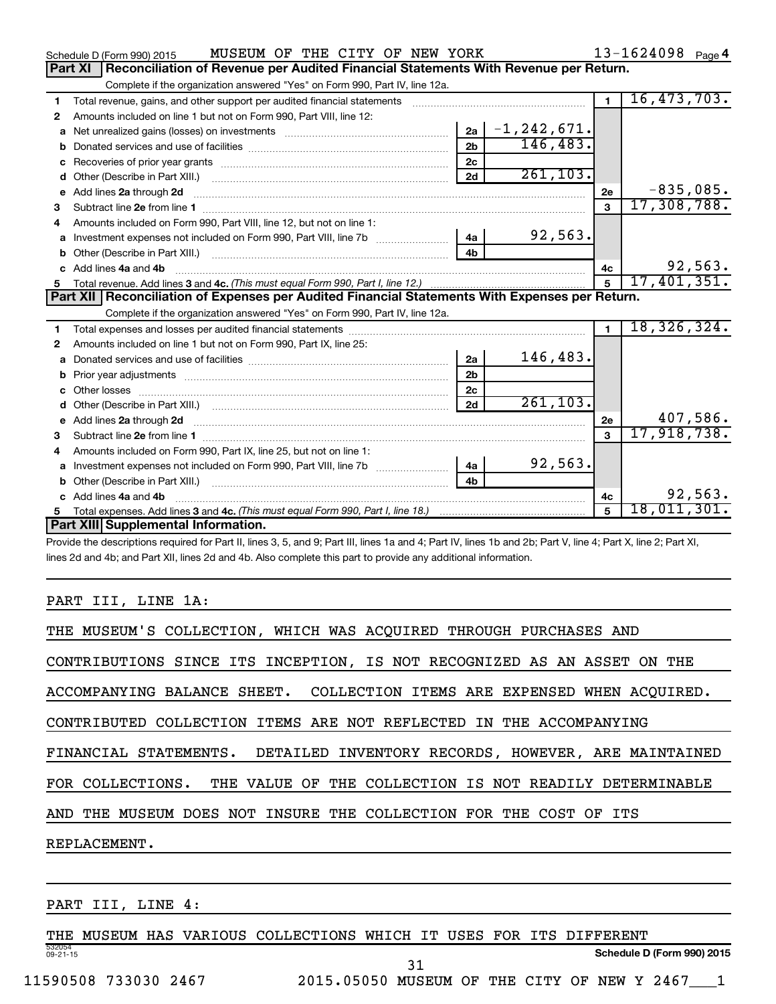|   | MUSEUM OF THE CITY OF NEW YORK<br>Schedule D (Form 990) 2015                                                                                                                                                                         |                |                  |                | $13 - 1624098$ Page 4 |
|---|--------------------------------------------------------------------------------------------------------------------------------------------------------------------------------------------------------------------------------------|----------------|------------------|----------------|-----------------------|
|   | Reconciliation of Revenue per Audited Financial Statements With Revenue per Return.<br>Part XI                                                                                                                                       |                |                  |                |                       |
|   | Complete if the organization answered "Yes" on Form 990, Part IV, line 12a.                                                                                                                                                          |                |                  |                |                       |
| 1 | Total revenue, gains, and other support per audited financial statements [111] [11] Total revenue, gains, and other support per audited financial statements                                                                         |                |                  | $\mathbf{1}$   | 16,473,703.           |
| 2 | Amounts included on line 1 but not on Form 990, Part VIII, line 12:                                                                                                                                                                  |                |                  |                |                       |
| a |                                                                                                                                                                                                                                      | 2a             | $ -1, 242, 671.$ |                |                       |
|   |                                                                                                                                                                                                                                      | 2 <sub>b</sub> | 146,483.         |                |                       |
| c |                                                                                                                                                                                                                                      | 2 <sub>c</sub> |                  |                |                       |
| d |                                                                                                                                                                                                                                      | 2d             | 261, 103.        |                |                       |
| е | Add lines 2a through 2d <b>continuum continuum contract and all the contract of the contract of the contract of the contract of the contract of the contract of the contract of the contract of the contract of the contract of </b> |                |                  | 2e             | $-835,085.$           |
| 3 |                                                                                                                                                                                                                                      |                |                  | $\mathbf{a}$   | 17,308,788.           |
|   | Amounts included on Form 990, Part VIII, line 12, but not on line 1:                                                                                                                                                                 |                |                  |                |                       |
|   |                                                                                                                                                                                                                                      | 4a             | 92,563.          |                |                       |
| b |                                                                                                                                                                                                                                      | 4 <sub>h</sub> |                  |                |                       |
|   | Add lines 4a and 4b                                                                                                                                                                                                                  |                |                  | 4с             | 92,563.               |
| 5 |                                                                                                                                                                                                                                      |                |                  |                | 17,401,351.           |
|   |                                                                                                                                                                                                                                      |                |                  |                |                       |
|   | Part XII Reconciliation of Expenses per Audited Financial Statements With Expenses per Return.                                                                                                                                       |                |                  |                |                       |
|   | Complete if the organization answered "Yes" on Form 990, Part IV, line 12a.                                                                                                                                                          |                |                  |                |                       |
| 1 |                                                                                                                                                                                                                                      |                |                  | $\blacksquare$ | 18,326,324.           |
| 2 | Amounts included on line 1 but not on Form 990, Part IX, line 25:                                                                                                                                                                    |                |                  |                |                       |
| a |                                                                                                                                                                                                                                      | 2a             | 146,483.         |                |                       |
| b |                                                                                                                                                                                                                                      | 2 <sub>b</sub> |                  |                |                       |
|   |                                                                                                                                                                                                                                      | 2 <sub>c</sub> |                  |                |                       |
|   | Other (Describe in Part XIII.) (COLORGIAL CONSERVITY) (CONSERVITY) (CONSERVITY) (CONSERVITY) (CONSERVITY) (CONSERVITY)                                                                                                               | 2d             | 261, 103.        |                |                       |
| e |                                                                                                                                                                                                                                      |                |                  | 2e             | 407,586.              |
| з | Add lines 2a through 2d <b>contained a contained a contained a contained a</b> contained a contained a contained a contained a contained a contained a contained a contained a contained a contained a contained a contained a cont  |                |                  | $\mathbf{a}$   | 17,918,738.           |
| 4 | Amounts included on Form 990, Part IX, line 25, but not on line 1:                                                                                                                                                                   |                |                  |                |                       |
| a |                                                                                                                                                                                                                                      | 4a             | 92,563.          |                |                       |
|   |                                                                                                                                                                                                                                      | 4 <sub>h</sub> |                  |                |                       |
|   | c Add lines 4a and 4b                                                                                                                                                                                                                |                |                  | 4c             | 92,563.               |
| 5 | Part XIII Supplemental Information.                                                                                                                                                                                                  |                |                  | 5              | 18,011,301.           |

Provide the descriptions required for Part II, lines 3, 5, and 9; Part III, lines 1a and 4; Part IV, lines 1b and 2b; Part V, line 4; Part X, line 2; Part XI, lines 2d and 4b; and Part XII, lines 2d and 4b. Also complete this part to provide any additional information.

# PART III, LINE 1A:

| THE MUSEUM'S COLLECTION, WHICH WAS ACOUIRED THROUGH PURCHASES AND         |
|---------------------------------------------------------------------------|
| CONTRIBUTIONS SINCE ITS INCEPTION, IS NOT RECOGNIZED AS AN ASSET ON THE   |
| ACCOMPANYING BALANCE SHEET. COLLECTION ITEMS ARE EXPENSED WHEN ACOUIRED.  |
| CONTRIBUTED COLLECTION ITEMS ARE NOT REFLECTED IN THE ACCOMPANYING        |
| FINANCIAL STATEMENTS. DETAILED INVENTORY RECORDS, HOWEVER, ARE MAINTAINED |
| FOR COLLECTIONS. THE VALUE OF THE COLLECTION IS NOT READILY DETERMINABLE  |
| AND THE MUSEUM DOES NOT INSURE THE COLLECTION FOR THE COST OF ITS         |
| REPLACEMENT.                                                              |
|                                                                           |

PART III, LINE 4:

532054 09-21-15 THE MUSEUM HAS VARIOUS COLLECTIONS WHICH IT USES FOR ITS DIFFERENT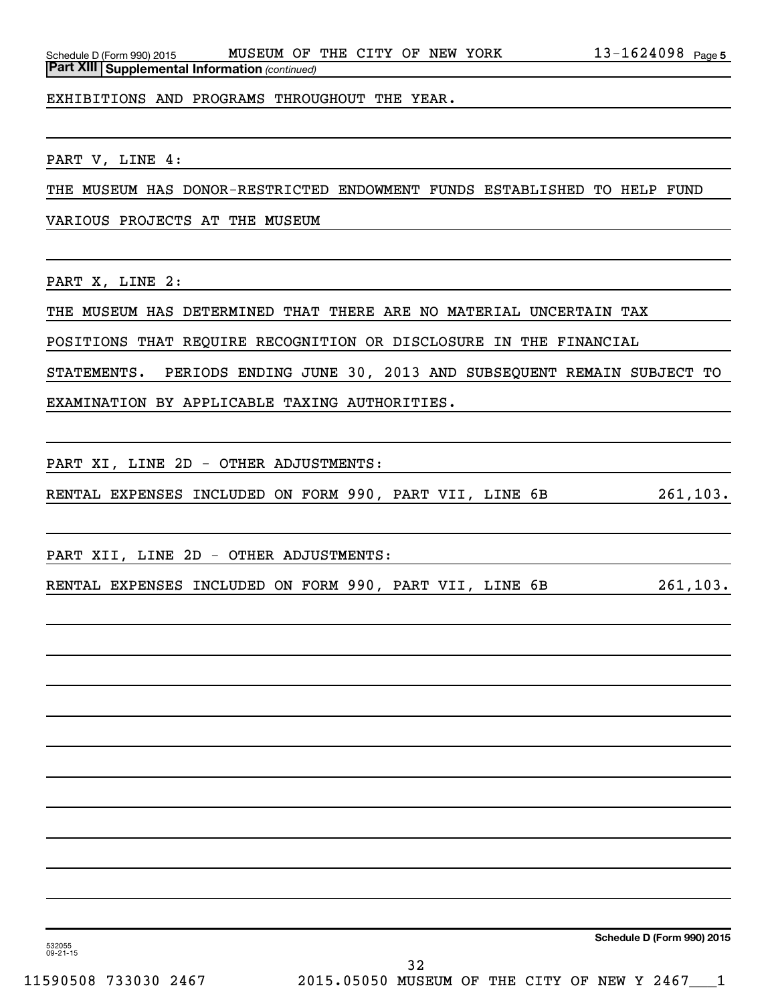EXHIBITIONS AND PROGRAMS THROUGHOUT THE YEAR.

PART V, LINE 4:

THE MUSEUM HAS DONOR-RESTRICTED ENDOWMENT FUNDS ESTABLISHED TO HELP FUND

VARIOUS PROJECTS AT THE MUSEUM

PART X, LINE 2:

THE MUSEUM HAS DETERMINED THAT THERE ARE NO MATERIAL UNCERTAIN TAX

POSITIONS THAT REQUIRE RECOGNITION OR DISCLOSURE IN THE FINANCIAL

STATEMENTS. PERIODS ENDING JUNE 30, 2013 AND SUBSEQUENT REMAIN SUBJECT TO

EXAMINATION BY APPLICABLE TAXING AUTHORITIES.

PART XI, LINE 2D - OTHER ADJUSTMENTS:

RENTAL EXPENSES INCLUDED ON FORM 990, PART VII, LINE 6B 261,103.

PART XII, LINE 2D - OTHER ADJUSTMENTS:

RENTAL EXPENSES INCLUDED ON FORM 990, PART VII, LINE 6B 261,103.

**Schedule D (Form 990) 2015**

532055 09-21-15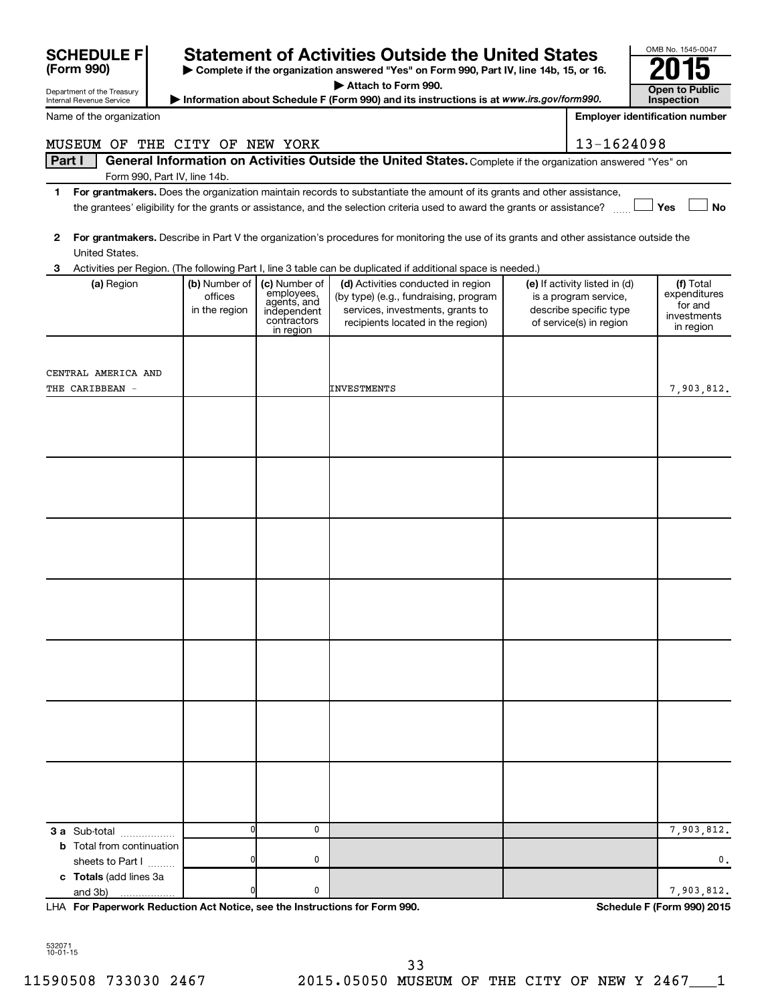| <b>SCHEDULE F</b>                      |                                                                                          | <b>Statement of Activities Outside the United States</b>                              |                                                                                                                                                      |  |                                                                                                             |                                                                  |  |  |  |
|----------------------------------------|------------------------------------------------------------------------------------------|---------------------------------------------------------------------------------------|------------------------------------------------------------------------------------------------------------------------------------------------------|--|-------------------------------------------------------------------------------------------------------------|------------------------------------------------------------------|--|--|--|
| (Form 990)                             | > Complete if the organization answered "Yes" on Form 990, Part IV, line 14b, 15, or 16. |                                                                                       |                                                                                                                                                      |  |                                                                                                             |                                                                  |  |  |  |
| Department of the Treasury             |                                                                                          |                                                                                       | Attach to Form 990.                                                                                                                                  |  |                                                                                                             | <b>Open to Public</b>                                            |  |  |  |
| Internal Revenue Service               |                                                                                          |                                                                                       | Information about Schedule F (Form 990) and its instructions is at www.irs.gov/form990.                                                              |  |                                                                                                             | Inspection                                                       |  |  |  |
| Name of the organization               |                                                                                          |                                                                                       |                                                                                                                                                      |  |                                                                                                             | <b>Employer identification number</b>                            |  |  |  |
| MUSEUM OF THE CITY OF NEW YORK         |                                                                                          |                                                                                       |                                                                                                                                                      |  | 13-1624098                                                                                                  |                                                                  |  |  |  |
| Part I                                 |                                                                                          |                                                                                       | General Information on Activities Outside the United States. Complete if the organization answered "Yes" on                                          |  |                                                                                                             |                                                                  |  |  |  |
| Form 990, Part IV, line 14b.           |                                                                                          |                                                                                       | For grantmakers. Does the organization maintain records to substantiate the amount of its grants and other assistance,                               |  |                                                                                                             |                                                                  |  |  |  |
| 1                                      |                                                                                          |                                                                                       | the grantees' eligibility for the grants or assistance, and the selection criteria used to award the grants or assistance?                           |  |                                                                                                             | No<br>Yes                                                        |  |  |  |
| 2<br>United States.                    |                                                                                          |                                                                                       | For grantmakers. Describe in Part V the organization's procedures for monitoring the use of its grants and other assistance outside the              |  |                                                                                                             |                                                                  |  |  |  |
| З.                                     |                                                                                          |                                                                                       | Activities per Region. (The following Part I, line 3 table can be duplicated if additional space is needed.)                                         |  |                                                                                                             |                                                                  |  |  |  |
| (a) Region                             | (b) Number of<br>offices<br>in the region                                                | (c) Number of<br>employees,<br>agents, and<br>independent<br>contractors<br>in region | (d) Activities conducted in region<br>(by type) (e.g., fundraising, program<br>services, investments, grants to<br>recipients located in the region) |  | (e) If activity listed in (d)<br>is a program service,<br>describe specific type<br>of service(s) in region | (f) Total<br>expenditures<br>for and<br>investments<br>in region |  |  |  |
|                                        |                                                                                          |                                                                                       |                                                                                                                                                      |  |                                                                                                             |                                                                  |  |  |  |
| CENTRAL AMERICA AND<br>THE CARIBBEAN - |                                                                                          |                                                                                       | INVESTMENTS                                                                                                                                          |  |                                                                                                             | 7,903,812.                                                       |  |  |  |
|                                        |                                                                                          |                                                                                       |                                                                                                                                                      |  |                                                                                                             |                                                                  |  |  |  |
|                                        |                                                                                          |                                                                                       |                                                                                                                                                      |  |                                                                                                             |                                                                  |  |  |  |
|                                        |                                                                                          |                                                                                       |                                                                                                                                                      |  |                                                                                                             |                                                                  |  |  |  |
|                                        |                                                                                          |                                                                                       |                                                                                                                                                      |  |                                                                                                             |                                                                  |  |  |  |
|                                        |                                                                                          |                                                                                       |                                                                                                                                                      |  |                                                                                                             |                                                                  |  |  |  |
|                                        |                                                                                          |                                                                                       |                                                                                                                                                      |  |                                                                                                             |                                                                  |  |  |  |
|                                        |                                                                                          |                                                                                       |                                                                                                                                                      |  |                                                                                                             |                                                                  |  |  |  |
|                                        |                                                                                          |                                                                                       |                                                                                                                                                      |  |                                                                                                             |                                                                  |  |  |  |
|                                        |                                                                                          |                                                                                       |                                                                                                                                                      |  |                                                                                                             |                                                                  |  |  |  |
|                                        |                                                                                          |                                                                                       |                                                                                                                                                      |  |                                                                                                             |                                                                  |  |  |  |
|                                        |                                                                                          |                                                                                       |                                                                                                                                                      |  |                                                                                                             |                                                                  |  |  |  |
|                                        |                                                                                          |                                                                                       |                                                                                                                                                      |  |                                                                                                             |                                                                  |  |  |  |
|                                        |                                                                                          |                                                                                       |                                                                                                                                                      |  |                                                                                                             |                                                                  |  |  |  |
|                                        |                                                                                          |                                                                                       |                                                                                                                                                      |  |                                                                                                             |                                                                  |  |  |  |
|                                        |                                                                                          |                                                                                       |                                                                                                                                                      |  |                                                                                                             |                                                                  |  |  |  |
|                                        |                                                                                          |                                                                                       |                                                                                                                                                      |  |                                                                                                             |                                                                  |  |  |  |
|                                        |                                                                                          |                                                                                       |                                                                                                                                                      |  |                                                                                                             |                                                                  |  |  |  |
|                                        |                                                                                          |                                                                                       |                                                                                                                                                      |  |                                                                                                             |                                                                  |  |  |  |
|                                        |                                                                                          |                                                                                       |                                                                                                                                                      |  |                                                                                                             |                                                                  |  |  |  |
|                                        |                                                                                          |                                                                                       |                                                                                                                                                      |  |                                                                                                             |                                                                  |  |  |  |
|                                        |                                                                                          |                                                                                       |                                                                                                                                                      |  |                                                                                                             |                                                                  |  |  |  |
|                                        |                                                                                          |                                                                                       |                                                                                                                                                      |  |                                                                                                             |                                                                  |  |  |  |
|                                        |                                                                                          |                                                                                       |                                                                                                                                                      |  |                                                                                                             |                                                                  |  |  |  |
|                                        |                                                                                          |                                                                                       |                                                                                                                                                      |  |                                                                                                             |                                                                  |  |  |  |
| 3 a Sub-total                          | ŋ                                                                                        | 0                                                                                     |                                                                                                                                                      |  |                                                                                                             | 7,903,812.                                                       |  |  |  |
| <b>b</b> Total from continuation       |                                                                                          |                                                                                       |                                                                                                                                                      |  |                                                                                                             |                                                                  |  |  |  |
| sheets to Part I                       |                                                                                          | 0                                                                                     |                                                                                                                                                      |  |                                                                                                             | 0.                                                               |  |  |  |
| c Totals (add lines 3a                 |                                                                                          |                                                                                       |                                                                                                                                                      |  |                                                                                                             |                                                                  |  |  |  |
| and 3b)                                |                                                                                          | 0                                                                                     |                                                                                                                                                      |  |                                                                                                             | 7,903,812.                                                       |  |  |  |

**For Paperwork Reduction Act Notice, see the Instructions for Form 990. Schedule F (Form 990) 2015** LHA

OMB No. 1545-0047

532071 10-01-15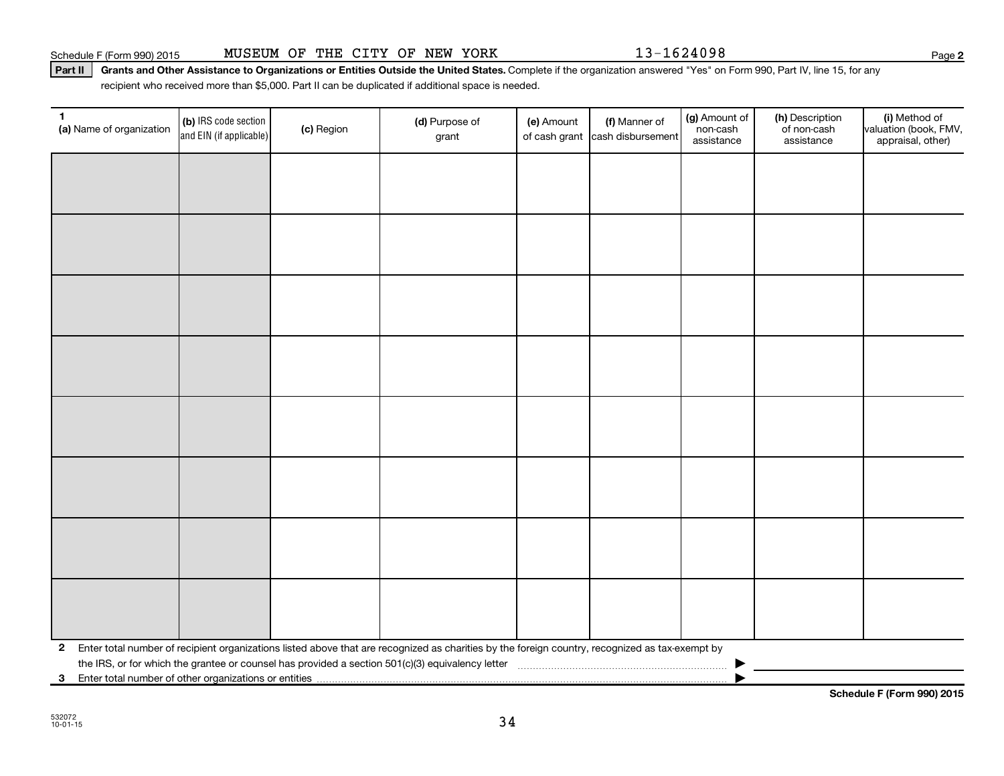**2**

Part II | Grants and Other Assistance to Organizations or Entities Outside the United States. Complete if the organization answered "Yes" on Form 990, Part IV, line 15, for any recipient who received more than \$5,000. Part II can be duplicated if additional space is needed.

| $\mathbf 1$<br>(a) Name of organization                 | (b) IRS code section<br>and EIN (if applicable) | (c) Region | (d) Purpose of<br>grant                                                                                                                         | (e) Amount | (f) Manner of<br>of cash grant cash disbursement | (g) Amount of<br>non-cash<br>assistance | (h) Description<br>of non-cash<br>assistance | (i) Method of<br>valuation (book, FMV,<br>appraisal, other) |
|---------------------------------------------------------|-------------------------------------------------|------------|-------------------------------------------------------------------------------------------------------------------------------------------------|------------|--------------------------------------------------|-----------------------------------------|----------------------------------------------|-------------------------------------------------------------|
|                                                         |                                                 |            |                                                                                                                                                 |            |                                                  |                                         |                                              |                                                             |
|                                                         |                                                 |            |                                                                                                                                                 |            |                                                  |                                         |                                              |                                                             |
|                                                         |                                                 |            |                                                                                                                                                 |            |                                                  |                                         |                                              |                                                             |
|                                                         |                                                 |            |                                                                                                                                                 |            |                                                  |                                         |                                              |                                                             |
|                                                         |                                                 |            |                                                                                                                                                 |            |                                                  |                                         |                                              |                                                             |
|                                                         |                                                 |            |                                                                                                                                                 |            |                                                  |                                         |                                              |                                                             |
|                                                         |                                                 |            |                                                                                                                                                 |            |                                                  |                                         |                                              |                                                             |
|                                                         |                                                 |            |                                                                                                                                                 |            |                                                  |                                         |                                              |                                                             |
|                                                         |                                                 |            |                                                                                                                                                 |            |                                                  |                                         |                                              |                                                             |
|                                                         |                                                 |            |                                                                                                                                                 |            |                                                  |                                         |                                              |                                                             |
|                                                         |                                                 |            |                                                                                                                                                 |            |                                                  |                                         |                                              |                                                             |
|                                                         |                                                 |            |                                                                                                                                                 |            |                                                  |                                         |                                              |                                                             |
|                                                         |                                                 |            |                                                                                                                                                 |            |                                                  |                                         |                                              |                                                             |
|                                                         |                                                 |            |                                                                                                                                                 |            |                                                  |                                         |                                              |                                                             |
|                                                         |                                                 |            |                                                                                                                                                 |            |                                                  |                                         |                                              |                                                             |
|                                                         |                                                 |            |                                                                                                                                                 |            |                                                  |                                         |                                              |                                                             |
| $\mathbf{2}$                                            |                                                 |            | Enter total number of recipient organizations listed above that are recognized as charities by the foreign country, recognized as tax-exempt by |            |                                                  |                                         |                                              |                                                             |
|                                                         |                                                 |            |                                                                                                                                                 |            |                                                  |                                         |                                              |                                                             |
| 3 Enter total number of other organizations or entities |                                                 |            |                                                                                                                                                 |            |                                                  |                                         |                                              |                                                             |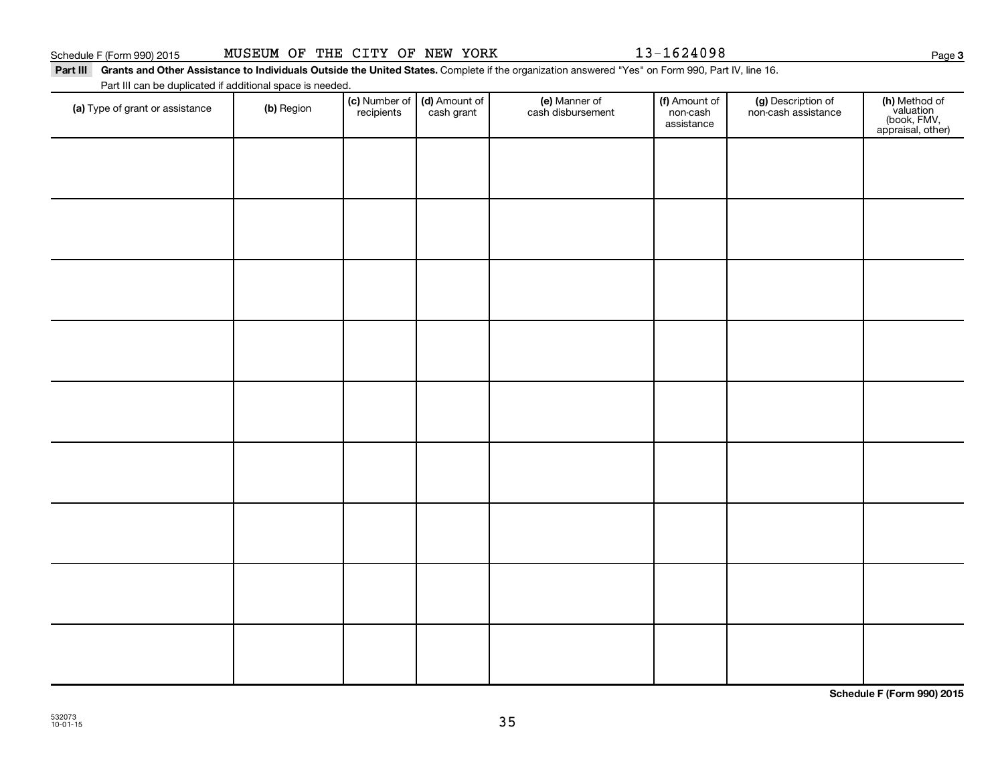Part III Grants and Other Assistance to Individuals Outside the United States. Complete if the organization answered "Yes" on Form 990, Part IV, line 16.

Part III can be duplicated if additional space is needed.

| (a) Type of grant or assistance | (b) Region | (c) Number of<br>recipients | (d) Amount of<br>cash grant | (e) Manner of<br>cash disbursement | (f) Amount of<br>non-cash<br>assistance | (g) Description of<br>non-cash assistance | (h) Method of<br>valuation<br>(book, FMV,<br>appraisal, other) |
|---------------------------------|------------|-----------------------------|-----------------------------|------------------------------------|-----------------------------------------|-------------------------------------------|----------------------------------------------------------------|
|                                 |            |                             |                             |                                    |                                         |                                           |                                                                |
|                                 |            |                             |                             |                                    |                                         |                                           |                                                                |
|                                 |            |                             |                             |                                    |                                         |                                           |                                                                |
|                                 |            |                             |                             |                                    |                                         |                                           |                                                                |
|                                 |            |                             |                             |                                    |                                         |                                           |                                                                |
|                                 |            |                             |                             |                                    |                                         |                                           |                                                                |
|                                 |            |                             |                             |                                    |                                         |                                           |                                                                |
|                                 |            |                             |                             |                                    |                                         |                                           |                                                                |
|                                 |            |                             |                             |                                    |                                         |                                           |                                                                |
|                                 |            |                             |                             |                                    |                                         |                                           |                                                                |
|                                 |            |                             |                             |                                    |                                         |                                           |                                                                |
|                                 |            |                             |                             |                                    |                                         |                                           |                                                                |
|                                 |            |                             |                             |                                    |                                         |                                           |                                                                |
|                                 |            |                             |                             |                                    |                                         |                                           |                                                                |

**Schedule F (Form 990) 2015**

**3**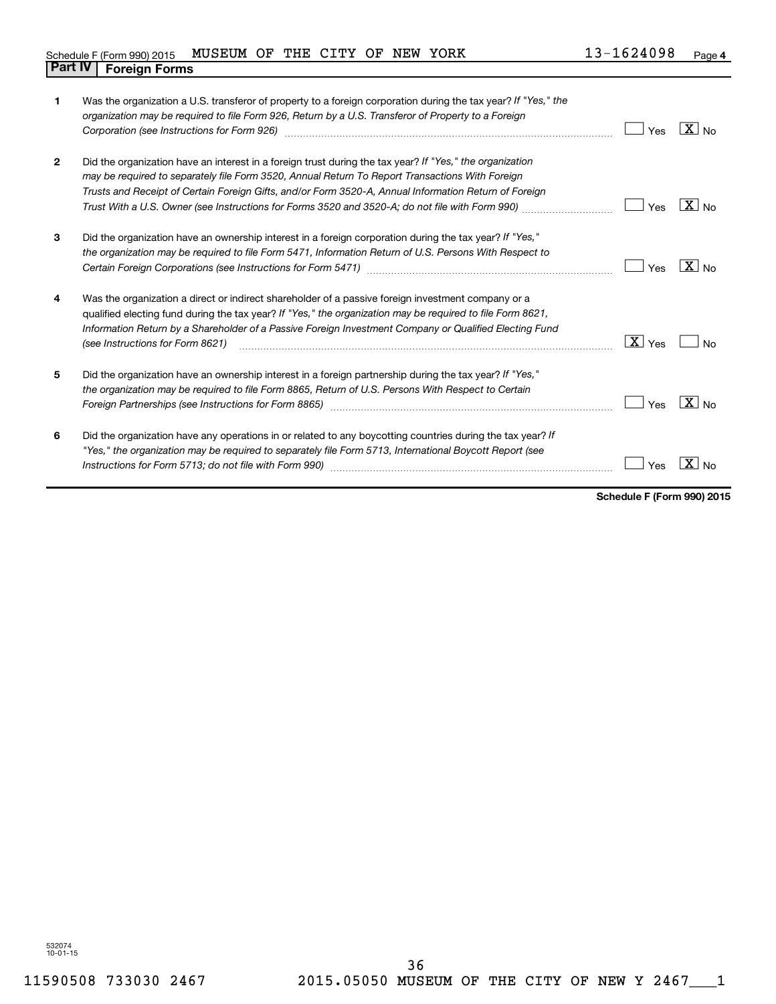| 1            | Was the organization a U.S. transferor of property to a foreign corporation during the tax year? If "Yes," the<br>organization may be required to file Form 926, Return by a U.S. Transferor of Property to a Foreign<br>Corporation (see Instructions for Form 926) manufactured control and the control of the control of the control of the control of the control of the control of the control of the control of the control of the control of the | Yes       | $X _{\text{No}}$ |
|--------------|---------------------------------------------------------------------------------------------------------------------------------------------------------------------------------------------------------------------------------------------------------------------------------------------------------------------------------------------------------------------------------------------------------------------------------------------------------|-----------|------------------|
| $\mathbf{2}$ | Did the organization have an interest in a foreign trust during the tax year? If "Yes," the organization<br>may be required to separately file Form 3520, Annual Return To Report Transactions With Foreign<br>Trusts and Receipt of Certain Foreign Gifts, and/or Form 3520-A, Annual Information Return of Foreign<br>Trust With a U.S. Owner (see Instructions for Forms 3520 and 3520-A; do not file with Form 990)                                 | Yes       | $X _{N0}$        |
| 3            | Did the organization have an ownership interest in a foreign corporation during the tax year? If "Yes,"<br>the organization may be required to file Form 5471, Information Return of U.S. Persons With Respect to                                                                                                                                                                                                                                       | Yes       | $X _{\text{No}}$ |
| 4            | Was the organization a direct or indirect shareholder of a passive foreign investment company or a<br>qualified electing fund during the tax year? If "Yes," the organization may be required to file Form 8621,<br>Information Return by a Shareholder of a Passive Foreign Investment Company or Qualified Electing Fund<br>(see Instructions for Form 8621)                                                                                          | X <br>Yes | No               |
| 5            | Did the organization have an ownership interest in a foreign partnership during the tax year? If "Yes,"<br>the organization may be required to file Form 8865, Return of U.S. Persons With Respect to Certain<br>Foreign Partnerships (see Instructions for Form 8865)                                                                                                                                                                                  | Yes       | $X _{N0}$        |
| 6            | Did the organization have any operations in or related to any boycotting countries during the tax year? If<br>"Yes," the organization may be required to separately file Form 5713, International Boycott Report (see                                                                                                                                                                                                                                   | Yes       |                  |

**Schedule F (Form 990) 2015**

532074 10-01-15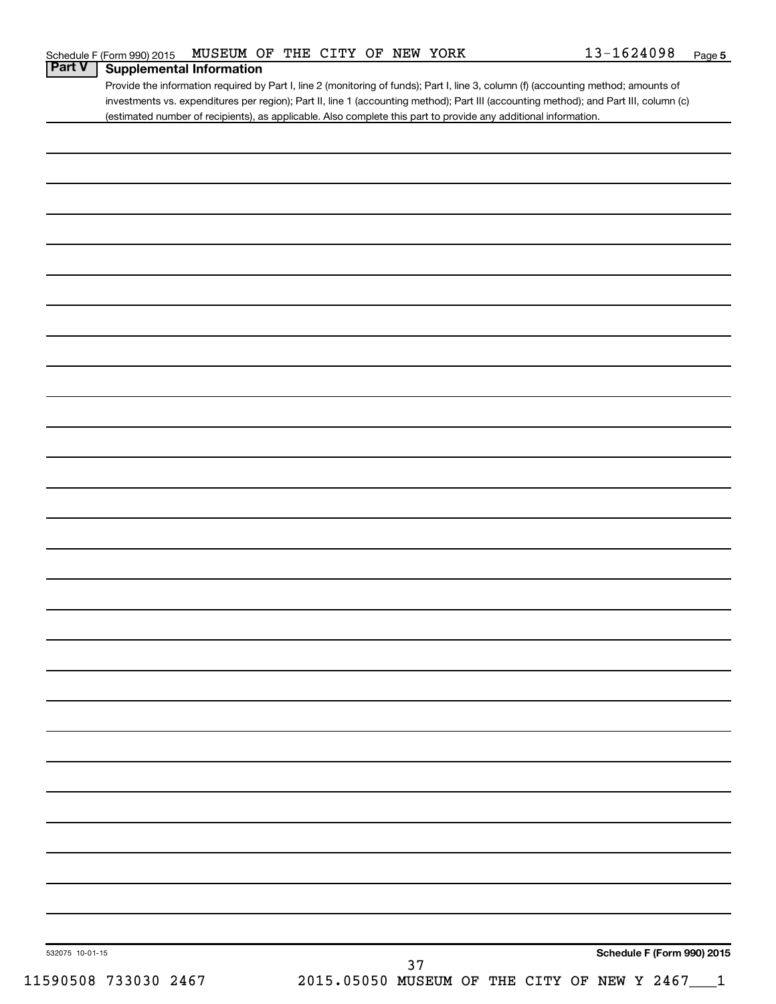Provide the information required by Part I, line 2 (monitoring of funds); Part I, line 3, column (f) (accounting method; amounts of investments vs. expenditures per region); Part II, line 1 (accounting method); Part III (accounting method); and Part III, column (c) (estimated number of recipients), as applicable. Also complete this part to provide any additional information.

|                      |                                                 |    |  |  | Schedule F (Form 990) 2015 |  |
|----------------------|-------------------------------------------------|----|--|--|----------------------------|--|
| 532075 10-01-15      |                                                 | 37 |  |  |                            |  |
| 11590508 733030 2467 | 2015.05050 MUSEUM OF THE CITY OF NEW Y 2467___1 |    |  |  |                            |  |
|                      |                                                 |    |  |  |                            |  |
|                      |                                                 |    |  |  |                            |  |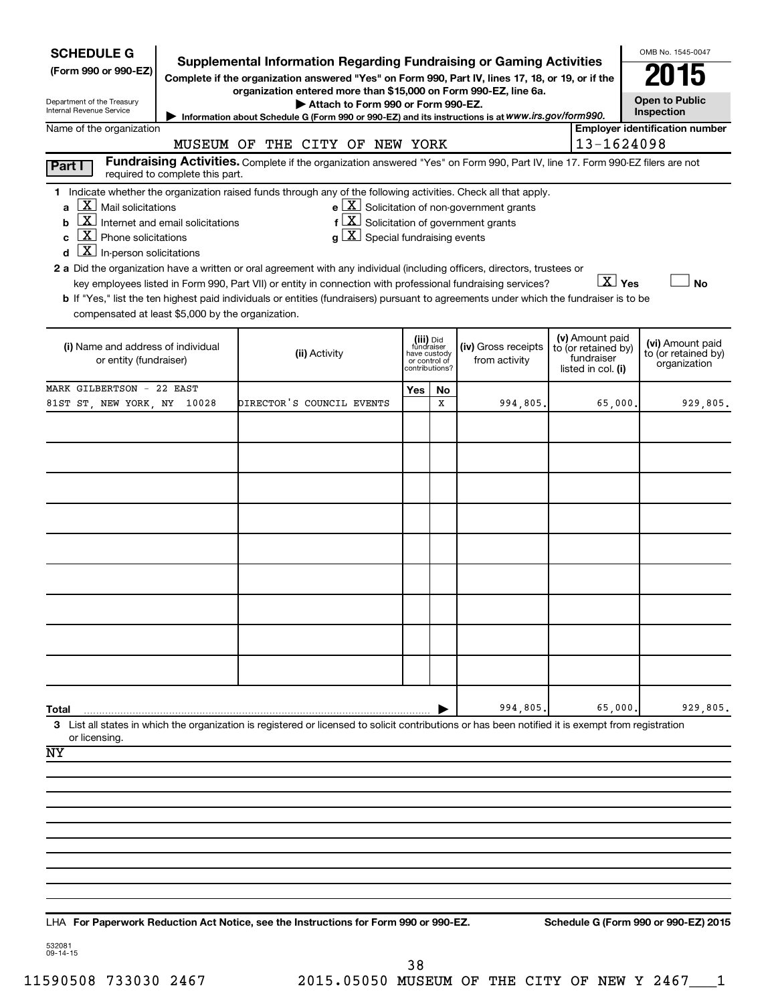| <b>SCHEDULE G</b><br>(Form 990 or 990-EZ)<br>Department of the Treasury<br>Internal Revenue Service                                                                                                         | <b>Supplemental Information Regarding Fundraising or Gaming Activities</b><br>Complete if the organization answered "Yes" on Form 990, Part IV, lines 17, 18, or 19, or if the | OMB No. 1545-0047<br><b>Open to Public</b><br>Inspection                                                                                                                                                                                                                                                                                                                                                                                                                                                                                                                                                       |                           |                                               |                                                                         |  |                                                                            |                                                         |
|-------------------------------------------------------------------------------------------------------------------------------------------------------------------------------------------------------------|--------------------------------------------------------------------------------------------------------------------------------------------------------------------------------|----------------------------------------------------------------------------------------------------------------------------------------------------------------------------------------------------------------------------------------------------------------------------------------------------------------------------------------------------------------------------------------------------------------------------------------------------------------------------------------------------------------------------------------------------------------------------------------------------------------|---------------------------|-----------------------------------------------|-------------------------------------------------------------------------|--|----------------------------------------------------------------------------|---------------------------------------------------------|
| Name of the organization                                                                                                                                                                                    |                                                                                                                                                                                | Information about Schedule G (Form 990 or 990-EZ) and its instructions is at WWW.irs.gov/form990.                                                                                                                                                                                                                                                                                                                                                                                                                                                                                                              |                           |                                               |                                                                         |  |                                                                            | <b>Employer identification number</b>                   |
|                                                                                                                                                                                                             |                                                                                                                                                                                | MUSEUM OF THE CITY OF NEW YORK                                                                                                                                                                                                                                                                                                                                                                                                                                                                                                                                                                                 |                           |                                               |                                                                         |  | 13-1624098                                                                 |                                                         |
| Part I                                                                                                                                                                                                      | required to complete this part.                                                                                                                                                | Fundraising Activities. Complete if the organization answered "Yes" on Form 990, Part IV, line 17. Form 990-EZ filers are not                                                                                                                                                                                                                                                                                                                                                                                                                                                                                  |                           |                                               |                                                                         |  |                                                                            |                                                         |
| $\mathbf{X}$<br>Mail solicitations<br>a<br><u>x</u><br>b<br>$\lfloor x \rfloor$<br>Phone solicitations<br>C<br>$\mathbf{X}$<br>In-person solicitations<br>compensated at least \$5,000 by the organization. | Internet and email solicitations                                                                                                                                               | 1 Indicate whether the organization raised funds through any of the following activities. Check all that apply.<br>$f\left[\frac{X}{X}\right]$ Solicitation of government grants<br>$g\mid X$ Special fundraising events<br>2 a Did the organization have a written or oral agreement with any individual (including officers, directors, trustees or<br>key employees listed in Form 990, Part VII) or entity in connection with professional fundraising services?<br>b If "Yes," list the ten highest paid individuals or entities (fundraisers) pursuant to agreements under which the fundraiser is to be |                           |                                               | $\mathbf{e}$ $\boxed{\mathbf{X}}$ Solicitation of non-government grants |  | $\boxed{\text{X}}$ Yes                                                     | <b>No</b>                                               |
| (i) Name and address of individual<br>or entity (fundraiser)                                                                                                                                                |                                                                                                                                                                                | (ii) Activity                                                                                                                                                                                                                                                                                                                                                                                                                                                                                                                                                                                                  | (iii) Did<br>have custody | fundraiser<br>or control of<br>contributions? | (iv) Gross receipts<br>from activity                                    |  | (v) Amount paid<br>to (or retained by)<br>fundraiser<br>listed in col. (i) | (vi) Amount paid<br>to (or retained by)<br>organization |
| MARK GILBERTSON - 22 EAST                                                                                                                                                                                   |                                                                                                                                                                                |                                                                                                                                                                                                                                                                                                                                                                                                                                                                                                                                                                                                                | Yes                       | No                                            |                                                                         |  |                                                                            |                                                         |
| 81ST ST, NEW YORK, NY 10028                                                                                                                                                                                 |                                                                                                                                                                                | DIRECTOR'S COUNCIL EVENTS                                                                                                                                                                                                                                                                                                                                                                                                                                                                                                                                                                                      |                           | х                                             | 994,805                                                                 |  | 65,000                                                                     | 929,805.                                                |
| Total                                                                                                                                                                                                       |                                                                                                                                                                                |                                                                                                                                                                                                                                                                                                                                                                                                                                                                                                                                                                                                                |                           |                                               | 994,805                                                                 |  | 65,000                                                                     | 929,805.                                                |
| or licensing.                                                                                                                                                                                               |                                                                                                                                                                                | 3 List all states in which the organization is registered or licensed to solicit contributions or has been notified it is exempt from registration                                                                                                                                                                                                                                                                                                                                                                                                                                                             |                           |                                               |                                                                         |  |                                                                            |                                                         |
| NY                                                                                                                                                                                                          |                                                                                                                                                                                |                                                                                                                                                                                                                                                                                                                                                                                                                                                                                                                                                                                                                |                           |                                               |                                                                         |  |                                                                            |                                                         |
|                                                                                                                                                                                                             |                                                                                                                                                                                |                                                                                                                                                                                                                                                                                                                                                                                                                                                                                                                                                                                                                |                           |                                               |                                                                         |  |                                                                            |                                                         |
|                                                                                                                                                                                                             |                                                                                                                                                                                |                                                                                                                                                                                                                                                                                                                                                                                                                                                                                                                                                                                                                |                           |                                               |                                                                         |  |                                                                            |                                                         |
|                                                                                                                                                                                                             |                                                                                                                                                                                |                                                                                                                                                                                                                                                                                                                                                                                                                                                                                                                                                                                                                |                           |                                               |                                                                         |  |                                                                            |                                                         |
|                                                                                                                                                                                                             |                                                                                                                                                                                |                                                                                                                                                                                                                                                                                                                                                                                                                                                                                                                                                                                                                |                           |                                               |                                                                         |  |                                                                            |                                                         |
|                                                                                                                                                                                                             |                                                                                                                                                                                |                                                                                                                                                                                                                                                                                                                                                                                                                                                                                                                                                                                                                |                           |                                               |                                                                         |  |                                                                            |                                                         |
|                                                                                                                                                                                                             |                                                                                                                                                                                |                                                                                                                                                                                                                                                                                                                                                                                                                                                                                                                                                                                                                |                           |                                               |                                                                         |  |                                                                            |                                                         |
|                                                                                                                                                                                                             |                                                                                                                                                                                |                                                                                                                                                                                                                                                                                                                                                                                                                                                                                                                                                                                                                |                           |                                               |                                                                         |  |                                                                            |                                                         |
|                                                                                                                                                                                                             |                                                                                                                                                                                |                                                                                                                                                                                                                                                                                                                                                                                                                                                                                                                                                                                                                |                           |                                               |                                                                         |  |                                                                            |                                                         |

**For Paperwork Reduction Act Notice, see the Instructions for Form 990 or 990-EZ. Schedule G (Form 990 or 990-EZ) 2015** LHA

532081 09-14-15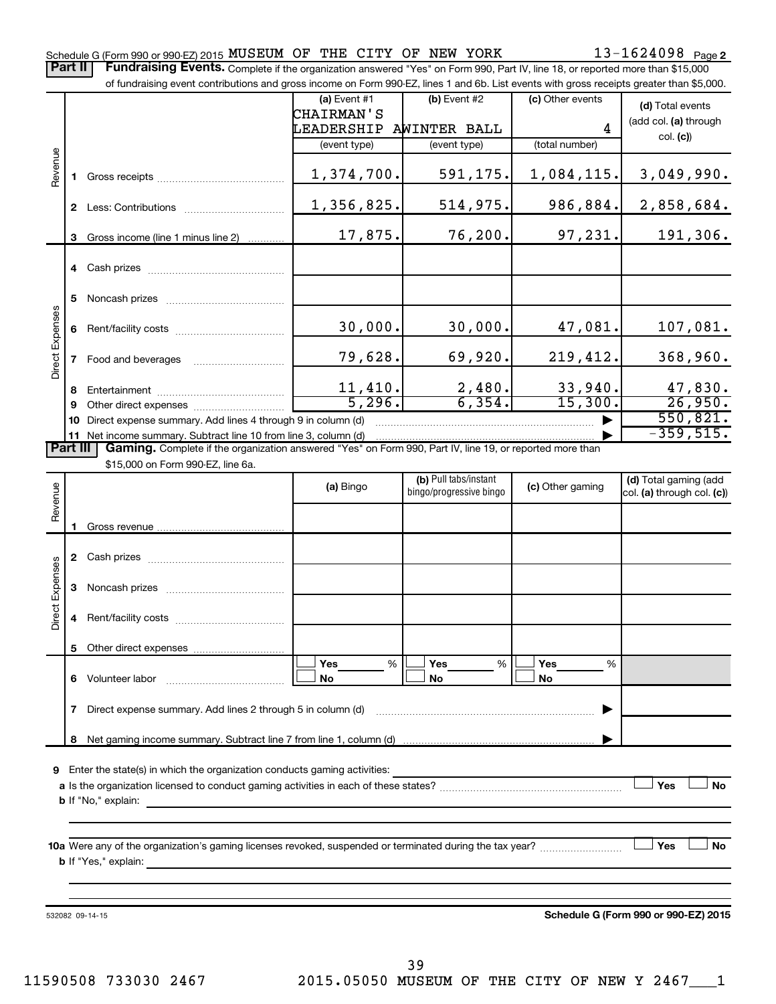Part II | Fundraising Events. Complete if the organization answered "Yes" on Form 990, Part IV, line 18, or reported more than \$15,000

|                 |              | of fundraising event contributions and gross income on Form 990-EZ, lines 1 and 6b. List events with gross receipts greater than \$5,000. |                   |                         |                    |                            |
|-----------------|--------------|-------------------------------------------------------------------------------------------------------------------------------------------|-------------------|-------------------------|--------------------|----------------------------|
|                 |              |                                                                                                                                           | (a) Event #1      | (b) Event #2            | (c) Other events   | (d) Total events           |
|                 |              |                                                                                                                                           | <b>CHAIRMAN'S</b> |                         |                    | (add col. (a) through      |
|                 |              |                                                                                                                                           | LEADERSHIP        | AWINTER BALL            | 4                  | col. (c)                   |
|                 |              |                                                                                                                                           | (event type)      | (event type)            | (total number)     |                            |
| Revenue         |              |                                                                                                                                           |                   |                         |                    |                            |
|                 |              |                                                                                                                                           | 1,374,700.        | 591,175.                | 1,084,115.         | 3,049,990.                 |
|                 |              |                                                                                                                                           |                   |                         |                    |                            |
|                 |              |                                                                                                                                           | 1,356,825.        | 514,975.                | 986,884.           | 2,858,684.                 |
|                 |              |                                                                                                                                           | 17,875.           | 76,200.                 | 97,231.            | 191,306.                   |
|                 | 3            | Gross income (line 1 minus line 2)                                                                                                        |                   |                         |                    |                            |
|                 |              |                                                                                                                                           |                   |                         |                    |                            |
|                 |              |                                                                                                                                           |                   |                         |                    |                            |
|                 | 5            |                                                                                                                                           |                   |                         |                    |                            |
|                 |              |                                                                                                                                           |                   |                         |                    |                            |
|                 |              |                                                                                                                                           | 30,000.           | 30,000.                 | 47,081.            | 107,081.                   |
| Direct Expenses |              |                                                                                                                                           |                   |                         |                    |                            |
|                 | $\mathbf{7}$ | Food and beverages                                                                                                                        | 79,628.           | 69,920.                 | 219,412.           | 368,960.                   |
|                 |              |                                                                                                                                           |                   |                         |                    |                            |
|                 | 8            |                                                                                                                                           | 11,410.<br>5,296. | 2,480.<br>6, 354.       | 33,940.<br>15,300. | 47,830.<br>26,950.         |
|                 | 9            |                                                                                                                                           |                   |                         |                    | 550,821.                   |
|                 |              | 10 Direct expense summary. Add lines 4 through 9 in column (d)<br>11 Net income summary. Subtract line 10 from line 3, column (d)         |                   |                         |                    | $-359,515.$                |
| <b>Part III</b> |              | Gaming. Complete if the organization answered "Yes" on Form 990, Part IV, line 19, or reported more than                                  |                   |                         |                    |                            |
|                 |              | \$15,000 on Form 990-EZ, line 6a.                                                                                                         |                   |                         |                    |                            |
|                 |              |                                                                                                                                           | (a) Bingo         | (b) Pull tabs/instant   | (c) Other gaming   | (d) Total gaming (add      |
| Revenue         |              |                                                                                                                                           |                   | bingo/progressive bingo |                    | col. (a) through col. (c)) |
|                 |              |                                                                                                                                           |                   |                         |                    |                            |
|                 |              |                                                                                                                                           |                   |                         |                    |                            |
|                 |              |                                                                                                                                           |                   |                         |                    |                            |
|                 |              |                                                                                                                                           |                   |                         |                    |                            |
|                 | 3            |                                                                                                                                           |                   |                         |                    |                            |
| Direct Expenses |              |                                                                                                                                           |                   |                         |                    |                            |
|                 | 4            |                                                                                                                                           |                   |                         |                    |                            |
|                 |              |                                                                                                                                           |                   |                         |                    |                            |
|                 | 5            |                                                                                                                                           |                   |                         |                    |                            |
|                 |              |                                                                                                                                           | Yes<br>%          | Yes<br>%                | Yes<br>%           |                            |
|                 |              | 6 Volunteer labor                                                                                                                         | No                | No                      | No                 |                            |
|                 |              |                                                                                                                                           |                   |                         |                    |                            |
|                 | 7            | Direct expense summary. Add lines 2 through 5 in column (d)                                                                               |                   |                         |                    |                            |
|                 | 8            |                                                                                                                                           |                   |                         |                    |                            |
|                 |              |                                                                                                                                           |                   |                         |                    |                            |
|                 |              | 9 Enter the state(s) in which the organization conducts gaming activities:                                                                |                   |                         |                    |                            |
|                 |              |                                                                                                                                           |                   |                         |                    | Yes<br><b>No</b>           |
|                 |              | <b>b</b> If "No," explain:<br>the control of the control of the control of the control of the control of the control of                   |                   |                         |                    |                            |
|                 |              |                                                                                                                                           |                   |                         |                    |                            |
|                 |              |                                                                                                                                           |                   |                         |                    |                            |
|                 |              |                                                                                                                                           |                   |                         |                    | Yes<br><b>No</b>           |
|                 |              |                                                                                                                                           |                   |                         |                    |                            |
|                 |              |                                                                                                                                           |                   |                         |                    |                            |
|                 |              |                                                                                                                                           |                   |                         |                    |                            |

532082 09-14-15

**Schedule G (Form 990 or 990-EZ) 2015**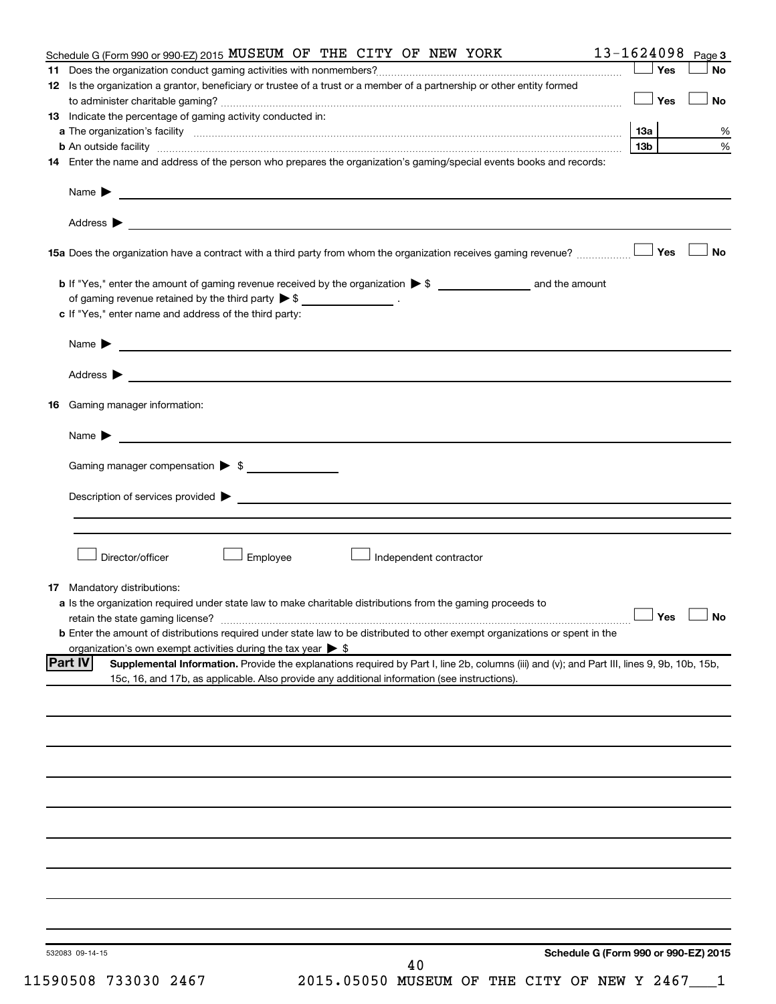| Schedule G (Form 990 or 990-EZ) 2015 MUSEUM OF THE CITY OF NEW YORK                                                                                                                                                                           | 13-1624098      | Page 3               |
|-----------------------------------------------------------------------------------------------------------------------------------------------------------------------------------------------------------------------------------------------|-----------------|----------------------|
|                                                                                                                                                                                                                                               | Yes             | No                   |
| 12 Is the organization a grantor, beneficiary or trustee of a trust or a member of a partnership or other entity formed                                                                                                                       |                 |                      |
|                                                                                                                                                                                                                                               | Yes             | <b>No</b>            |
| 13 Indicate the percentage of gaming activity conducted in:                                                                                                                                                                                   |                 |                      |
|                                                                                                                                                                                                                                               | 13a             | %                    |
| 14 Enter the name and address of the person who prepares the organization's gaming/special events books and records:                                                                                                                          | 13 <sub>b</sub> | $\%$                 |
|                                                                                                                                                                                                                                               |                 |                      |
|                                                                                                                                                                                                                                               |                 |                      |
| Address ><br>and the control of the control of the control of the control of the control of the control of the control of the                                                                                                                 |                 |                      |
| 15a Does the organization have a contract with a third party from whom the organization receives gaming revenue?                                                                                                                              | Yes             | <b>No</b>            |
|                                                                                                                                                                                                                                               |                 |                      |
| of gaming revenue retained by the third party $\triangleright$ \$ __________________.                                                                                                                                                         |                 |                      |
| c If "Yes," enter name and address of the third party:                                                                                                                                                                                        |                 |                      |
| Name $\blacktriangleright$ $\lrcorner$                                                                                                                                                                                                        |                 |                      |
|                                                                                                                                                                                                                                               |                 |                      |
|                                                                                                                                                                                                                                               |                 |                      |
| <b>16</b> Gaming manager information:                                                                                                                                                                                                         |                 |                      |
| <u> 1989 - Johann Barnett, fransk politiker (d. 1989)</u><br>Name $\blacktriangleright$                                                                                                                                                       |                 |                      |
| Gaming manager compensation > \$                                                                                                                                                                                                              |                 |                      |
|                                                                                                                                                                                                                                               |                 |                      |
|                                                                                                                                                                                                                                               |                 |                      |
|                                                                                                                                                                                                                                               |                 |                      |
| Director/officer<br>Employee<br>Independent contractor                                                                                                                                                                                        |                 |                      |
|                                                                                                                                                                                                                                               |                 |                      |
| <b>17</b> Mandatory distributions:                                                                                                                                                                                                            |                 |                      |
| a Is the organization required under state law to make charitable distributions from the gaming proceeds to                                                                                                                                   |                 |                      |
|                                                                                                                                                                                                                                               |                 | $\Box$ Yes $\Box$ No |
| <b>b</b> Enter the amount of distributions required under state law to be distributed to other exempt organizations or spent in the                                                                                                           |                 |                      |
| organization's own exempt activities during the tax year $\triangleright$ \$<br><b>Part IV</b><br>Supplemental Information. Provide the explanations required by Part I, line 2b, columns (iii) and (v); and Part III, lines 9, 9b, 10b, 15b, |                 |                      |
| 15c, 16, and 17b, as applicable. Also provide any additional information (see instructions).                                                                                                                                                  |                 |                      |
|                                                                                                                                                                                                                                               |                 |                      |
|                                                                                                                                                                                                                                               |                 |                      |
|                                                                                                                                                                                                                                               |                 |                      |
|                                                                                                                                                                                                                                               |                 |                      |
|                                                                                                                                                                                                                                               |                 |                      |
|                                                                                                                                                                                                                                               |                 |                      |
|                                                                                                                                                                                                                                               |                 |                      |
|                                                                                                                                                                                                                                               |                 |                      |
|                                                                                                                                                                                                                                               |                 |                      |
|                                                                                                                                                                                                                                               |                 |                      |
|                                                                                                                                                                                                                                               |                 |                      |
|                                                                                                                                                                                                                                               |                 |                      |
|                                                                                                                                                                                                                                               |                 |                      |
|                                                                                                                                                                                                                                               |                 |                      |
| Schedule G (Form 990 or 990-EZ) 2015<br>532083 09-14-15<br>40                                                                                                                                                                                 |                 |                      |

11590508 733030 2467 2015.05050 MUSEUM OF THE CITY OF NEW Y 2467\_\_\_1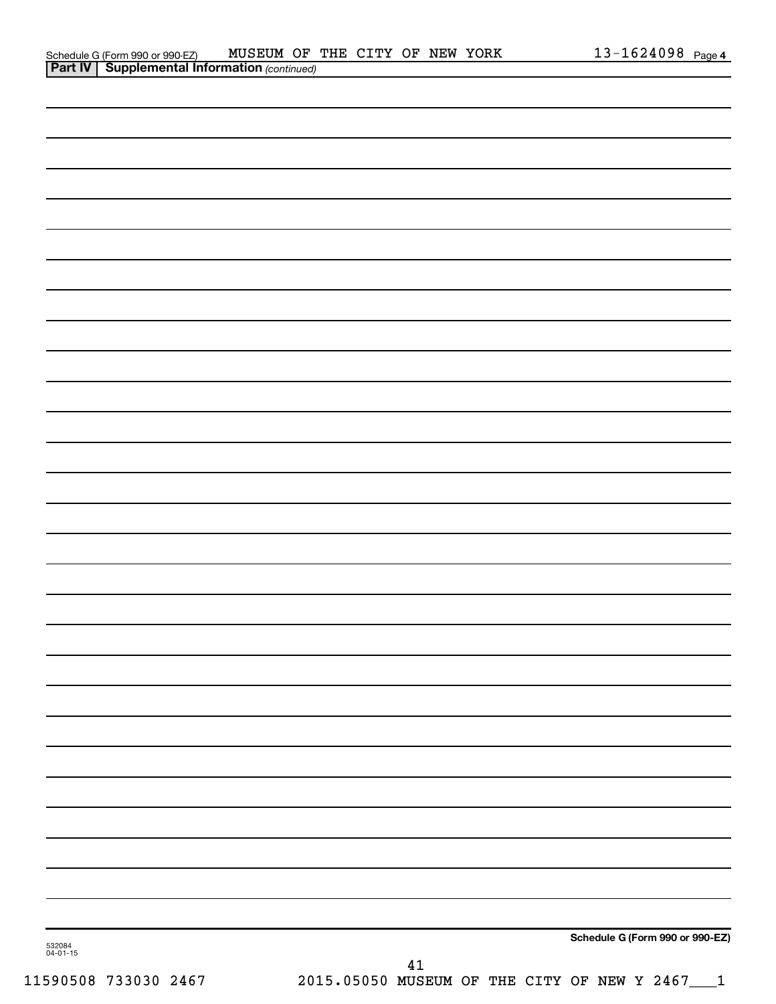| Schedule G (Form 990 or 990-EZ)                       | MUSEUM OF THE CITY OF NEW YORK |  |  |  | .3-1624098 | Page 4 |
|-------------------------------------------------------|--------------------------------|--|--|--|------------|--------|
| <b>Part IV   Supplemental Information (continued)</b> |                                |  |  |  |            |        |

| 532084<br>04-01-15<br>$41\,$ |                                 |
|------------------------------|---------------------------------|
|                              | Schedule G (Form 990 or 990-EZ) |
|                              |                                 |
|                              |                                 |
|                              |                                 |
|                              |                                 |
|                              |                                 |
|                              |                                 |
|                              |                                 |
|                              |                                 |
|                              |                                 |
|                              |                                 |
|                              |                                 |
|                              |                                 |
|                              |                                 |
|                              |                                 |
|                              |                                 |
|                              |                                 |
|                              |                                 |
|                              |                                 |
|                              |                                 |
|                              |                                 |
|                              |                                 |
|                              |                                 |
|                              |                                 |
|                              |                                 |
|                              |                                 |
|                              |                                 |
|                              |                                 |
|                              |                                 |
|                              |                                 |

11590508 733030 2467 2015.05050 MUSEUM OF THE CITY OF NEW Y 2467\_\_\_1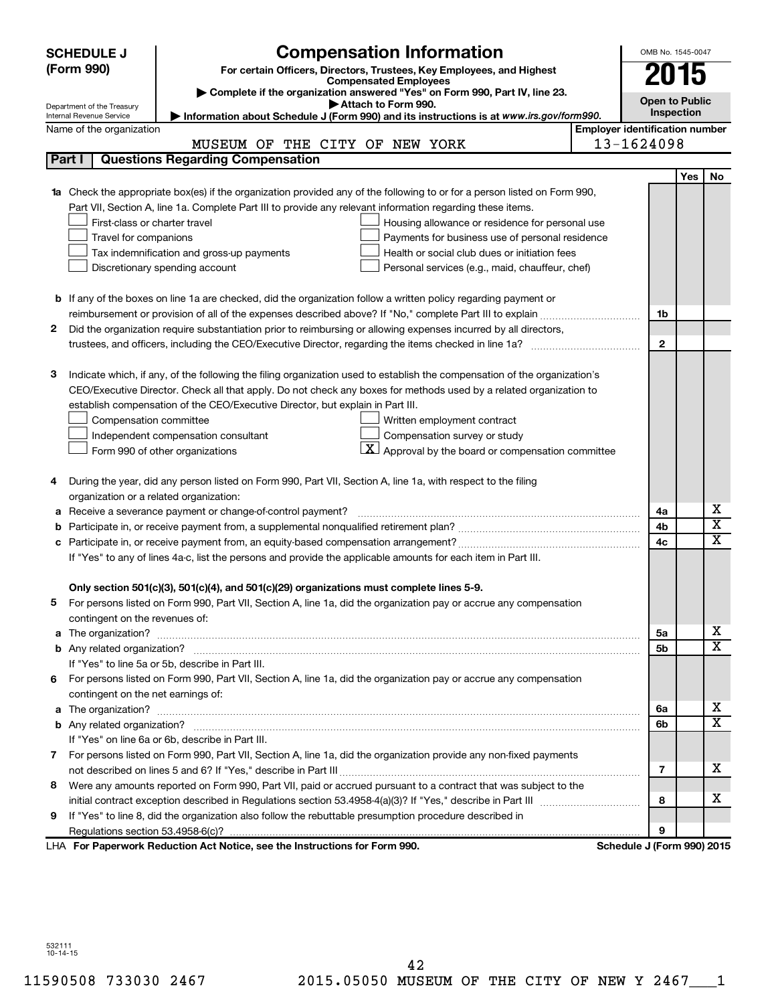|    | <b>SCHEDULE J</b>                                      | <b>Compensation Information</b>                                                                                                                                                                               |                                       | OMB No. 1545-0047                 |            |                              |
|----|--------------------------------------------------------|---------------------------------------------------------------------------------------------------------------------------------------------------------------------------------------------------------------|---------------------------------------|-----------------------------------|------------|------------------------------|
|    | (Form 990)                                             | For certain Officers, Directors, Trustees, Key Employees, and Highest                                                                                                                                         |                                       |                                   |            |                              |
|    |                                                        | <b>Compensated Employees</b>                                                                                                                                                                                  |                                       | 2015                              |            |                              |
|    |                                                        | Complete if the organization answered "Yes" on Form 990, Part IV, line 23.<br>Attach to Form 990.                                                                                                             |                                       | <b>Open to Public</b>             |            |                              |
|    | Department of the Treasury<br>Internal Revenue Service | Information about Schedule J (Form 990) and its instructions is at www.irs.gov/form990.                                                                                                                       |                                       | Inspection                        |            |                              |
|    | Name of the organization                               |                                                                                                                                                                                                               | <b>Employer identification number</b> |                                   |            |                              |
|    |                                                        | MUSEUM OF THE CITY OF NEW YORK                                                                                                                                                                                |                                       | 13-1624098                        |            |                              |
|    | Part I                                                 | <b>Questions Regarding Compensation</b>                                                                                                                                                                       |                                       |                                   |            |                              |
|    |                                                        |                                                                                                                                                                                                               |                                       |                                   | <b>Yes</b> | No                           |
|    |                                                        | <b>1a</b> Check the appropriate box(es) if the organization provided any of the following to or for a person listed on Form 990,                                                                              |                                       |                                   |            |                              |
|    |                                                        | Part VII, Section A, line 1a. Complete Part III to provide any relevant information regarding these items.                                                                                                    |                                       |                                   |            |                              |
|    | First-class or charter travel                          | Housing allowance or residence for personal use                                                                                                                                                               |                                       |                                   |            |                              |
|    | Travel for companions                                  | Payments for business use of personal residence                                                                                                                                                               |                                       |                                   |            |                              |
|    |                                                        | Health or social club dues or initiation fees<br>Tax indemnification and gross-up payments                                                                                                                    |                                       |                                   |            |                              |
|    |                                                        | Discretionary spending account<br>Personal services (e.g., maid, chauffeur, chef)                                                                                                                             |                                       |                                   |            |                              |
|    |                                                        |                                                                                                                                                                                                               |                                       |                                   |            |                              |
|    |                                                        | <b>b</b> If any of the boxes on line 1a are checked, did the organization follow a written policy regarding payment or                                                                                        |                                       |                                   |            |                              |
|    |                                                        |                                                                                                                                                                                                               |                                       | 1b                                |            |                              |
| 2  |                                                        | Did the organization require substantiation prior to reimbursing or allowing expenses incurred by all directors,                                                                                              |                                       |                                   |            |                              |
|    |                                                        |                                                                                                                                                                                                               |                                       | $\mathbf{2}$                      |            |                              |
|    |                                                        |                                                                                                                                                                                                               |                                       |                                   |            |                              |
| з  |                                                        | Indicate which, if any, of the following the filing organization used to establish the compensation of the organization's                                                                                     |                                       |                                   |            |                              |
|    |                                                        | CEO/Executive Director. Check all that apply. Do not check any boxes for methods used by a related organization to                                                                                            |                                       |                                   |            |                              |
|    |                                                        | establish compensation of the CEO/Executive Director, but explain in Part III.                                                                                                                                |                                       |                                   |            |                              |
|    | Compensation committee                                 | Written employment contract                                                                                                                                                                                   |                                       |                                   |            |                              |
|    |                                                        | Compensation survey or study<br>Independent compensation consultant                                                                                                                                           |                                       |                                   |            |                              |
|    |                                                        | $\vert X \vert$ Approval by the board or compensation committee<br>Form 990 of other organizations                                                                                                            |                                       |                                   |            |                              |
|    |                                                        |                                                                                                                                                                                                               |                                       |                                   |            |                              |
| 4  |                                                        | During the year, did any person listed on Form 990, Part VII, Section A, line 1a, with respect to the filing                                                                                                  |                                       |                                   |            |                              |
|    | organization or a related organization:                |                                                                                                                                                                                                               |                                       |                                   |            |                              |
| а  |                                                        | Receive a severance payment or change-of-control payment?                                                                                                                                                     |                                       | 4a                                |            | х<br>$\overline{\textbf{x}}$ |
| b  |                                                        |                                                                                                                                                                                                               |                                       | 4b                                |            | $\overline{\textbf{X}}$      |
| c  |                                                        |                                                                                                                                                                                                               |                                       | 4c                                |            |                              |
|    |                                                        | If "Yes" to any of lines 4a-c, list the persons and provide the applicable amounts for each item in Part III.                                                                                                 |                                       |                                   |            |                              |
|    |                                                        |                                                                                                                                                                                                               |                                       |                                   |            |                              |
|    |                                                        | Only section 501(c)(3), 501(c)(4), and 501(c)(29) organizations must complete lines 5-9.<br>For persons listed on Form 990, Part VII, Section A, line 1a, did the organization pay or accrue any compensation |                                       |                                   |            |                              |
|    | contingent on the revenues of:                         |                                                                                                                                                                                                               |                                       |                                   |            |                              |
|    |                                                        |                                                                                                                                                                                                               |                                       | 5а                                |            | x                            |
|    |                                                        |                                                                                                                                                                                                               |                                       | 5b                                |            | $\overline{\mathbf{x}}$      |
|    |                                                        | If "Yes" to line 5a or 5b, describe in Part III.                                                                                                                                                              |                                       |                                   |            |                              |
| 6. |                                                        | For persons listed on Form 990, Part VII, Section A, line 1a, did the organization pay or accrue any compensation                                                                                             |                                       |                                   |            |                              |
|    | contingent on the net earnings of:                     |                                                                                                                                                                                                               |                                       |                                   |            |                              |
|    |                                                        |                                                                                                                                                                                                               |                                       | 6a                                |            | x                            |
|    |                                                        |                                                                                                                                                                                                               |                                       | 6b                                |            | $\overline{\mathbf{X}}$      |
|    |                                                        | If "Yes" on line 6a or 6b, describe in Part III.                                                                                                                                                              |                                       |                                   |            |                              |
|    |                                                        | 7 For persons listed on Form 990, Part VII, Section A, line 1a, did the organization provide any non-fixed payments                                                                                           |                                       |                                   |            |                              |
|    |                                                        |                                                                                                                                                                                                               |                                       | 7                                 |            | x                            |
| 8  |                                                        | Were any amounts reported on Form 990, Part VII, paid or accrued pursuant to a contract that was subject to the                                                                                               |                                       |                                   |            |                              |
|    |                                                        |                                                                                                                                                                                                               |                                       | 8                                 |            | x                            |
| 9  |                                                        | If "Yes" to line 8, did the organization also follow the rebuttable presumption procedure described in                                                                                                        |                                       |                                   |            |                              |
|    |                                                        |                                                                                                                                                                                                               |                                       | 9                                 |            |                              |
|    |                                                        | LHA For Paperwork Reduction Act Notice, see the Instructions for Form 990.                                                                                                                                    |                                       | <b>Schedule J (Form 990) 2015</b> |            |                              |

532111 10-14-15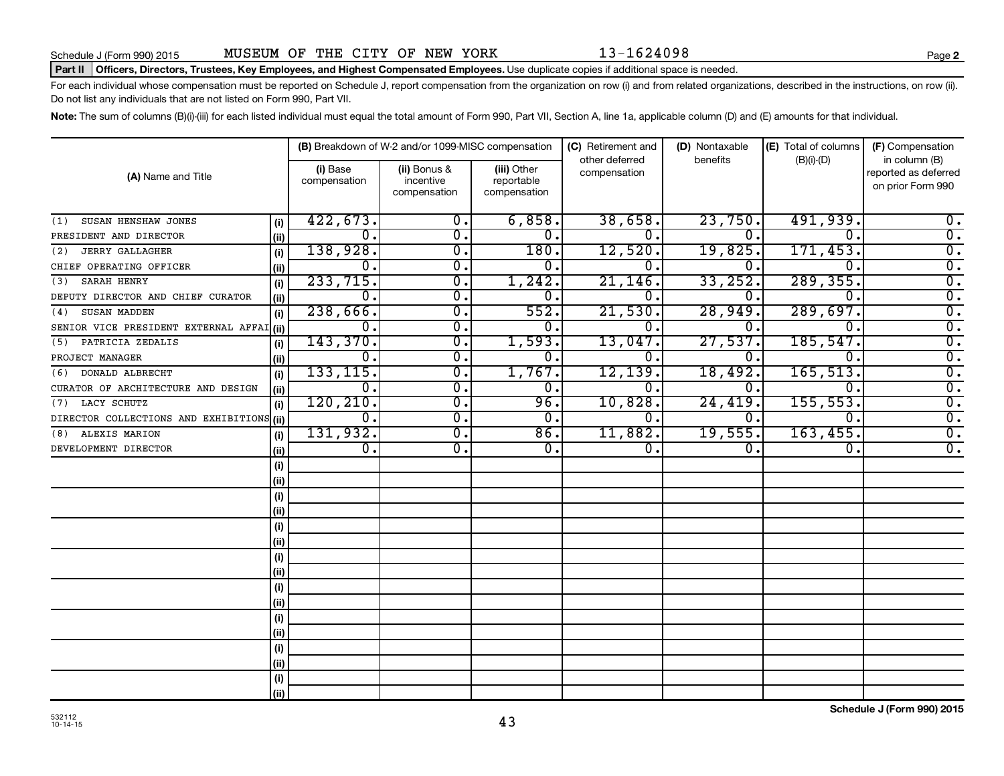# Part II | Officers, Directors, Trustees, Key Employees, and Highest Compensated Employees. Use duplicate copies if additional space is needed.

For each individual whose compensation must be reported on Schedule J, report compensation from the organization on row (i) and from related organizations, described in the instructions, on row (ii). Do not list any individuals that are not listed on Form 990, Part VII.

Note: The sum of columns (B)(i)-(iii) for each listed individual must equal the total amount of Form 990, Part VII, Section A, line 1a, applicable column (D) and (E) amounts for that individual.

| (A) Name and Title                        |      |                          | (B) Breakdown of W-2 and/or 1099-MISC compensation |                                           | (C) Retirement and             | (D) Nontaxable | (E) Total of columns | (F) Compensation                                           |
|-------------------------------------------|------|--------------------------|----------------------------------------------------|-------------------------------------------|--------------------------------|----------------|----------------------|------------------------------------------------------------|
|                                           |      | (i) Base<br>compensation | (ii) Bonus &<br>incentive<br>compensation          | (iii) Other<br>reportable<br>compensation | other deferred<br>compensation | benefits       | $(B)(i)-(D)$         | in column (B)<br>reported as deferred<br>on prior Form 990 |
| SUSAN HENSHAW JONES<br>(1)                | (i)  | 422,673.                 | 0.                                                 | 6,858.                                    | 38,658.                        | 23,750.        | 491,939.             | 0.                                                         |
| PRESIDENT AND DIRECTOR                    | (ii) | $\Omega$ .               | 0.                                                 | 0.                                        | $\Omega$ .                     | 0.             | 0                    | $\overline{0}$ .                                           |
| <b>JERRY GALLAGHER</b><br>(2)             | (i)  | 138,928.                 | $\overline{0}$ .                                   | 180.                                      | 12,520.                        | 19,825.        | 171,453.             | $\overline{0}$ .                                           |
| CHIEF OPERATING OFFICER                   | (ii) | 0.                       | $\overline{0}$ .                                   | $0$ .                                     | $0$ .                          | 0.             | 0                    | $\overline{0}$ .                                           |
| SARAH HENRY<br>(3)                        | (i)  | 233,715.                 | 0.                                                 | 1,242.                                    | 21,146                         | 33, 252.       | 289, 355.            | $\overline{0}$ .                                           |
| DEPUTY DIRECTOR AND CHIEF CURATOR         | (ii) | 0.                       | о.                                                 | 0.                                        | 0                              | 0.             | 0                    | $\overline{0}$ .                                           |
| SUSAN MADDEN<br>(4)                       | (i)  | 238,666.                 | $\overline{0}$ .                                   | 552.                                      | 21,530                         | 28,949.        | 289,697.             | $\overline{\mathfrak{o}}$ .                                |
| SENIOR VICE PRESIDENT EXTERNAL AFFAI(ii)  |      | 0.                       | о.                                                 | 0.                                        | 0                              | 0.             | 0                    | $\overline{\mathfrak{o}}$ .                                |
| PATRICIA ZEDALIS<br>(5)                   | (i)  | 143,370.                 | о.                                                 | 1,593.                                    | 13,047.                        | 27,537.        | 185,547              | $\overline{\mathfrak{o}}$ .                                |
| PROJECT MANAGER                           | (ii) | $\mathbf 0$ .            | о.                                                 | $0$ .                                     | $\Omega$ .                     | 0.             | 0                    | $\overline{\mathfrak{o}}$ .                                |
| DONALD ALBRECHT<br>(6)                    | (i)  | 133, 115.                | О.                                                 | 1,767.                                    | 12,139.                        | 18,492.        | 165, 513.            | $\overline{0}$ .                                           |
| CURATOR OF ARCHITECTURE AND DESIGN        | (ii) | $\mathbf 0$ .            | О.                                                 | $0$ .                                     | $\Omega$ .                     | 0.             | 0                    | $\overline{\mathfrak{o}}$ .                                |
| LACY SCHUTZ<br>(7)                        | (i)  | 120, 210.                | о.                                                 | 96.                                       | 10,828.                        | 24,419.        | 155, 553.            | $\overline{\mathfrak{o}}$ .                                |
| DIRECTOR COLLECTIONS AND EXHIBITIONS (ii) |      | 0.                       | 0.                                                 | 0.                                        | 0.                             | 0.             | 0.                   | $\overline{0}$ .                                           |
| ALEXIS MARION<br>(8)                      | (i)  | 131,932.                 | Ο.                                                 | 86.                                       | 11,882.                        | 19,555.        | 163, 455.            | $\overline{0}$ .                                           |
| DEVELOPMENT DIRECTOR                      | (i)  | 0.                       | Ο.                                                 | 0.                                        | 0.                             | 0.             | 0.                   | $\overline{0}$ .                                           |
|                                           | (i)  |                          |                                                    |                                           |                                |                |                      |                                                            |
|                                           | (i)  |                          |                                                    |                                           |                                |                |                      |                                                            |
|                                           | (i)  |                          |                                                    |                                           |                                |                |                      |                                                            |
|                                           | (i)  |                          |                                                    |                                           |                                |                |                      |                                                            |
|                                           | (i)  |                          |                                                    |                                           |                                |                |                      |                                                            |
|                                           | (i)  |                          |                                                    |                                           |                                |                |                      |                                                            |
|                                           | (i)  |                          |                                                    |                                           |                                |                |                      |                                                            |
|                                           | (ii) |                          |                                                    |                                           |                                |                |                      |                                                            |
|                                           | (i)  |                          |                                                    |                                           |                                |                |                      |                                                            |
|                                           | (ii) |                          |                                                    |                                           |                                |                |                      |                                                            |
|                                           | (i)  |                          |                                                    |                                           |                                |                |                      |                                                            |
|                                           | (ii) |                          |                                                    |                                           |                                |                |                      |                                                            |
|                                           | (i)  |                          |                                                    |                                           |                                |                |                      |                                                            |
|                                           | (i)  |                          |                                                    |                                           |                                |                |                      |                                                            |
|                                           | (i)  |                          |                                                    |                                           |                                |                |                      |                                                            |
|                                           | (ii) |                          |                                                    |                                           |                                |                |                      |                                                            |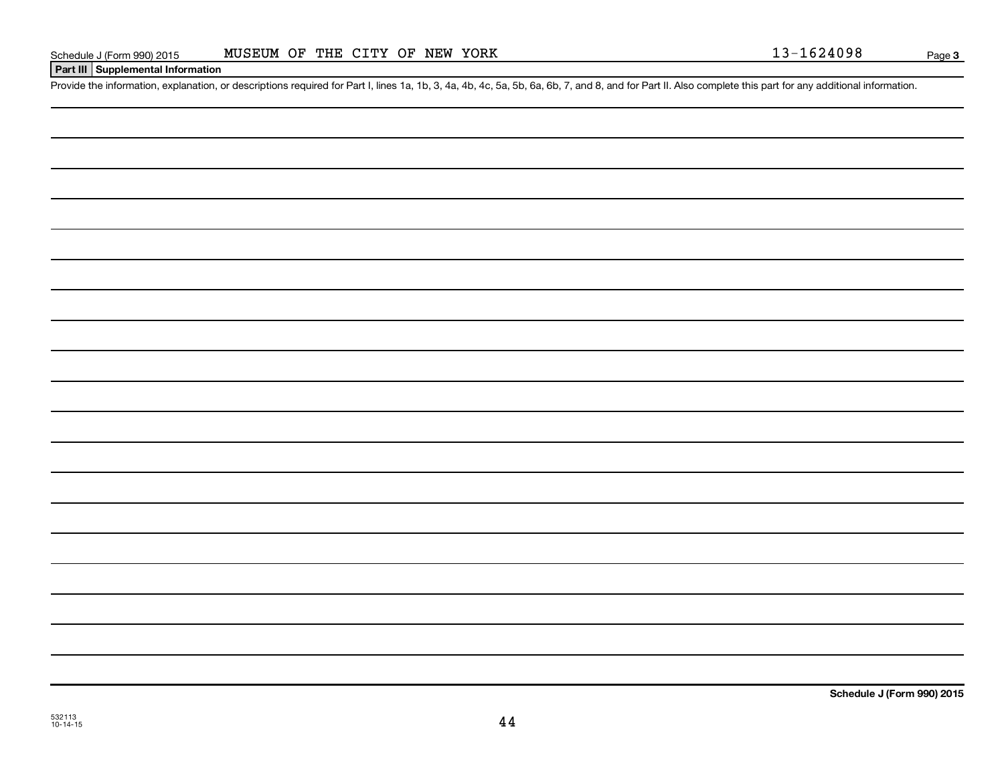# **Part III Supplemental Information**

Provide the information, explanation, or descriptions required for Part I, lines 1a, 1b, 3, 4a, 4b, 4c, 5a, 5b, 6a, 6b, 7, and 8, and for Part II. Also complete this part for any additional information.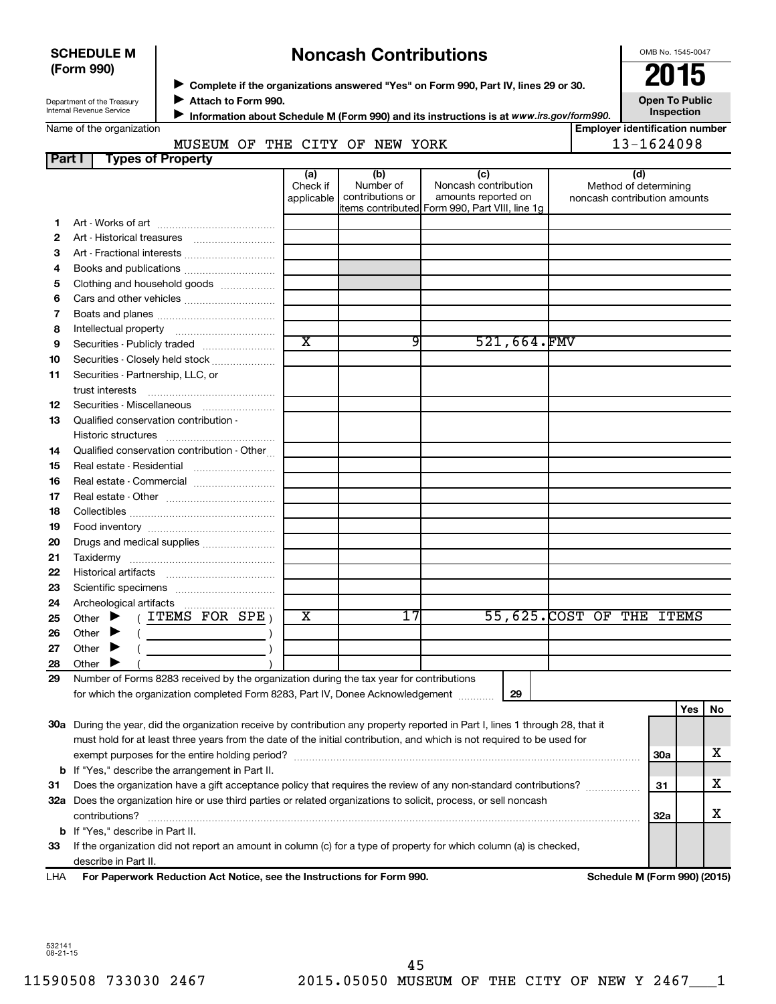| <b>SCHEDULE M</b> |  |
|-------------------|--|
| (Form 990)        |  |

# **Noncash Contributions**

OMB No. 1545-0047

| Department of the Treasury |
|----------------------------|
| Internal Revenue Service   |

◆ Complete if the organizations answered "Yes" on Form 990, Part IV, lines 29 or 30.<br>▶ Complete if the organizations answered "Yes" on Form 990, Part IV, lines 29 or 30. **Attach to Form 990.** J

**Open To Public Inspection**

|  | Name of the organization |
|--|--------------------------|
|--|--------------------------|

**Information about Schedule M (Form 990) and its instructions is at www.irs.gov/form990.** 

# **Employer identification number Part I Types of Property** MUSEUM OF THE CITY OF NEW YORK 13-1624098

|     |                                                                                                                                                                                                                                                                                                                                                                                                                                                                                                             | (a)                     | (b)              | (c)                                                                   |             | (d)                          |            |     |    |
|-----|-------------------------------------------------------------------------------------------------------------------------------------------------------------------------------------------------------------------------------------------------------------------------------------------------------------------------------------------------------------------------------------------------------------------------------------------------------------------------------------------------------------|-------------------------|------------------|-----------------------------------------------------------------------|-------------|------------------------------|------------|-----|----|
|     |                                                                                                                                                                                                                                                                                                                                                                                                                                                                                                             | Check if                | Number of        | Noncash contribution                                                  |             | Method of determining        |            |     |    |
|     |                                                                                                                                                                                                                                                                                                                                                                                                                                                                                                             | applicable              | contributions or | amounts reported on<br>items contributed Form 990, Part VIII, line 1g |             | noncash contribution amounts |            |     |    |
| 1.  |                                                                                                                                                                                                                                                                                                                                                                                                                                                                                                             |                         |                  |                                                                       |             |                              |            |     |    |
| 2   |                                                                                                                                                                                                                                                                                                                                                                                                                                                                                                             |                         |                  |                                                                       |             |                              |            |     |    |
| 3   | Art - Fractional interests                                                                                                                                                                                                                                                                                                                                                                                                                                                                                  |                         |                  |                                                                       |             |                              |            |     |    |
| 4   |                                                                                                                                                                                                                                                                                                                                                                                                                                                                                                             |                         |                  |                                                                       |             |                              |            |     |    |
| 5   | Clothing and household goods                                                                                                                                                                                                                                                                                                                                                                                                                                                                                |                         |                  |                                                                       |             |                              |            |     |    |
| 6   |                                                                                                                                                                                                                                                                                                                                                                                                                                                                                                             |                         |                  |                                                                       |             |                              |            |     |    |
| 7   |                                                                                                                                                                                                                                                                                                                                                                                                                                                                                                             |                         |                  |                                                                       |             |                              |            |     |    |
| 8   |                                                                                                                                                                                                                                                                                                                                                                                                                                                                                                             |                         |                  |                                                                       |             |                              |            |     |    |
| 9   |                                                                                                                                                                                                                                                                                                                                                                                                                                                                                                             | $\overline{\text{x}}$   | 91               |                                                                       | 521,664.FMV |                              |            |     |    |
| 10  | Securities - Closely held stock                                                                                                                                                                                                                                                                                                                                                                                                                                                                             |                         |                  |                                                                       |             |                              |            |     |    |
| 11  | Securities - Partnership, LLC, or                                                                                                                                                                                                                                                                                                                                                                                                                                                                           |                         |                  |                                                                       |             |                              |            |     |    |
|     | trust interests                                                                                                                                                                                                                                                                                                                                                                                                                                                                                             |                         |                  |                                                                       |             |                              |            |     |    |
| 12  | Securities - Miscellaneous                                                                                                                                                                                                                                                                                                                                                                                                                                                                                  |                         |                  |                                                                       |             |                              |            |     |    |
| 13  | Qualified conservation contribution -                                                                                                                                                                                                                                                                                                                                                                                                                                                                       |                         |                  |                                                                       |             |                              |            |     |    |
|     |                                                                                                                                                                                                                                                                                                                                                                                                                                                                                                             |                         |                  |                                                                       |             |                              |            |     |    |
| 14  | Qualified conservation contribution - Other                                                                                                                                                                                                                                                                                                                                                                                                                                                                 |                         |                  |                                                                       |             |                              |            |     |    |
| 15  | Real estate - Residential                                                                                                                                                                                                                                                                                                                                                                                                                                                                                   |                         |                  |                                                                       |             |                              |            |     |    |
| 16  | Real estate - Commercial                                                                                                                                                                                                                                                                                                                                                                                                                                                                                    |                         |                  |                                                                       |             |                              |            |     |    |
| 17  |                                                                                                                                                                                                                                                                                                                                                                                                                                                                                                             |                         |                  |                                                                       |             |                              |            |     |    |
| 18  |                                                                                                                                                                                                                                                                                                                                                                                                                                                                                                             |                         |                  |                                                                       |             |                              |            |     |    |
| 19  |                                                                                                                                                                                                                                                                                                                                                                                                                                                                                                             |                         |                  |                                                                       |             |                              |            |     |    |
| 20  | Drugs and medical supplies                                                                                                                                                                                                                                                                                                                                                                                                                                                                                  |                         |                  |                                                                       |             |                              |            |     |    |
| 21  |                                                                                                                                                                                                                                                                                                                                                                                                                                                                                                             |                         |                  |                                                                       |             |                              |            |     |    |
| 22  |                                                                                                                                                                                                                                                                                                                                                                                                                                                                                                             |                         |                  |                                                                       |             |                              |            |     |    |
| 23  |                                                                                                                                                                                                                                                                                                                                                                                                                                                                                                             |                         |                  |                                                                       |             |                              |            |     |    |
| 24  |                                                                                                                                                                                                                                                                                                                                                                                                                                                                                                             |                         |                  |                                                                       |             |                              |            |     |    |
| 25  | Other $\blacktriangleright$ ( ITEMS FOR SPE)                                                                                                                                                                                                                                                                                                                                                                                                                                                                | $\overline{\textbf{X}}$ | 17               |                                                                       |             | 55,625.COST OF               | THE ITEMS  |     |    |
| 26  | Other $\blacktriangleright$<br>$\left(\begin{array}{ccc}\n&\quad&\quad&\quad\end{array}\right)$                                                                                                                                                                                                                                                                                                                                                                                                             |                         |                  |                                                                       |             |                              |            |     |    |
| 27  | Other $\blacktriangleright$                                                                                                                                                                                                                                                                                                                                                                                                                                                                                 |                         |                  |                                                                       |             |                              |            |     |    |
| 28  | Other                                                                                                                                                                                                                                                                                                                                                                                                                                                                                                       |                         |                  |                                                                       |             |                              |            |     |    |
| 29  | Number of Forms 8283 received by the organization during the tax year for contributions                                                                                                                                                                                                                                                                                                                                                                                                                     |                         |                  |                                                                       |             |                              |            |     |    |
|     | for which the organization completed Form 8283, Part IV, Donee Acknowledgement                                                                                                                                                                                                                                                                                                                                                                                                                              |                         |                  |                                                                       | 29          |                              |            |     |    |
|     |                                                                                                                                                                                                                                                                                                                                                                                                                                                                                                             |                         |                  |                                                                       |             |                              |            | Yes | No |
|     | 30a During the year, did the organization receive by contribution any property reported in Part I, lines 1 through 28, that it                                                                                                                                                                                                                                                                                                                                                                              |                         |                  |                                                                       |             |                              |            |     |    |
|     | must hold for at least three years from the date of the initial contribution, and which is not required to be used for                                                                                                                                                                                                                                                                                                                                                                                      |                         |                  |                                                                       |             |                              |            |     |    |
|     |                                                                                                                                                                                                                                                                                                                                                                                                                                                                                                             |                         |                  |                                                                       |             |                              | <b>30a</b> |     | x  |
|     | <b>b</b> If "Yes," describe the arrangement in Part II.                                                                                                                                                                                                                                                                                                                                                                                                                                                     |                         |                  |                                                                       |             |                              |            |     |    |
| 31  | Does the organization have a gift acceptance policy that requires the review of any non-standard contributions?                                                                                                                                                                                                                                                                                                                                                                                             |                         |                  |                                                                       |             |                              | 31         |     | x  |
|     | 32a Does the organization hire or use third parties or related organizations to solicit, process, or sell noncash                                                                                                                                                                                                                                                                                                                                                                                           |                         |                  |                                                                       |             |                              |            |     |    |
|     | $\begin{minipage}[c]{0.5\textwidth} \centering \begin{tabular}[c]{@{}l@{}} \textbf{contributions?} \end{tabular} & \begin{tabular}[c]{@{}l@{}} \textbf{contributions?} \end{tabular} & \begin{tabular}[c]{@{}l@{}} \textbf{contributions?} \end{tabular} & \begin{tabular}[c]{@{}l@{}} \textbf{contribitions?} \end{tabular} & \begin{tabular}[c]{@{}l@{}} \textbf{contribitions?} \end{tabular} & \begin{tabular}[c]{@{}l@{}} \textbf{contribitions?} \end{tabular} & \begin{tabular}[c]{@{}l@{}} \textbf$ |                         |                  |                                                                       |             |                              |            |     | х  |
|     | <b>b</b> If "Yes," describe in Part II.                                                                                                                                                                                                                                                                                                                                                                                                                                                                     |                         |                  |                                                                       |             |                              |            |     |    |
| 33  | If the organization did not report an amount in column (c) for a type of property for which column (a) is checked,                                                                                                                                                                                                                                                                                                                                                                                          |                         |                  |                                                                       |             |                              |            |     |    |
|     | describe in Part II.                                                                                                                                                                                                                                                                                                                                                                                                                                                                                        |                         |                  |                                                                       |             |                              |            |     |    |
| LHA | For Paperwork Reduction Act Notice, see the Instructions for Form 990.                                                                                                                                                                                                                                                                                                                                                                                                                                      |                         |                  |                                                                       |             | Schedule M (Form 990) (2015) |            |     |    |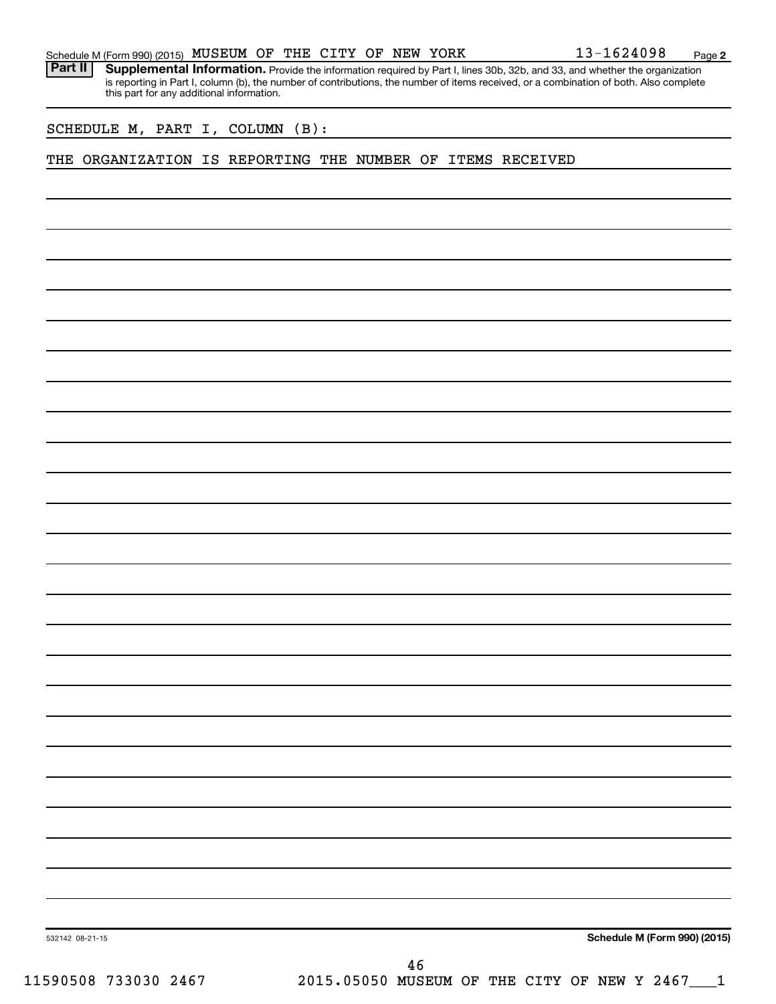|  | Schedule M (Form 990) (2015) MUSEUM OF THE CITY OF NEW YORK |  |  |  |  |  |  |  | 13-1624098 | Page |  |
|--|-------------------------------------------------------------|--|--|--|--|--|--|--|------------|------|--|
|--|-------------------------------------------------------------|--|--|--|--|--|--|--|------------|------|--|

Part II | Supplemental Information. Provide the information required by Part I, lines 30b, 32b, and 33, and whether the organization is reporting in Part I, column (b), the number of contributions, the number of items received, or a combination of both. Also complete this part for any additional information.

SCHEDULE M, PART I, COLUMN (B):

# THE ORGANIZATION IS REPORTING THE NUMBER OF ITEMS RECEIVED

**Schedule M (Form 990) (2015)**

532142 08-21-15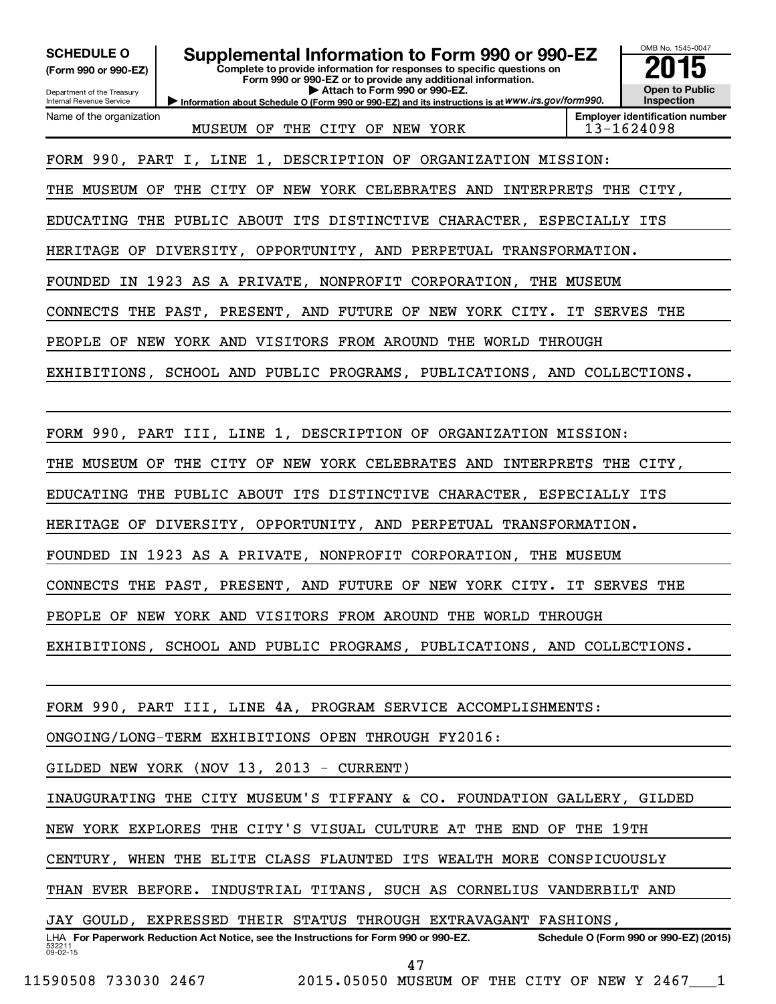| <b>SCHEDULE O</b><br>(Form 990 or 990-EZ)<br>Department of the Treasury<br>Internal Revenue Service | Supplemental Information to Form 990 or 990-EZ<br>Complete to provide information for responses to specific questions on<br>Form 990 or 990-EZ or to provide any additional information.<br>Attach to Form 990 or 990-EZ.<br>Information about Schedule O (Form 990 or 990-EZ) and its instructions is at WWW.irs.gov/form990. | OMB No. 1545-0047<br><b>Open to Public</b><br>Inspection |
|-----------------------------------------------------------------------------------------------------|--------------------------------------------------------------------------------------------------------------------------------------------------------------------------------------------------------------------------------------------------------------------------------------------------------------------------------|----------------------------------------------------------|
| Name of the organization                                                                            | MUSEUM OF THE CITY OF NEW YORK                                                                                                                                                                                                                                                                                                 | <b>Employer identification number</b><br>13-1624098      |
|                                                                                                     | FORM 990, PART I, LINE 1, DESCRIPTION OF ORGANIZATION MISSION:                                                                                                                                                                                                                                                                 |                                                          |
|                                                                                                     | THE MUSEUM OF THE CITY OF NEW YORK CELEBRATES AND INTERPRETS THE CITY,                                                                                                                                                                                                                                                         |                                                          |
|                                                                                                     | EDUCATING THE PUBLIC ABOUT ITS DISTINCTIVE CHARACTER, ESPECIALLY ITS                                                                                                                                                                                                                                                           |                                                          |
|                                                                                                     | HERITAGE OF DIVERSITY, OPPORTUNITY, AND PERPETUAL TRANSFORMATION.                                                                                                                                                                                                                                                              |                                                          |
|                                                                                                     | FOUNDED IN 1923 AS A PRIVATE, NONPROFIT CORPORATION, THE MUSEUM                                                                                                                                                                                                                                                                |                                                          |
|                                                                                                     | CONNECTS THE PAST, PRESENT, AND FUTURE OF NEW YORK CITY. IT SERVES THE                                                                                                                                                                                                                                                         |                                                          |
|                                                                                                     | PEOPLE OF NEW YORK AND VISITORS FROM AROUND THE WORLD THROUGH                                                                                                                                                                                                                                                                  |                                                          |
|                                                                                                     | EXHIBITIONS, SCHOOL AND PUBLIC PROGRAMS, PUBLICATIONS, AND COLLECTIONS.                                                                                                                                                                                                                                                        |                                                          |
|                                                                                                     |                                                                                                                                                                                                                                                                                                                                |                                                          |
|                                                                                                     | FORM 990, PART III, LINE 1, DESCRIPTION OF ORGANIZATION MISSION:                                                                                                                                                                                                                                                               |                                                          |
|                                                                                                     |                                                                                                                                                                                                                                                                                                                                |                                                          |
|                                                                                                     | THE MUSEUM OF THE CITY OF NEW YORK CELEBRATES AND INTERPRETS THE CITY,                                                                                                                                                                                                                                                         |                                                          |
|                                                                                                     | EDUCATING THE PUBLIC ABOUT ITS DISTINCTIVE CHARACTER, ESPECIALLY ITS                                                                                                                                                                                                                                                           |                                                          |
|                                                                                                     | HERITAGE OF DIVERSITY, OPPORTUNITY, AND PERPETUAL TRANSFORMATION.                                                                                                                                                                                                                                                              |                                                          |
|                                                                                                     | FOUNDED IN 1923 AS A PRIVATE, NONPROFIT CORPORATION, THE MUSEUM                                                                                                                                                                                                                                                                |                                                          |
|                                                                                                     | CONNECTS THE PAST, PRESENT, AND FUTURE OF NEW YORK CITY. IT SERVES THE                                                                                                                                                                                                                                                         |                                                          |
|                                                                                                     | PEOPLE OF NEW YORK AND VISITORS FROM AROUND THE WORLD THROUGH                                                                                                                                                                                                                                                                  |                                                          |
|                                                                                                     | EXHIBITIONS, SCHOOL AND PUBLIC PROGRAMS, PUBLICATIONS, AND COLLECTIONS.                                                                                                                                                                                                                                                        |                                                          |
|                                                                                                     |                                                                                                                                                                                                                                                                                                                                |                                                          |
|                                                                                                     | FORM 990, PART III, LINE 4A, PROGRAM SERVICE ACCOMPLISHMENTS:                                                                                                                                                                                                                                                                  |                                                          |
|                                                                                                     | ONGOING/LONG-TERM EXHIBITIONS OPEN THROUGH FY2016:                                                                                                                                                                                                                                                                             |                                                          |
|                                                                                                     | GILDED NEW YORK (NOV 13, 2013 - CURRENT)                                                                                                                                                                                                                                                                                       |                                                          |
|                                                                                                     | INAUGURATING THE CITY MUSEUM'S TIFFANY & CO. FOUNDATION GALLERY, GILDED                                                                                                                                                                                                                                                        |                                                          |
|                                                                                                     | NEW YORK EXPLORES THE CITY'S VISUAL CULTURE AT THE END OF THE 19TH                                                                                                                                                                                                                                                             |                                                          |
|                                                                                                     | CENTURY, WHEN THE ELITE CLASS FLAUNTED ITS WEALTH MORE CONSPICUOUSLY                                                                                                                                                                                                                                                           |                                                          |
|                                                                                                     | THAN EVER BEFORE. INDUSTRIAL TITANS, SUCH AS CORNELIUS VANDERBILT AND                                                                                                                                                                                                                                                          |                                                          |
|                                                                                                     | JAY GOULD, EXPRESSED THEIR STATUS THROUGH EXTRAVAGANT FASHIONS,                                                                                                                                                                                                                                                                |                                                          |
| 532211                                                                                              | LHA For Paperwork Reduction Act Notice, see the Instructions for Form 990 or 990-EZ.                                                                                                                                                                                                                                           | Schedule O (Form 990 or 990-EZ) (2015)                   |
| 09-02-15                                                                                            | 47                                                                                                                                                                                                                                                                                                                             |                                                          |

11590508 733030 2467 2015.05050 MUSEUM OF THE CITY OF NEW Y 2467\_\_\_1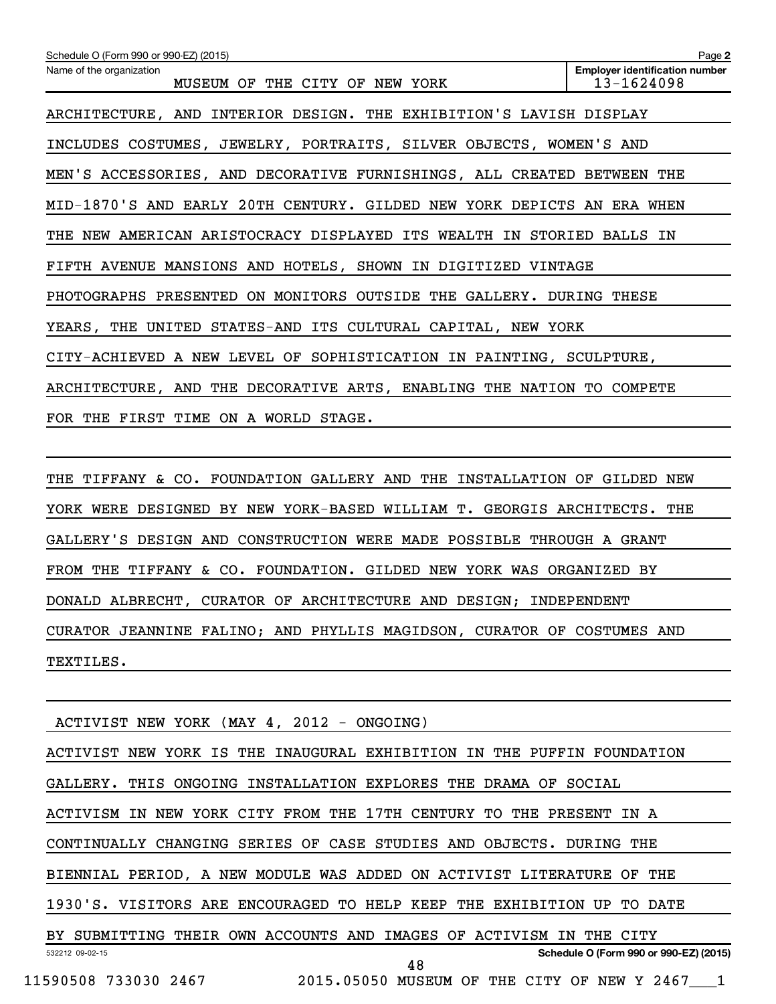| Schedule O (Form 990 or 990-EZ) (2015)                                 | Page 2                                              |
|------------------------------------------------------------------------|-----------------------------------------------------|
| Name of the organization<br>MUSEUM OF THE CITY OF NEW YORK             | <b>Employer identification number</b><br>13-1624098 |
| ARCHITECTURE, AND INTERIOR DESIGN. THE EXHIBITION'S LAVISH DISPLAY     |                                                     |
| INCLUDES COSTUMES, JEWELRY, PORTRAITS, SILVER OBJECTS, WOMEN'S AND     |                                                     |
| MEN'S ACCESSORIES, AND DECORATIVE FURNISHINGS, ALL CREATED BETWEEN THE |                                                     |
| MID-1870'S AND EARLY 20TH CENTURY. GILDED NEW YORK DEPICTS AN ERA WHEN |                                                     |
| THE NEW AMERICAN ARISTOCRACY DISPLAYED ITS WEALTH IN STORIED BALLS IN  |                                                     |
| FIFTH AVENUE MANSIONS AND HOTELS, SHOWN IN DIGITIZED VINTAGE           |                                                     |
| PHOTOGRAPHS PRESENTED ON MONITORS OUTSIDE THE GALLERY. DURING THESE    |                                                     |
| YEARS, THE UNITED STATES-AND ITS CULTURAL CAPITAL, NEW YORK            |                                                     |
| CITY-ACHIEVED A NEW LEVEL OF SOPHISTICATION IN PAINTING, SCULPTURE,    |                                                     |
| ARCHITECTURE, AND THE DECORATIVE ARTS, ENABLING THE NATION TO COMPETE  |                                                     |
| FOR THE FIRST TIME ON A WORLD STAGE.                                   |                                                     |

THE TIFFANY & CO. FOUNDATION GALLERY AND THE INSTALLATION OF GILDED NEW YORK WERE DESIGNED BY NEW YORK-BASED WILLIAM T. GEORGIS ARCHITECTS. THE GALLERY'S DESIGN AND CONSTRUCTION WERE MADE POSSIBLE THROUGH A GRANT FROM THE TIFFANY & CO. FOUNDATION. GILDED NEW YORK WAS ORGANIZED BY DONALD ALBRECHT, CURATOR OF ARCHITECTURE AND DESIGN; INDEPENDENT CURATOR JEANNINE FALINO; AND PHYLLIS MAGIDSON, CURATOR OF COSTUMES AND TEXTILES.

532212 09-02-15 **Schedule O (Form 990 or 990-EZ) (2015)** ACTIVIST NEW YORK (MAY 4, 2012 - ONGOING) ACTIVIST NEW YORK IS THE INAUGURAL EXHIBITION IN THE PUFFIN FOUNDATION GALLERY. THIS ONGOING INSTALLATION EXPLORES THE DRAMA OF SOCIAL ACTIVISM IN NEW YORK CITY FROM THE 17TH CENTURY TO THE PRESENT IN A CONTINUALLY CHANGING SERIES OF CASE STUDIES AND OBJECTS. DURING THE BIENNIAL PERIOD, A NEW MODULE WAS ADDED ON ACTIVIST LITERATURE OF THE 1930'S. VISITORS ARE ENCOURAGED TO HELP KEEP THE EXHIBITION UP TO DATE BY SUBMITTING THEIR OWN ACCOUNTS AND IMAGES OF ACTIVISM IN THE CITY 11590508 733030 2467 2015.05050 MUSEUM OF THE CITY OF NEW Y 2467\_\_\_1 48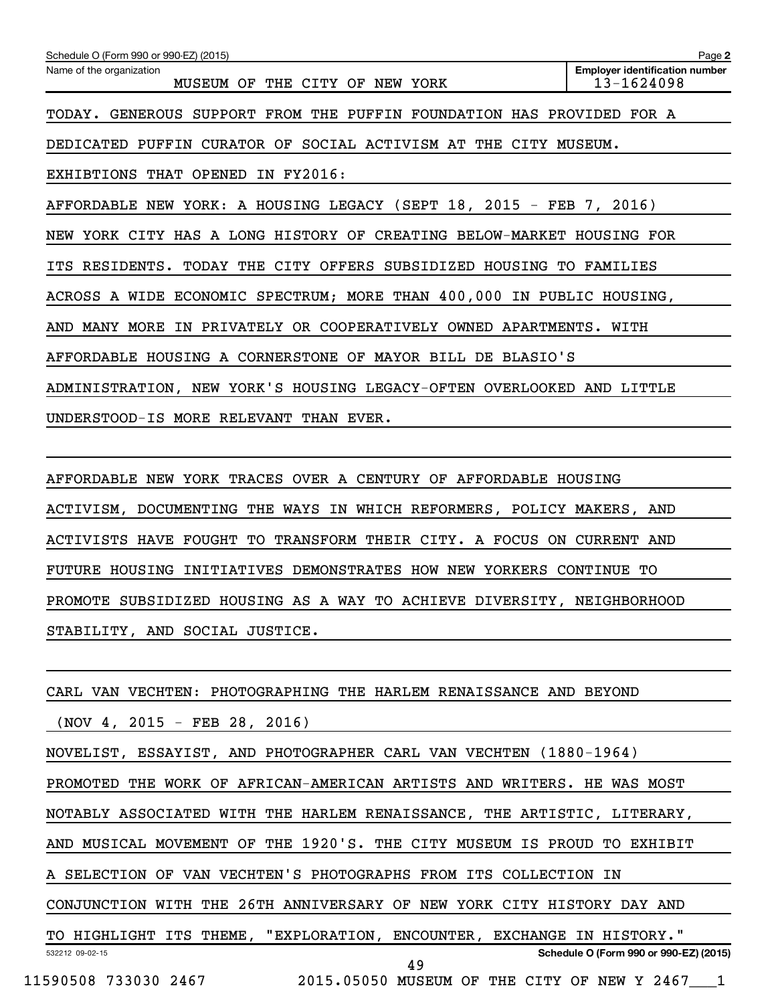| Schedule O (Form 990 or 990-EZ) (2015)                                | Page 2                                              |
|-----------------------------------------------------------------------|-----------------------------------------------------|
| Name of the organization<br>MUSEUM OF THE CITY OF NEW YORK            | <b>Employer identification number</b><br>13-1624098 |
| TODAY. GENEROUS SUPPORT FROM THE PUFFIN FOUNDATION HAS PROVIDED FOR A |                                                     |
| DEDICATED PUFFIN CURATOR OF SOCIAL ACTIVISM AT THE CITY MUSEUM.       |                                                     |
| EXHIBTIONS THAT OPENED IN FY2016:                                     |                                                     |
| AFFORDABLE NEW YORK: A HOUSING LEGACY (SEPT 18, 2015 - FEB 7, 2016)   |                                                     |
| NEW YORK CITY HAS A LONG HISTORY OF CREATING BELOW-MARKET HOUSING FOR |                                                     |
| ITS RESIDENTS. TODAY THE CITY OFFERS SUBSIDIZED HOUSING TO FAMILIES   |                                                     |
| ACROSS A WIDE ECONOMIC SPECTRUM; MORE THAN 400,000 IN PUBLIC HOUSING, |                                                     |
| AND MANY MORE IN PRIVATELY OR COOPERATIVELY OWNED APARTMENTS. WITH    |                                                     |
| AFFORDABLE HOUSING A CORNERSTONE OF MAYOR BILL DE BLASIO'S            |                                                     |
| ADMINISTRATION, NEW YORK'S HOUSING LEGACY-OFTEN OVERLOOKED AND LITTLE |                                                     |
| UNDERSTOOD-IS MORE RELEVANT THAN EVER.                                |                                                     |
|                                                                       |                                                     |
| AFFORDABLE NEW YORK TRACES OVER A CENTURY OF AFFORDABLE HOUSING       |                                                     |
| ACTIVISM, DOCUMENTING THE WAYS IN WHICH REFORMERS, POLICY MAKERS, AND |                                                     |
| ACTIVISTS HAVE FOUGHT TO TRANSFORM THEIR CITY. A FOCUS ON CURRENT AND |                                                     |

FUTURE HOUSING INITIATIVES DEMONSTRATES HOW NEW YORKERS CONTINUE TO

PROMOTE SUBSIDIZED HOUSING AS A WAY TO ACHIEVE DIVERSITY, NEIGHBORHOOD

STABILITY, AND SOCIAL JUSTICE.

| CARL VAN VECHTEN: PHOTOGRAPHING THE HARLEM RENAISSANCE AND BEYOND          |
|----------------------------------------------------------------------------|
| $(NOV 4, 2015 - FEB 28, 2016)$                                             |
| NOVELIST, ESSAYIST, AND PHOTOGRAPHER CARL VAN VECHTEN (1880-1964)          |
| PROMOTED THE WORK OF AFRICAN-AMERICAN ARTISTS AND WRITERS. HE WAS MOST     |
| NOTABLY ASSOCIATED WITH THE HARLEM RENAISSANCE, THE ARTISTIC, LITERARY,    |
| AND MUSICAL MOVEMENT OF THE 1920'S. THE CITY MUSEUM IS PROUD TO<br>EXHIBIT |
| A SELECTION OF VAN VECHTEN'S PHOTOGRAPHS FROM ITS COLLECTION IN            |
| CONJUNCTION WITH THE 26TH ANNIVERSARY OF NEW YORK CITY HISTORY DAY AND     |
| TO HIGHLIGHT ITS THEME, "EXPLORATION, ENCOUNTER, EXCHANGE IN HISTORY."     |
| Schedule O (Form 990 or 990-EZ) (2015)<br>532212 09-02-15<br>49            |

11590508 733030 2467 2015.05050 MUSEUM OF THE CITY OF NEW Y 2467\_\_\_1

49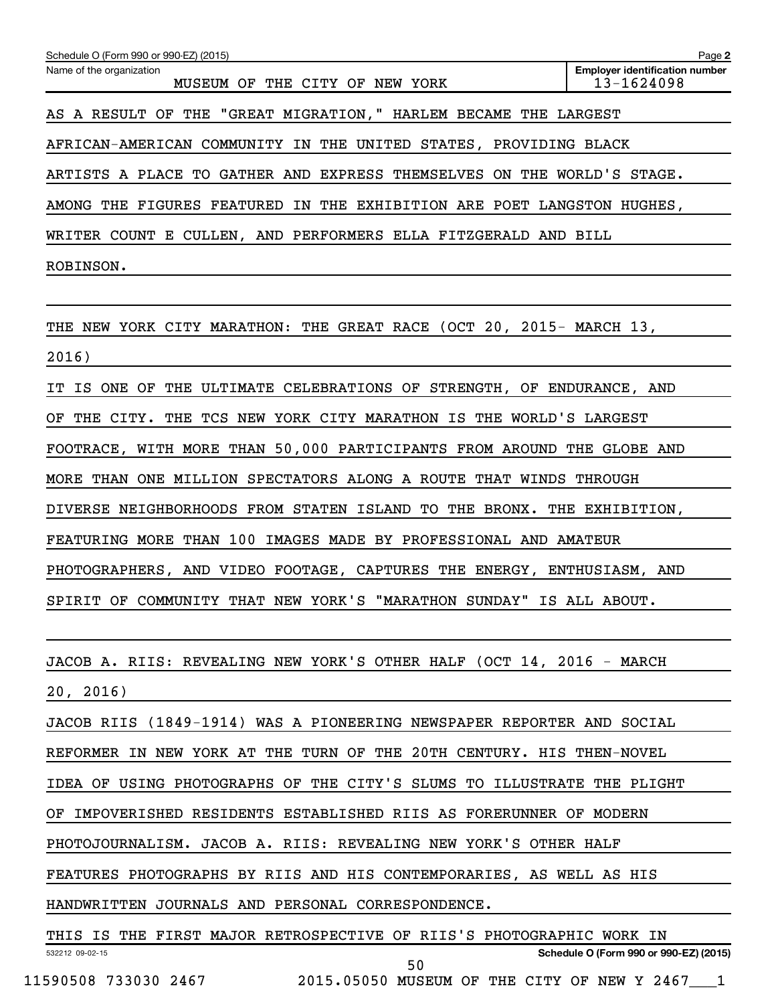| Schedule O (Form 990 or 990-EZ) (2015)                                      | Page 2                                              |
|-----------------------------------------------------------------------------|-----------------------------------------------------|
| Name of the organization<br>THE CITY OF NEW YORK<br>MUSEUM OF               | <b>Employer identification number</b><br>13-1624098 |
| AS A RESULT OF THE "GREAT MIGRATION," HARLEM BECAME THE LARGEST             |                                                     |
| AFRICAN-AMERICAN COMMUNITY IN THE UNITED STATES, PROVIDING BLACK            |                                                     |
| ARTISTS A PLACE TO GATHER AND EXPRESS THEMSELVES ON THE WORLD'S STAGE.      |                                                     |
| AMONG THE FIGURES FEATURED IN THE EXHIBITION ARE POET LANGSTON HUGHES,      |                                                     |
| WRITER COUNT E CULLEN, AND PERFORMERS ELLA FITZGERALD AND BILL              |                                                     |
| ROBINSON.                                                                   |                                                     |
|                                                                             |                                                     |
| THE NEW YORK CITY MARATHON: THE GREAT RACE (OCT 20, 2015- MARCH 13,         |                                                     |
| 2016)                                                                       |                                                     |
| IS ONE OF<br>THE ULTIMATE CELEBRATIONS OF STRENGTH, OF ENDURANCE, AND<br>IT |                                                     |
| THE CITY. THE TCS NEW YORK CITY MARATHON IS THE WORLD'S LARGEST<br>OF       |                                                     |
| FOOTRACE, WITH MORE THAN 50,000 PARTICIPANTS FROM AROUND THE GLOBE AND      |                                                     |
| MORE THAN ONE MILLION SPECTATORS ALONG A ROUTE THAT WINDS THROUGH           |                                                     |
| DIVERSE NEIGHBORHOODS FROM STATEN ISLAND TO THE BRONX. THE EXHIBITION,      |                                                     |
| FEATURING MORE THAN 100 IMAGES MADE BY PROFESSIONAL AND AMATEUR             |                                                     |
| PHOTOGRAPHERS, AND VIDEO FOOTAGE, CAPTURES THE ENERGY, ENTHUSIASM, AND      |                                                     |
| SPIRIT OF COMMUNITY THAT NEW YORK'S "MARATHON SUNDAY" IS ALL ABOUT.         |                                                     |
|                                                                             |                                                     |
| JACOB A. RIIS: REVEALING NEW YORK'S OTHER HALF (OCT 14, 2016 - MARCH        |                                                     |
| 20, 2016)                                                                   |                                                     |
| JACOB RIIS (1849-1914) WAS A PIONEERING NEWSPAPER REPORTER AND SOCIAL       |                                                     |
| REFORMER IN NEW YORK AT THE TURN OF THE 20TH CENTURY. HIS THEN-NOVEL        |                                                     |
| IDEA OF USING PHOTOGRAPHS OF THE CITY'S SLUMS TO ILLUSTRATE THE PLIGHT      |                                                     |
| OF IMPOVERISHED RESIDENTS ESTABLISHED RIIS AS FORERUNNER OF MODERN          |                                                     |
| PHOTOJOURNALISM. JACOB A. RIIS: REVEALING NEW YORK'S OTHER HALF             |                                                     |
| FEATURES PHOTOGRAPHS BY RIIS AND HIS CONTEMPORARIES, AS WELL AS HIS         |                                                     |
| HANDWRITTEN JOURNALS AND PERSONAL CORRESPONDENCE.                           |                                                     |
| THIS IS THE FIRST MAJOR RETROSPECTIVE OF RIIS'S PHOTOGRAPHIC WORK IN        |                                                     |
| 532212 09-02-15<br>$E^{\wedge}$                                             | Schedule O (Form 990 or 990-EZ) (2015)              |

11590508 733030 2467 2015.05050 MUSEUM OF THE CITY OF NEW Y 2467\_\_\_1

50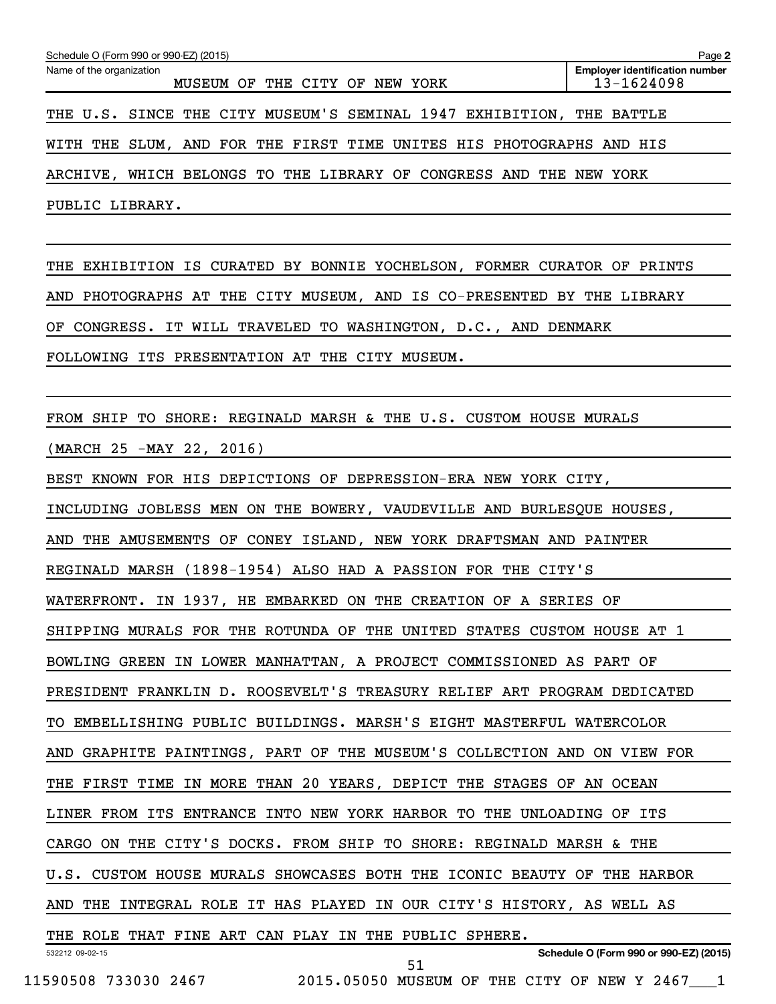| Schedule O (Form 990 or 990-EZ) (2015)                                  |                                               | Page 2                                              |
|-------------------------------------------------------------------------|-----------------------------------------------|-----------------------------------------------------|
| Name of the organization                                                | MUSEUM OF THE CITY OF NEW YORK                | <b>Employer identification number</b><br>13-1624098 |
| THE U.S. SINCE THE CITY MUSEUM'S SEMINAL 1947 EXHIBITION, THE BATTLE    |                                               |                                                     |
| WITH THE SLUM, AND FOR THE FIRST TIME UNITES HIS PHOTOGRAPHS AND HIS    |                                               |                                                     |
| ARCHIVE, WHICH BELONGS TO THE LIBRARY OF CONGRESS AND THE NEW YORK      |                                               |                                                     |
| PUBLIC LIBRARY.                                                         |                                               |                                                     |
|                                                                         |                                               |                                                     |
| THE EXHIBITION IS CURATED BY BONNIE YOCHELSON, FORMER CURATOR OF PRINTS |                                               |                                                     |
| AND PHOTOGRAPHS AT THE CITY MUSEUM, AND IS CO-PRESENTED BY THE LIBRARY  |                                               |                                                     |
| OF CONGRESS. IT WILL TRAVELED TO WASHINGTON, D.C., AND DENMARK          |                                               |                                                     |
| FOLLOWING ITS PRESENTATION AT THE CITY MUSEUM.                          |                                               |                                                     |
|                                                                         |                                               |                                                     |
| FROM SHIP TO SHORE: REGINALD MARSH & THE U.S. CUSTOM HOUSE MURALS       |                                               |                                                     |
| (MARCH 25 -MAY 22, 2016)                                                |                                               |                                                     |
| BEST KNOWN FOR HIS DEPICTIONS OF DEPRESSION-ERA NEW YORK CITY,          |                                               |                                                     |
| INCLUDING JOBLESS MEN ON THE BOWERY, VAUDEVILLE AND BURLESQUE HOUSES,   |                                               |                                                     |
| AND THE AMUSEMENTS OF CONEY ISLAND, NEW YORK DRAFTSMAN AND PAINTER      |                                               |                                                     |
| REGINALD MARSH (1898-1954) ALSO HAD A PASSION FOR THE CITY'S            |                                               |                                                     |
| WATERFRONT. IN 1937, HE EMBARKED ON THE CREATION OF A SERIES OF         |                                               |                                                     |
| SHIPPING MURALS FOR THE ROTUNDA OF THE UNITED STATES CUSTOM HOUSE AT 1  |                                               |                                                     |
| BOWLING GREEN IN LOWER MANHATTAN, A PROJECT COMMISSIONED AS PART OF     |                                               |                                                     |
| PRESIDENT FRANKLIN D. ROOSEVELT'S TREASURY RELIEF ART PROGRAM DEDICATED |                                               |                                                     |
| TO EMBELLISHING PUBLIC BUILDINGS. MARSH'S EIGHT MASTERFUL WATERCOLOR    |                                               |                                                     |
| AND GRAPHITE PAINTINGS, PART OF THE MUSEUM'S COLLECTION AND ON VIEW FOR |                                               |                                                     |
| THE FIRST TIME IN MORE THAN 20 YEARS, DEPICT THE STAGES OF AN OCEAN     |                                               |                                                     |
| LINER FROM ITS ENTRANCE INTO NEW YORK HARBOR TO THE UNLOADING OF ITS    |                                               |                                                     |
| CARGO ON THE CITY'S DOCKS. FROM SHIP TO SHORE: REGINALD MARSH & THE     |                                               |                                                     |
| U.S. CUSTOM HOUSE MURALS SHOWCASES BOTH THE ICONIC BEAUTY OF THE HARBOR |                                               |                                                     |
| AND THE INTEGRAL ROLE IT HAS PLAYED IN OUR CITY'S HISTORY, AS WELL AS   |                                               |                                                     |
| THE ROLE THAT FINE ART CAN PLAY IN THE PUBLIC SPHERE.                   |                                               |                                                     |
| 532212 09-02-15                                                         | 51                                            | Schedule O (Form 990 or 990-EZ) (2015)              |
| 11590508 733030 2467                                                    | 2015.05050 MUSEUM OF THE CITY OF NEW Y 2467 1 |                                                     |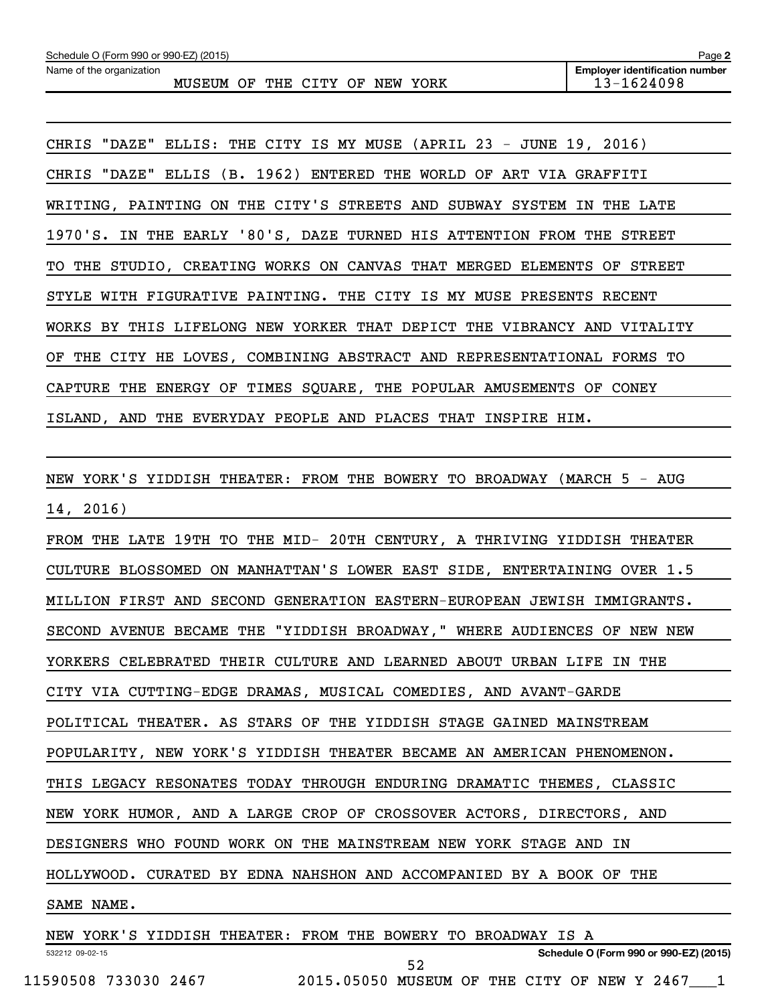| Schedule O (Form 990 or 990-EZ) (2015) |        |    |             |     |      | Page 2                                |
|----------------------------------------|--------|----|-------------|-----|------|---------------------------------------|
| Name of the organization               |        |    |             |     |      | <b>Employer identification number</b> |
|                                        | MUSEUM | OF | THE CITY OF | NEW | YORK | 13-1624098                            |

CHRIS "DAZE" ELLIS: THE CITY IS MY MUSE (APRIL 23 - JUNE 19, 2016) CHRIS "DAZE" ELLIS (B. 1962) ENTERED THE WORLD OF ART VIA GRAFFITI WRITING, PAINTING ON THE CITY'S STREETS AND SUBWAY SYSTEM IN THE LATE 1970'S. IN THE EARLY '80'S, DAZE TURNED HIS ATTENTION FROM THE STREET TO THE STUDIO, CREATING WORKS ON CANVAS THAT MERGED ELEMENTS OF STREET STYLE WITH FIGURATIVE PAINTING. THE CITY IS MY MUSE PRESENTS RECENT WORKS BY THIS LIFELONG NEW YORKER THAT DEPICT THE VIBRANCY AND VITALITY OF THE CITY HE LOVES, COMBINING ABSTRACT AND REPRESENTATIONAL FORMS TO CAPTURE THE ENERGY OF TIMES SQUARE, THE POPULAR AMUSEMENTS OF CONEY ISLAND, AND THE EVERYDAY PEOPLE AND PLACES THAT INSPIRE HIM.

NEW YORK'S YIDDISH THEATER: FROM THE BOWERY TO BROADWAY (MARCH 5 - AUG 14, 2016)

FROM THE LATE 19TH TO THE MID- 20TH CENTURY, A THRIVING YIDDISH THEATER CULTURE BLOSSOMED ON MANHATTAN'S LOWER EAST SIDE, ENTERTAINING OVER 1.5 MILLION FIRST AND SECOND GENERATION EASTERN-EUROPEAN JEWISH IMMIGRANTS. SECOND AVENUE BECAME THE "YIDDISH BROADWAY," WHERE AUDIENCES OF NEW NEW YORKERS CELEBRATED THEIR CULTURE AND LEARNED ABOUT URBAN LIFE IN THE CITY VIA CUTTING-EDGE DRAMAS, MUSICAL COMEDIES, AND AVANT-GARDE POLITICAL THEATER. AS STARS OF THE YIDDISH STAGE GAINED MAINSTREAM POPULARITY, NEW YORK'S YIDDISH THEATER BECAME AN AMERICAN PHENOMENON. THIS LEGACY RESONATES TODAY THROUGH ENDURING DRAMATIC THEMES, CLASSIC NEW YORK HUMOR, AND A LARGE CROP OF CROSSOVER ACTORS, DIRECTORS, AND DESIGNERS WHO FOUND WORK ON THE MAINSTREAM NEW YORK STAGE AND IN HOLLYWOOD. CURATED BY EDNA NAHSHON AND ACCOMPANIED BY A BOOK OF THE SAME NAME.

532212 09-02-15 **Schedule O (Form 990 or 990-EZ) (2015)** NEW YORK'S YIDDISH THEATER: FROM THE BOWERY TO BROADWAY IS A 11590508 733030 2467 2015.05050 MUSEUM OF THE CITY OF NEW Y 2467\_\_\_1 52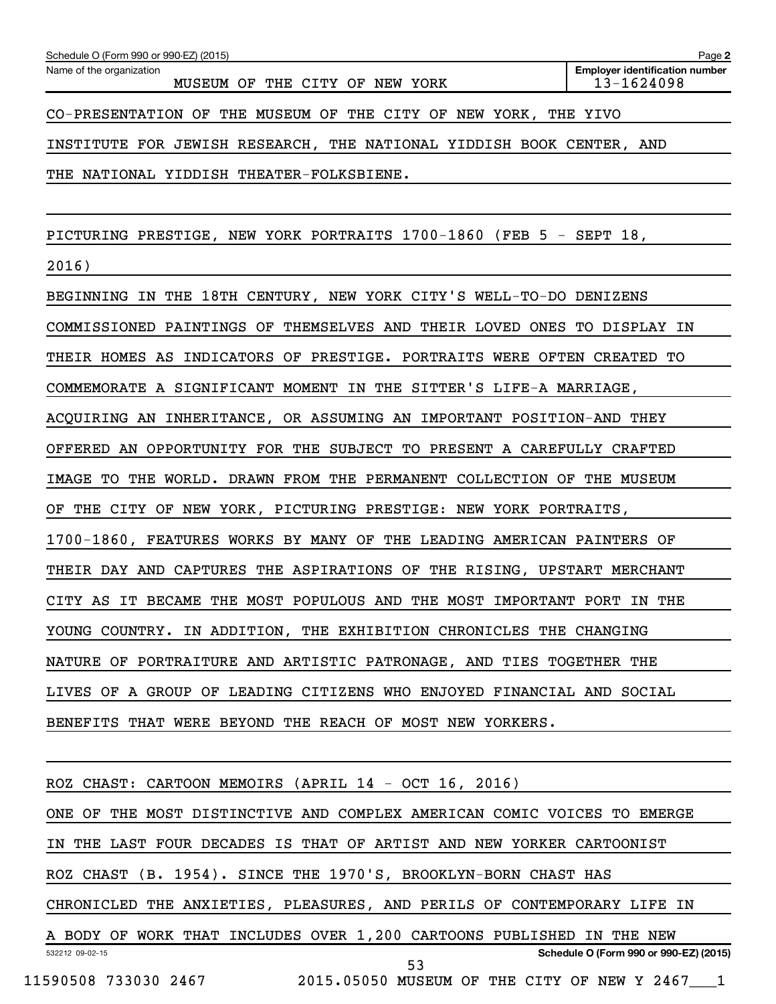| Schedule O (Form 990 or 990-EZ) (2015)                                  | Page 2                                              |
|-------------------------------------------------------------------------|-----------------------------------------------------|
| Name of the organization<br>MUSEUM OF THE CITY OF NEW YORK              | <b>Employer identification number</b><br>13-1624098 |
| CO-PRESENTATION OF THE MUSEUM OF THE CITY OF NEW YORK, THE YIVO         |                                                     |
| INSTITUTE FOR JEWISH RESEARCH, THE NATIONAL YIDDISH BOOK CENTER, AND    |                                                     |
| THE NATIONAL YIDDISH THEATER-FOLKSBIENE.                                |                                                     |
|                                                                         |                                                     |
| PICTURING PRESTIGE, NEW YORK PORTRAITS 1700-1860 (FEB 5 - SEPT 18,      |                                                     |
| 2016)                                                                   |                                                     |
| BEGINNING IN THE 18TH CENTURY, NEW YORK CITY'S WELL-TO-DO DENIZENS      |                                                     |
| COMMISSIONED PAINTINGS OF THEMSELVES AND THEIR LOVED ONES TO DISPLAY IN |                                                     |
| THEIR HOMES AS INDICATORS OF PRESTIGE. PORTRAITS WERE OFTEN CREATED TO  |                                                     |
| COMMEMORATE A SIGNIFICANT MOMENT IN THE SITTER'S LIFE-A MARRIAGE,       |                                                     |
| ACQUIRING AN INHERITANCE, OR ASSUMING AN IMPORTANT POSITION-AND THEY    |                                                     |
| OFFERED AN OPPORTUNITY FOR THE SUBJECT TO PRESENT A CAREFULLY CRAFTED   |                                                     |
| IMAGE TO THE WORLD. DRAWN FROM THE PERMANENT COLLECTION OF THE MUSEUM   |                                                     |
| OF THE CITY OF NEW YORK, PICTURING PRESTIGE: NEW YORK PORTRAITS,        |                                                     |
| 1700-1860, FEATURES WORKS BY MANY OF THE LEADING AMERICAN PAINTERS OF   |                                                     |
| THEIR DAY AND CAPTURES THE ASPIRATIONS OF THE RISING, UPSTART MERCHANT  |                                                     |
| CITY AS IT BECAME THE MOST POPULOUS AND THE MOST IMPORTANT PORT IN THE  |                                                     |
| YOUNG COUNTRY. IN ADDITION, THE EXHIBITION CHRONICLES THE CHANGING      |                                                     |
| NATURE OF PORTRAITURE AND ARTISTIC PATRONAGE, AND TIES TOGETHER THE     |                                                     |
| LIVES OF A GROUP OF LEADING CITIZENS WHO ENJOYED FINANCIAL AND SOCIAL   |                                                     |
| BENEFITS THAT WERE BEYOND THE REACH OF MOST NEW YORKERS.                |                                                     |
|                                                                         |                                                     |
| ROZ CHAST: CARTOON MEMOIRS (APRIL 14 - OCT 16, 2016)                    |                                                     |
| ONE OF THE MOST DISTINCTIVE AND COMPLEX AMERICAN COMIC VOICES TO EMERGE |                                                     |
| IN THE LAST FOUR DECADES IS THAT OF ARTIST AND NEW YORKER CARTOONIST    |                                                     |
| ROZ CHAST (B. 1954). SINCE THE 1970'S, BROOKLYN-BORN CHAST HAS          |                                                     |
| CHRONICLED THE ANXIETIES, PLEASURES, AND PERILS OF CONTEMPORARY LIFE IN |                                                     |
| A BODY OF WORK THAT INCLUDES OVER 1,200 CARTOONS PUBLISHED IN THE NEW   |                                                     |
| 532212 09-02-15<br>53                                                   | Schedule O (Form 990 or 990-EZ) (2015)              |
| 11590508 733030 2467 2015.05050 MUSEUM OF THE CITY OF NEW Y 2467 1      |                                                     |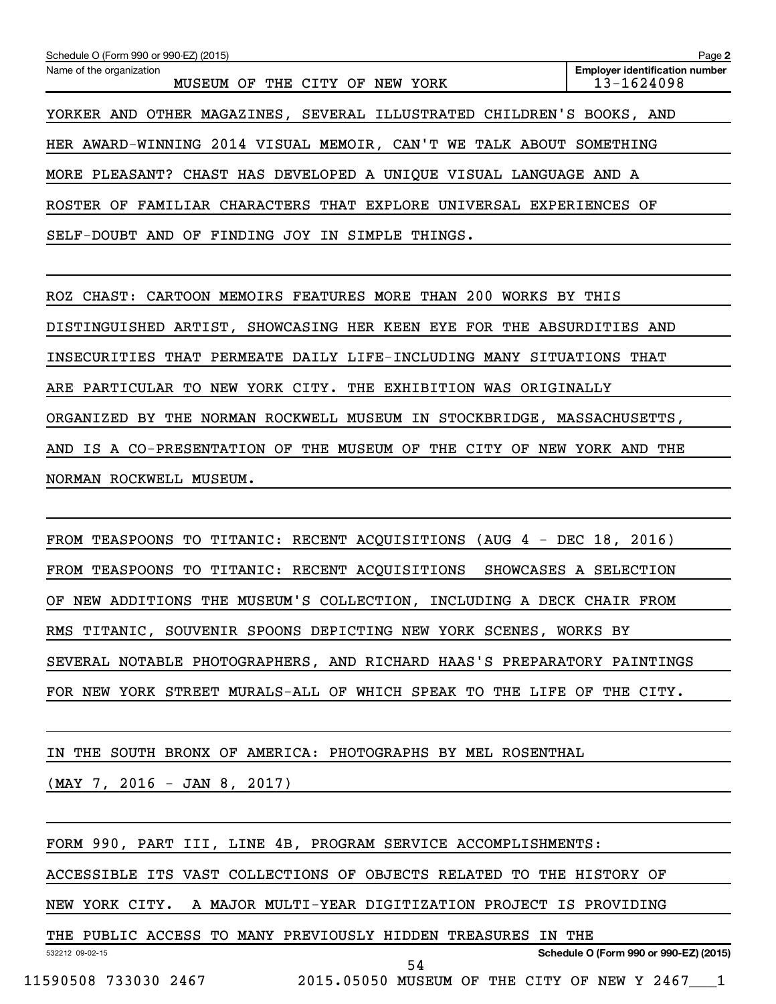| Schedule O (Form 990 or 990-EZ) (2015)                                | Page 2                                              |
|-----------------------------------------------------------------------|-----------------------------------------------------|
| Name of the organization<br>MUSEUM OF<br>THE CITY OF<br>NEW<br>YORK   | <b>Employer identification number</b><br>13-1624098 |
| YORKER AND OTHER MAGAZINES, SEVERAL ILLUSTRATED CHILDREN'S BOOKS, AND |                                                     |
| HER AWARD-WINNING 2014 VISUAL MEMOIR, CAN'T WE TALK ABOUT SOMETHING   |                                                     |
| MORE PLEASANT? CHAST HAS DEVELOPED A UNIQUE VISUAL LANGUAGE AND A     |                                                     |
| ROSTER OF FAMILIAR CHARACTERS THAT EXPLORE UNIVERSAL EXPERIENCES OF   |                                                     |
| SELF-DOUBT AND OF FINDING JOY IN SIMPLE THINGS.                       |                                                     |

ROZ CHAST: CARTOON MEMOIRS FEATURES MORE THAN 200 WORKS BY THIS DISTINGUISHED ARTIST, SHOWCASING HER KEEN EYE FOR THE ABSURDITIES AND INSECURITIES THAT PERMEATE DAILY LIFE-INCLUDING MANY SITUATIONS THAT ARE PARTICULAR TO NEW YORK CITY. THE EXHIBITION WAS ORIGINALLY ORGANIZED BY THE NORMAN ROCKWELL MUSEUM IN STOCKBRIDGE, MASSACHUSETTS, AND IS A CO-PRESENTATION OF THE MUSEUM OF THE CITY OF NEW YORK AND THE NORMAN ROCKWELL MUSEUM.

FROM TEASPOONS TO TITANIC: RECENT ACQUISITIONS (AUG 4 - DEC 18, 2016) FROM TEASPOONS TO TITANIC: RECENT ACQUISITIONS SHOWCASES A SELECTION OF NEW ADDITIONS THE MUSEUM'S COLLECTION, INCLUDING A DECK CHAIR FROM RMS TITANIC, SOUVENIR SPOONS DEPICTING NEW YORK SCENES, WORKS BY SEVERAL NOTABLE PHOTOGRAPHERS, AND RICHARD HAAS'S PREPARATORY PAINTINGS FOR NEW YORK STREET MURALS-ALL OF WHICH SPEAK TO THE LIFE OF THE CITY.

IN THE SOUTH BRONX OF AMERICA: PHOTOGRAPHS BY MEL ROSENTHAL (MAY 7, 2016 - JAN 8, 2017)

FORM 990, PART III, LINE 4B, PROGRAM SERVICE ACCOMPLISHMENTS:

ACCESSIBLE ITS VAST COLLECTIONS OF OBJECTS RELATED TO THE HISTORY OF

NEW YORK CITY. A MAJOR MULTI-YEAR DIGITIZATION PROJECT IS PROVIDING

532212 09-02-15 **Schedule O (Form 990 or 990-EZ) (2015)** THE PUBLIC ACCESS TO MANY PREVIOUSLY HIDDEN TREASURES IN THE 11590508 733030 2467 2015.05050 MUSEUM OF THE CITY OF NEW Y 2467\_\_\_1 54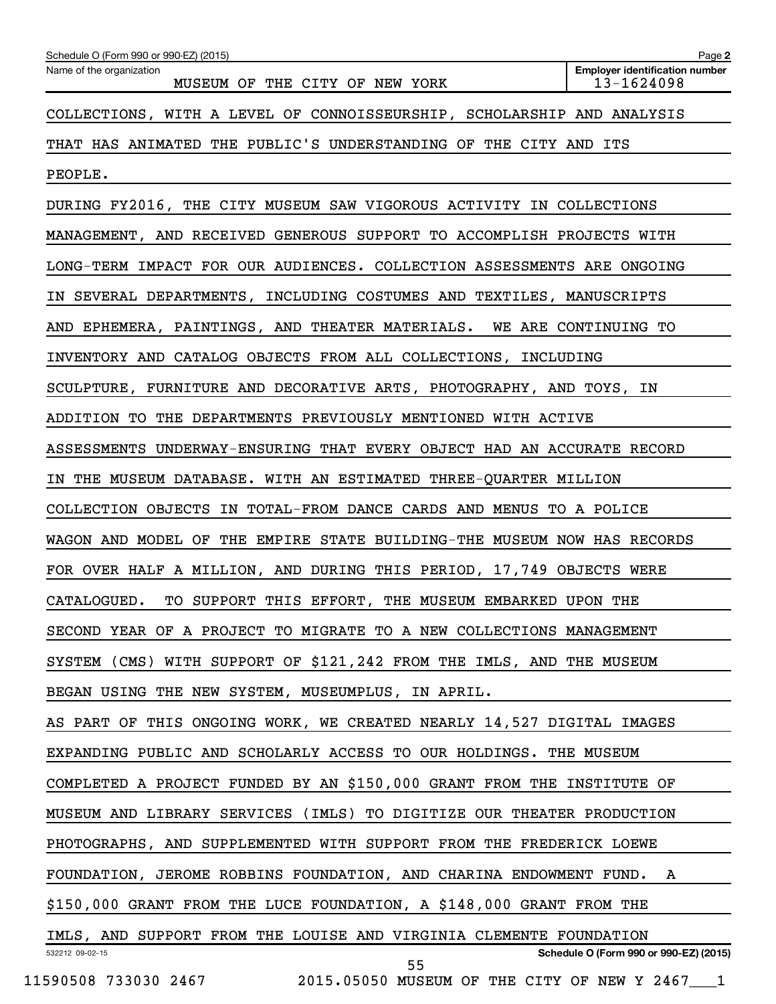| Schedule O (Form 990 or 990-EZ) (2015)<br>Name of the organization      | Page 2<br><b>Employer identification number</b> |
|-------------------------------------------------------------------------|-------------------------------------------------|
| MUSEUM OF THE CITY OF NEW YORK                                          | $13 - 1624098$                                  |
| COLLECTIONS, WITH A LEVEL OF CONNOISSEURSHIP, SCHOLARSHIP AND ANALYSIS  |                                                 |
| THAT HAS ANIMATED THE PUBLIC'S UNDERSTANDING OF THE CITY AND ITS        |                                                 |
| PEOPLE.                                                                 |                                                 |
| DURING FY2016, THE CITY MUSEUM SAW VIGOROUS ACTIVITY IN COLLECTIONS     |                                                 |
| MANAGEMENT, AND RECEIVED GENEROUS SUPPORT TO ACCOMPLISH PROJECTS WITH   |                                                 |
| LONG-TERM IMPACT FOR OUR AUDIENCES. COLLECTION ASSESSMENTS ARE ONGOING  |                                                 |
| IN SEVERAL DEPARTMENTS, INCLUDING COSTUMES AND TEXTILES, MANUSCRIPTS    |                                                 |
| AND EPHEMERA, PAINTINGS, AND THEATER MATERIALS. WE ARE CONTINUING TO    |                                                 |
| INVENTORY AND CATALOG OBJECTS FROM ALL COLLECTIONS, INCLUDING           |                                                 |
| SCULPTURE, FURNITURE AND DECORATIVE ARTS, PHOTOGRAPHY, AND TOYS, IN     |                                                 |
| ADDITION TO THE DEPARTMENTS PREVIOUSLY MENTIONED WITH ACTIVE            |                                                 |
| ASSESSMENTS UNDERWAY-ENSURING THAT EVERY OBJECT HAD AN ACCURATE RECORD  |                                                 |
| IN THE MUSEUM DATABASE. WITH AN ESTIMATED THREE-QUARTER MILLION         |                                                 |
| COLLECTION OBJECTS IN TOTAL-FROM DANCE CARDS AND MENUS TO A POLICE      |                                                 |
| WAGON AND MODEL OF THE EMPIRE STATE BUILDING-THE MUSEUM NOW HAS RECORDS |                                                 |
| FOR OVER HALF A MILLION, AND DURING THIS PERIOD, 17,749 OBJECTS WERE    |                                                 |
| TO SUPPORT THIS EFFORT, THE MUSEUM EMBARKED UPON THE<br>CATALOGUED.     |                                                 |
| SECOND YEAR OF A PROJECT TO MIGRATE TO A NEW COLLECTIONS MANAGEMENT     |                                                 |
| SYSTEM (CMS) WITH SUPPORT OF \$121,242 FROM THE IMLS, AND THE MUSEUM    |                                                 |
| BEGAN USING THE NEW SYSTEM, MUSEUMPLUS, IN APRIL.                       |                                                 |
| AS PART OF THIS ONGOING WORK, WE CREATED NEARLY 14,527 DIGITAL IMAGES   |                                                 |
| EXPANDING PUBLIC AND SCHOLARLY ACCESS TO OUR HOLDINGS. THE MUSEUM       |                                                 |
| COMPLETED A PROJECT FUNDED BY AN \$150,000 GRANT FROM THE INSTITUTE OF  |                                                 |
| MUSEUM AND LIBRARY SERVICES (IMLS) TO DIGITIZE OUR THEATER PRODUCTION   |                                                 |
| PHOTOGRAPHS, AND SUPPLEMENTED WITH SUPPORT FROM THE FREDERICK LOEWE     |                                                 |
| FOUNDATION, JEROME ROBBINS FOUNDATION, AND CHARINA ENDOWMENT FUND.      | A                                               |
| \$150,000 GRANT FROM THE LUCE FOUNDATION, A \$148,000 GRANT FROM THE    |                                                 |
| IMLS, AND SUPPORT FROM THE LOUISE AND VIRGINIA CLEMENTE FOUNDATION      |                                                 |
| 532212 09-02-15<br>55                                                   | Schedule O (Form 990 or 990-EZ) (2015)          |
| 11590508 733030 2467<br>2015.05050 MUSEUM OF THE CITY OF NEW Y 2467 1   |                                                 |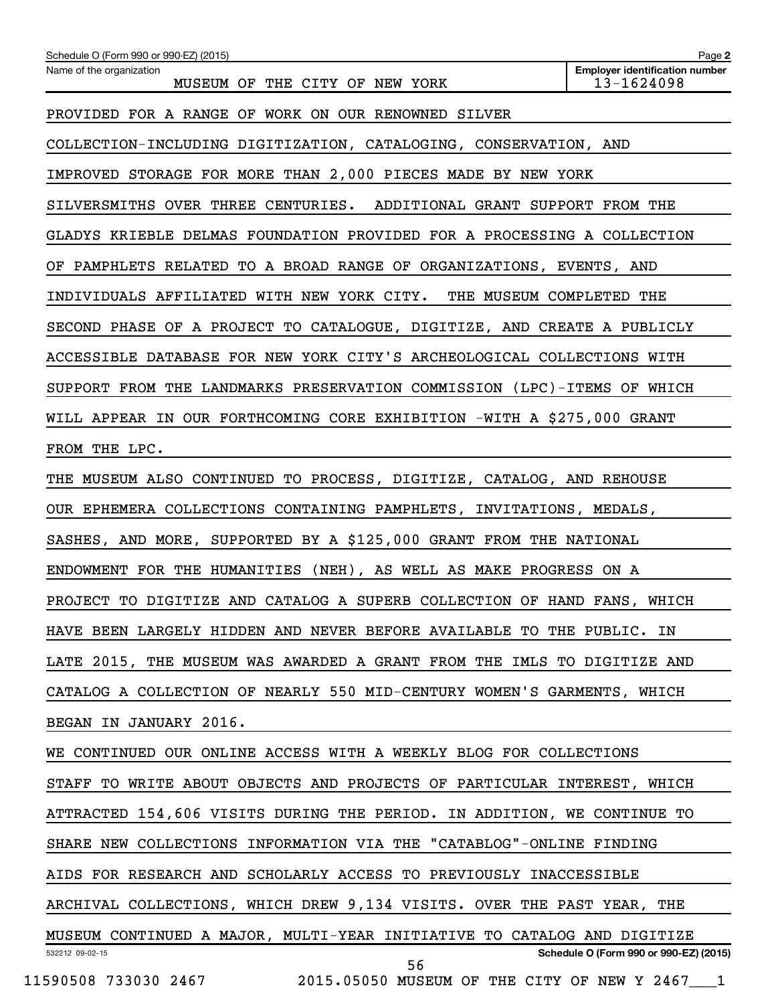| Schedule O (Form 990 or 990-EZ) (2015)                                  | Page 2                                              |
|-------------------------------------------------------------------------|-----------------------------------------------------|
| Name of the organization<br>MUSEUM OF THE CITY OF NEW YORK              | <b>Employer identification number</b><br>13-1624098 |
| PROVIDED FOR A RANGE OF WORK ON OUR RENOWNED SILVER                     |                                                     |
| COLLECTION-INCLUDING DIGITIZATION, CATALOGING, CONSERVATION, AND        |                                                     |
| IMPROVED STORAGE FOR MORE THAN 2,000 PIECES MADE BY NEW YORK            |                                                     |
| SILVERSMITHS OVER THREE CENTURIES.<br>ADDITIONAL GRANT SUPPORT FROM THE |                                                     |
| GLADYS KRIEBLE DELMAS FOUNDATION PROVIDED FOR A PROCESSING A COLLECTION |                                                     |
| OF PAMPHLETS RELATED TO A BROAD RANGE OF ORGANIZATIONS, EVENTS, AND     |                                                     |
| INDIVIDUALS AFFILIATED WITH NEW YORK CITY. THE MUSEUM COMPLETED THE     |                                                     |
| SECOND PHASE OF A PROJECT TO CATALOGUE, DIGITIZE, AND CREATE A PUBLICLY |                                                     |
| ACCESSIBLE DATABASE FOR NEW YORK CITY'S ARCHEOLOGICAL COLLECTIONS WITH  |                                                     |
| SUPPORT FROM THE LANDMARKS PRESERVATION COMMISSION (LPC)-ITEMS OF WHICH |                                                     |
| WILL APPEAR IN OUR FORTHCOMING CORE EXHIBITION -WITH A \$275,000 GRANT  |                                                     |
| FROM THE LPC.                                                           |                                                     |
| THE MUSEUM ALSO CONTINUED TO PROCESS, DIGITIZE, CATALOG, AND REHOUSE    |                                                     |
| OUR EPHEMERA COLLECTIONS CONTAINING PAMPHLETS, INVITATIONS, MEDALS,     |                                                     |
| SASHES, AND MORE, SUPPORTED BY A \$125,000 GRANT FROM THE NATIONAL      |                                                     |
| ENDOWMENT FOR THE HUMANITIES (NEH), AS WELL AS MAKE PROGRESS ON A       |                                                     |
| PROJECT TO DIGITIZE AND CATALOG A SUPERB COLLECTION OF HAND FANS, WHICH |                                                     |
| HAVE BEEN LARGELY HIDDEN AND NEVER BEFORE AVAILABLE TO THE PUBLIC. IN   |                                                     |
| LATE 2015, THE MUSEUM WAS AWARDED A GRANT FROM THE IMLS TO DIGITIZE AND |                                                     |
| CATALOG A COLLECTION OF NEARLY 550 MID-CENTURY WOMEN'S GARMENTS, WHICH  |                                                     |
| BEGAN IN JANUARY 2016.                                                  |                                                     |
| WE CONTINUED OUR ONLINE ACCESS WITH A WEEKLY BLOG FOR COLLECTIONS       |                                                     |
| STAFF TO WRITE ABOUT OBJECTS AND PROJECTS OF PARTICULAR INTEREST, WHICH |                                                     |
| ATTRACTED 154,606 VISITS DURING THE PERIOD. IN ADDITION, WE CONTINUE TO |                                                     |
| SHARE NEW COLLECTIONS INFORMATION VIA THE "CATABLOG"-ONLINE FINDING     |                                                     |
| AIDS FOR RESEARCH AND SCHOLARLY ACCESS TO PREVIOUSLY INACCESSIBLE       |                                                     |
| ARCHIVAL COLLECTIONS, WHICH DREW 9,134 VISITS. OVER THE PAST YEAR, THE  |                                                     |
| MUSEUM CONTINUED A MAJOR, MULTI-YEAR INITIATIVE TO CATALOG AND DIGITIZE |                                                     |
| 532212 09-02-15<br>56                                                   | Schedule O (Form 990 or 990-EZ) (2015)              |
| 11590508 733030 2467 2015.05050 MUSEUM OF THE CITY OF NEW Y 2467 1      |                                                     |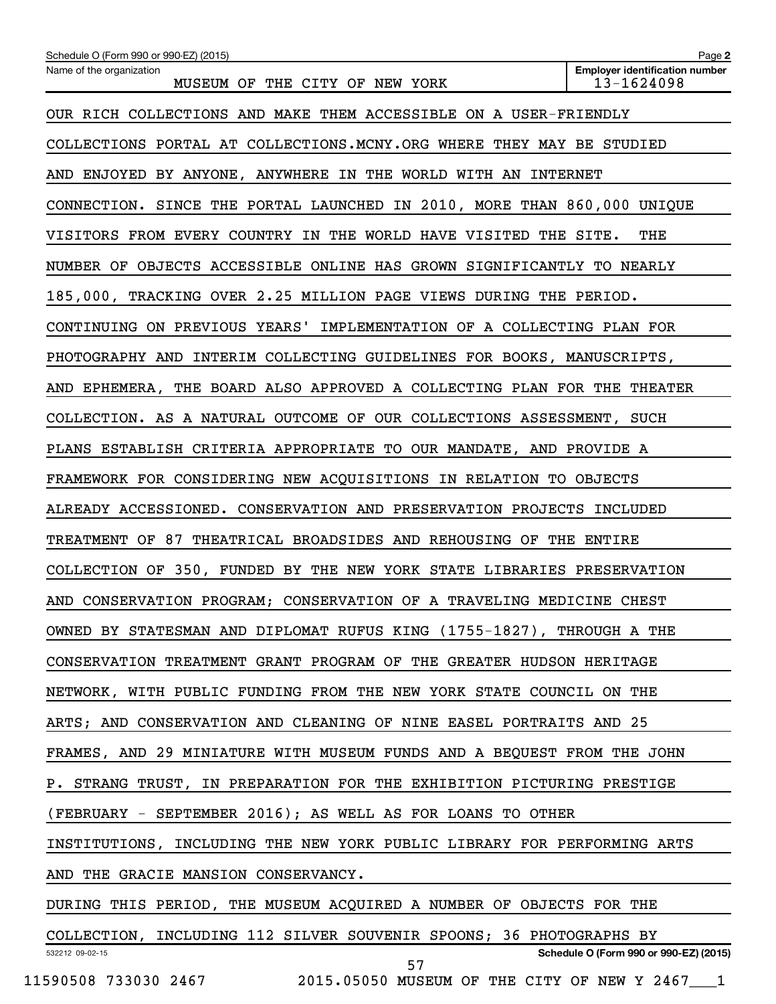| Schedule O (Form 990 or 990-EZ) (2015)                                  | Page 2                                              |
|-------------------------------------------------------------------------|-----------------------------------------------------|
| Name of the organization<br>MUSEUM OF THE CITY OF NEW YORK              | <b>Employer identification number</b><br>13-1624098 |
| OUR RICH COLLECTIONS AND MAKE THEM ACCESSIBLE ON A USER-FRIENDLY        |                                                     |
| COLLECTIONS PORTAL AT COLLECTIONS.MCNY.ORG WHERE THEY MAY BE STUDIED    |                                                     |
| AND ENJOYED BY ANYONE, ANYWHERE IN THE WORLD WITH AN INTERNET           |                                                     |
| CONNECTION. SINCE THE PORTAL LAUNCHED IN 2010, MORE THAN 860,000 UNIQUE |                                                     |
| VISITORS FROM EVERY COUNTRY IN THE WORLD HAVE VISITED THE SITE.         | THE                                                 |
| NUMBER OF OBJECTS ACCESSIBLE ONLINE HAS GROWN SIGNIFICANTLY TO NEARLY   |                                                     |
| 185,000, TRACKING OVER 2.25 MILLION PAGE VIEWS DURING THE PERIOD.       |                                                     |
| CONTINUING ON PREVIOUS YEARS' IMPLEMENTATION OF A COLLECTING PLAN FOR   |                                                     |
| PHOTOGRAPHY AND INTERIM COLLECTING GUIDELINES FOR BOOKS, MANUSCRIPTS,   |                                                     |
| AND EPHEMERA, THE BOARD ALSO APPROVED A COLLECTING PLAN FOR THE THEATER |                                                     |
| COLLECTION. AS A NATURAL OUTCOME OF OUR COLLECTIONS ASSESSMENT, SUCH    |                                                     |
| PLANS ESTABLISH CRITERIA APPROPRIATE TO OUR MANDATE, AND PROVIDE A      |                                                     |
| FRAMEWORK FOR CONSIDERING NEW ACQUISITIONS IN RELATION TO OBJECTS       |                                                     |
| ALREADY ACCESSIONED. CONSERVATION AND PRESERVATION PROJECTS INCLUDED    |                                                     |
| TREATMENT OF 87 THEATRICAL BROADSIDES AND REHOUSING OF THE ENTIRE       |                                                     |
| COLLECTION OF 350, FUNDED BY THE NEW YORK STATE LIBRARIES PRESERVATION  |                                                     |
| AND CONSERVATION PROGRAM; CONSERVATION OF A TRAVELING MEDICINE CHEST    |                                                     |
| OWNED BY STATESMAN AND DIPLOMAT RUFUS KING (1755-1827), THROUGH A THE   |                                                     |
| CONSERVATION TREATMENT GRANT PROGRAM OF THE GREATER HUDSON HERITAGE     |                                                     |
| NETWORK, WITH PUBLIC FUNDING FROM THE NEW YORK STATE COUNCIL ON THE     |                                                     |
| ARTS; AND CONSERVATION AND CLEANING OF NINE EASEL PORTRAITS AND 25      |                                                     |
| FRAMES, AND 29 MINIATURE WITH MUSEUM FUNDS AND A BEQUEST FROM THE JOHN  |                                                     |
| P. STRANG TRUST, IN PREPARATION FOR THE EXHIBITION PICTURING PRESTIGE   |                                                     |
| (FEBRUARY - SEPTEMBER 2016); AS WELL AS FOR LOANS TO OTHER              |                                                     |
| INSTITUTIONS, INCLUDING THE NEW YORK PUBLIC LIBRARY FOR PERFORMING ARTS |                                                     |
| AND THE GRACIE MANSION CONSERVANCY.                                     |                                                     |
| DURING THIS PERIOD, THE MUSEUM ACQUIRED A NUMBER OF OBJECTS FOR THE     |                                                     |
| COLLECTION, INCLUDING 112 SILVER SOUVENIR SPOONS; 36 PHOTOGRAPHS BY     |                                                     |
| 532212 09-02-15<br>57                                                   | Schedule O (Form 990 or 990-EZ) (2015)              |

11590508 733030 2467 2015.05050 MUSEUM OF THE CITY OF NEW Y 2467\_\_\_1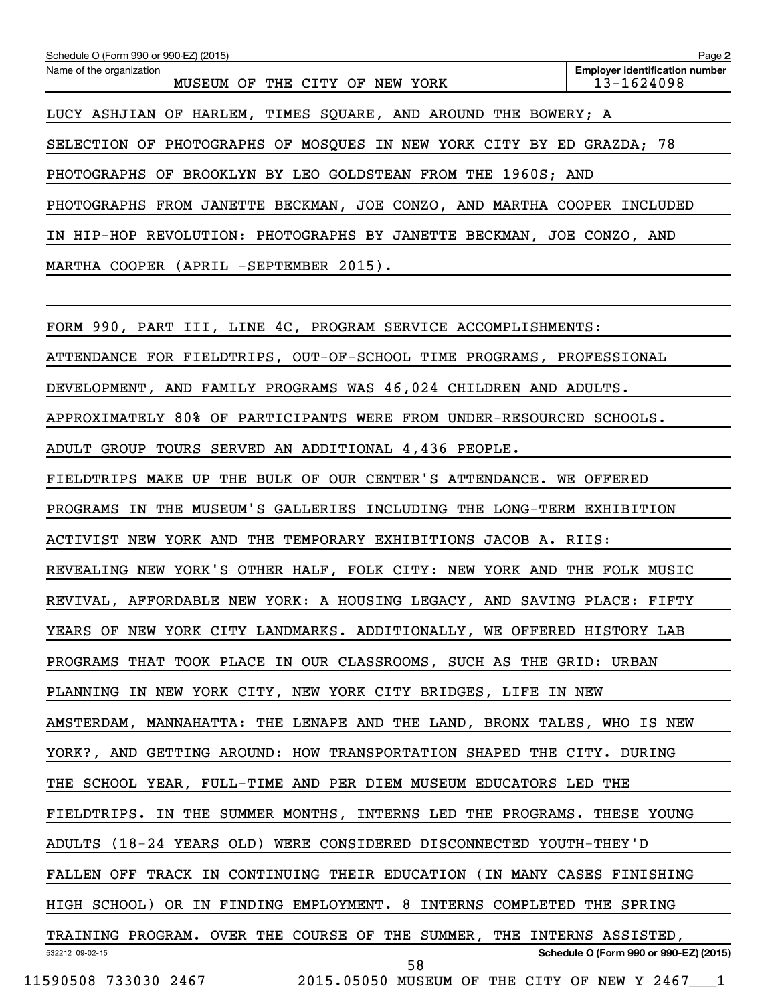| Schedule O (Form 990 or 990-EZ) (2015)<br>Name of the organization<br>MUSEUM OF THE CITY OF NEW YORK | Page 2<br><b>Employer identification number</b><br>$13 - 1624098$ |
|------------------------------------------------------------------------------------------------------|-------------------------------------------------------------------|
| LUCY ASHJIAN OF HARLEM, TIMES SQUARE, AND AROUND THE BOWERY; A                                       |                                                                   |
| SELECTION OF PHOTOGRAPHS OF MOSQUES IN NEW YORK CITY BY ED GRAZDA; 78                                |                                                                   |
| PHOTOGRAPHS OF BROOKLYN BY LEO GOLDSTEAN FROM THE 1960S; AND                                         |                                                                   |
| PHOTOGRAPHS FROM JANETTE BECKMAN, JOE CONZO, AND MARTHA COOPER INCLUDED                              |                                                                   |
| IN HIP-HOP REVOLUTION: PHOTOGRAPHS BY JANETTE BECKMAN, JOE CONZO, AND                                |                                                                   |
| MARTHA COOPER (APRIL -SEPTEMBER 2015).                                                               |                                                                   |
| FORM 990, PART III, LINE 4C, PROGRAM SERVICE ACCOMPLISHMENTS:                                        |                                                                   |
| ATTENDANCE FOR FIELDTRIPS, OUT-OF-SCHOOL TIME PROGRAMS, PROFESSIONAL                                 |                                                                   |
| DEVELOPMENT, AND FAMILY PROGRAMS WAS 46,024 CHILDREN AND ADULTS.                                     |                                                                   |
| APPROXIMATELY 80% OF PARTICIPANTS WERE FROM UNDER-RESOURCED SCHOOLS.                                 |                                                                   |
| ADULT GROUP TOURS SERVED AN ADDITIONAL 4,436 PEOPLE.                                                 |                                                                   |
| FIELDTRIPS MAKE UP THE BULK OF OUR CENTER'S ATTENDANCE. WE OFFERED                                   |                                                                   |
| PROGRAMS IN THE MUSEUM'S GALLERIES INCLUDING THE LONG-TERM EXHIBITION                                |                                                                   |
| ACTIVIST NEW YORK AND THE TEMPORARY EXHIBITIONS JACOB A. RIIS:                                       |                                                                   |
| REVEALING NEW YORK'S OTHER HALF, FOLK CITY: NEW YORK AND THE FOLK MUSIC                              |                                                                   |
| REVIVAL, AFFORDABLE NEW YORK: A HOUSING LEGACY, AND SAVING PLACE: FIFTY                              |                                                                   |
| YEARS OF NEW YORK CITY LANDMARKS. ADDITIONALLY, WE OFFERED HISTORY LAB                               |                                                                   |
| PROGRAMS THAT TOOK PLACE IN OUR CLASSROOMS, SUCH AS THE GRID: URBAN                                  |                                                                   |
| PLANNING IN NEW YORK CITY, NEW YORK CITY BRIDGES, LIFE IN NEW                                        |                                                                   |
| AMSTERDAM, MANNAHATTA: THE LENAPE AND THE LAND, BRONX TALES, WHO IS NEW                              |                                                                   |
| YORK?, AND GETTING AROUND: HOW TRANSPORTATION SHAPED THE CITY. DURING                                |                                                                   |
| THE SCHOOL YEAR, FULL-TIME AND PER DIEM MUSEUM EDUCATORS LED THE                                     |                                                                   |
| FIELDTRIPS. IN THE SUMMER MONTHS, INTERNS LED THE PROGRAMS. THESE YOUNG                              |                                                                   |
| ADULTS (18-24 YEARS OLD) WERE CONSIDERED DISCONNECTED YOUTH-THEY'D                                   |                                                                   |
| FALLEN OFF TRACK IN CONTINUING THEIR EDUCATION (IN MANY CASES FINISHING                              |                                                                   |
| HIGH SCHOOL) OR IN FINDING EMPLOYMENT. 8 INTERNS COMPLETED THE SPRING                                |                                                                   |
| TRAINING PROGRAM. OVER THE COURSE OF THE SUMMER, THE INTERNS ASSISTED,                               |                                                                   |
| 532212 09-02-15<br>58                                                                                | Schedule O (Form 990 or 990-EZ) (2015)                            |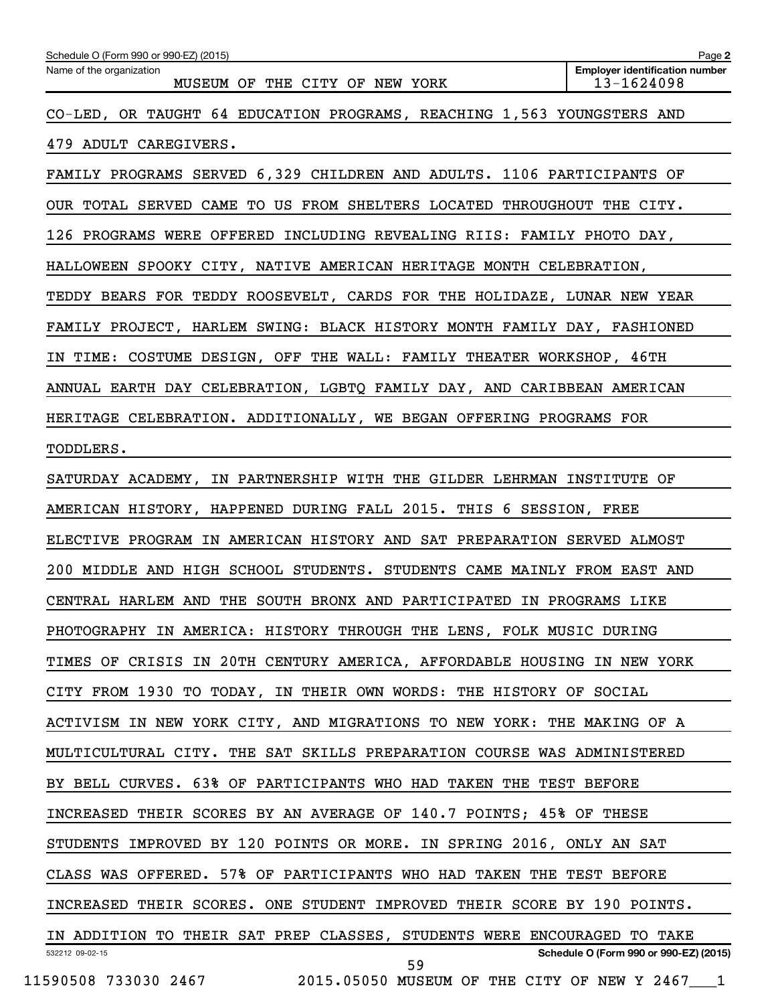| Schedule O (Form 990 or 990-EZ) (2015)<br>Name of the organization<br>MUSEUM OF THE CITY OF NEW YORK | Page 2<br><b>Employer identification number</b><br>13-1624098 |
|------------------------------------------------------------------------------------------------------|---------------------------------------------------------------|
| CO-LED, OR TAUGHT 64 EDUCATION PROGRAMS, REACHING 1,563 YOUNGSTERS AND                               |                                                               |
| 479 ADULT CAREGIVERS.                                                                                |                                                               |
| FAMILY PROGRAMS SERVED 6,329 CHILDREN AND ADULTS. 1106 PARTICIPANTS OF                               |                                                               |
| OUR TOTAL SERVED CAME TO US FROM SHELTERS LOCATED THROUGHOUT THE CITY.                               |                                                               |
| 126 PROGRAMS WERE OFFERED INCLUDING REVEALING RIIS: FAMILY PHOTO DAY,                                |                                                               |
| HALLOWEEN SPOOKY CITY, NATIVE AMERICAN HERITAGE MONTH CELEBRATION,                                   |                                                               |
| TEDDY BEARS FOR TEDDY ROOSEVELT, CARDS FOR THE HOLIDAZE, LUNAR NEW YEAR                              |                                                               |
| FAMILY PROJECT, HARLEM SWING: BLACK HISTORY MONTH FAMILY DAY, FASHIONED                              |                                                               |
| IN TIME: COSTUME DESIGN, OFF THE WALL: FAMILY THEATER WORKSHOP, 46TH                                 |                                                               |
| ANNUAL EARTH DAY CELEBRATION, LGBTQ FAMILY DAY, AND CARIBBEAN AMERICAN                               |                                                               |
| HERITAGE CELEBRATION. ADDITIONALLY, WE BEGAN OFFERING PROGRAMS FOR                                   |                                                               |
| TODDLERS.                                                                                            |                                                               |
| SATURDAY ACADEMY, IN PARTNERSHIP WITH THE GILDER LEHRMAN INSTITUTE OF                                |                                                               |
| AMERICAN HISTORY, HAPPENED DURING FALL 2015. THIS 6 SESSION, FREE                                    |                                                               |
| ELECTIVE PROGRAM IN AMERICAN HISTORY AND SAT PREPARATION SERVED ALMOST                               |                                                               |
| 200 MIDDLE AND HIGH SCHOOL STUDENTS. STUDENTS CAME MAINLY FROM EAST AND                              |                                                               |
| CENTRAL HARLEM AND THE SOUTH BRONX AND PARTICIPATED IN PROGRAMS LIKE                                 |                                                               |
| PHOTOGRAPHY IN AMERICA: HISTORY THROUGH THE LENS, FOLK MUSIC DURING                                  |                                                               |
| TIMES OF CRISIS IN 20TH CENTURY AMERICA, AFFORDABLE HOUSING IN NEW YORK                              |                                                               |
| CITY FROM 1930 TO TODAY, IN THEIR OWN WORDS: THE HISTORY OF SOCIAL                                   |                                                               |
| ACTIVISM IN NEW YORK CITY, AND MIGRATIONS TO NEW YORK: THE MAKING OF A                               |                                                               |
| MULTICULTURAL CITY. THE SAT SKILLS PREPARATION COURSE WAS ADMINISTERED                               |                                                               |
| BY BELL CURVES. 63% OF PARTICIPANTS WHO HAD TAKEN THE TEST BEFORE                                    |                                                               |
| INCREASED THEIR SCORES BY AN AVERAGE OF 140.7 POINTS; 45% OF THESE                                   |                                                               |
| STUDENTS IMPROVED BY 120 POINTS OR MORE. IN SPRING 2016, ONLY AN SAT                                 |                                                               |
| CLASS WAS OFFERED. 57% OF PARTICIPANTS WHO HAD TAKEN THE TEST BEFORE                                 |                                                               |
| INCREASED THEIR SCORES. ONE STUDENT IMPROVED THEIR SCORE BY 190 POINTS.                              |                                                               |
| IN ADDITION TO THEIR SAT PREP CLASSES, STUDENTS WERE ENCOURAGED TO TAKE                              |                                                               |
| 532212 09-02-15<br>59<br>11590508 733030 2467<br>2015.05050 MUSEUM OF THE CITY OF NEW Y 2467 1       | Schedule O (Form 990 or 990-EZ) (2015)                        |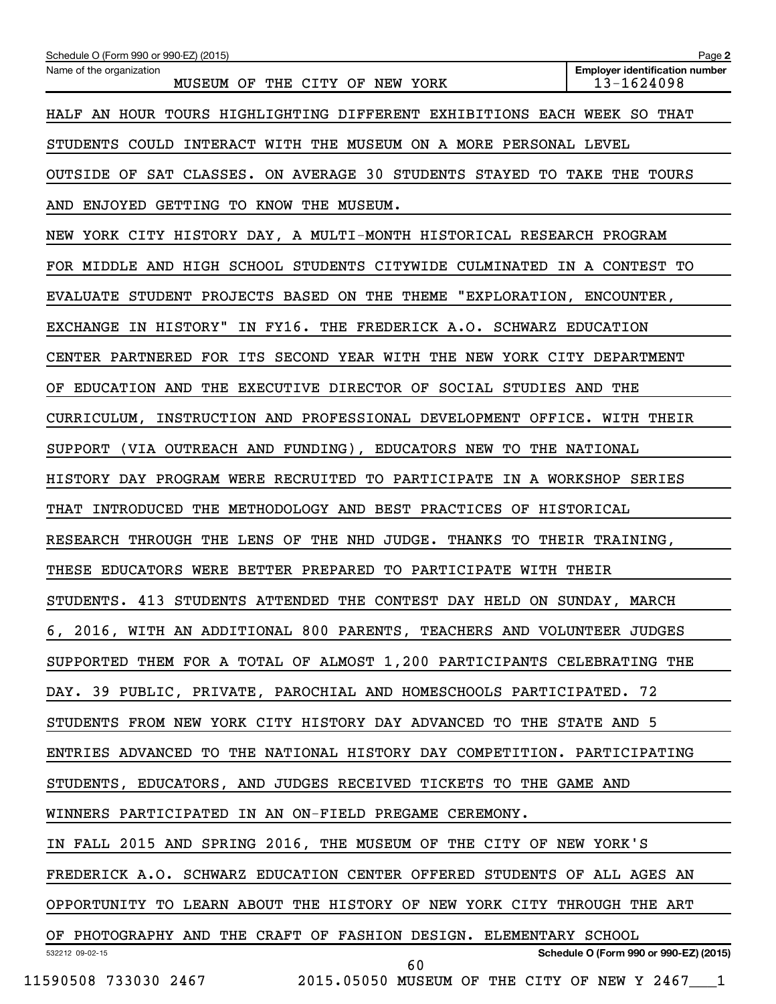| Schedule O (Form 990 or 990-EZ) (2015)                                  | Page 2                                              |
|-------------------------------------------------------------------------|-----------------------------------------------------|
| Name of the organization<br>MUSEUM OF THE CITY OF NEW YORK              | <b>Employer identification number</b><br>13-1624098 |
| HALF AN HOUR TOURS HIGHLIGHTING DIFFERENT EXHIBITIONS EACH WEEK SO THAT |                                                     |
| STUDENTS COULD INTERACT WITH THE MUSEUM ON A MORE PERSONAL LEVEL        |                                                     |
| OUTSIDE OF SAT CLASSES. ON AVERAGE 30 STUDENTS STAYED TO TAKE THE TOURS |                                                     |
| AND ENJOYED GETTING TO KNOW THE MUSEUM.                                 |                                                     |
| NEW YORK CITY HISTORY DAY, A MULTI-MONTH HISTORICAL RESEARCH PROGRAM    |                                                     |
| FOR MIDDLE AND HIGH SCHOOL STUDENTS CITYWIDE CULMINATED IN A CONTEST TO |                                                     |
| EVALUATE STUDENT PROJECTS BASED ON THE THEME "EXPLORATION, ENCOUNTER,   |                                                     |
| EXCHANGE IN HISTORY" IN FY16. THE FREDERICK A.O. SCHWARZ EDUCATION      |                                                     |
| CENTER PARTNERED FOR ITS SECOND YEAR WITH THE NEW YORK CITY DEPARTMENT  |                                                     |
| OF EDUCATION AND THE EXECUTIVE DIRECTOR OF SOCIAL STUDIES AND THE       |                                                     |
| CURRICULUM, INSTRUCTION AND PROFESSIONAL DEVELOPMENT OFFICE. WITH THEIR |                                                     |
| SUPPORT (VIA OUTREACH AND FUNDING), EDUCATORS NEW TO THE NATIONAL       |                                                     |
| HISTORY DAY PROGRAM WERE RECRUITED TO PARTICIPATE IN A WORKSHOP SERIES  |                                                     |
| THAT INTRODUCED THE METHODOLOGY AND BEST PRACTICES OF HISTORICAL        |                                                     |
| RESEARCH THROUGH THE LENS OF THE NHD JUDGE. THANKS TO THEIR TRAINING,   |                                                     |
| THESE EDUCATORS WERE BETTER PREPARED TO PARTICIPATE WITH THEIR          |                                                     |
| STUDENTS. 413 STUDENTS ATTENDED THE CONTEST DAY HELD ON SUNDAY, MARCH   |                                                     |
| 6, 2016, WITH AN ADDITIONAL 800 PARENTS, TEACHERS AND VOLUNTEER JUDGES  |                                                     |
| SUPPORTED THEM FOR A TOTAL OF ALMOST 1,200 PARTICIPANTS CELEBRATING THE |                                                     |
| DAY. 39 PUBLIC, PRIVATE, PAROCHIAL AND HOMESCHOOLS PARTICIPATED. 72     |                                                     |
| STUDENTS FROM NEW YORK CITY HISTORY DAY ADVANCED TO THE STATE AND 5     |                                                     |
| ENTRIES ADVANCED TO THE NATIONAL HISTORY DAY COMPETITION. PARTICIPATING |                                                     |
| STUDENTS, EDUCATORS, AND JUDGES RECEIVED TICKETS TO THE GAME AND        |                                                     |
| WINNERS PARTICIPATED IN AN ON-FIELD PREGAME CEREMONY.                   |                                                     |
| IN FALL 2015 AND SPRING 2016, THE MUSEUM OF THE CITY OF NEW YORK'S      |                                                     |
| FREDERICK A.O. SCHWARZ EDUCATION CENTER OFFERED STUDENTS OF ALL AGES AN |                                                     |
| OPPORTUNITY TO LEARN ABOUT THE HISTORY OF NEW YORK CITY THROUGH THE ART |                                                     |
| OF PHOTOGRAPHY AND THE CRAFT OF FASHION DESIGN. ELEMENTARY SCHOOL       |                                                     |
| 532212 09-02-15<br>60                                                   | Schedule O (Form 990 or 990-EZ) (2015)              |
| 11590508 733030 2467 2015.05050 MUSEUM OF THE CITY OF NEW Y 2467 1      |                                                     |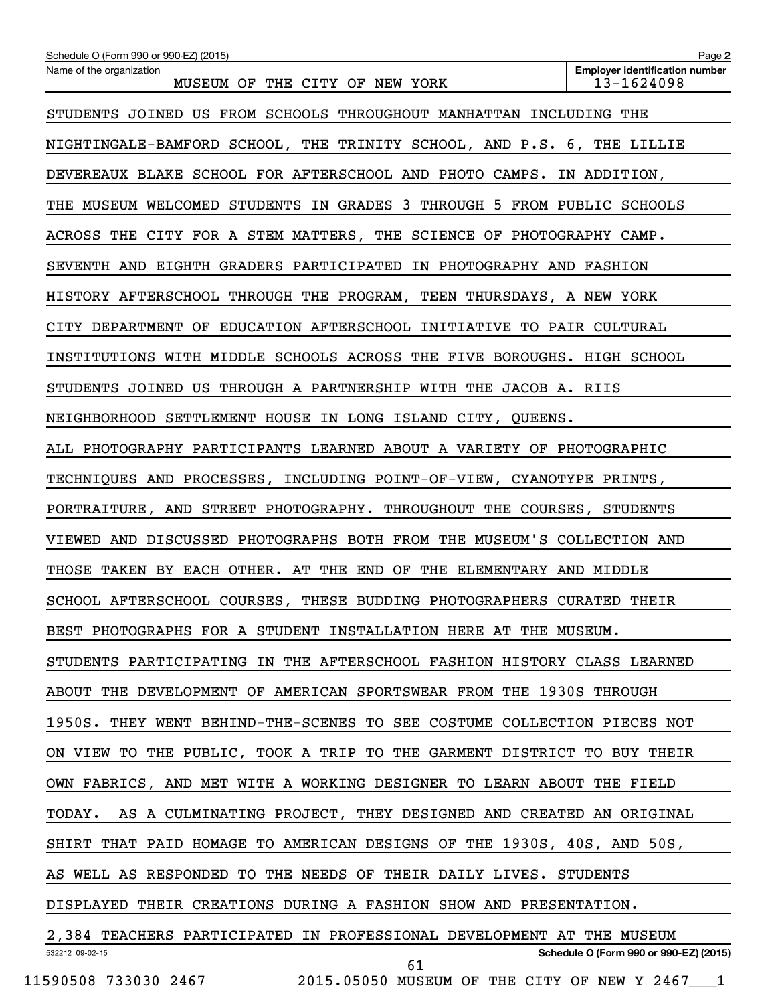| Schedule O (Form 990 or 990-EZ) (2015)                                                                       | Page 2                                              |
|--------------------------------------------------------------------------------------------------------------|-----------------------------------------------------|
| Name of the organization<br>MUSEUM OF THE CITY OF NEW YORK                                                   | <b>Employer identification number</b><br>13-1624098 |
| STUDENTS JOINED US FROM SCHOOLS THROUGHOUT MANHATTAN INCLUDING THE                                           |                                                     |
| NIGHTINGALE-BAMFORD SCHOOL, THE TRINITY SCHOOL, AND P.S. 6, THE LILLIE                                       |                                                     |
| DEVEREAUX BLAKE SCHOOL FOR AFTERSCHOOL AND PHOTO CAMPS. IN ADDITION,                                         |                                                     |
| THE MUSEUM WELCOMED STUDENTS IN GRADES 3 THROUGH 5 FROM PUBLIC SCHOOLS                                       |                                                     |
| ACROSS THE CITY FOR A STEM MATTERS, THE SCIENCE OF PHOTOGRAPHY CAMP.                                         |                                                     |
| SEVENTH AND EIGHTH GRADERS PARTICIPATED IN PHOTOGRAPHY AND FASHION                                           |                                                     |
| HISTORY AFTERSCHOOL THROUGH THE PROGRAM, TEEN THURSDAYS, A NEW YORK                                          |                                                     |
| CITY DEPARTMENT OF EDUCATION AFTERSCHOOL INITIATIVE TO PAIR CULTURAL                                         |                                                     |
| INSTITUTIONS WITH MIDDLE SCHOOLS ACROSS THE FIVE BOROUGHS. HIGH SCHOOL                                       |                                                     |
| STUDENTS JOINED US THROUGH A PARTNERSHIP WITH THE JACOB A. RIIS                                              |                                                     |
| NEIGHBORHOOD SETTLEMENT HOUSE IN LONG ISLAND CITY, QUEENS.                                                   |                                                     |
| ALL PHOTOGRAPHY PARTICIPANTS LEARNED ABOUT A VARIETY OF PHOTOGRAPHIC                                         |                                                     |
| TECHNIQUES AND PROCESSES, INCLUDING POINT-OF-VIEW, CYANOTYPE PRINTS,                                         |                                                     |
| PORTRAITURE, AND STREET PHOTOGRAPHY. THROUGHOUT THE COURSES, STUDENTS                                        |                                                     |
| VIEWED AND DISCUSSED PHOTOGRAPHS BOTH FROM THE MUSEUM'S COLLECTION AND                                       |                                                     |
| THOSE TAKEN BY EACH OTHER. AT THE END OF THE ELEMENTARY AND MIDDLE                                           |                                                     |
| SCHOOL AFTERSCHOOL COURSES, THESE BUDDING PHOTOGRAPHERS CURATED THEIR                                        |                                                     |
| BEST PHOTOGRAPHS FOR A STUDENT INSTALLATION HERE AT THE MUSEUM.                                              |                                                     |
| STUDENTS PARTICIPATING IN THE AFTERSCHOOL FASHION HISTORY CLASS LEARNED                                      |                                                     |
| ABOUT THE DEVELOPMENT OF AMERICAN SPORTSWEAR FROM THE 1930S THROUGH                                          |                                                     |
| 1950S. THEY WENT BEHIND-THE-SCENES TO SEE COSTUME COLLECTION PIECES NOT                                      |                                                     |
| ON VIEW TO THE PUBLIC, TOOK A TRIP TO THE GARMENT DISTRICT TO BUY THEIR                                      |                                                     |
| OWN FABRICS, AND MET WITH A WORKING DESIGNER TO LEARN ABOUT THE FIELD                                        |                                                     |
| AS A CULMINATING PROJECT, THEY DESIGNED AND CREATED AN ORIGINAL<br>TODAY.                                    |                                                     |
| SHIRT THAT PAID HOMAGE TO AMERICAN DESIGNS OF THE 1930S, 40S, AND 50S,                                       |                                                     |
| AS WELL AS RESPONDED TO THE NEEDS OF THEIR DAILY LIVES. STUDENTS                                             |                                                     |
| DISPLAYED THEIR CREATIONS DURING A FASHION SHOW AND PRESENTATION.                                            |                                                     |
| 2,384 TEACHERS PARTICIPATED IN PROFESSIONAL DEVELOPMENT AT THE MUSEUM                                        |                                                     |
| 61                                                                                                           |                                                     |
| 532212 09-02-15<br>$11590508$ 733030 2467              2015.05050 MUSEUM OF THE CITY OF NEW Y 2467 $\quad$ 1 | Schedule O (Form 990 or 990-EZ) (2015)              |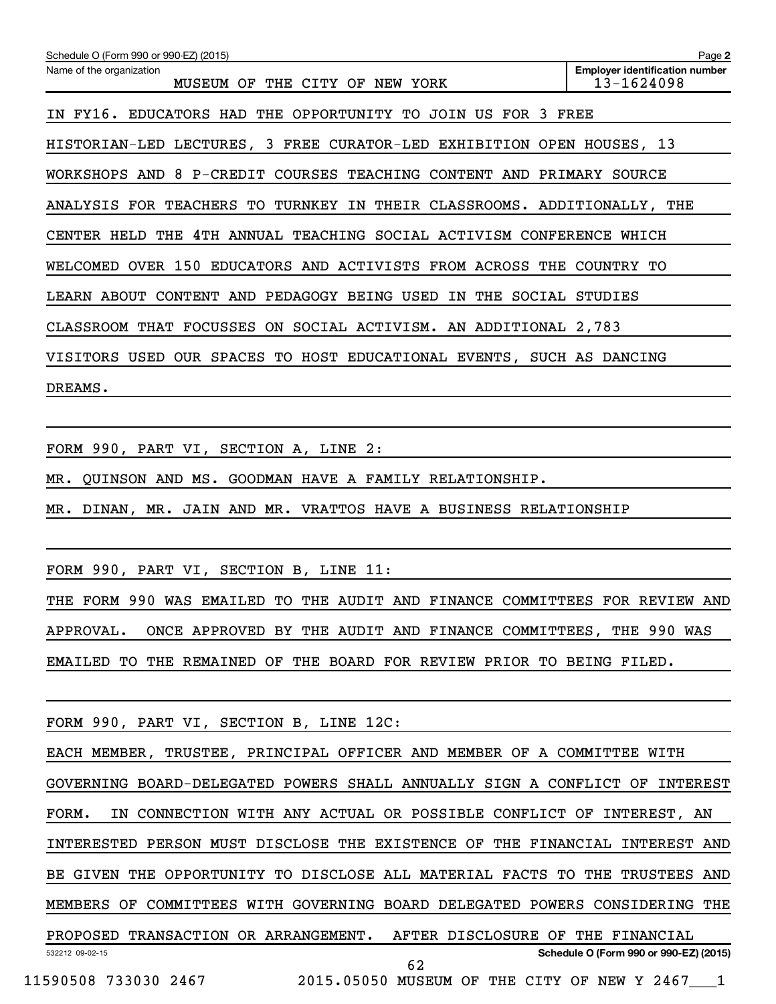| Schedule O (Form 990 or 990-EZ) (2015)                                  | Page 2                                              |
|-------------------------------------------------------------------------|-----------------------------------------------------|
| Name of the organization<br>MUSEUM OF THE CITY OF NEW YORK              | <b>Employer identification number</b><br>13-1624098 |
| IN FY16. EDUCATORS HAD THE OPPORTUNITY TO JOIN US FOR 3 FREE            |                                                     |
| HISTORIAN-LED LECTURES, 3 FREE CURATOR-LED EXHIBITION OPEN HOUSES, 13   |                                                     |
| WORKSHOPS AND 8 P-CREDIT COURSES TEACHING CONTENT AND PRIMARY SOURCE    |                                                     |
| ANALYSIS FOR TEACHERS TO TURNKEY IN THEIR CLASSROOMS. ADDITIONALLY, THE |                                                     |
| CENTER HELD THE 4TH ANNUAL TEACHING SOCIAL ACTIVISM CONFERENCE WHICH    |                                                     |
| WELCOMED OVER 150 EDUCATORS AND ACTIVISTS FROM ACROSS THE COUNTRY TO    |                                                     |
| LEARN ABOUT CONTENT AND PEDAGOGY BEING USED IN THE SOCIAL STUDIES       |                                                     |
| CLASSROOM THAT FOCUSSES ON SOCIAL ACTIVISM. AN ADDITIONAL 2,783         |                                                     |
| VISITORS USED OUR SPACES TO HOST EDUCATIONAL EVENTS, SUCH AS DANCING    |                                                     |
| DREAMS.                                                                 |                                                     |
|                                                                         |                                                     |
| FORM 990, PART VI, SECTION A, LINE 2:                                   |                                                     |
| MR. QUINSON AND MS. GOODMAN HAVE A FAMILY RELATIONSHIP.                 |                                                     |
| MR. DINAN, MR. JAIN AND MR. VRATTOS HAVE A BUSINESS RELATIONSHIP        |                                                     |
|                                                                         |                                                     |
| FORM 990, PART VI, SECTION B, LINE 11:                                  |                                                     |

THE FORM 990 WAS EMAILED TO THE AUDIT AND FINANCE COMMITTEES FOR REVIEW AND APPROVAL. ONCE APPROVED BY THE AUDIT AND FINANCE COMMITTEES, THE 990 WAS EMAILED TO THE REMAINED OF THE BOARD FOR REVIEW PRIOR TO BEING FILED.

FORM 990, PART VI, SECTION B, LINE 12C:

532212 09-02-15 **Schedule O (Form 990 or 990-EZ) (2015)** EACH MEMBER, TRUSTEE, PRINCIPAL OFFICER AND MEMBER OF A COMMITTEE WITH GOVERNING BOARD-DELEGATED POWERS SHALL ANNUALLY SIGN A CONFLICT OF INTEREST FORM. IN CONNECTION WITH ANY ACTUAL OR POSSIBLE CONFLICT OF INTEREST, AN INTERESTED PERSON MUST DISCLOSE THE EXISTENCE OF THE FINANCIAL INTEREST AND BE GIVEN THE OPPORTUNITY TO DISCLOSE ALL MATERIAL FACTS TO THE TRUSTEES AND MEMBERS OF COMMITTEES WITH GOVERNING BOARD DELEGATED POWERS CONSIDERING THE PROPOSED TRANSACTION OR ARRANGEMENT. AFTER DISCLOSURE OF THE FINANCIAL 11590508 733030 2467 2015.05050 MUSEUM OF THE CITY OF NEW Y 2467\_\_\_1 62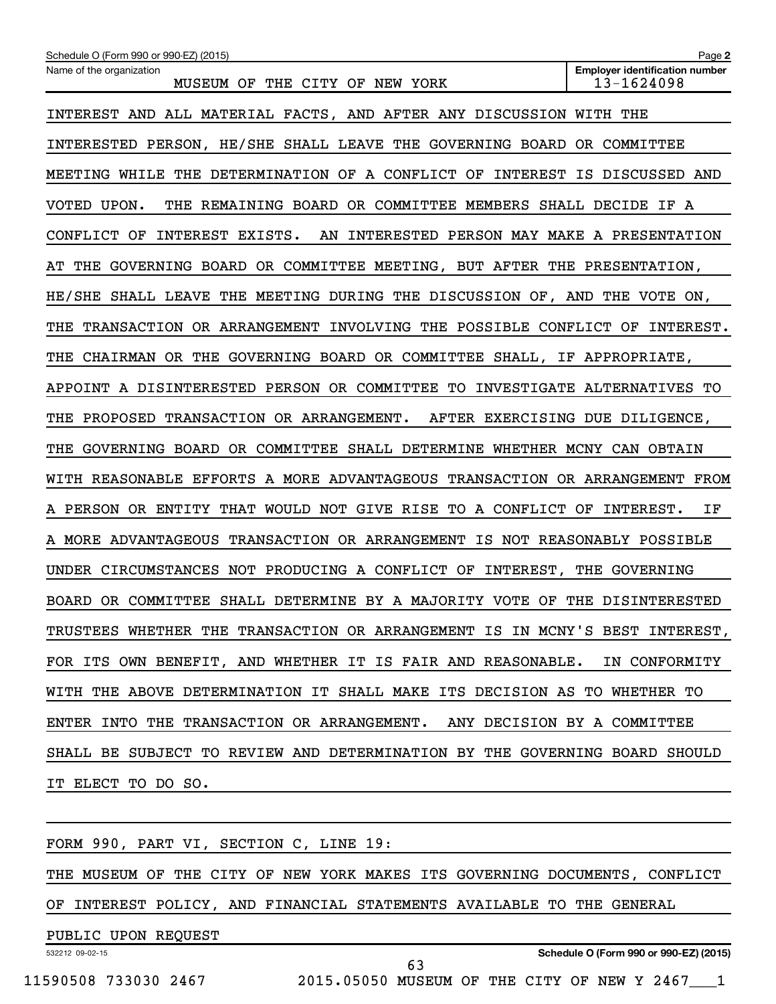| Schedule O (Form 990 or 990-EZ) (2015)                                       | Page 2                                              |
|------------------------------------------------------------------------------|-----------------------------------------------------|
| Name of the organization<br>MUSEUM OF THE CITY OF NEW YORK                   | <b>Employer identification number</b><br>13-1624098 |
| INTEREST AND ALL MATERIAL FACTS, AND AFTER ANY DISCUSSION WITH THE           |                                                     |
| INTERESTED PERSON, HE/SHE SHALL LEAVE THE GOVERNING BOARD OR COMMITTEE       |                                                     |
| MEETING WHILE THE DETERMINATION OF A CONFLICT OF INTEREST IS DISCUSSED AND   |                                                     |
| THE REMAINING BOARD OR COMMITTEE MEMBERS SHALL DECIDE IF A<br>VOTED UPON.    |                                                     |
| CONFLICT OF INTEREST EXISTS.<br>AN INTERESTED PERSON MAY MAKE A PRESENTATION |                                                     |
| GOVERNING BOARD OR COMMITTEE MEETING, BUT AFTER THE PRESENTATION,<br>THE     |                                                     |
| HE/SHE SHALL LEAVE THE MEETING DURING THE DISCUSSION OF, AND THE VOTE ON,    |                                                     |
| TRANSACTION OR ARRANGEMENT INVOLVING THE POSSIBLE CONFLICT OF<br>THE         | INTEREST.                                           |
| CHAIRMAN OR THE GOVERNING BOARD OR COMMITTEE SHALL, IF APPROPRIATE,<br>THE   |                                                     |
| APPOINT A DISINTERESTED PERSON OR COMMITTEE TO INVESTIGATE ALTERNATIVES TO   |                                                     |
| PROPOSED TRANSACTION OR ARRANGEMENT. AFTER EXERCISING DUE DILIGENCE,<br>THE  |                                                     |
| GOVERNING BOARD OR COMMITTEE SHALL DETERMINE WHETHER MCNY CAN OBTAIN<br>THE  |                                                     |
| WITH REASONABLE EFFORTS A MORE ADVANTAGEOUS TRANSACTION OR ARRANGEMENT FROM  |                                                     |
| PERSON OR ENTITY THAT WOULD NOT GIVE RISE TO A CONFLICT OF INTEREST.         | ΙF                                                  |
| A MORE ADVANTAGEOUS TRANSACTION OR ARRANGEMENT IS NOT REASONABLY POSSIBLE    |                                                     |
| UNDER CIRCUMSTANCES NOT PRODUCING A CONFLICT OF INTEREST, THE GOVERNING      |                                                     |
| BOARD OR COMMITTEE SHALL DETERMINE BY A MAJORITY VOTE OF THE DISINTERESTED   |                                                     |
| TRUSTEES WHETHER THE TRANSACTION OR ARRANGEMENT IS IN MCNY'S BEST INTEREST,  |                                                     |
| FOR ITS OWN BENEFIT, AND WHETHER IT IS FAIR AND REASONABLE.                  | IN CONFORMITY                                       |
| WITH THE ABOVE DETERMINATION IT SHALL MAKE ITS DECISION AS TO WHETHER TO     |                                                     |
| ENTER INTO THE TRANSACTION OR ARRANGEMENT. ANY DECISION BY A COMMITTEE       |                                                     |
| SHALL BE SUBJECT TO REVIEW AND DETERMINATION BY THE GOVERNING BOARD SHOULD   |                                                     |
| IT ELECT TO DO SO.                                                           |                                                     |

| FORM 990, PART VI, SECTION C, LINE 19: |  |  |  |  |                                                                            |  |                                        |
|----------------------------------------|--|--|--|--|----------------------------------------------------------------------------|--|----------------------------------------|
|                                        |  |  |  |  | THE MUSEUM OF THE CITY OF NEW YORK MAKES ITS GOVERNING DOCUMENTS, CONFLICT |  |                                        |
|                                        |  |  |  |  | OF INTEREST POLICY, AND FINANCIAL STATEMENTS AVAILABLE TO THE GENERAL      |  |                                        |
| PUBLIC UPON REQUEST                    |  |  |  |  |                                                                            |  |                                        |
| 532212 09-02-15                        |  |  |  |  |                                                                            |  | Schedule O (Form 990 or 990-EZ) (2015) |

63